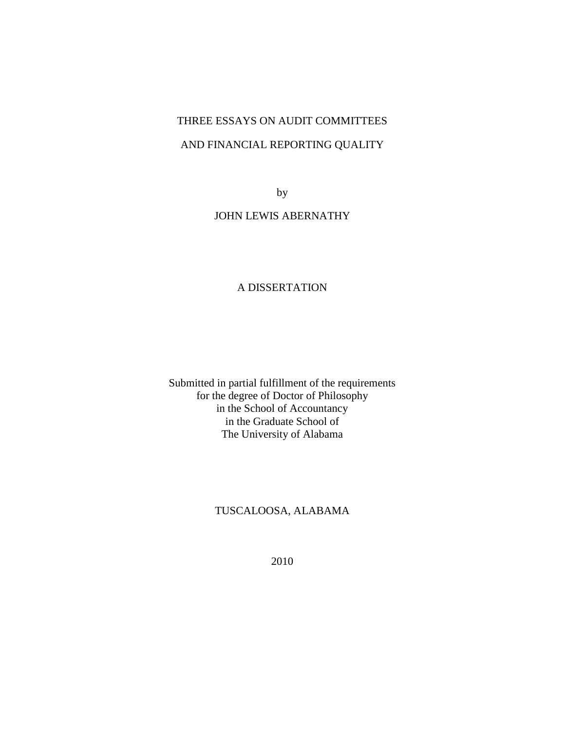# THREE ESSAYS ON AUDIT COMMITTEES AND FINANCIAL REPORTING QUALITY

by

# JOHN LEWIS ABERNATHY

# A DISSERTATION

Submitted in partial fulfillment of the requirements for the degree of Doctor of Philosophy in the School of Accountancy in the Graduate School of The University of Alabama

# TUSCALOOSA, ALABAMA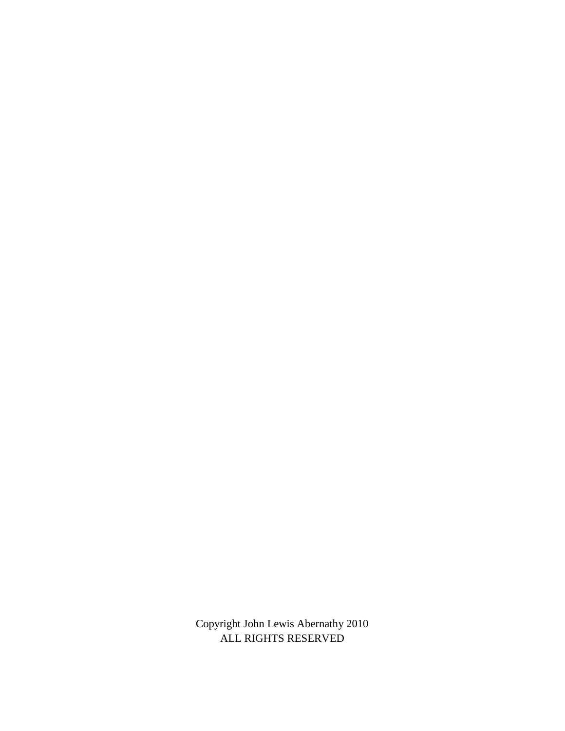Copyright John Lewis Abernathy 2010 ALL RIGHTS RESERVED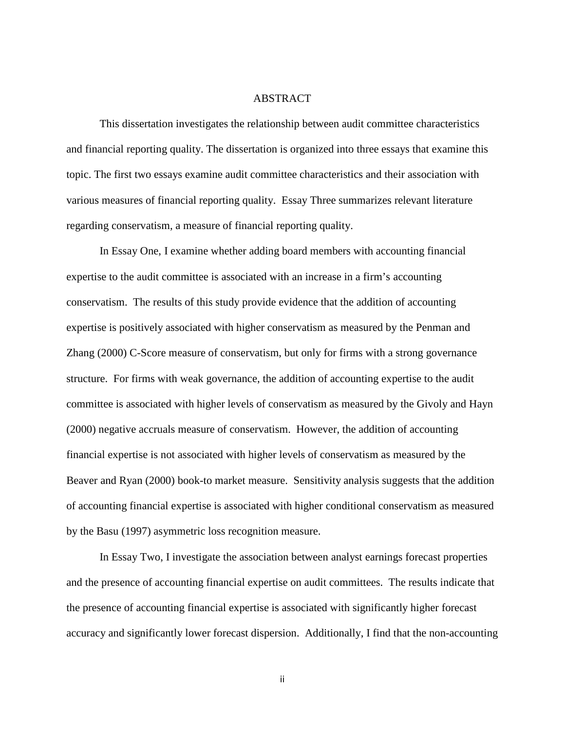## ABSTRACT

 This dissertation investigates the relationship between audit committee characteristics and financial reporting quality. The dissertation is organized into three essays that examine this topic. The first two essays examine audit committee characteristics and their association with various measures of financial reporting quality. Essay Three summarizes relevant literature regarding conservatism, a measure of financial reporting quality.

 In Essay One, I examine whether adding board members with accounting financial expertise to the audit committee is associated with an increase in a firm's accounting conservatism. The results of this study provide evidence that the addition of accounting expertise is positively associated with higher conservatism as measured by the Penman and Zhang (2000) C-Score measure of conservatism, but only for firms with a strong governance structure. For firms with weak governance, the addition of accounting expertise to the audit committee is associated with higher levels of conservatism as measured by the Givoly and Hayn (2000) negative accruals measure of conservatism. However, the addition of accounting financial expertise is not associated with higher levels of conservatism as measured by the Beaver and Ryan (2000) book-to market measure. Sensitivity analysis suggests that the addition of accounting financial expertise is associated with higher conditional conservatism as measured by the Basu (1997) asymmetric loss recognition measure.

 In Essay Two, I investigate the association between analyst earnings forecast properties and the presence of accounting financial expertise on audit committees. The results indicate that the presence of accounting financial expertise is associated with significantly higher forecast accuracy and significantly lower forecast dispersion. Additionally, I find that the non-accounting

ii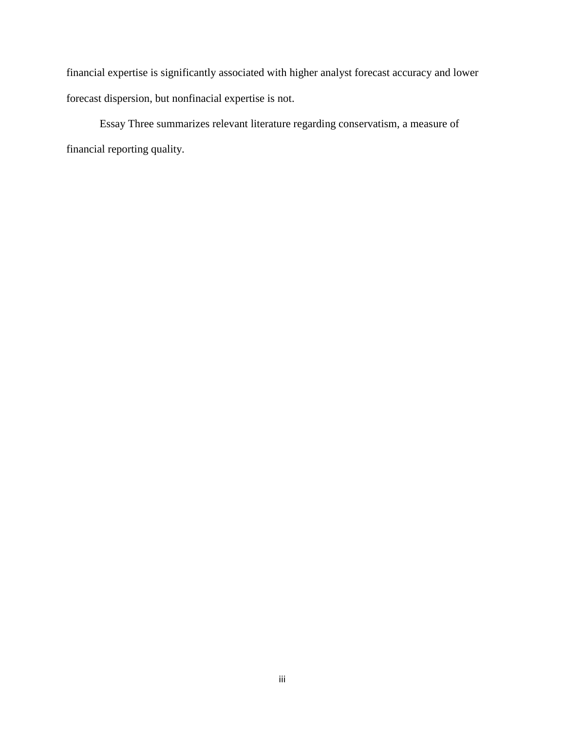financial expertise is significantly associated with higher analyst forecast accuracy and lower forecast dispersion, but nonfinacial expertise is not.

 Essay Three summarizes relevant literature regarding conservatism, a measure of financial reporting quality.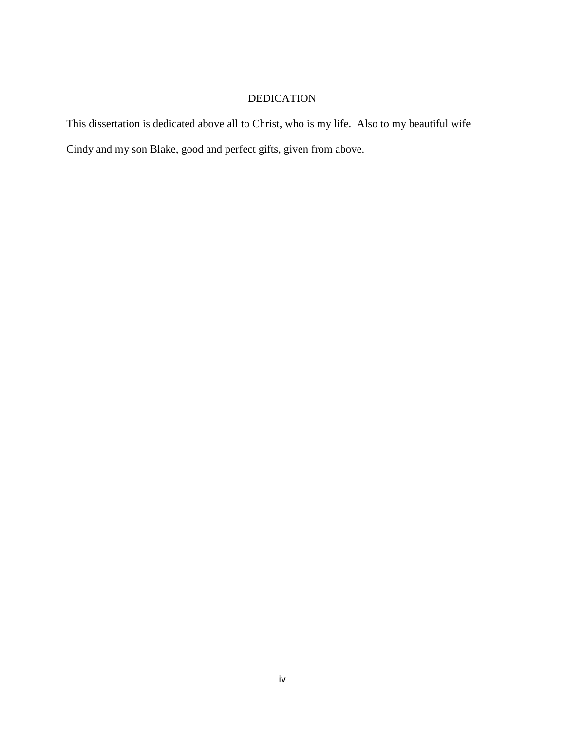# DEDICATION

This dissertation is dedicated above all to Christ, who is my life. Also to my beautiful wife Cindy and my son Blake, good and perfect gifts, given from above.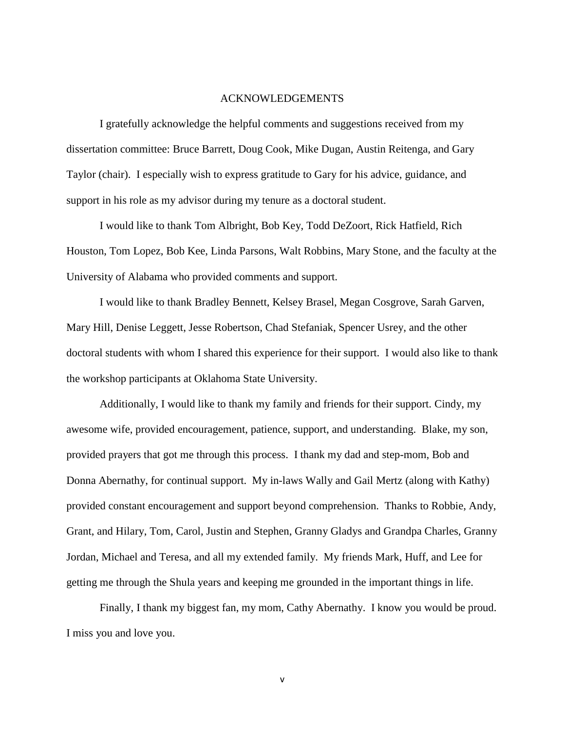### ACKNOWLEDGEMENTS

I gratefully acknowledge the helpful comments and suggestions received from my dissertation committee: Bruce Barrett, Doug Cook, Mike Dugan, Austin Reitenga, and Gary Taylor (chair). I especially wish to express gratitude to Gary for his advice, guidance, and support in his role as my advisor during my tenure as a doctoral student.

I would like to thank Tom Albright, Bob Key, Todd DeZoort, Rick Hatfield, Rich Houston, Tom Lopez, Bob Kee, Linda Parsons, Walt Robbins, Mary Stone, and the faculty at the University of Alabama who provided comments and support.

I would like to thank Bradley Bennett, Kelsey Brasel, Megan Cosgrove, Sarah Garven, Mary Hill, Denise Leggett, Jesse Robertson, Chad Stefaniak, Spencer Usrey, and the other doctoral students with whom I shared this experience for their support. I would also like to thank the workshop participants at Oklahoma State University.

Additionally, I would like to thank my family and friends for their support. Cindy, my awesome wife, provided encouragement, patience, support, and understanding. Blake, my son, provided prayers that got me through this process. I thank my dad and step-mom, Bob and Donna Abernathy, for continual support. My in-laws Wally and Gail Mertz (along with Kathy) provided constant encouragement and support beyond comprehension. Thanks to Robbie, Andy, Grant, and Hilary, Tom, Carol, Justin and Stephen, Granny Gladys and Grandpa Charles, Granny Jordan, Michael and Teresa, and all my extended family. My friends Mark, Huff, and Lee for getting me through the Shula years and keeping me grounded in the important things in life.

 Finally, I thank my biggest fan, my mom, Cathy Abernathy. I know you would be proud. I miss you and love you.

v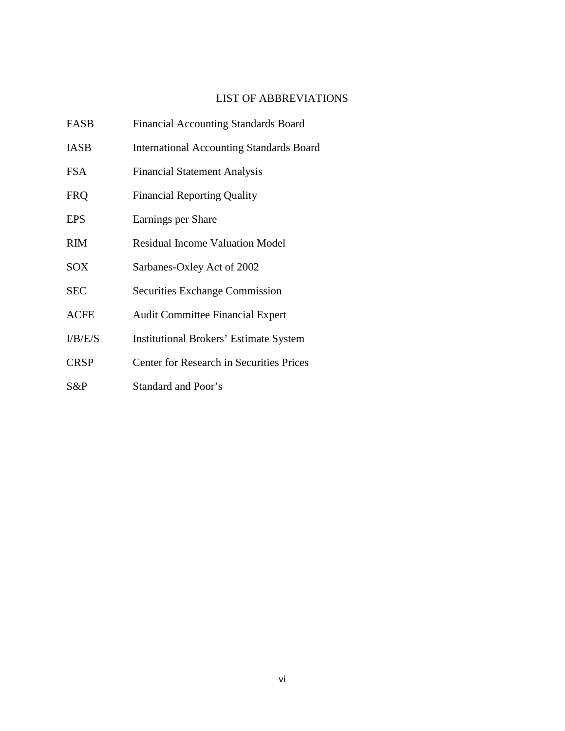# LIST OF ABBREVIATIONS

| FASB        | <b>Financial Accounting Standards Board</b>     |
|-------------|-------------------------------------------------|
| <b>IASB</b> | <b>International Accounting Standards Board</b> |
| FSA         | <b>Financial Statement Analysis</b>             |
| <b>FRQ</b>  | <b>Financial Reporting Quality</b>              |
| <b>EPS</b>  | Earnings per Share                              |
| <b>RIM</b>  | <b>Residual Income Valuation Model</b>          |
| SOX         | Sarbanes-Oxley Act of 2002                      |
| <b>SEC</b>  | <b>Securities Exchange Commission</b>           |
| <b>ACFE</b> | <b>Audit Committee Financial Expert</b>         |
| I/B/E/S     | <b>Institutional Brokers' Estimate System</b>   |
| <b>CRSP</b> | <b>Center for Research in Securities Prices</b> |
| S&P         | Standard and Poor's                             |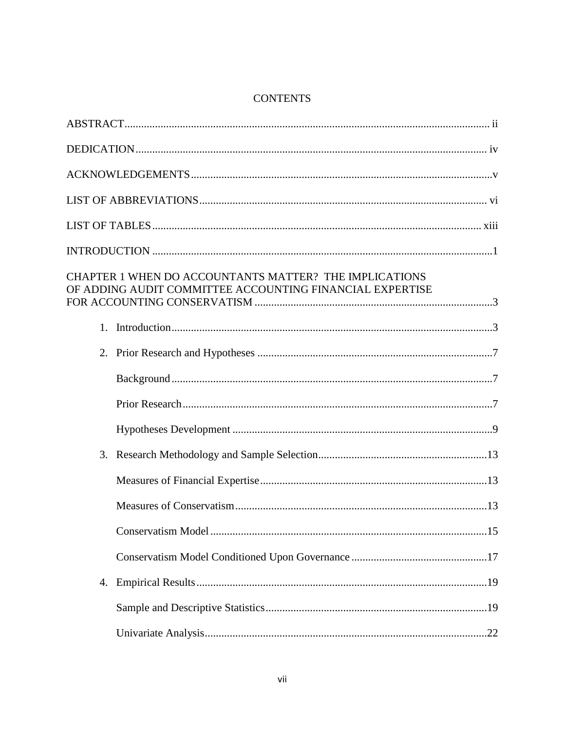# **CONTENTS**

| CHAPTER 1 WHEN DO ACCOUNTANTS MATTER? THE IMPLICATIONS<br>OF ADDING AUDIT COMMITTEE ACCOUNTING FINANCIAL EXPERTISE |  |
|--------------------------------------------------------------------------------------------------------------------|--|
| 1.                                                                                                                 |  |
| 2.                                                                                                                 |  |
|                                                                                                                    |  |
|                                                                                                                    |  |
|                                                                                                                    |  |
| 3.                                                                                                                 |  |
|                                                                                                                    |  |
|                                                                                                                    |  |
|                                                                                                                    |  |
|                                                                                                                    |  |
| 4.                                                                                                                 |  |
|                                                                                                                    |  |
|                                                                                                                    |  |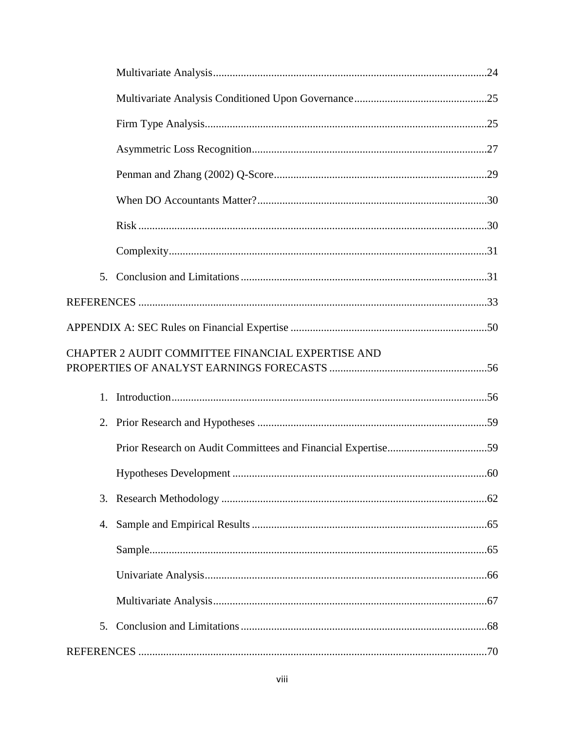|    | CHAPTER 2 AUDIT COMMITTEE FINANCIAL EXPERTISE AND |     |
|----|---------------------------------------------------|-----|
| 1. |                                                   |     |
|    |                                                   |     |
|    |                                                   |     |
|    | Hypotheses Development                            | .60 |
| 3. |                                                   |     |
| 4. |                                                   |     |
|    |                                                   |     |
|    |                                                   |     |
|    |                                                   |     |
| 5. |                                                   |     |
|    |                                                   |     |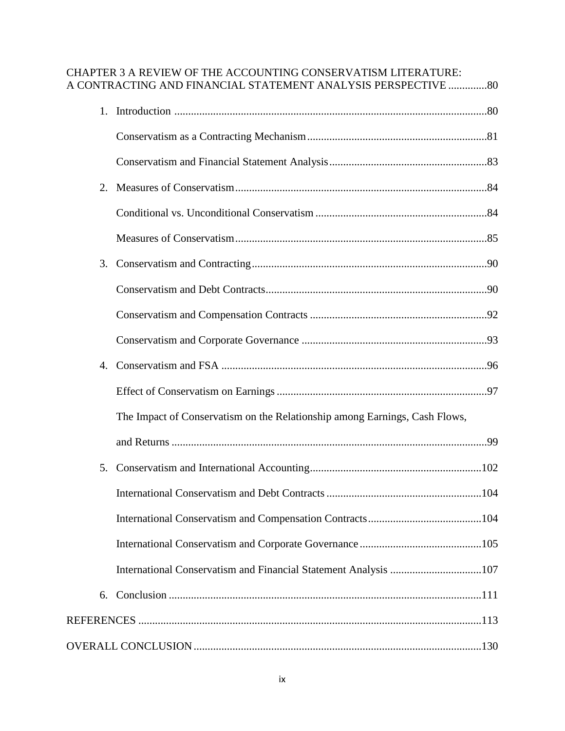# CHAPTER 3 A REVIEW OF THE ACCOUNTING CONSERVATISM LITERATURE: A CONTRACTING AND FINANCIAL STATEMENT ANALYSIS PERSPECTIVE ..............80

| 1. |                                                                            |  |
|----|----------------------------------------------------------------------------|--|
|    |                                                                            |  |
|    |                                                                            |  |
| 2. |                                                                            |  |
|    |                                                                            |  |
|    |                                                                            |  |
| 3. |                                                                            |  |
|    |                                                                            |  |
|    |                                                                            |  |
|    |                                                                            |  |
| 4. |                                                                            |  |
|    |                                                                            |  |
|    | The Impact of Conservatism on the Relationship among Earnings, Cash Flows, |  |
|    |                                                                            |  |
| 5. |                                                                            |  |
|    |                                                                            |  |
|    |                                                                            |  |
|    |                                                                            |  |
|    |                                                                            |  |
| 6. |                                                                            |  |
|    |                                                                            |  |
|    |                                                                            |  |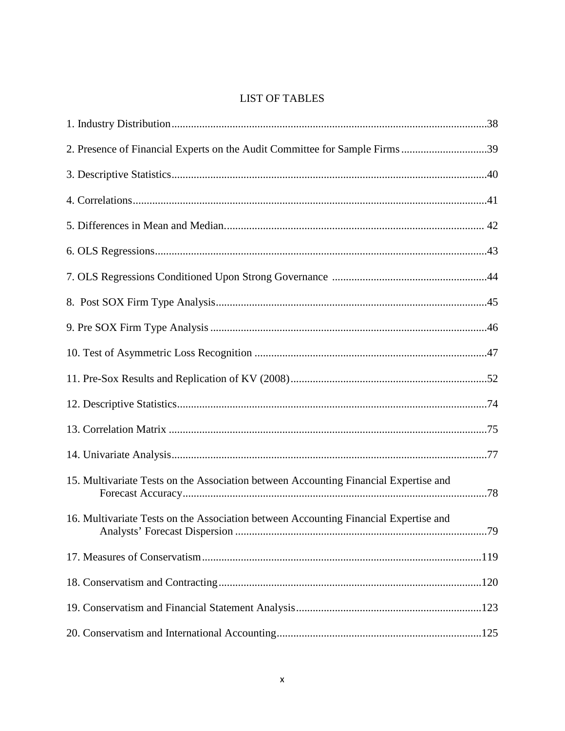# **LIST OF TABLES**

| 2. Presence of Financial Experts on the Audit Committee for Sample Firms39           |
|--------------------------------------------------------------------------------------|
|                                                                                      |
|                                                                                      |
|                                                                                      |
|                                                                                      |
|                                                                                      |
|                                                                                      |
|                                                                                      |
|                                                                                      |
|                                                                                      |
|                                                                                      |
|                                                                                      |
|                                                                                      |
| 15. Multivariate Tests on the Association between Accounting Financial Expertise and |
| 16. Multivariate Tests on the Association between Accounting Financial Expertise and |
|                                                                                      |
|                                                                                      |
|                                                                                      |
|                                                                                      |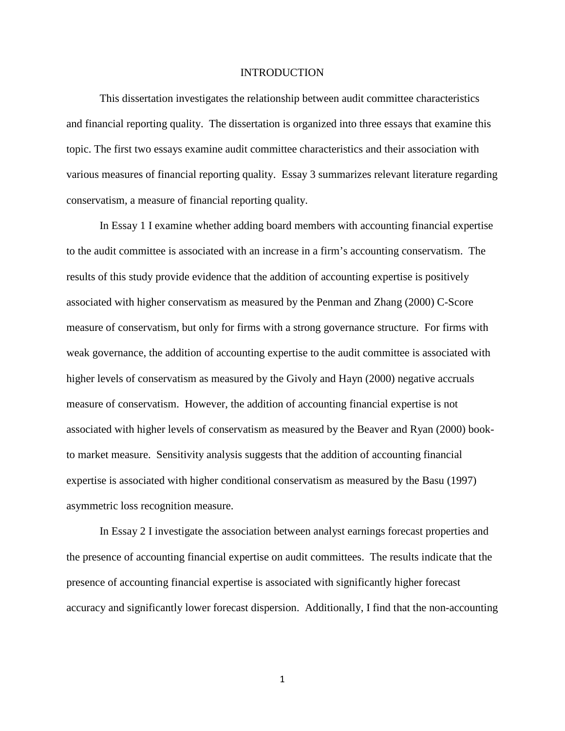#### INTRODUCTION

This dissertation investigates the relationship between audit committee characteristics and financial reporting quality. The dissertation is organized into three essays that examine this topic. The first two essays examine audit committee characteristics and their association with various measures of financial reporting quality. Essay 3 summarizes relevant literature regarding conservatism, a measure of financial reporting quality.

 In Essay 1 I examine whether adding board members with accounting financial expertise to the audit committee is associated with an increase in a firm's accounting conservatism. The results of this study provide evidence that the addition of accounting expertise is positively associated with higher conservatism as measured by the Penman and Zhang (2000) C-Score measure of conservatism, but only for firms with a strong governance structure. For firms with weak governance, the addition of accounting expertise to the audit committee is associated with higher levels of conservatism as measured by the Givoly and Hayn (2000) negative accruals measure of conservatism. However, the addition of accounting financial expertise is not associated with higher levels of conservatism as measured by the Beaver and Ryan (2000) bookto market measure. Sensitivity analysis suggests that the addition of accounting financial expertise is associated with higher conditional conservatism as measured by the Basu (1997) asymmetric loss recognition measure.

 In Essay 2 I investigate the association between analyst earnings forecast properties and the presence of accounting financial expertise on audit committees. The results indicate that the presence of accounting financial expertise is associated with significantly higher forecast accuracy and significantly lower forecast dispersion. Additionally, I find that the non-accounting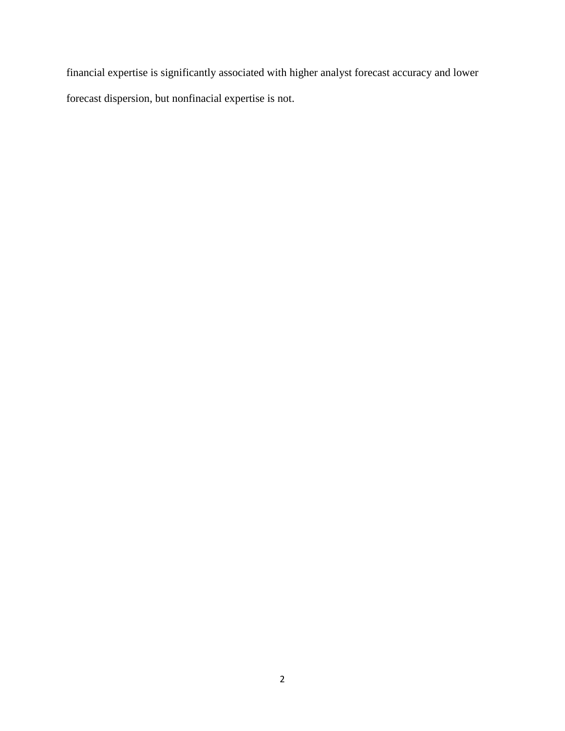financial expertise is significantly associated with higher analyst forecast accuracy and lower forecast dispersion, but nonfinacial expertise is not.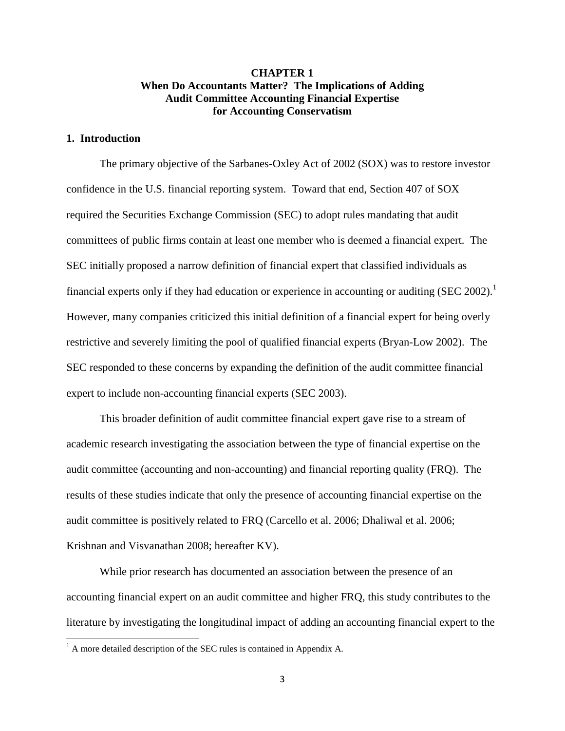# **CHAPTER 1 When Do Accountants Matter? The Implications of Adding Audit Committee Accounting Financial Expertise for Accounting Conservatism**

# **1. Introduction**

 $\overline{a}$ 

 The primary objective of the Sarbanes-Oxley Act of 2002 (SOX) was to restore investor confidence in the U.S. financial reporting system. Toward that end, Section 407 of SOX required the Securities Exchange Commission (SEC) to adopt rules mandating that audit committees of public firms contain at least one member who is deemed a financial expert. The SEC initially proposed a narrow definition of financial expert that classified individuals as financial experts only if they had education or experience in accounting or auditing (SEC 2002).<sup>1</sup> However, many companies criticized this initial definition of a financial expert for being overly restrictive and severely limiting the pool of qualified financial experts (Bryan-Low 2002). The SEC responded to these concerns by expanding the definition of the audit committee financial expert to include non-accounting financial experts (SEC 2003).

This broader definition of audit committee financial expert gave rise to a stream of academic research investigating the association between the type of financial expertise on the audit committee (accounting and non-accounting) and financial reporting quality (FRQ). The results of these studies indicate that only the presence of accounting financial expertise on the audit committee is positively related to FRQ (Carcello et al. 2006; Dhaliwal et al. 2006; Krishnan and Visvanathan 2008; hereafter KV).

While prior research has documented an association between the presence of an accounting financial expert on an audit committee and higher FRQ, this study contributes to the literature by investigating the longitudinal impact of adding an accounting financial expert to the

 $<sup>1</sup>$  A more detailed description of the SEC rules is contained in Appendix A.</sup>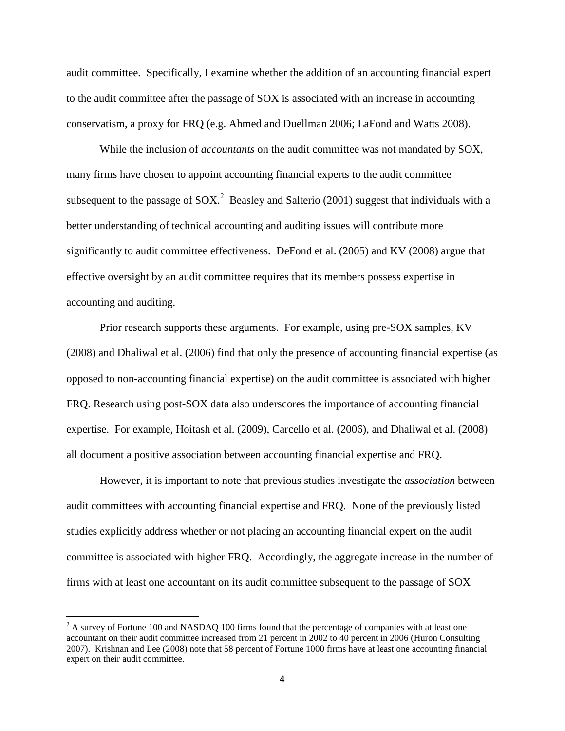audit committee. Specifically, I examine whether the addition of an accounting financial expert to the audit committee after the passage of SOX is associated with an increase in accounting conservatism, a proxy for FRQ (e.g. Ahmed and Duellman 2006; LaFond and Watts 2008).

While the inclusion of *accountants* on the audit committee was not mandated by SOX, many firms have chosen to appoint accounting financial experts to the audit committee subsequent to the passage of SOX.<sup>2</sup> Beasley and Salterio (2001) suggest that individuals with a better understanding of technical accounting and auditing issues will contribute more significantly to audit committee effectiveness. DeFond et al. (2005) and KV (2008) argue that effective oversight by an audit committee requires that its members possess expertise in accounting and auditing.

Prior research supports these arguments. For example, using pre-SOX samples, KV (2008) and Dhaliwal et al. (2006) find that only the presence of accounting financial expertise (as opposed to non-accounting financial expertise) on the audit committee is associated with higher FRQ. Research using post-SOX data also underscores the importance of accounting financial expertise. For example, Hoitash et al. (2009), Carcello et al. (2006), and Dhaliwal et al. (2008) all document a positive association between accounting financial expertise and FRQ.

However, it is important to note that previous studies investigate the *association* between audit committees with accounting financial expertise and FRQ. None of the previously listed studies explicitly address whether or not placing an accounting financial expert on the audit committee is associated with higher FRQ. Accordingly, the aggregate increase in the number of firms with at least one accountant on its audit committee subsequent to the passage of SOX

 $2A$  survey of Fortune 100 and NASDAQ 100 firms found that the percentage of companies with at least one accountant on their audit committee increased from 21 percent in 2002 to 40 percent in 2006 (Huron Consulting 2007). Krishnan and Lee (2008) note that 58 percent of Fortune 1000 firms have at least one accounting financial expert on their audit committee.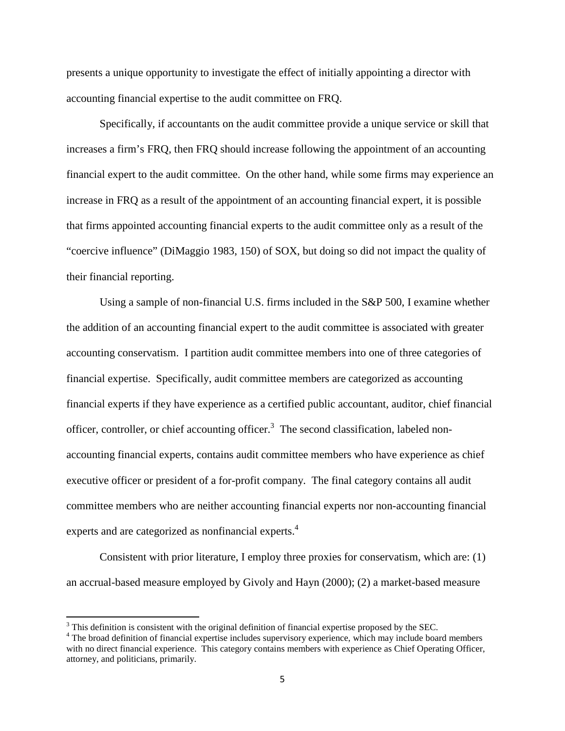presents a unique opportunity to investigate the effect of initially appointing a director with accounting financial expertise to the audit committee on FRQ.

Specifically, if accountants on the audit committee provide a unique service or skill that increases a firm's FRQ, then FRQ should increase following the appointment of an accounting financial expert to the audit committee. On the other hand, while some firms may experience an increase in FRQ as a result of the appointment of an accounting financial expert, it is possible that firms appointed accounting financial experts to the audit committee only as a result of the "coercive influence" (DiMaggio 1983, 150) of SOX, but doing so did not impact the quality of their financial reporting.

Using a sample of non-financial U.S. firms included in the S&P 500, I examine whether the addition of an accounting financial expert to the audit committee is associated with greater accounting conservatism. I partition audit committee members into one of three categories of financial expertise. Specifically, audit committee members are categorized as accounting financial experts if they have experience as a certified public accountant, auditor, chief financial officer, controller, or chief accounting officer.<sup>3</sup> The second classification, labeled nonaccounting financial experts, contains audit committee members who have experience as chief executive officer or president of a for-profit company. The final category contains all audit committee members who are neither accounting financial experts nor non-accounting financial experts and are categorized as nonfinancial experts.<sup>4</sup>

Consistent with prior literature, I employ three proxies for conservatism, which are: (1) an accrual-based measure employed by Givoly and Hayn (2000); (2) a market-based measure

 $3$  This definition is consistent with the original definition of financial expertise proposed by the SEC.

<sup>&</sup>lt;sup>4</sup> The broad definition of financial expertise includes supervisory experience, which may include board members with no direct financial experience. This category contains members with experience as Chief Operating Officer, attorney, and politicians, primarily.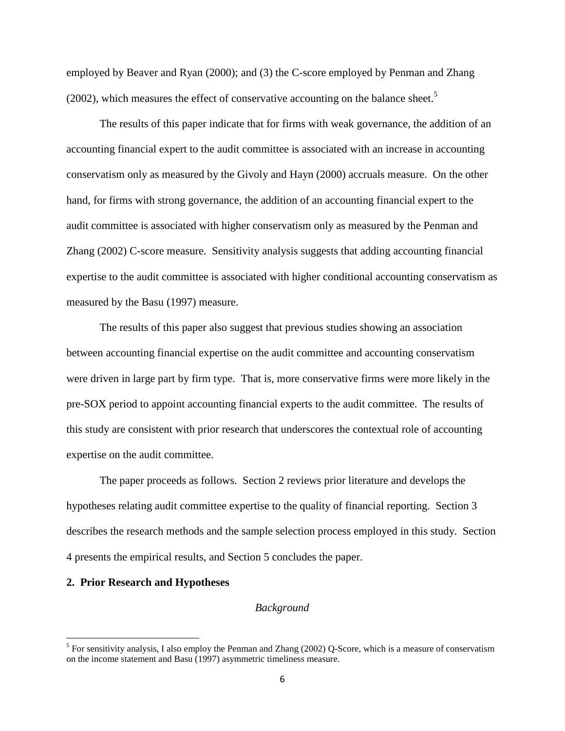employed by Beaver and Ryan (2000); and (3) the C-score employed by Penman and Zhang (2002), which measures the effect of conservative accounting on the balance sheet.<sup>5</sup>

 The results of this paper indicate that for firms with weak governance, the addition of an accounting financial expert to the audit committee is associated with an increase in accounting conservatism only as measured by the Givoly and Hayn (2000) accruals measure. On the other hand, for firms with strong governance, the addition of an accounting financial expert to the audit committee is associated with higher conservatism only as measured by the Penman and Zhang (2002) C-score measure. Sensitivity analysis suggests that adding accounting financial expertise to the audit committee is associated with higher conditional accounting conservatism as measured by the Basu (1997) measure.

The results of this paper also suggest that previous studies showing an association between accounting financial expertise on the audit committee and accounting conservatism were driven in large part by firm type. That is, more conservative firms were more likely in the pre-SOX period to appoint accounting financial experts to the audit committee. The results of this study are consistent with prior research that underscores the contextual role of accounting expertise on the audit committee.

The paper proceeds as follows. Section 2 reviews prior literature and develops the hypotheses relating audit committee expertise to the quality of financial reporting. Section 3 describes the research methods and the sample selection process employed in this study. Section 4 presents the empirical results, and Section 5 concludes the paper.

#### **2. Prior Research and Hypotheses**

 $\overline{a}$ 

# *Background*

 $<sup>5</sup>$  For sensitivity analysis, I also employ the Penman and Zhang (2002) Q-Score, which is a measure of conservatism</sup> on the income statement and Basu (1997) asymmetric timeliness measure.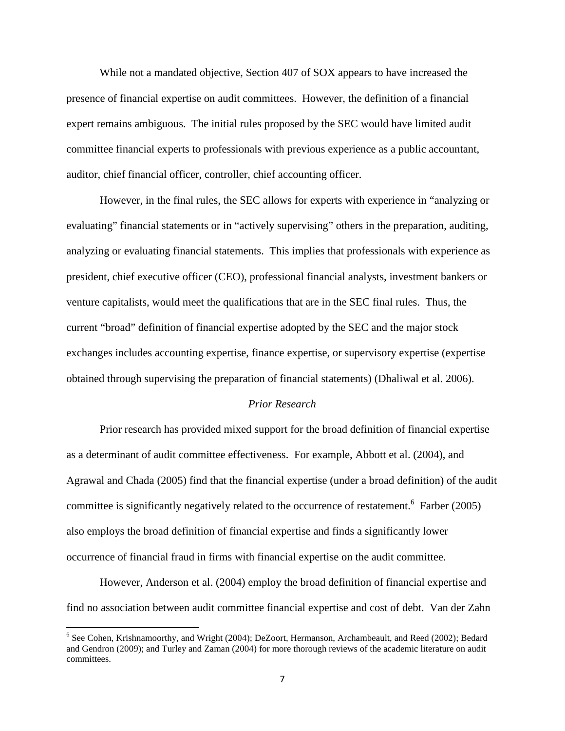While not a mandated objective, Section 407 of SOX appears to have increased the presence of financial expertise on audit committees. However, the definition of a financial expert remains ambiguous. The initial rules proposed by the SEC would have limited audit committee financial experts to professionals with previous experience as a public accountant, auditor, chief financial officer, controller, chief accounting officer.

However, in the final rules, the SEC allows for experts with experience in "analyzing or evaluating" financial statements or in "actively supervising" others in the preparation, auditing, analyzing or evaluating financial statements. This implies that professionals with experience as president, chief executive officer (CEO), professional financial analysts, investment bankers or venture capitalists, would meet the qualifications that are in the SEC final rules. Thus, the current "broad" definition of financial expertise adopted by the SEC and the major stock exchanges includes accounting expertise, finance expertise, or supervisory expertise (expertise obtained through supervising the preparation of financial statements) (Dhaliwal et al. 2006).

# *Prior Research*

Prior research has provided mixed support for the broad definition of financial expertise as a determinant of audit committee effectiveness. For example, Abbott et al. (2004), and Agrawal and Chada (2005) find that the financial expertise (under a broad definition) of the audit committee is significantly negatively related to the occurrence of restatement.<sup>6</sup> Farber (2005) also employs the broad definition of financial expertise and finds a significantly lower occurrence of financial fraud in firms with financial expertise on the audit committee.

 However, Anderson et al. (2004) employ the broad definition of financial expertise and find no association between audit committee financial expertise and cost of debt. Van der Zahn

<sup>&</sup>lt;sup>6</sup> See Cohen, Krishnamoorthy, and Wright (2004); DeZoort, Hermanson, Archambeault, and Reed (2002); Bedard and Gendron (2009); and Turley and Zaman (2004) for more thorough reviews of the academic literature on audit committees.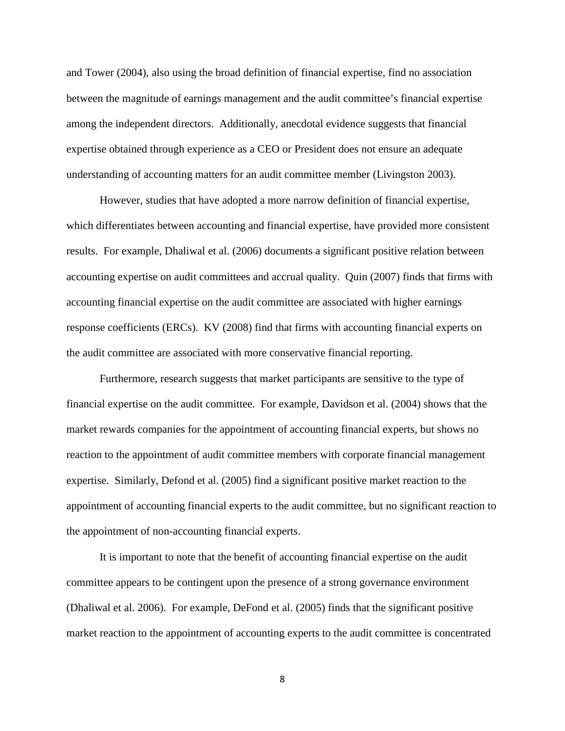and Tower (2004), also using the broad definition of financial expertise, find no association between the magnitude of earnings management and the audit committee's financial expertise among the independent directors. Additionally, anecdotal evidence suggests that financial expertise obtained through experience as a CEO or President does not ensure an adequate understanding of accounting matters for an audit committee member (Livingston 2003).

 However, studies that have adopted a more narrow definition of financial expertise, which differentiates between accounting and financial expertise, have provided more consistent results. For example, Dhaliwal et al. (2006) documents a significant positive relation between accounting expertise on audit committees and accrual quality. Quin (2007) finds that firms with accounting financial expertise on the audit committee are associated with higher earnings response coefficients (ERCs). KV (2008) find that firms with accounting financial experts on the audit committee are associated with more conservative financial reporting.

 Furthermore, research suggests that market participants are sensitive to the type of financial expertise on the audit committee. For example, Davidson et al. (2004) shows that the market rewards companies for the appointment of accounting financial experts, but shows no reaction to the appointment of audit committee members with corporate financial management expertise. Similarly, Defond et al. (2005) find a significant positive market reaction to the appointment of accounting financial experts to the audit committee, but no significant reaction to the appointment of non-accounting financial experts.

 It is important to note that the benefit of accounting financial expertise on the audit committee appears to be contingent upon the presence of a strong governance environment (Dhaliwal et al. 2006). For example, DeFond et al. (2005) finds that the significant positive market reaction to the appointment of accounting experts to the audit committee is concentrated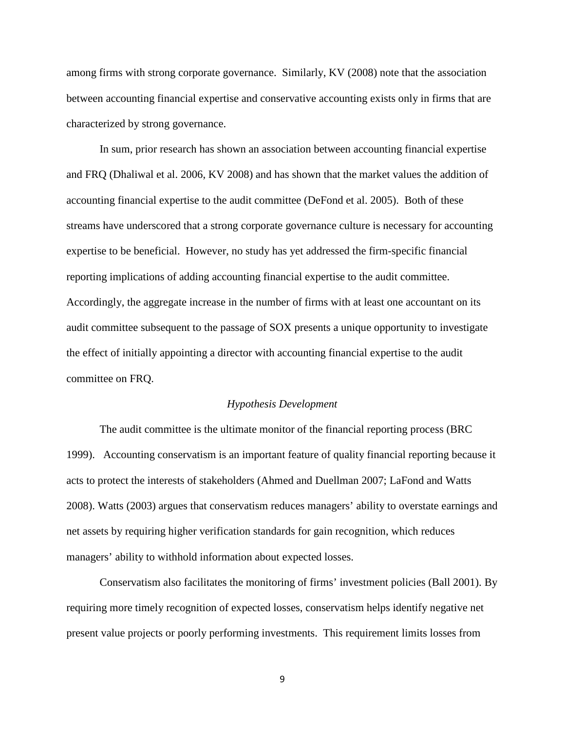among firms with strong corporate governance. Similarly, KV (2008) note that the association between accounting financial expertise and conservative accounting exists only in firms that are characterized by strong governance.

 In sum, prior research has shown an association between accounting financial expertise and FRQ (Dhaliwal et al. 2006, KV 2008) and has shown that the market values the addition of accounting financial expertise to the audit committee (DeFond et al. 2005). Both of these streams have underscored that a strong corporate governance culture is necessary for accounting expertise to be beneficial. However, no study has yet addressed the firm-specific financial reporting implications of adding accounting financial expertise to the audit committee. Accordingly, the aggregate increase in the number of firms with at least one accountant on its audit committee subsequent to the passage of SOX presents a unique opportunity to investigate the effect of initially appointing a director with accounting financial expertise to the audit committee on FRQ.

#### *Hypothesis Development*

The audit committee is the ultimate monitor of the financial reporting process (BRC 1999). Accounting conservatism is an important feature of quality financial reporting because it acts to protect the interests of stakeholders (Ahmed and Duellman 2007; LaFond and Watts 2008). Watts (2003) argues that conservatism reduces managers' ability to overstate earnings and net assets by requiring higher verification standards for gain recognition, which reduces managers' ability to withhold information about expected losses.

Conservatism also facilitates the monitoring of firms' investment policies (Ball 2001). By requiring more timely recognition of expected losses, conservatism helps identify negative net present value projects or poorly performing investments. This requirement limits losses from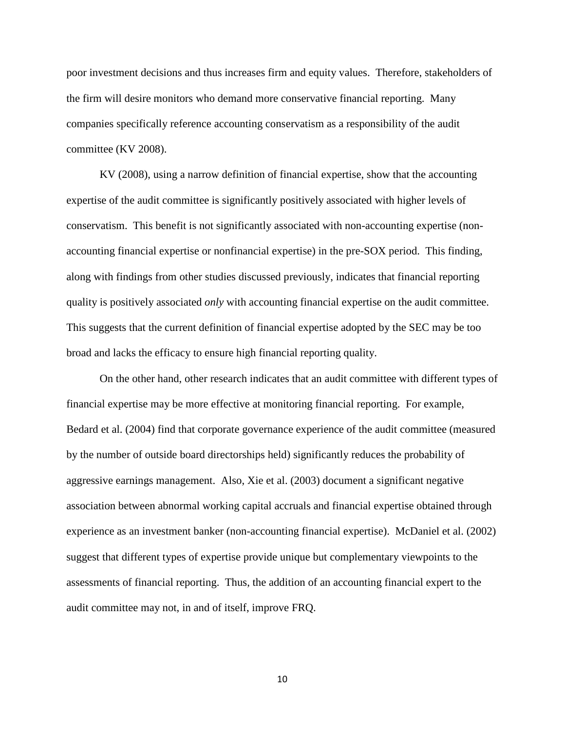poor investment decisions and thus increases firm and equity values. Therefore, stakeholders of the firm will desire monitors who demand more conservative financial reporting. Many companies specifically reference accounting conservatism as a responsibility of the audit committee (KV 2008).

KV (2008), using a narrow definition of financial expertise, show that the accounting expertise of the audit committee is significantly positively associated with higher levels of conservatism. This benefit is not significantly associated with non-accounting expertise (nonaccounting financial expertise or nonfinancial expertise) in the pre-SOX period. This finding, along with findings from other studies discussed previously, indicates that financial reporting quality is positively associated *only* with accounting financial expertise on the audit committee. This suggests that the current definition of financial expertise adopted by the SEC may be too broad and lacks the efficacy to ensure high financial reporting quality.

On the other hand, other research indicates that an audit committee with different types of financial expertise may be more effective at monitoring financial reporting. For example, Bedard et al. (2004) find that corporate governance experience of the audit committee (measured by the number of outside board directorships held) significantly reduces the probability of aggressive earnings management. Also, Xie et al. (2003) document a significant negative association between abnormal working capital accruals and financial expertise obtained through experience as an investment banker (non-accounting financial expertise). McDaniel et al. (2002) suggest that different types of expertise provide unique but complementary viewpoints to the assessments of financial reporting. Thus, the addition of an accounting financial expert to the audit committee may not, in and of itself, improve FRQ.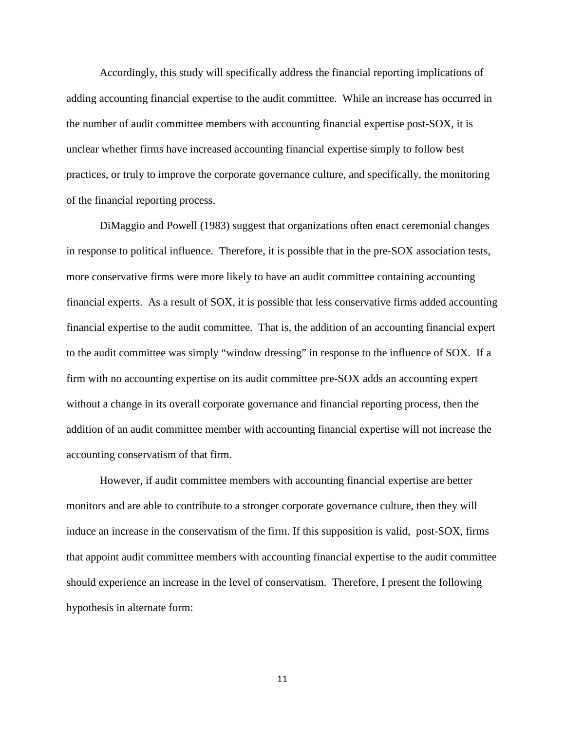Accordingly, this study will specifically address the financial reporting implications of adding accounting financial expertise to the audit committee. While an increase has occurred in the number of audit committee members with accounting financial expertise post-SOX, it is unclear whether firms have increased accounting financial expertise simply to follow best practices, or truly to improve the corporate governance culture, and specifically, the monitoring of the financial reporting process.

DiMaggio and Powell (1983) suggest that organizations often enact ceremonial changes in response to political influence. Therefore, it is possible that in the pre-SOX association tests, more conservative firms were more likely to have an audit committee containing accounting financial experts. As a result of SOX, it is possible that less conservative firms added accounting financial expertise to the audit committee. That is, the addition of an accounting financial expert to the audit committee was simply "window dressing" in response to the influence of SOX. If a firm with no accounting expertise on its audit committee pre-SOX adds an accounting expert without a change in its overall corporate governance and financial reporting process, then the addition of an audit committee member with accounting financial expertise will not increase the accounting conservatism of that firm.

However, if audit committee members with accounting financial expertise are better monitors and are able to contribute to a stronger corporate governance culture, then they will induce an increase in the conservatism of the firm. If this supposition is valid, post-SOX, firms that appoint audit committee members with accounting financial expertise to the audit committee should experience an increase in the level of conservatism. Therefore, I present the following hypothesis in alternate form: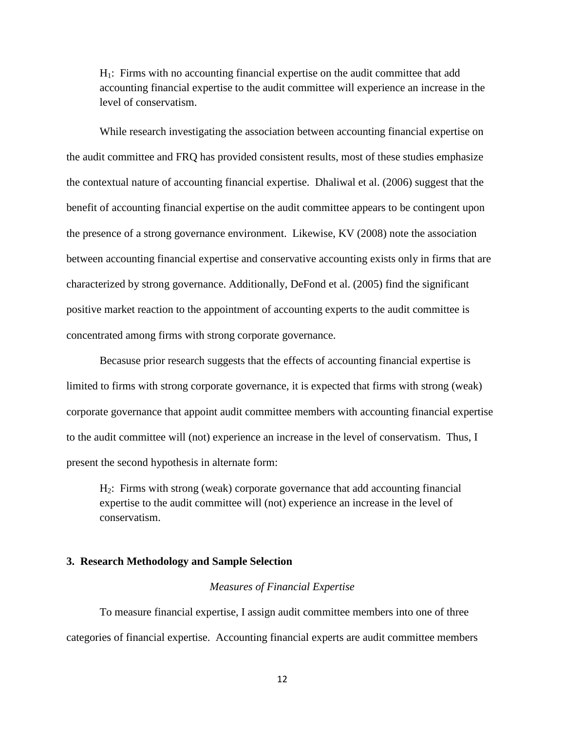H1: Firms with no accounting financial expertise on the audit committee that add accounting financial expertise to the audit committee will experience an increase in the level of conservatism.

While research investigating the association between accounting financial expertise on the audit committee and FRQ has provided consistent results, most of these studies emphasize the contextual nature of accounting financial expertise. Dhaliwal et al. (2006) suggest that the benefit of accounting financial expertise on the audit committee appears to be contingent upon the presence of a strong governance environment. Likewise, KV (2008) note the association between accounting financial expertise and conservative accounting exists only in firms that are characterized by strong governance. Additionally, DeFond et al. (2005) find the significant positive market reaction to the appointment of accounting experts to the audit committee is concentrated among firms with strong corporate governance.

Becasuse prior research suggests that the effects of accounting financial expertise is limited to firms with strong corporate governance, it is expected that firms with strong (weak) corporate governance that appoint audit committee members with accounting financial expertise to the audit committee will (not) experience an increase in the level of conservatism. Thus, I present the second hypothesis in alternate form:

 $H<sub>2</sub>$ : Firms with strong (weak) corporate governance that add accounting financial expertise to the audit committee will (not) experience an increase in the level of conservatism.

# **3. Research Methodology and Sample Selection**

#### *Measures of Financial Expertise*

To measure financial expertise, I assign audit committee members into one of three categories of financial expertise. Accounting financial experts are audit committee members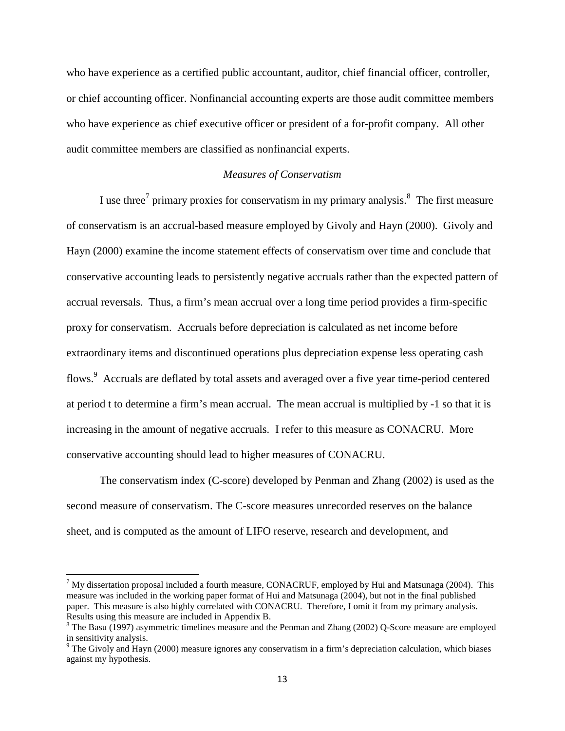who have experience as a certified public accountant, auditor, chief financial officer, controller, or chief accounting officer. Nonfinancial accounting experts are those audit committee members who have experience as chief executive officer or president of a for-profit company. All other audit committee members are classified as nonfinancial experts.

# *Measures of Conservatism*

I use three<sup>7</sup> primary proxies for conservatism in my primary analysis.<sup>8</sup> The first measure of conservatism is an accrual-based measure employed by Givoly and Hayn (2000). Givoly and Hayn (2000) examine the income statement effects of conservatism over time and conclude that conservative accounting leads to persistently negative accruals rather than the expected pattern of accrual reversals. Thus, a firm's mean accrual over a long time period provides a firm-specific proxy for conservatism. Accruals before depreciation is calculated as net income before extraordinary items and discontinued operations plus depreciation expense less operating cash flows.<sup>9</sup> Accruals are deflated by total assets and averaged over a five year time-period centered at period t to determine a firm's mean accrual. The mean accrual is multiplied by -1 so that it is increasing in the amount of negative accruals. I refer to this measure as CONACRU. More conservative accounting should lead to higher measures of CONACRU.

 The conservatism index (C-score) developed by Penman and Zhang (2002) is used as the second measure of conservatism. The C-score measures unrecorded reserves on the balance sheet, and is computed as the amount of LIFO reserve, research and development, and

 $<sup>7</sup>$  My dissertation proposal included a fourth measure, CONACRUF, employed by Hui and Matsunaga (2004). This</sup> measure was included in the working paper format of Hui and Matsunaga (2004), but not in the final published paper. This measure is also highly correlated with CONACRU. Therefore, I omit it from my primary analysis. Results using this measure are included in Appendix B.

<sup>&</sup>lt;sup>8</sup> The Basu (1997) asymmetric timelines measure and the Penman and Zhang (2002) Q-Score measure are employed in sensitivity analysis.

 $9$  The Givoly and Hayn (2000) measure ignores any conservatism in a firm's depreciation calculation, which biases against my hypothesis.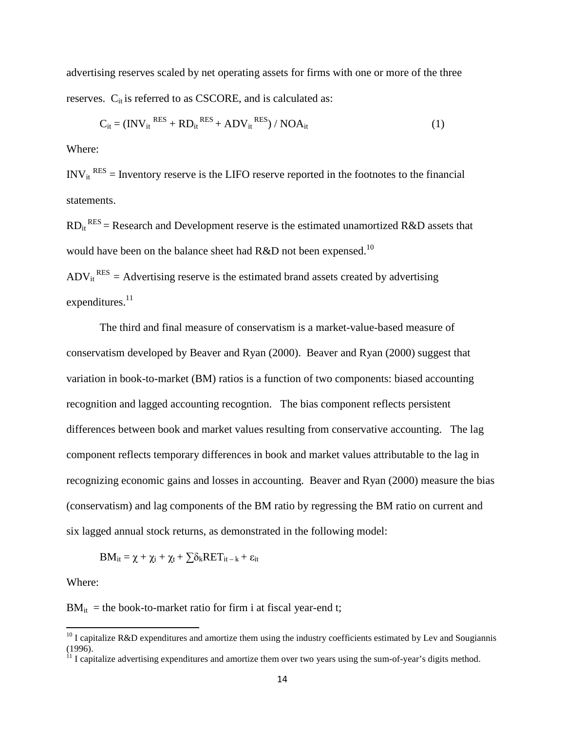advertising reserves scaled by net operating assets for firms with one or more of the three reserves.  $C_{it}$  is referred to as CSCORE, and is calculated as:

$$
C_{it} = (INV_{it}^{RES} + RD_{it}^{RES} + ADV_{it}^{RES}) / NOA_{it}
$$
 (1)

Where:

 $INV_{it}^{RES}$  = Inventory reserve is the LIFO reserve reported in the footnotes to the financial statements.

 $RD_{it}^{RES}$  = Research and Development reserve is the estimated unamortized R&D assets that would have been on the balance sheet had R&D not been expensed.<sup>10</sup>

 $ADV_{it}^{RES} = Advertising$  reserve is the estimated brand assets created by advertising expenditures.<sup>11</sup>

The third and final measure of conservatism is a market-value-based measure of conservatism developed by Beaver and Ryan (2000). Beaver and Ryan (2000) suggest that variation in book-to-market (BM) ratios is a function of two components: biased accounting recognition and lagged accounting recogntion. The bias component reflects persistent differences between book and market values resulting from conservative accounting. The lag component reflects temporary differences in book and market values attributable to the lag in recognizing economic gains and losses in accounting. Beaver and Ryan (2000) measure the bias (conservatism) and lag components of the BM ratio by regressing the BM ratio on current and six lagged annual stock returns, as demonstrated in the following model:

$$
BM_{it} = \chi + \chi_i + \chi_t + \sum \delta_k RET_{it-k} + \epsilon_{it}
$$

Where:

 $\overline{a}$ 

 $BM<sub>it</sub>$  = the book-to-market ratio for firm i at fiscal year-end t;

 $10$  I capitalize R&D expenditures and amortize them using the industry coefficients estimated by Lev and Sougiannis (1996).

 $11$  I capitalize advertising expenditures and amortize them over two years using the sum-of-year's digits method.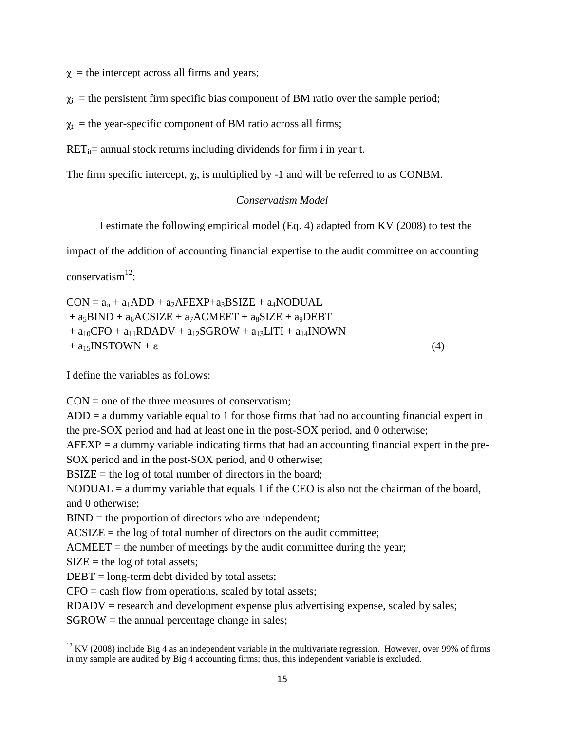$\gamma$  = the intercept across all firms and years;

 $\chi_i$  = the persistent firm specific bias component of BM ratio over the sample period;

 $\chi_t$  = the year-specific component of BM ratio across all firms;

 $RET_{it}$  annual stock returns including dividends for firm i in year t.

The firm specific intercept,  $\chi_i$ , is multiplied by -1 and will be referred to as CONBM.

# *Conservatism Model*

I estimate the following empirical model (Eq. 4) adapted from KV (2008) to test the

impact of the addition of accounting financial expertise to the audit committee on accounting

 $conservation<sup>12</sup>:$ 

 $CON = a<sub>0</sub> + a<sub>1</sub>ADD + a<sub>2</sub>AFEXP + a<sub>3</sub>BSIZE + a<sub>4</sub>NDUAL$  $+ a_5BIND + a_6ACSIZE + a_7ACMEET + a_8SIZE + a_9DEBT$ +  $a_{10}$ CFO +  $a_{11}$ RDADV +  $a_{12}$ SGROW +  $a_{13}$ LITI +  $a_{14}$ INOWN  $+ a_{15}$ INSTOWN + ε (4)

I define the variables as follows:

 $CON = one of the three measures of conservation;$ 

 $ADD = a$  dummy variable equal to 1 for those firms that had no accounting financial expert in the pre-SOX period and had at least one in the post-SOX period, and 0 otherwise;

 $AFEXP = a$  dummy variable indicating firms that had an accounting financial expert in the pre-SOX period and in the post-SOX period, and 0 otherwise;

 $BSIZE =$  the log of total number of directors in the board;

 $NODUAL = a$  dummy variable that equals 1 if the CEO is also not the chairman of the board, and 0 otherwise;

BIND = the proportion of directors who are independent;

ACSIZE = the log of total number of directors on the audit committee;

 $\text{ACMEET}$  = the number of meetings by the audit committee during the year;

 $SIZE =$  the log of total assets;

 $\overline{a}$ 

 $DEBT = long-term debt divided by total assets;$ 

 $CFO = cash flow from operations, scaled by total assets;$ 

 $RDADV$  = research and development expense plus advertising expense, scaled by sales;

SGROW = the annual percentage change in sales;

 $12$  KV (2008) include Big 4 as an independent variable in the multivariate regression. However, over 99% of firms in my sample are audited by Big 4 accounting firms; thus, this independent variable is excluded.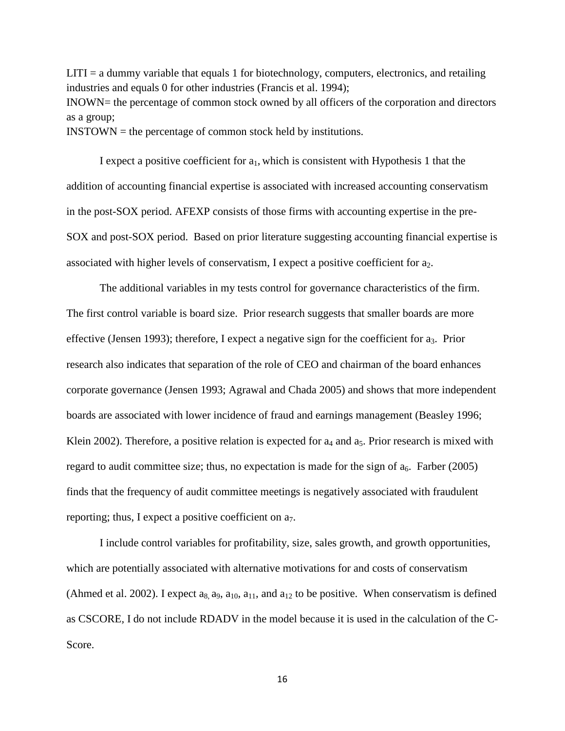$LITI = a$  dummy variable that equals 1 for biotechnology, computers, electronics, and retailing industries and equals 0 for other industries (Francis et al. 1994); INOWN= the percentage of common stock owned by all officers of the corporation and directors as a group; INSTOWN = the percentage of common stock held by institutions.

I expect a positive coefficient for  $a_1$ , which is consistent with Hypothesis 1 that the addition of accounting financial expertise is associated with increased accounting conservatism in the post-SOX period. AFEXP consists of those firms with accounting expertise in the pre-SOX and post-SOX period. Based on prior literature suggesting accounting financial expertise is associated with higher levels of conservatism, I expect a positive coefficient for  $a_2$ .

The additional variables in my tests control for governance characteristics of the firm. The first control variable is board size. Prior research suggests that smaller boards are more effective (Jensen 1993); therefore, I expect a negative sign for the coefficient for  $a_3$ . Prior research also indicates that separation of the role of CEO and chairman of the board enhances corporate governance (Jensen 1993; Agrawal and Chada 2005) and shows that more independent boards are associated with lower incidence of fraud and earnings management (Beasley 1996; Klein 2002). Therefore, a positive relation is expected for  $a_4$  and  $a_5$ . Prior research is mixed with regard to audit committee size; thus, no expectation is made for the sign of  $a_6$ . Farber (2005) finds that the frequency of audit committee meetings is negatively associated with fraudulent reporting; thus, I expect a positive coefficient on a7.

I include control variables for profitability, size, sales growth, and growth opportunities, which are potentially associated with alternative motivations for and costs of conservatism (Ahmed et al. 2002). I expect  $a_8$ ,  $a_9$ ,  $a_{10}$ ,  $a_{11}$ , and  $a_{12}$  to be positive. When conservatism is defined as CSCORE*,* I do not include RDADV in the model because it is used in the calculation of the C-Score.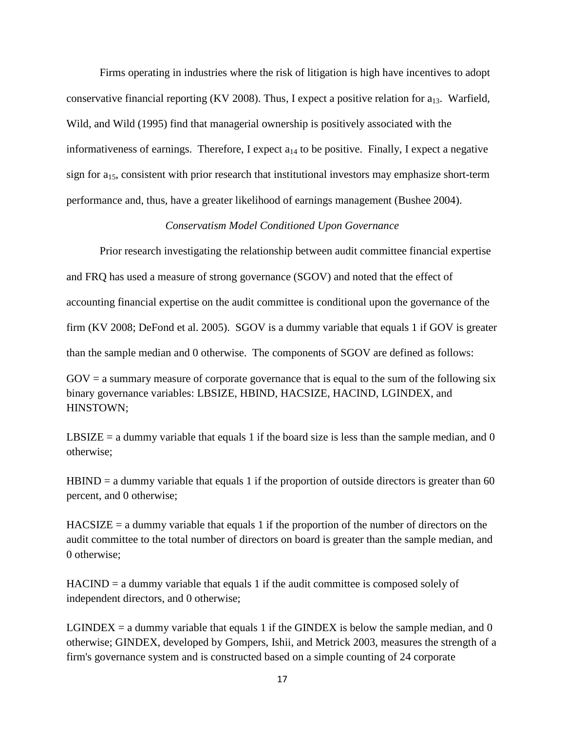Firms operating in industries where the risk of litigation is high have incentives to adopt conservative financial reporting (KV 2008). Thus, I expect a positive relation for  $a_{13}$ . Warfield, Wild, and Wild (1995) find that managerial ownership is positively associated with the informativeness of earnings. Therefore, I expect  $a_{14}$  to be positive. Finally, I expect a negative sign for a<sub>15</sub>, consistent with prior research that institutional investors may emphasize short-term performance and, thus, have a greater likelihood of earnings management (Bushee 2004).

# *Conservatism Model Conditioned Upon Governance*

Prior research investigating the relationship between audit committee financial expertise and FRQ has used a measure of strong governance (SGOV) and noted that the effect of accounting financial expertise on the audit committee is conditional upon the governance of the firm (KV 2008; DeFond et al. 2005). SGOV is a dummy variable that equals 1 if GOV is greater than the sample median and 0 otherwise. The components of SGOV are defined as follows:

 $GOV = a$  summary measure of corporate governance that is equal to the sum of the following six binary governance variables: LBSIZE, HBIND, HACSIZE, HACIND, LGINDEX, and HINSTOWN;

LBSIZE = a dummy variable that equals 1 if the board size is less than the sample median, and  $0$ otherwise;

 $HBIND = a$  dummy variable that equals 1 if the proportion of outside directors is greater than 60 percent, and 0 otherwise;

 $HACSIZE = a$  dummy variable that equals 1 if the proportion of the number of directors on the audit committee to the total number of directors on board is greater than the sample median, and 0 otherwise;

 $HACIND = a$  dummy variable that equals 1 if the audit committee is composed solely of independent directors, and 0 otherwise;

LGINDEX  $=$  a dummy variable that equals 1 if the GINDEX is below the sample median, and 0 otherwise; GINDEX, developed by Gompers, Ishii, and Metrick 2003, measures the strength of a firm's governance system and is constructed based on a simple counting of 24 corporate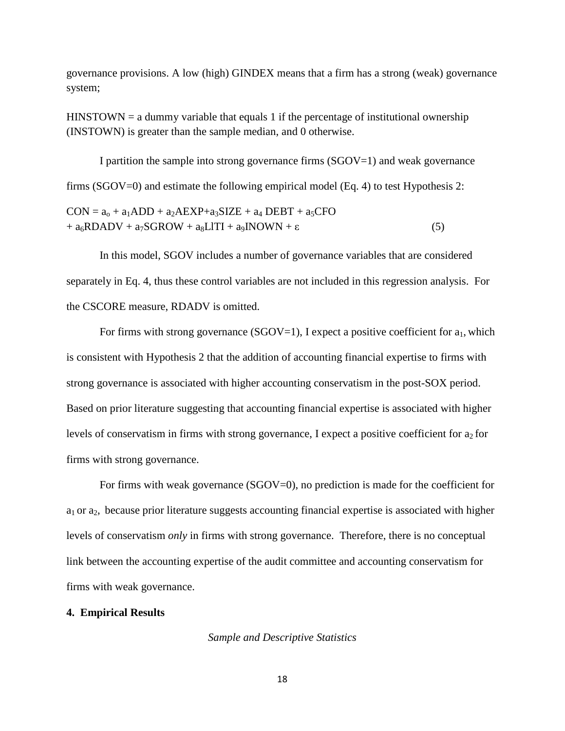governance provisions. A low (high) GINDEX means that a firm has a strong (weak) governance system;

 $HINSTOWN = a dummy variable that equals 1 if the percentage of institutional ownership$ (INSTOWN) is greater than the sample median, and 0 otherwise.

I partition the sample into strong governance firms (SGOV=1) and weak governance firms (SGOV=0) and estimate the following empirical model (Eq. 4) to test Hypothesis 2:

 $CON = a<sub>o</sub> + a<sub>1</sub>ADD + a<sub>2</sub>AEXP + a<sub>3</sub>SIZE + a<sub>4</sub> DEBT + a<sub>5</sub>CFO$  $+ a_6 RDADV + a_7SGROW + a_8 LITI + a_9 INOWN + \varepsilon$  (5)

In this model, SGOV includes a number of governance variables that are considered separately in Eq. 4, thus these control variables are not included in this regression analysis. For the CSCORE measure, RDADV is omitted.

For firms with strong governance (SGOV=1), I expect a positive coefficient for  $a_1$ , which is consistent with Hypothesis 2 that the addition of accounting financial expertise to firms with strong governance is associated with higher accounting conservatism in the post-SOX period. Based on prior literature suggesting that accounting financial expertise is associated with higher levels of conservatism in firms with strong governance, I expect a positive coefficient for  $a_2$  for firms with strong governance.

For firms with weak governance (SGOV=0), no prediction is made for the coefficient for  $a_1$  or  $a_2$ , because prior literature suggests accounting financial expertise is associated with higher levels of conservatism *only* in firms with strong governance. Therefore, there is no conceptual link between the accounting expertise of the audit committee and accounting conservatism for firms with weak governance.

# **4. Empirical Results**

*Sample and Descriptive Statistics*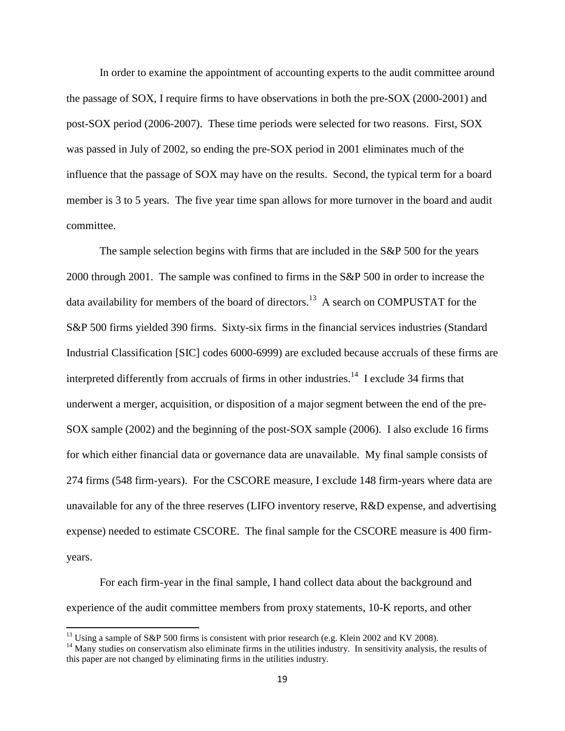In order to examine the appointment of accounting experts to the audit committee around the passage of SOX, I require firms to have observations in both the pre-SOX (2000-2001) and post-SOX period (2006-2007). These time periods were selected for two reasons. First, SOX was passed in July of 2002, so ending the pre-SOX period in 2001 eliminates much of the influence that the passage of SOX may have on the results. Second, the typical term for a board member is 3 to 5 years. The five year time span allows for more turnover in the board and audit committee.

The sample selection begins with firms that are included in the S&P 500 for the years 2000 through 2001. The sample was confined to firms in the S&P 500 in order to increase the data availability for members of the board of directors.<sup>13</sup> A search on COMPUSTAT for the S&P 500 firms yielded 390 firms. Sixty-six firms in the financial services industries (Standard Industrial Classification [SIC] codes 6000-6999) are excluded because accruals of these firms are interpreted differently from accruals of firms in other industries.<sup>14</sup> I exclude 34 firms that underwent a merger, acquisition, or disposition of a major segment between the end of the pre-SOX sample (2002) and the beginning of the post-SOX sample (2006). I also exclude 16 firms for which either financial data or governance data are unavailable. My final sample consists of 274 firms (548 firm-years). For the CSCORE measure, I exclude 148 firm-years where data are unavailable for any of the three reserves (LIFO inventory reserve, R&D expense, and advertising expense) needed to estimate CSCORE. The final sample for the CSCORE measure is 400 firmyears.

For each firm-year in the final sample, I hand collect data about the background and experience of the audit committee members from proxy statements, 10-K reports, and other

<sup>&</sup>lt;sup>13</sup> Using a sample of S&P 500 firms is consistent with prior research (e.g. Klein 2002 and KV 2008).

 $14$  Many studies on conservatism also eliminate firms in the utilities industry. In sensitivity analysis, the results of this paper are not changed by eliminating firms in the utilities industry.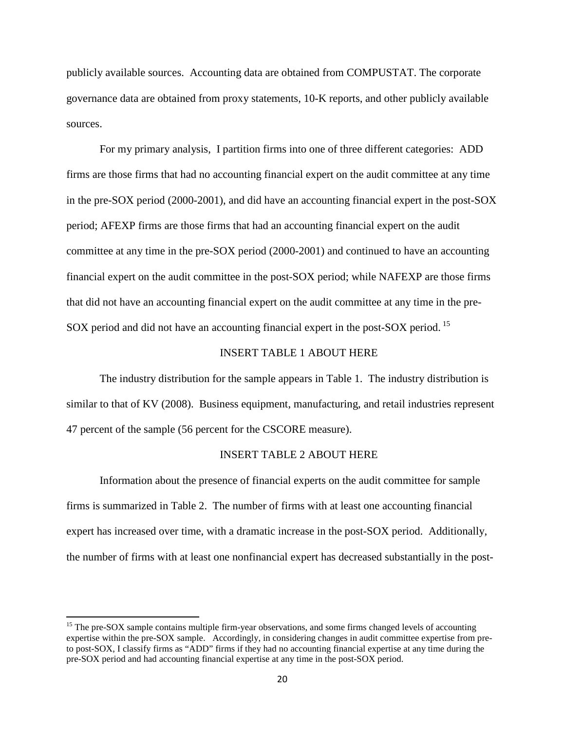publicly available sources. Accounting data are obtained from COMPUSTAT. The corporate governance data are obtained from proxy statements, 10-K reports, and other publicly available sources.

For my primary analysis, I partition firms into one of three different categories: ADD firms are those firms that had no accounting financial expert on the audit committee at any time in the pre-SOX period (2000-2001), and did have an accounting financial expert in the post-SOX period; AFEXP firms are those firms that had an accounting financial expert on the audit committee at any time in the pre-SOX period (2000-2001) and continued to have an accounting financial expert on the audit committee in the post-SOX period; while NAFEXP are those firms that did not have an accounting financial expert on the audit committee at any time in the pre-SOX period and did not have an accounting financial expert in the post-SOX period.<sup>15</sup>

# INSERT TABLE 1 ABOUT HERE

The industry distribution for the sample appears in Table 1. The industry distribution is similar to that of KV (2008). Business equipment, manufacturing, and retail industries represent 47 percent of the sample (56 percent for the CSCORE measure).

### INSERT TABLE 2 ABOUT HERE

Information about the presence of financial experts on the audit committee for sample firms is summarized in Table 2. The number of firms with at least one accounting financial expert has increased over time, with a dramatic increase in the post-SOX period. Additionally, the number of firms with at least one nonfinancial expert has decreased substantially in the post-

<sup>&</sup>lt;sup>15</sup> The pre-SOX sample contains multiple firm-year observations, and some firms changed levels of accounting expertise within the pre-SOX sample. Accordingly, in considering changes in audit committee expertise from preto post-SOX, I classify firms as "ADD" firms if they had no accounting financial expertise at any time during the pre-SOX period and had accounting financial expertise at any time in the post-SOX period.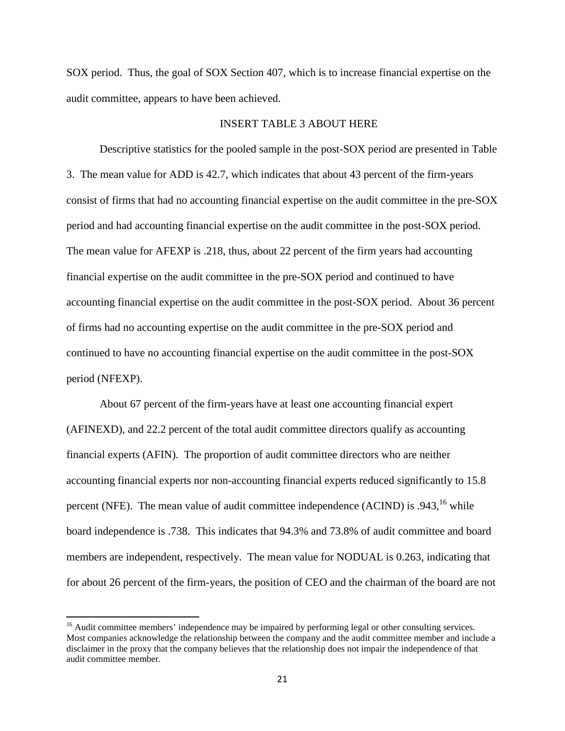SOX period. Thus, the goal of SOX Section 407, which is to increase financial expertise on the audit committee, appears to have been achieved.

### INSERT TABLE 3 ABOUT HERE

Descriptive statistics for the pooled sample in the post-SOX period are presented in Table 3. The mean value for ADD is 42.7, which indicates that about 43 percent of the firm-years consist of firms that had no accounting financial expertise on the audit committee in the pre-SOX period and had accounting financial expertise on the audit committee in the post-SOX period. The mean value for AFEXP is .218, thus, about 22 percent of the firm years had accounting financial expertise on the audit committee in the pre-SOX period and continued to have accounting financial expertise on the audit committee in the post-SOX period. About 36 percent of firms had no accounting expertise on the audit committee in the pre-SOX period and continued to have no accounting financial expertise on the audit committee in the post-SOX period (NFEXP).

About 67 percent of the firm-years have at least one accounting financial expert (AFINEXD), and 22.2 percent of the total audit committee directors qualify as accounting financial experts (AFIN). The proportion of audit committee directors who are neither accounting financial experts nor non-accounting financial experts reduced significantly to 15.8 percent (NFE). The mean value of audit committee independence (ACIND) is  $.943<sup>16</sup>$  while board independence is .738. This indicates that 94.3% and 73.8% of audit committee and board members are independent, respectively. The mean value for NODUAL is 0.263, indicating that for about 26 percent of the firm-years, the position of CEO and the chairman of the board are not

<sup>&</sup>lt;sup>16</sup> Audit committee members' independence may be impaired by performing legal or other consulting services. Most companies acknowledge the relationship between the company and the audit committee member and include a disclaimer in the proxy that the company believes that the relationship does not impair the independence of that audit committee member.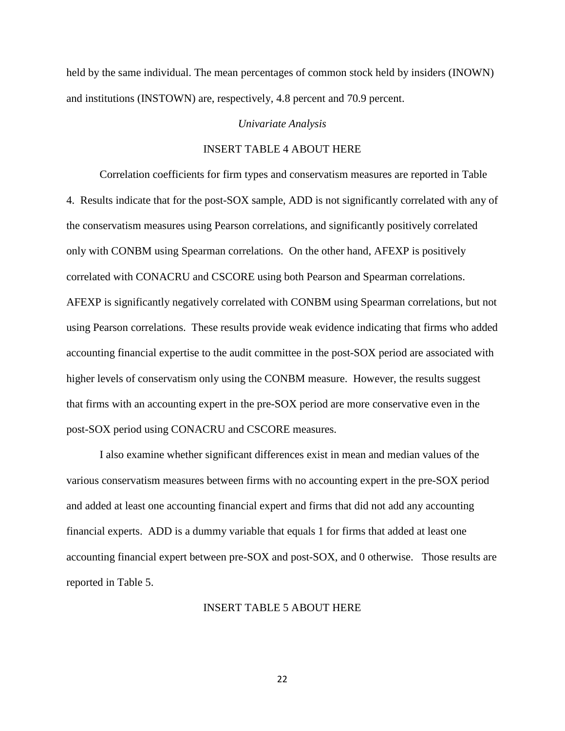held by the same individual. The mean percentages of common stock held by insiders (INOWN) and institutions (INSTOWN) are, respectively, 4.8 percent and 70.9 percent.

#### *Univariate Analysis*

# INSERT TABLE 4 ABOUT HERE

Correlation coefficients for firm types and conservatism measures are reported in Table 4. Results indicate that for the post-SOX sample, ADD is not significantly correlated with any of the conservatism measures using Pearson correlations, and significantly positively correlated only with CONBM using Spearman correlations. On the other hand, AFEXP is positively correlated with CONACRU and CSCORE using both Pearson and Spearman correlations. AFEXP is significantly negatively correlated with CONBM using Spearman correlations, but not using Pearson correlations. These results provide weak evidence indicating that firms who added accounting financial expertise to the audit committee in the post-SOX period are associated with higher levels of conservatism only using the CONBM measure. However, the results suggest that firms with an accounting expert in the pre-SOX period are more conservative even in the post-SOX period using CONACRU and CSCORE measures.

I also examine whether significant differences exist in mean and median values of the various conservatism measures between firms with no accounting expert in the pre-SOX period and added at least one accounting financial expert and firms that did not add any accounting financial experts. ADD is a dummy variable that equals 1 for firms that added at least one accounting financial expert between pre-SOX and post-SOX, and 0 otherwise. Those results are reported in Table 5.

#### INSERT TABLE 5 ABOUT HERE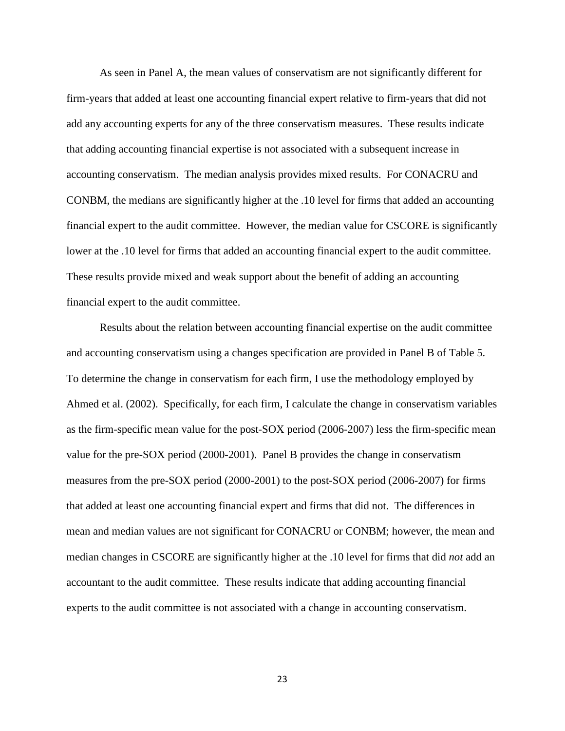As seen in Panel A, the mean values of conservatism are not significantly different for firm-years that added at least one accounting financial expert relative to firm-years that did not add any accounting experts for any of the three conservatism measures. These results indicate that adding accounting financial expertise is not associated with a subsequent increase in accounting conservatism. The median analysis provides mixed results. For CONACRU and CONBM, the medians are significantly higher at the .10 level for firms that added an accounting financial expert to the audit committee. However, the median value for CSCORE is significantly lower at the .10 level for firms that added an accounting financial expert to the audit committee. These results provide mixed and weak support about the benefit of adding an accounting financial expert to the audit committee.

Results about the relation between accounting financial expertise on the audit committee and accounting conservatism using a changes specification are provided in Panel B of Table 5. To determine the change in conservatism for each firm, I use the methodology employed by Ahmed et al. (2002). Specifically, for each firm, I calculate the change in conservatism variables as the firm-specific mean value for the post-SOX period (2006-2007) less the firm-specific mean value for the pre-SOX period (2000-2001). Panel B provides the change in conservatism measures from the pre-SOX period (2000-2001) to the post-SOX period (2006-2007) for firms that added at least one accounting financial expert and firms that did not. The differences in mean and median values are not significant for CONACRU or CONBM; however, the mean and median changes in CSCORE are significantly higher at the .10 level for firms that did *not* add an accountant to the audit committee. These results indicate that adding accounting financial experts to the audit committee is not associated with a change in accounting conservatism.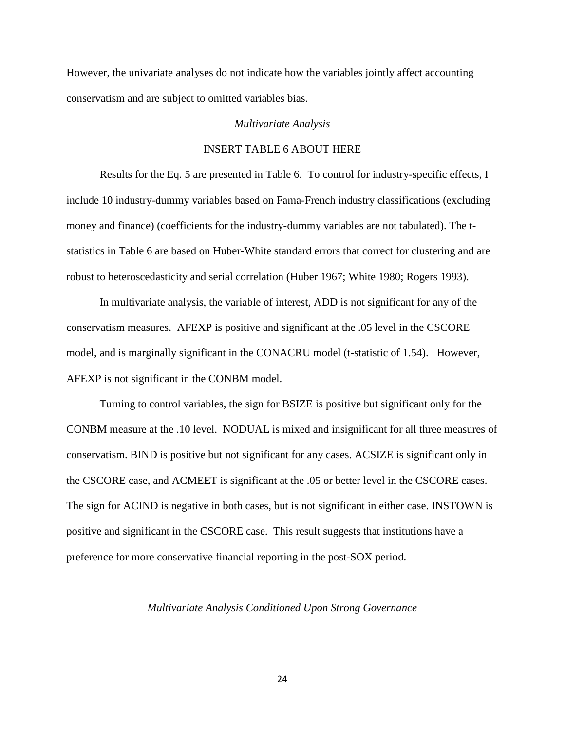However, the univariate analyses do not indicate how the variables jointly affect accounting conservatism and are subject to omitted variables bias.

#### *Multivariate Analysis*

# INSERT TABLE 6 ABOUT HERE

 Results for the Eq. 5 are presented in Table 6. To control for industry-specific effects, I include 10 industry-dummy variables based on Fama-French industry classifications (excluding money and finance) (coefficients for the industry-dummy variables are not tabulated). The tstatistics in Table 6 are based on Huber-White standard errors that correct for clustering and are robust to heteroscedasticity and serial correlation (Huber 1967; White 1980; Rogers 1993).

 In multivariate analysis, the variable of interest, ADD is not significant for any of the conservatism measures. AFEXP is positive and significant at the .05 level in the CSCORE model, and is marginally significant in the CONACRU model (t-statistic of 1.54). However, AFEXP is not significant in the CONBM model.

Turning to control variables, the sign for BSIZE is positive but significant only for the CONBM measure at the .10 level. NODUAL is mixed and insignificant for all three measures of conservatism. BIND is positive but not significant for any cases. ACSIZE is significant only in the CSCORE case, and ACMEET is significant at the .05 or better level in the CSCORE cases. The sign for ACIND is negative in both cases, but is not significant in either case. INSTOWN is positive and significant in the CSCORE case. This result suggests that institutions have a preference for more conservative financial reporting in the post-SOX period.

#### *Multivariate Analysis Conditioned Upon Strong Governance*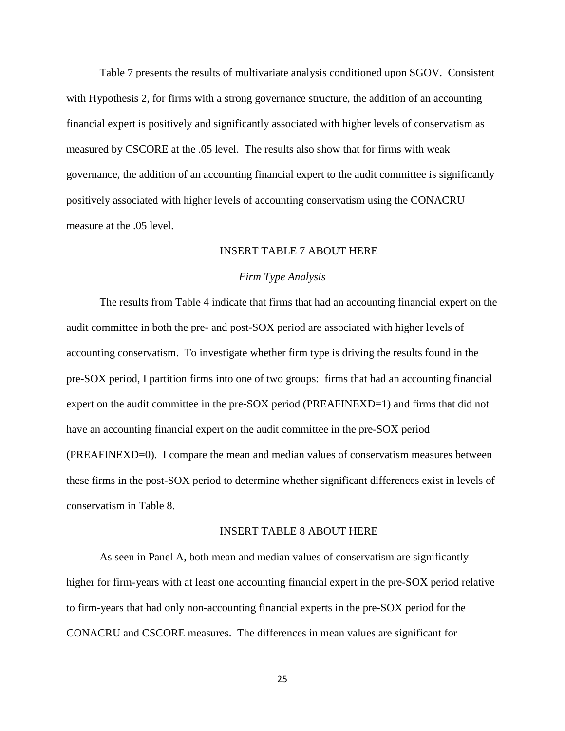Table 7 presents the results of multivariate analysis conditioned upon SGOV. Consistent with Hypothesis 2, for firms with a strong governance structure, the addition of an accounting financial expert is positively and significantly associated with higher levels of conservatism as measured by CSCORE at the .05 level. The results also show that for firms with weak governance, the addition of an accounting financial expert to the audit committee is significantly positively associated with higher levels of accounting conservatism using the CONACRU measure at the .05 level.

# INSERT TABLE 7 ABOUT HERE

#### *Firm Type Analysis*

 The results from Table 4 indicate that firms that had an accounting financial expert on the audit committee in both the pre- and post-SOX period are associated with higher levels of accounting conservatism. To investigate whether firm type is driving the results found in the pre-SOX period, I partition firms into one of two groups: firms that had an accounting financial expert on the audit committee in the pre-SOX period (PREAFINEXD=1) and firms that did not have an accounting financial expert on the audit committee in the pre-SOX period (PREAFINEXD=0). I compare the mean and median values of conservatism measures between these firms in the post-SOX period to determine whether significant differences exist in levels of conservatism in Table 8.

#### INSERT TABLE 8 ABOUT HERE

As seen in Panel A, both mean and median values of conservatism are significantly higher for firm-years with at least one accounting financial expert in the pre-SOX period relative to firm-years that had only non-accounting financial experts in the pre-SOX period for the CONACRU and CSCORE measures. The differences in mean values are significant for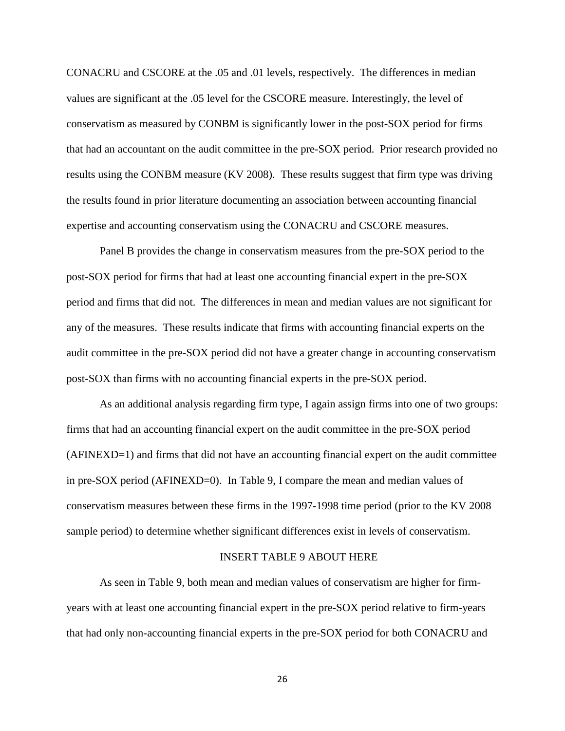CONACRU and CSCORE at the .05 and .01 levels, respectively. The differences in median values are significant at the .05 level for the CSCORE measure. Interestingly, the level of conservatism as measured by CONBM is significantly lower in the post-SOX period for firms that had an accountant on the audit committee in the pre-SOX period. Prior research provided no results using the CONBM measure (KV 2008). These results suggest that firm type was driving the results found in prior literature documenting an association between accounting financial expertise and accounting conservatism using the CONACRU and CSCORE measures.

Panel B provides the change in conservatism measures from the pre-SOX period to the post-SOX period for firms that had at least one accounting financial expert in the pre-SOX period and firms that did not. The differences in mean and median values are not significant for any of the measures. These results indicate that firms with accounting financial experts on the audit committee in the pre-SOX period did not have a greater change in accounting conservatism post-SOX than firms with no accounting financial experts in the pre-SOX period.

As an additional analysis regarding firm type, I again assign firms into one of two groups: firms that had an accounting financial expert on the audit committee in the pre-SOX period (AFINEXD=1) and firms that did not have an accounting financial expert on the audit committee in pre-SOX period (AFINEXD=0). In Table 9, I compare the mean and median values of conservatism measures between these firms in the 1997-1998 time period (prior to the KV 2008 sample period) to determine whether significant differences exist in levels of conservatism.

#### INSERT TABLE 9 ABOUT HERE

 As seen in Table 9, both mean and median values of conservatism are higher for firmyears with at least one accounting financial expert in the pre-SOX period relative to firm-years that had only non-accounting financial experts in the pre-SOX period for both CONACRU and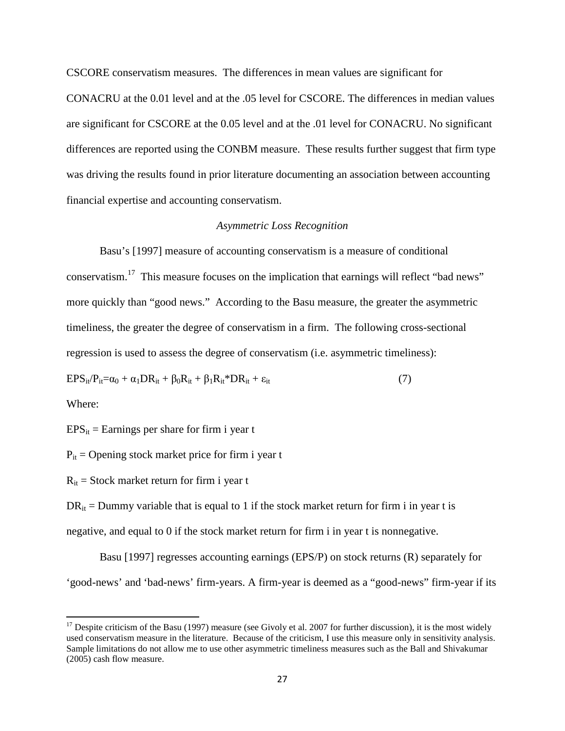CSCORE conservatism measures. The differences in mean values are significant for

CONACRU at the 0.01 level and at the .05 level for CSCORE. The differences in median values are significant for CSCORE at the 0.05 level and at the .01 level for CONACRU. No significant differences are reported using the CONBM measure. These results further suggest that firm type was driving the results found in prior literature documenting an association between accounting financial expertise and accounting conservatism.

### *Asymmetric Loss Recognition*

Basu's [1997] measure of accounting conservatism is a measure of conditional conservatism.<sup>17</sup> This measure focuses on the implication that earnings will reflect "bad news" more quickly than "good news." According to the Basu measure, the greater the asymmetric timeliness, the greater the degree of conservatism in a firm. The following cross-sectional regression is used to assess the degree of conservatism (i.e. asymmetric timeliness):

$$
EPS_{it}/P_{it} = \alpha_0 + \alpha_1 DR_{it} + \beta_0 R_{it} + \beta_1 R_{it}^* DR_{it} + \varepsilon_{it}
$$
\n
$$
\tag{7}
$$

Where:

 $\overline{a}$ 

 $EPS_{it}$  = Earnings per share for firm i year t

 $P_{it}$  = Opening stock market price for firm i year t

 $R_{it}$  = Stock market return for firm i year t

 $DR<sub>it</sub> = Dummy variable that is equal to 1 if the stock market return for firm i in year t is$ 

negative, and equal to 0 if the stock market return for firm i in year t is nonnegative.

Basu [1997] regresses accounting earnings (EPS/P) on stock returns (R) separately for 'good-news' and 'bad-news' firm-years. A firm-year is deemed as a "good-news" firm-year if its

<sup>&</sup>lt;sup>17</sup> Despite criticism of the Basu (1997) measure (see Givoly et al. 2007 for further discussion), it is the most widely used conservatism measure in the literature. Because of the criticism, I use this measure only in sensitivity analysis. Sample limitations do not allow me to use other asymmetric timeliness measures such as the Ball and Shivakumar (2005) cash flow measure.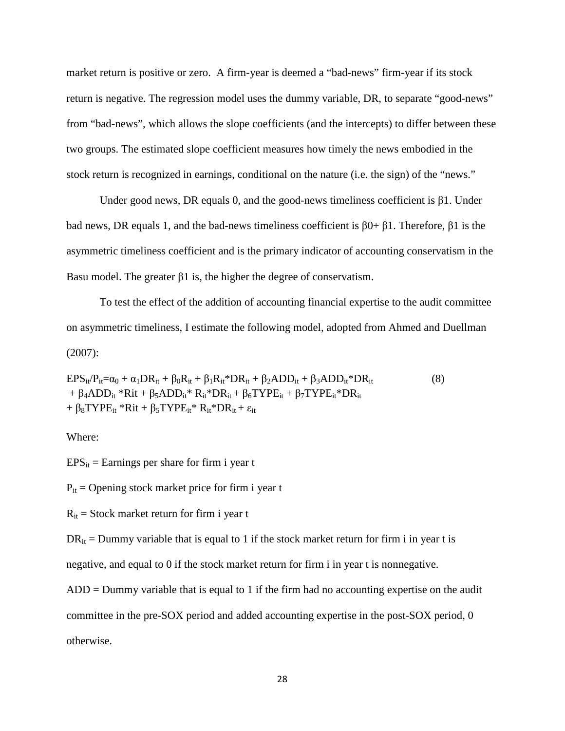market return is positive or zero. A firm-year is deemed a "bad-news" firm-year if its stock return is negative. The regression model uses the dummy variable, DR, to separate "good-news" from "bad-news", which allows the slope coefficients (and the intercepts) to differ between these two groups. The estimated slope coefficient measures how timely the news embodied in the stock return is recognized in earnings, conditional on the nature (i.e. the sign) of the "news."

Under good news, DR equals 0, and the good-news timeliness coefficient is  $\beta$ 1. Under bad news, DR equals 1, and the bad-news timeliness coefficient is  $β0+β1$ . Therefore,  $β1$  is the asymmetric timeliness coefficient and is the primary indicator of accounting conservatism in the Basu model. The greater β1 is, the higher the degree of conservatism.

To test the effect of the addition of accounting financial expertise to the audit committee on asymmetric timeliness, I estimate the following model, adopted from Ahmed and Duellman (2007):

 $EPS_{it}/P_{it} = \alpha_0 + \alpha_1 DR_{it} + \beta_0R_{it} + \beta_1R_{it} * DR_{it} + \beta_2ADD_{it} + \beta_3ADD_{it} * DR_{it}$  (8) +  $\beta_4 ADD_{it} *Rit + \beta_5 ADD_{it} * R_{it} *DR_{it} + \beta_6 TYPE_{it} + \beta_7 TYPE_{it} * DR_{it}$ +  $\beta_8$ TYPE<sub>it</sub> \*Rit +  $\beta_5$ TYPE<sub>it</sub> \* R<sub>it</sub> \*DR<sub>it</sub> +  $\varepsilon_{it}$ 

### Where:

 $EPS_{it}$  = Earnings per share for firm i year t

 $P_{it}$  = Opening stock market price for firm i year t

 $R_{it}$  = Stock market return for firm i year t

 $DR<sub>it</sub> = Dummy variable that is equal to 1 if the stock market return for firm i in year t is$ 

negative, and equal to 0 if the stock market return for firm i in year t is nonnegative.

ADD = Dummy variable that is equal to 1 if the firm had no accounting expertise on the audit committee in the pre-SOX period and added accounting expertise in the post-SOX period, 0 otherwise.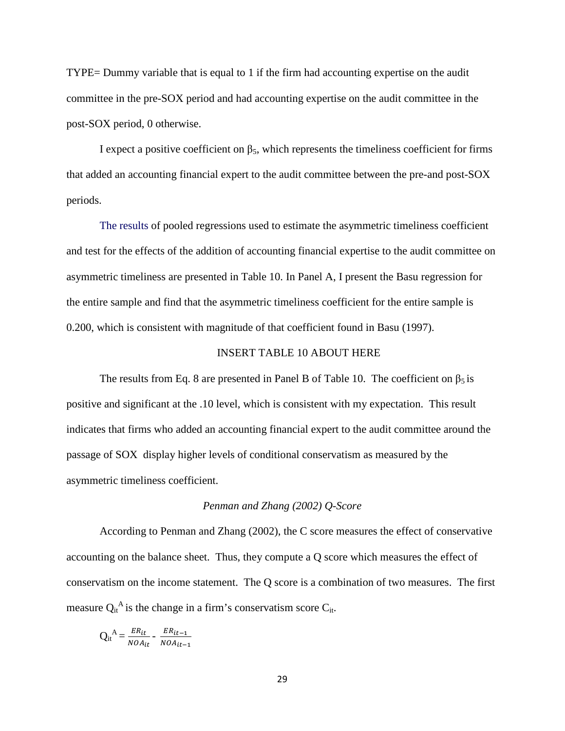TYPE= Dummy variable that is equal to 1 if the firm had accounting expertise on the audit committee in the pre-SOX period and had accounting expertise on the audit committee in the post-SOX period, 0 otherwise.

I expect a positive coefficient on  $β_5$ , which represents the timeliness coefficient for firms that added an accounting financial expert to the audit committee between the pre-and post-SOX periods.

The results of pooled regressions used to estimate the asymmetric timeliness coefficient and test for the effects of the addition of accounting financial expertise to the audit committee on asymmetric timeliness are presented in Table 10. In Panel A, I present the Basu regression for the entire sample and find that the asymmetric timeliness coefficient for the entire sample is 0.200, which is consistent with magnitude of that coefficient found in Basu (1997).

#### INSERT TABLE 10 ABOUT HERE

The results from Eq. 8 are presented in Panel B of Table 10. The coefficient on  $\beta_5$  is positive and significant at the .10 level, which is consistent with my expectation. This result indicates that firms who added an accounting financial expert to the audit committee around the passage of SOX display higher levels of conditional conservatism as measured by the asymmetric timeliness coefficient.

#### *Penman and Zhang (2002) Q-Score*

 According to Penman and Zhang (2002), the C score measures the effect of conservative accounting on the balance sheet. Thus, they compute a Q score which measures the effect of conservatism on the income statement. The Q score is a combination of two measures. The first measure  $Q_{it}^{A}$  is the change in a firm's conservatism score  $C_{it}$ .

$$
Q_{it}^{A} = \frac{ER_{it}}{NOA_{it}} - \frac{ER_{it-1}}{NOA_{it-1}}
$$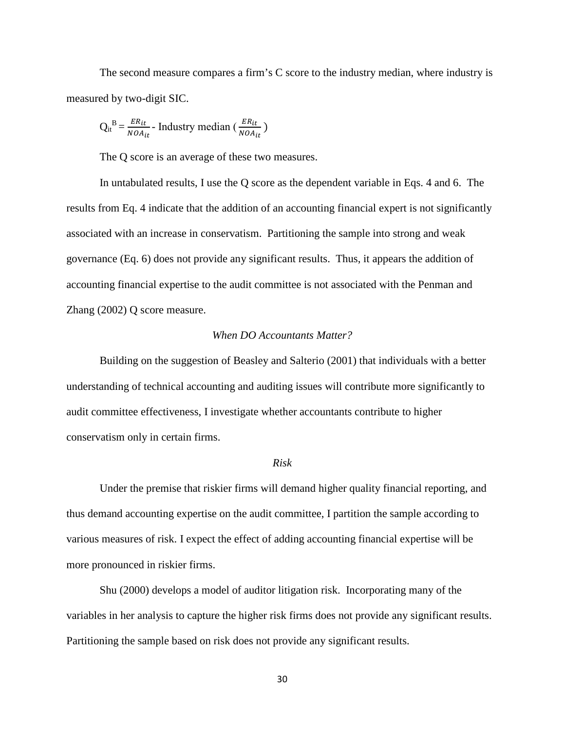The second measure compares a firm's C score to the industry median, where industry is measured by two-digit SIC.

$$
Q_{it}^{B} = \frac{ER_{it}}{NOA_{it}} - \text{ Industry median} \left(\frac{ER_{it}}{NOA_{it}}\right)
$$

The Q score is an average of these two measures.

 In untabulated results, I use the Q score as the dependent variable in Eqs. 4 and 6. The results from Eq. 4 indicate that the addition of an accounting financial expert is not significantly associated with an increase in conservatism. Partitioning the sample into strong and weak governance (Eq. 6) does not provide any significant results. Thus, it appears the addition of accounting financial expertise to the audit committee is not associated with the Penman and Zhang (2002) Q score measure.

## *When DO Accountants Matter?*

Building on the suggestion of Beasley and Salterio (2001) that individuals with a better understanding of technical accounting and auditing issues will contribute more significantly to audit committee effectiveness, I investigate whether accountants contribute to higher conservatism only in certain firms.

### *Risk*

Under the premise that riskier firms will demand higher quality financial reporting, and thus demand accounting expertise on the audit committee, I partition the sample according to various measures of risk. I expect the effect of adding accounting financial expertise will be more pronounced in riskier firms.

Shu (2000) develops a model of auditor litigation risk. Incorporating many of the variables in her analysis to capture the higher risk firms does not provide any significant results. Partitioning the sample based on risk does not provide any significant results.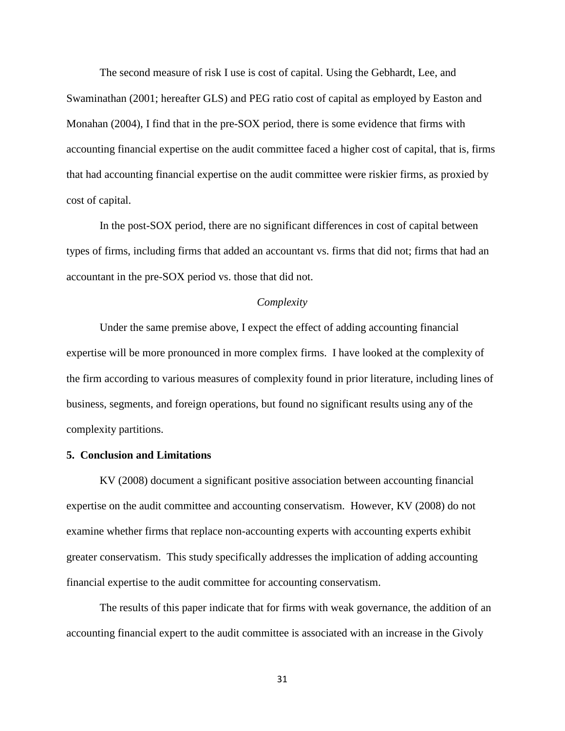The second measure of risk I use is cost of capital. Using the Gebhardt, Lee, and Swaminathan (2001; hereafter GLS) and PEG ratio cost of capital as employed by Easton and Monahan (2004), I find that in the pre-SOX period, there is some evidence that firms with accounting financial expertise on the audit committee faced a higher cost of capital, that is, firms that had accounting financial expertise on the audit committee were riskier firms, as proxied by cost of capital.

 In the post-SOX period, there are no significant differences in cost of capital between types of firms, including firms that added an accountant vs. firms that did not; firms that had an accountant in the pre-SOX period vs. those that did not.

#### *Complexity*

 Under the same premise above, I expect the effect of adding accounting financial expertise will be more pronounced in more complex firms. I have looked at the complexity of the firm according to various measures of complexity found in prior literature, including lines of business, segments, and foreign operations, but found no significant results using any of the complexity partitions.

#### **5. Conclusion and Limitations**

 KV (2008) document a significant positive association between accounting financial expertise on the audit committee and accounting conservatism. However, KV (2008) do not examine whether firms that replace non-accounting experts with accounting experts exhibit greater conservatism. This study specifically addresses the implication of adding accounting financial expertise to the audit committee for accounting conservatism.

 The results of this paper indicate that for firms with weak governance, the addition of an accounting financial expert to the audit committee is associated with an increase in the Givoly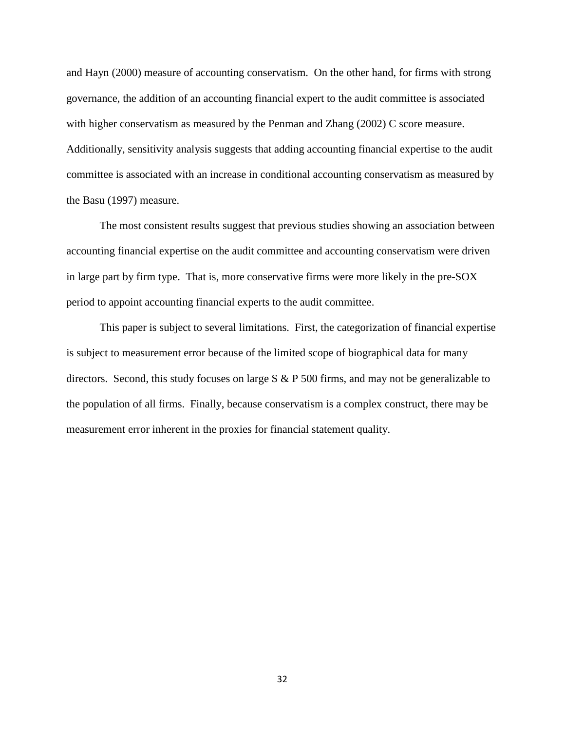and Hayn (2000) measure of accounting conservatism. On the other hand, for firms with strong governance, the addition of an accounting financial expert to the audit committee is associated with higher conservatism as measured by the Penman and Zhang (2002) C score measure. Additionally, sensitivity analysis suggests that adding accounting financial expertise to the audit committee is associated with an increase in conditional accounting conservatism as measured by the Basu (1997) measure.

The most consistent results suggest that previous studies showing an association between accounting financial expertise on the audit committee and accounting conservatism were driven in large part by firm type. That is, more conservative firms were more likely in the pre-SOX period to appoint accounting financial experts to the audit committee.

This paper is subject to several limitations. First, the categorization of financial expertise is subject to measurement error because of the limited scope of biographical data for many directors. Second, this study focuses on large S & P 500 firms, and may not be generalizable to the population of all firms. Finally, because conservatism is a complex construct, there may be measurement error inherent in the proxies for financial statement quality.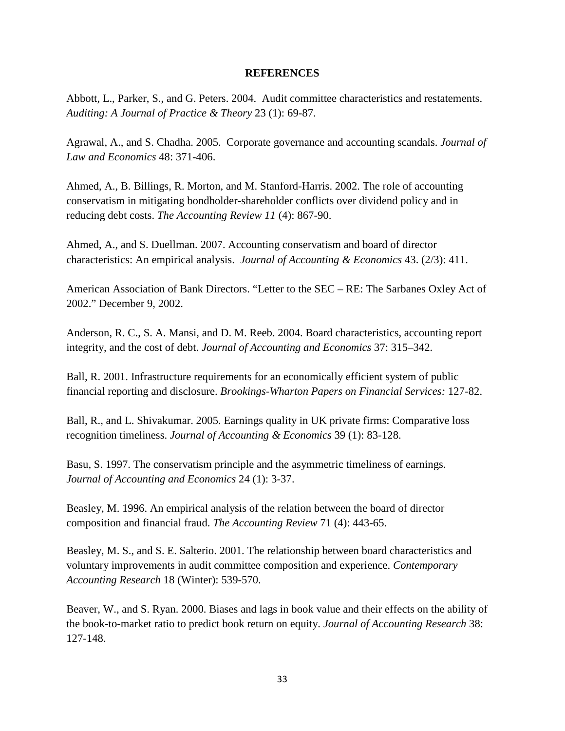### **REFERENCES**

Abbott, L., Parker, S., and G. Peters. 2004. Audit committee characteristics and restatements. *Auditing: A Journal of Practice & Theory* 23 (1): 69-87.

Agrawal, A., and S. Chadha. 2005. Corporate governance and accounting scandals. *Journal of Law and Economics* 48: 371-406.

Ahmed, A., B. Billings, R. Morton, and M. Stanford-Harris. 2002. The role of accounting conservatism in mitigating bondholder-shareholder conflicts over dividend policy and in reducing debt costs. *The Accounting Review 11* (4): 867-90.

Ahmed, A., and S. Duellman. 2007. Accounting conservatism and board of director characteristics: An empirical analysis. *Journal of Accounting & Economics* 43. (2/3): 411.

American Association of Bank Directors. "Letter to the SEC – RE: The Sarbanes Oxley Act of 2002." December 9, 2002.

Anderson, R. C., S. A. Mansi, and D. M. Reeb. 2004. Board characteristics, accounting report integrity, and the cost of debt. *Journal of Accounting and Economics* 37: 315–342.

Ball, R. 2001. Infrastructure requirements for an economically efficient system of public financial reporting and disclosure. *Brookings-Wharton Papers on Financial Services:* 127-82.

Ball, R., and L. Shivakumar. 2005. Earnings quality in UK private firms: Comparative loss recognition timeliness. *Journal of Accounting & Economics* 39 (1): 83-128.

Basu, S. 1997. The conservatism principle and the asymmetric timeliness of earnings. *Journal of Accounting and Economics* 24 (1): 3-37.

Beasley, M. 1996. An empirical analysis of the relation between the board of director composition and financial fraud. *The Accounting Review* 71 (4): 443-65.

Beasley, M. S., and S. E. Salterio. 2001. The relationship between board characteristics and voluntary improvements in audit committee composition and experience. *Contemporary Accounting Research* 18 (Winter): 539-570.

Beaver, W., and S. Ryan. 2000. Biases and lags in book value and their effects on the ability of the book-to-market ratio to predict book return on equity. *Journal of Accounting Research* 38: 127-148.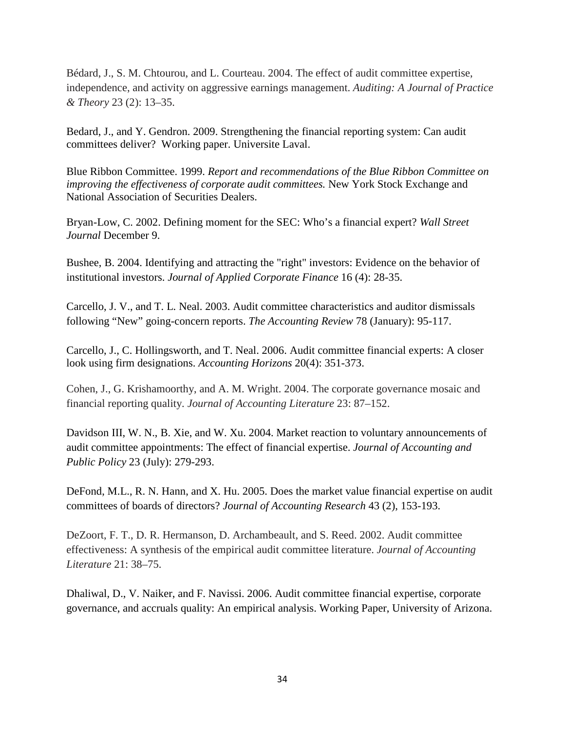Bédard, J., S. M. Chtourou, and L. Courteau. 2004. The effect of audit committee expertise, independence, and activity on aggressive earnings management. *Auditing: A Journal of Practice & Theory* 23 (2): 13–35.

Bedard, J., and Y. Gendron. 2009. Strengthening the financial reporting system: Can audit committees deliver? Working paper. Universite Laval.

Blue Ribbon Committee. 1999. *Report and recommendations of the Blue Ribbon Committee on improving the effectiveness of corporate audit committees.* New York Stock Exchange and National Association of Securities Dealers.

Bryan-Low, C. 2002. Defining moment for the SEC: Who's a financial expert? *Wall Street Journal* December 9.

Bushee, B. 2004. Identifying and attracting the "right" investors: Evidence on the behavior of institutional investors. *Journal of Applied Corporate Finance* 16 (4): 28-35.

Carcello, J. V., and T. L. Neal. 2003. Audit committee characteristics and auditor dismissals following "New" going-concern reports. *The Accounting Review* 78 (January): 95-117.

Carcello, J., C. Hollingsworth, and T. Neal. 2006. Audit committee financial experts: A closer look using firm designations. *Accounting Horizons* 20(4): 351-373.

Cohen, J., G. Krishamoorthy, and A. M. Wright. 2004. The corporate governance mosaic and financial reporting quality. *Journal of Accounting Literature* 23: 87–152.

Davidson III, W. N., B. Xie, and W. Xu. 2004. Market reaction to voluntary announcements of audit committee appointments: The effect of financial expertise. *Journal of Accounting and Public Policy* 23 (July): 279-293.

DeFond, M.L., R. N. Hann, and X. Hu. 2005. Does the market value financial expertise on audit committees of boards of directors? *Journal of Accounting Research* 43 (2), 153-193.

DeZoort, F. T., D. R. Hermanson, D. Archambeault, and S. Reed. 2002. Audit committee effectiveness: A synthesis of the empirical audit committee literature. *Journal of Accounting Literature* 21: 38–75.

Dhaliwal, D., V. Naiker, and F. Navissi. 2006. Audit committee financial expertise, corporate governance, and accruals quality: An empirical analysis. Working Paper, University of Arizona.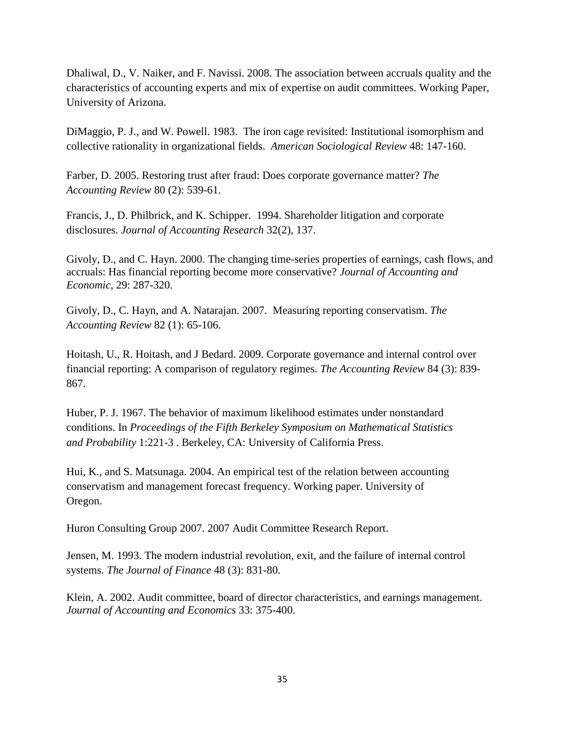Dhaliwal, D., V. Naiker, and F. Navissi. 2008. The association between accruals quality and the characteristics of accounting experts and mix of expertise on audit committees. Working Paper, University of Arizona.

DiMaggio, P. J., and W. Powell. 1983. The iron cage revisited: Institutional isomorphism and collective rationality in organizational fields. *American Sociological Review* 48: 147-160.

Farber, D. 2005. Restoring trust after fraud: Does corporate governance matter? *The Accounting Review* 80 (2): 539-61.

Francis, J., D. Philbrick, and K. Schipper. 1994. Shareholder litigation and corporate disclosures*. Journal of Accounting Research* 32(2), 137.

Givoly, D., and C. Hayn. 2000. The changing time-series properties of earnings, cash flows, and accruals: Has financial reporting become more conservative? *Journal of Accounting and Economic,* 29: 287-320.

Givoly, D., C. Hayn, and A. Natarajan. 2007. Measuring reporting conservatism. *The Accounting Review* 82 (1): 65-106.

Hoitash, U., R. Hoitash, and J Bedard. 2009. Corporate governance and internal control over financial reporting: A comparison of regulatory regimes. *The Accounting Review* 84 (3): 839- 867.

Huber, P. J. 1967. The behavior of maximum likelihood estimates under nonstandard conditions. In *Proceedings of the Fifth Berkeley Symposium on Mathematical Statistics and Probability* 1:221-3 . Berkeley, CA: University of California Press.

Hui, K., and S. Matsunaga. 2004. An empirical test of the relation between accounting conservatism and management forecast frequency. Working paper. University of Oregon.

Huron Consulting Group 2007. 2007 Audit Committee Research Report.

Jensen, M. 1993. The modern industrial revolution, exit, and the failure of internal control systems. *The Journal of Finance* 48 (3): 831-80.

Klein, A. 2002. Audit committee, board of director characteristics, and earnings management. *Journal of Accounting and Economics* 33: 375-400.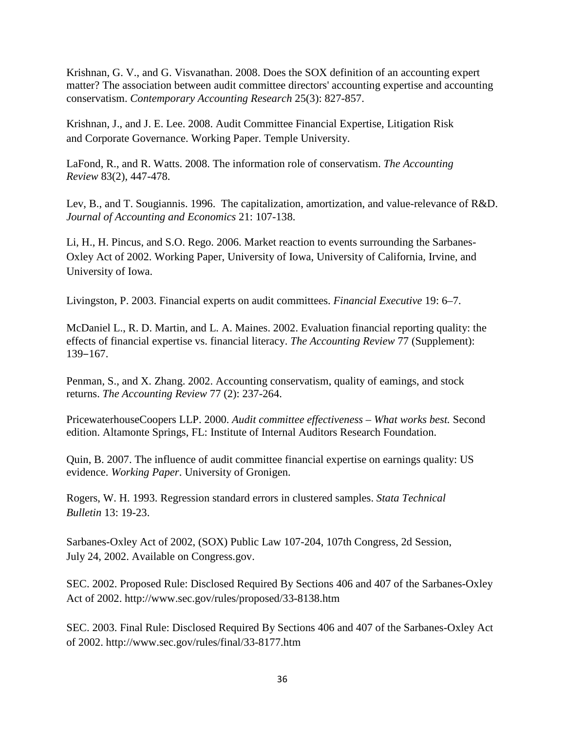Krishnan, G. V., and G. Visvanathan. 2008. Does the SOX definition of an accounting expert matter? The association between audit committee directors' accounting expertise and accounting conservatism. *Contemporary Accounting Research* 25(3): 827-857.

Krishnan, J., and J. E. Lee. 2008. Audit Committee Financial Expertise, Litigation Risk and Corporate Governance. Working Paper. Temple University.

LaFond, R., and R. Watts. 2008. The information role of conservatism. *The Accounting Review* 83(2), 447-478.

Lev, B., and T. Sougiannis. 1996. The capitalization, amortization, and value-relevance of R&D. *Journal of Accounting and Economics* 21: 107-138.

Li, H., H. Pincus, and S.O. Rego. 2006. Market reaction to events surrounding the Sarbanes-Oxley Act of 2002. Working Paper, University of Iowa, University of California, Irvine, and University of Iowa.

Livingston, P. 2003. Financial experts on audit committees. *Financial Executive* 19: 6–7.

McDaniel L., R. D. Martin, and L. A. Maines. 2002. Evaluation financial reporting quality: the effects of financial expertise vs. financial literacy. *The Accounting Review* 77 (Supplement): 139‒167.

Penman, S., and X. Zhang. 2002. Accounting conservatism, quality of eamings, and stock returns. *The Accounting Review* 77 (2): 237-264.

PricewaterhouseCoopers LLP. 2000. *Audit committee effectiveness – What works best.* Second edition. Altamonte Springs, FL: Institute of Internal Auditors Research Foundation.

Quin, B. 2007. The influence of audit committee financial expertise on earnings quality: US evidence. *Working Paper*. University of Gronigen.

Rogers, W. H. 1993. Regression standard errors in clustered samples. *Stata Technical Bulletin* 13: 19-23.

Sarbanes-Oxley Act of 2002, (SOX) Public Law 107-204, 107th Congress, 2d Session, July 24, 2002. Available on Congress.gov.

SEC. 2002. Proposed Rule: Disclosed Required By Sections 406 and 407 of the Sarbanes-Oxley Act of 2002. http://www.sec.gov/rules/proposed/33-8138.htm

SEC. 2003. Final Rule: Disclosed Required By Sections 406 and 407 of the Sarbanes-Oxley Act of 2002. http://www.sec.gov/rules/final/33-8177.htm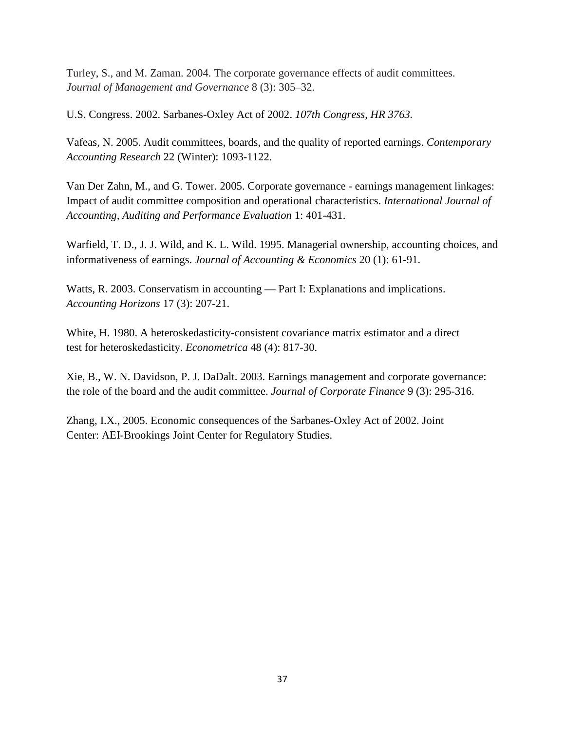Turley, S., and M. Zaman. 2004. The corporate governance effects of audit committees. *Journal of Management and Governance* 8 (3): 305–32.

U.S. Congress. 2002. Sarbanes-Oxley Act of 2002. *107th Congress, HR 3763.*

Vafeas, N. 2005. Audit committees, boards, and the quality of reported earnings. *Contemporary Accounting Research* 22 (Winter): 1093-1122.

Van Der Zahn, M., and G. Tower. 2005. Corporate governance - earnings management linkages: Impact of audit committee composition and operational characteristics. *International Journal of Accounting, Auditing and Performance Evaluation* 1: 401-431.

Warfield, T. D., J. J. Wild, and K. L. Wild. 1995. Managerial ownership, accounting choices, and informativeness of earnings. *Journal of Accounting & Economics* 20 (1): 61-91.

Watts, R. 2003. Conservatism in accounting — Part I: Explanations and implications. *Accounting Horizons* 17 (3): 207-21.

White, H. 1980. A heteroskedasticity-consistent covariance matrix estimator and a direct test for heteroskedasticity. *Econometrica* 48 (4): 817-30.

Xie, B., W. N. Davidson, P. J. DaDalt. 2003. Earnings management and corporate governance: the role of the board and the audit committee. *Journal of Corporate Finance* 9 (3): 295-316.

Zhang, I.X., 2005. Economic consequences of the Sarbanes-Oxley Act of 2002. Joint Center: AEI-Brookings Joint Center for Regulatory Studies.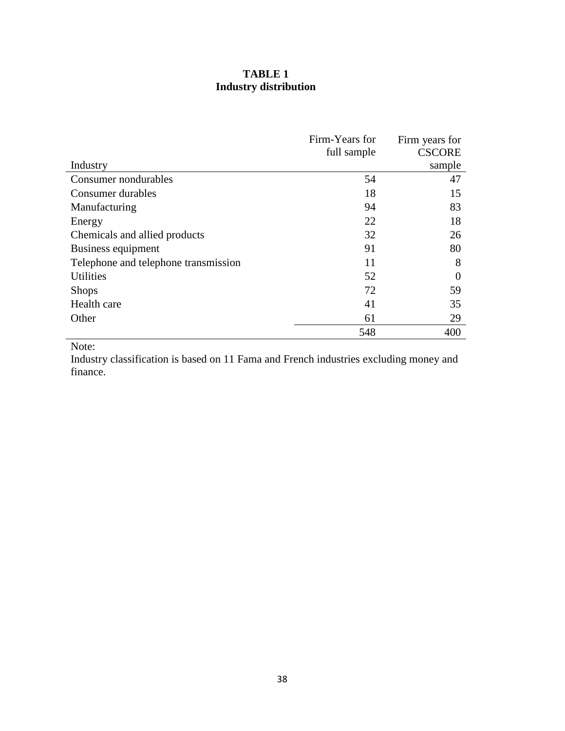# **TABLE 1 Industry distribution**

|                                      | Firm-Years for | Firm years for |
|--------------------------------------|----------------|----------------|
|                                      | full sample    | <b>CSCORE</b>  |
| Industry                             |                | sample         |
| Consumer nondurables                 | 54             | 47             |
| Consumer durables                    | 18             | 15             |
| Manufacturing                        | 94             | 83             |
| Energy                               | 22             | 18             |
| Chemicals and allied products        | 32             | 26             |
| Business equipment                   | 91             | 80             |
| Telephone and telephone transmission | 11             | 8              |
| <b>Utilities</b>                     | 52             | $\Omega$       |
| <b>Shops</b>                         | 72             | 59             |
| Health care                          | 41             | 35             |
| Other                                | 61             | 29             |
|                                      | 548            | 400            |

Note:

Industry classification is based on 11 Fama and French industries excluding money and finance.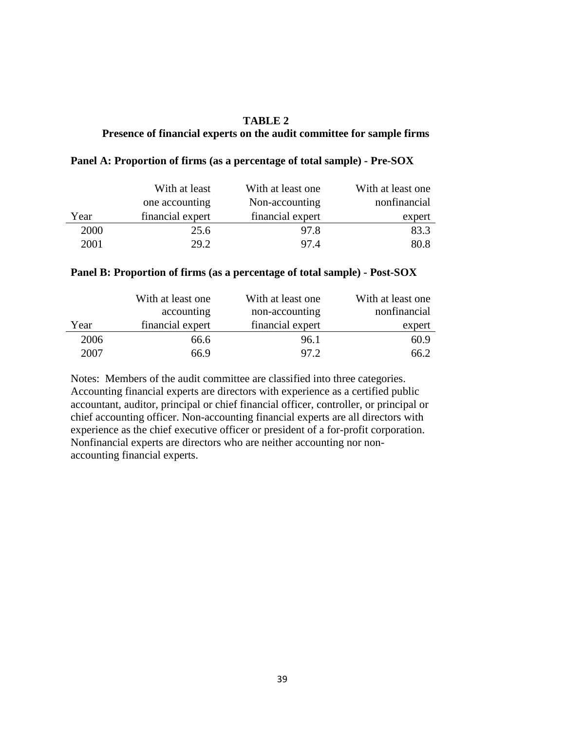### **TABLE 2**

## **Presence of financial experts on the audit committee for sample firms**

|      | With at least    | With at least one | With at least one |
|------|------------------|-------------------|-------------------|
|      | one accounting   | Non-accounting    | nonfinancial      |
| Year | financial expert | financial expert  | expert            |
| 2000 | 25.6             | 97.8              | 83.3              |
| 2001 | 29.2             | 97.4              | 80.8              |

#### **Panel A: Proportion of firms (as a percentage of total sample) - Pre-SOX**

#### **Panel B: Proportion of firms (as a percentage of total sample) - Post-SOX**

|      | With at least one | With at least one | With at least one |
|------|-------------------|-------------------|-------------------|
|      | accounting        | non-accounting    | nonfinancial      |
| Year | financial expert  | financial expert  | expert            |
| 2006 | 66.6              | 96.1              | 60.9              |
| 2007 | 66.9              | 97.2              | 66.2              |

Notes: Members of the audit committee are classified into three categories. Accounting financial experts are directors with experience as a certified public accountant, auditor, principal or chief financial officer, controller, or principal or chief accounting officer. Non-accounting financial experts are all directors with experience as the chief executive officer or president of a for-profit corporation. Nonfinancial experts are directors who are neither accounting nor nonaccounting financial experts.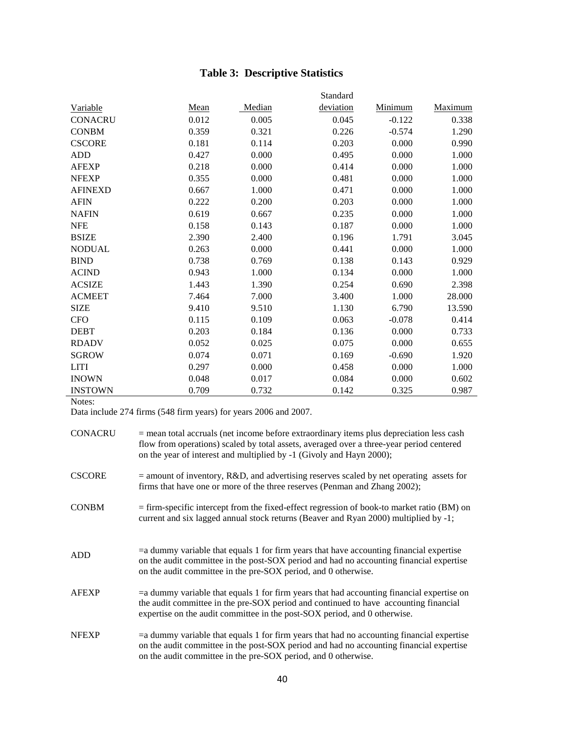# **Table 3: Descriptive Statistics**

|                 |       |        | Standard  |          |         |
|-----------------|-------|--------|-----------|----------|---------|
| <b>Variable</b> | Mean  | Median | deviation | Minimum  | Maximum |
| <b>CONACRU</b>  | 0.012 | 0.005  | 0.045     | $-0.122$ | 0.338   |
| <b>CONBM</b>    | 0.359 | 0.321  | 0.226     | $-0.574$ | 1.290   |
| <b>CSCORE</b>   | 0.181 | 0.114  | 0.203     | 0.000    | 0.990   |
| <b>ADD</b>      | 0.427 | 0.000  | 0.495     | 0.000    | 1.000   |
| <b>AFEXP</b>    | 0.218 | 0.000  | 0.414     | 0.000    | 1.000   |
| <b>NFEXP</b>    | 0.355 | 0.000  | 0.481     | 0.000    | 1.000   |
| <b>AFINEXD</b>  | 0.667 | 1.000  | 0.471     | 0.000    | 1.000   |
| <b>AFIN</b>     | 0.222 | 0.200  | 0.203     | 0.000    | 1.000   |
| <b>NAFIN</b>    | 0.619 | 0.667  | 0.235     | 0.000    | 1.000   |
| <b>NFE</b>      | 0.158 | 0.143  | 0.187     | 0.000    | 1.000   |
| <b>BSIZE</b>    | 2.390 | 2.400  | 0.196     | 1.791    | 3.045   |
| <b>NODUAL</b>   | 0.263 | 0.000  | 0.441     | 0.000    | 1.000   |
| <b>BIND</b>     | 0.738 | 0.769  | 0.138     | 0.143    | 0.929   |
| <b>ACIND</b>    | 0.943 | 1.000  | 0.134     | 0.000    | 1.000   |
| <b>ACSIZE</b>   | 1.443 | 1.390  | 0.254     | 0.690    | 2.398   |
| <b>ACMEET</b>   | 7.464 | 7.000  | 3.400     | 1.000    | 28.000  |
| <b>SIZE</b>     | 9.410 | 9.510  | 1.130     | 6.790    | 13.590  |
| <b>CFO</b>      | 0.115 | 0.109  | 0.063     | $-0.078$ | 0.414   |
| <b>DEBT</b>     | 0.203 | 0.184  | 0.136     | 0.000    | 0.733   |
| <b>RDADV</b>    | 0.052 | 0.025  | 0.075     | 0.000    | 0.655   |
| <b>SGROW</b>    | 0.074 | 0.071  | 0.169     | $-0.690$ | 1.920   |
| <b>LITI</b>     | 0.297 | 0.000  | 0.458     | 0.000    | 1.000   |
| <b>INOWN</b>    | 0.048 | 0.017  | 0.084     | 0.000    | 0.602   |
| <b>INSTOWN</b>  | 0.709 | 0.732  | 0.142     | 0.325    | 0.987   |

Notes:

Data include 274 firms (548 firm years) for years 2006 and 2007.

| CONACRU       | $=$ mean total accruals (net income before extraordinary items plus depreciation less cash<br>flow from operations) scaled by total assets, averaged over a three-year period centered<br>on the year of interest and multiplied by -1 (Givoly and Hayn 2000);    |
|---------------|-------------------------------------------------------------------------------------------------------------------------------------------------------------------------------------------------------------------------------------------------------------------|
| <b>CSCORE</b> | $=$ amount of inventory, R&D, and advertising reserves scaled by net operating assets for<br>firms that have one or more of the three reserves (Penman and Zhang 2002);                                                                                           |
| <b>CONBM</b>  | $=$ firm-specific intercept from the fixed-effect regression of book-to market ratio (BM) on<br>current and six lagged annual stock returns (Beaver and Ryan 2000) multiplied by -1;                                                                              |
| ADD           | $=$ a dummy variable that equals 1 for firm years that have accounting financial expertise<br>on the audit committee in the post-SOX period and had no accounting financial expertise<br>on the audit committee in the pre-SOX period, and 0 otherwise.           |
| <b>AFEXP</b>  | $=$ a dummy variable that equals 1 for firm years that had accounting financial expertise on<br>the audit committee in the pre-SOX period and continued to have accounting financial<br>expertise on the audit committee in the post-SOX period, and 0 otherwise. |
| <b>NFEXP</b>  | $=a$ dummy variable that equals 1 for firm years that had no accounting financial expertise<br>on the audit committee in the post-SOX period and had no accounting financial expertise<br>on the audit committee in the pre-SOX period, and 0 otherwise.          |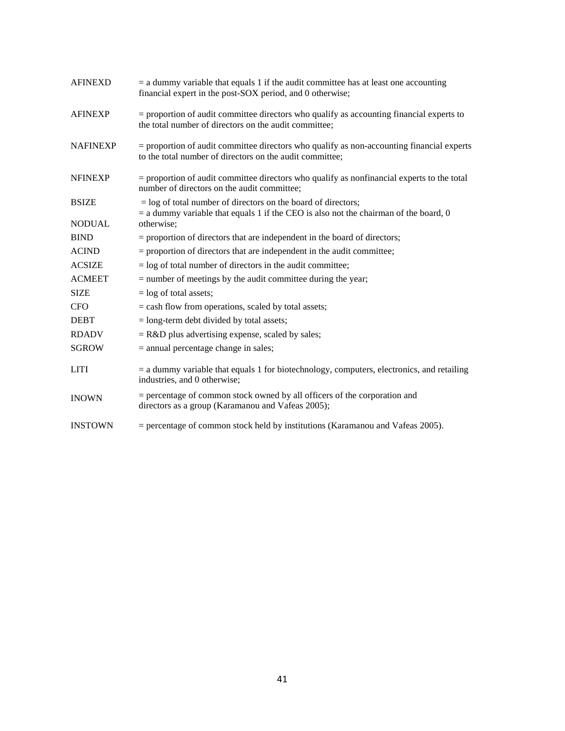| <b>AFINEXD</b>  | $=$ a dummy variable that equals 1 if the audit committee has at least one accounting<br>financial expert in the post-SOX period, and 0 otherwise;      |
|-----------------|---------------------------------------------------------------------------------------------------------------------------------------------------------|
| <b>AFINEXP</b>  | $=$ proportion of audit committee directors who qualify as accounting financial experts to<br>the total number of directors on the audit committee:     |
| <b>NAFINEXP</b> | $=$ proportion of audit committee directors who qualify as non-accounting financial experts<br>to the total number of directors on the audit committee; |
| <b>NFINEXP</b>  | = proportion of audit committee directors who qualify as nonfinancial experts to the total<br>number of directors on the audit committee;               |
| <b>BSIZE</b>    | $=$ log of total number of directors on the board of directors;                                                                                         |
| <b>NODUAL</b>   | $=$ a dummy variable that equals 1 if the CEO is also not the chairman of the board, 0<br>otherwise:                                                    |
| <b>BIND</b>     | $=$ proportion of directors that are independent in the board of directors;                                                                             |
| <b>ACIND</b>    | = proportion of directors that are independent in the audit committee;                                                                                  |
| <b>ACSIZE</b>   | $=$ log of total number of directors in the audit committee;                                                                                            |
| <b>ACMEET</b>   | $=$ number of meetings by the audit committee during the year;                                                                                          |
| <b>SIZE</b>     | $=$ log of total assets;                                                                                                                                |
| <b>CFO</b>      | $=$ cash flow from operations, scaled by total assets;                                                                                                  |
| <b>DEBT</b>     | $=$ long-term debt divided by total assets;                                                                                                             |
| <b>RDADV</b>    | $=$ R&D plus advertising expense, scaled by sales;                                                                                                      |
| <b>SGROW</b>    | $=$ annual percentage change in sales;                                                                                                                  |
| <b>LITI</b>     | $=$ a dummy variable that equals 1 for biotechnology, computers, electronics, and retailing<br>industries, and 0 otherwise;                             |
| <b>INOWN</b>    | $=$ percentage of common stock owned by all officers of the corporation and<br>directors as a group (Karamanou and Vafeas 2005);                        |
| <b>INSTOWN</b>  | $=$ percentage of common stock held by institutions (Karamanou and Vafeas 2005).                                                                        |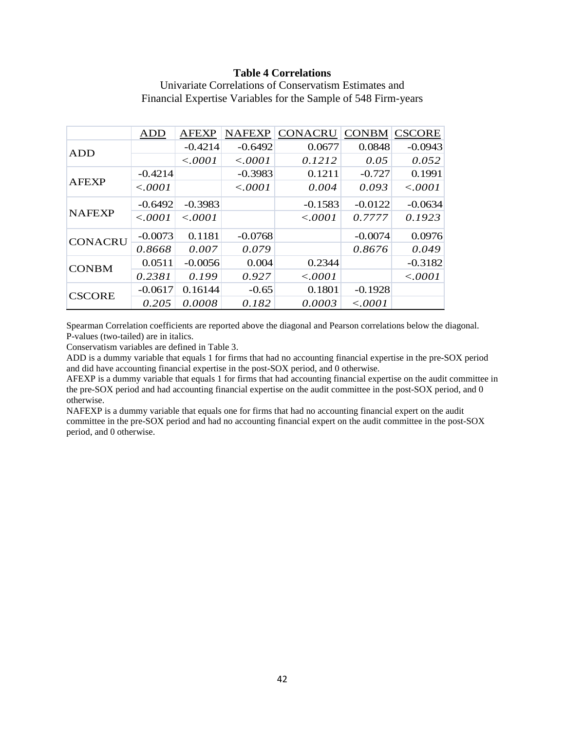#### **Table 4 Correlations**

|                | ADD       | <b>AFEXP</b> | <b>NAFEXP</b> | <b>CONACRU</b> |           | <b>CONBM CSCORE</b> |
|----------------|-----------|--------------|---------------|----------------|-----------|---------------------|
| <b>ADD</b>     |           | $-0.4214$    | $-0.6492$     | 0.0677         | 0.0848    | $-0.0943$           |
|                |           | < .0001      | < .0001       | 0.1212         | 0.05      | 0.052               |
|                | $-0.4214$ |              | $-0.3983$     | 0.1211         | $-0.727$  | 0.1991              |
| <b>AFEXP</b>   | < .0001   |              | < .0001       | 0.004          | 0.093     | < .0001             |
|                | $-0.6492$ | $-0.3983$    |               | $-0.1583$      | $-0.0122$ | $-0.0634$           |
| <b>NAFEXP</b>  | < .0001   | < .0001      |               | < .0001        | 0.7777    | 0.1923              |
| <b>CONACRU</b> | $-0.0073$ | 0.1181       | $-0.0768$     |                | $-0.0074$ | 0.0976              |
|                | 0.8668    | 0.007        | 0.079         |                | 0.8676    | 0.049               |
| <b>CONBM</b>   | 0.0511    | $-0.0056$    | 0.004         | 0.2344         |           | $-0.3182$           |
|                | 0.2381    | 0.199        | 0.927         | < .0001        |           | < .0001             |
| <b>CSCORE</b>  | $-0.0617$ | 0.16144      | $-0.65$       | 0.1801         | $-0.1928$ |                     |
|                | 0.205     | 0.0008       | 0.182         | 0.0003         | < .0001   |                     |

Univariate Correlations of Conservatism Estimates and Financial Expertise Variables for the Sample of 548 Firm-years

Spearman Correlation coefficients are reported above the diagonal and Pearson correlations below the diagonal. P-values (two-tailed) are in italics.

Conservatism variables are defined in Table 3.

ADD is a dummy variable that equals 1 for firms that had no accounting financial expertise in the pre-SOX period and did have accounting financial expertise in the post-SOX period, and 0 otherwise.

AFEXP is a dummy variable that equals 1 for firms that had accounting financial expertise on the audit committee in the pre-SOX period and had accounting financial expertise on the audit committee in the post-SOX period, and 0 otherwise.

NAFEXP is a dummy variable that equals one for firms that had no accounting financial expert on the audit committee in the pre-SOX period and had no accounting financial expert on the audit committee in the post-SOX period, and 0 otherwise.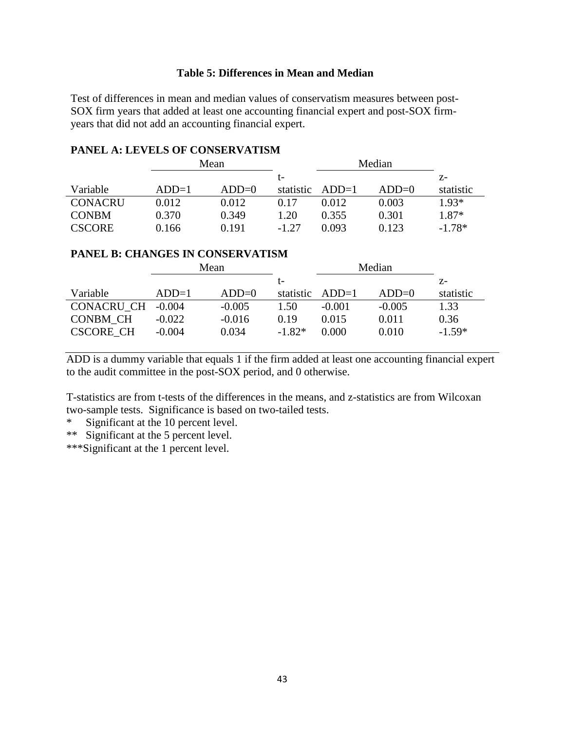## **Table 5: Differences in Mean and Median**

Test of differences in mean and median values of conservatism measures between post-SOX firm years that added at least one accounting financial expert and post-SOX firmyears that did not add an accounting financial expert.

## **PANEL A: LEVELS OF CONSERVATISM**

|                | Mean    |         |           |         | Median  |           |
|----------------|---------|---------|-----------|---------|---------|-----------|
|                |         |         | t-        |         |         | Z-        |
| Variable       | $ADD=1$ | $ADD=0$ | statistic | $ADD=1$ | $ADD=0$ | statistic |
| <b>CONACRU</b> | 0.012   | 0.012   | 0.17      | 0.012   | 0.003   | $1.93*$   |
| <b>CONBM</b>   | 0.370   | 0.349   | 1.20      | 0.355   | 0.301   | 1.87*     |
| <b>CSCORE</b>  | 0.166   | 0.191   | $-1.27$   | 0.093   | 0.123   | $-1.78*$  |

## **PANEL B: CHANGES IN CONSERVATISM**

|                  | Mean     |          |           | Median   |          |           |
|------------------|----------|----------|-----------|----------|----------|-----------|
|                  |          |          | t-        |          |          | $Z-$      |
| Variable         | $ADD=1$  | $ADD=0$  | statistic | $ADD=1$  | $ADD=0$  | statistic |
| CONACRU CH       | $-0.004$ | $-0.005$ | 1.50      | $-0.001$ | $-0.005$ | 1.33      |
| <b>CONBM CH</b>  | $-0.022$ | $-0.016$ | 0.19      | 0.015    | 0.011    | 0.36      |
| <b>CSCORE CH</b> | $-0.004$ | 0.034    | $-1.82*$  | 0.000    | 0.010    | $-1.59*$  |

ADD is a dummy variable that equals 1 if the firm added at least one accounting financial expert to the audit committee in the post-SOX period, and 0 otherwise.

T-statistics are from t-tests of the differences in the means, and z-statistics are from Wilcoxan two-sample tests. Significance is based on two-tailed tests.

\* Significant at the 10 percent level.

\*\* Significant at the 5 percent level.

\*\*\*Significant at the 1 percent level.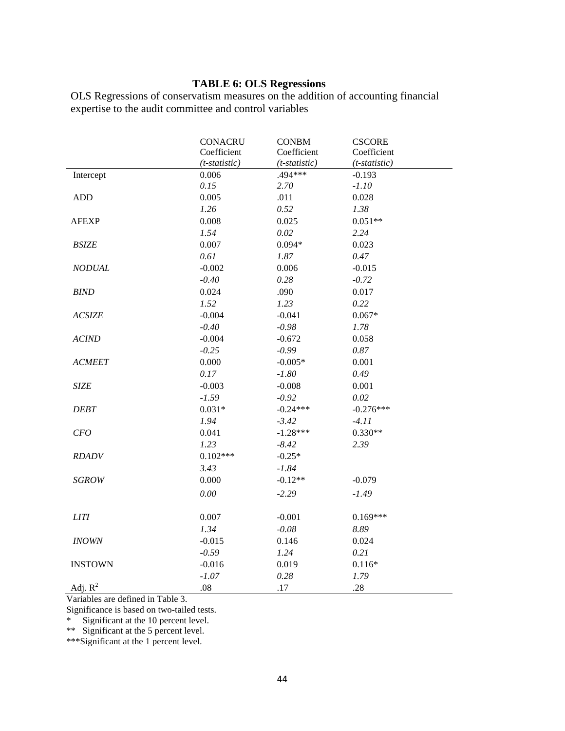## **TABLE 6: OLS Regressions**

OLS Regressions of conservatism measures on the addition of accounting financial expertise to the audit committee and control variables

|                | <b>CONACRU</b>  | <b>CONBM</b>    | <b>CSCORE</b>   |  |
|----------------|-----------------|-----------------|-----------------|--|
|                | Coefficient     | Coefficient     | Coefficient     |  |
|                | $(t-statistic)$ | $(t-statistic)$ | $(t-statistic)$ |  |
| Intercept      | 0.006           | .494 ***        | $-0.193$        |  |
|                | 0.15            | 2.70            | $-1.10$         |  |
| <b>ADD</b>     | 0.005           | .011            | 0.028           |  |
|                | 1.26            | 0.52            | 1.38            |  |
| <b>AFEXP</b>   | 0.008           | 0.025           | $0.051**$       |  |
|                | 1.54            | 0.02            | 2.24            |  |
| <b>BSIZE</b>   | 0.007           | $0.094*$        | 0.023           |  |
|                | 0.61            | 1.87            | 0.47            |  |
| <b>NODUAL</b>  | $-0.002$        | 0.006           | $-0.015$        |  |
|                | $-0.40$         | 0.28            | $-0.72$         |  |
| <b>BIND</b>    | 0.024           | .090            | 0.017           |  |
|                | 1.52            | 1.23            | 0.22            |  |
| <b>ACSIZE</b>  | $-0.004$        | $-0.041$        | $0.067*$        |  |
|                | $-0.40$         | $-0.98$         | 1.78            |  |
| <b>ACIND</b>   | $-0.004$        | $-0.672$        | 0.058           |  |
|                | $-0.25$         | $-0.99$         | $0.87\,$        |  |
| <b>ACMEET</b>  | 0.000           | $-0.005*$       | 0.001           |  |
|                | 0.17            | $-1.80$         | 0.49            |  |
| <b>SIZE</b>    | $-0.003$        | $-0.008$        | 0.001           |  |
|                | $-1.59$         | $-0.92$         | 0.02            |  |
| <b>DEBT</b>    | $0.031*$        | $-0.24***$      | $-0.276***$     |  |
|                | 1.94            | $-3.42$         | $-4.11$         |  |
| CFO            | 0.041           | $-1.28***$      | $0.330**$       |  |
|                | 1.23            | $-8.42$         | 2.39            |  |
| <b>RDADV</b>   | $0.102***$      | $-0.25*$        |                 |  |
|                | 3.43            | $-1.84$         |                 |  |
| <b>SGROW</b>   | 0.000           | $-0.12**$       | $-0.079$        |  |
|                | 0.00            | $-2.29$         | $-1.49$         |  |
| <b>LITI</b>    | 0.007           | $-0.001$        | $0.169***$      |  |
|                | 1.34            | $-0.08$         | 8.89            |  |
| <b>INOWN</b>   | $-0.015$        | 0.146           | 0.024           |  |
|                | $-0.59$         | 1.24            | 0.21            |  |
| <b>INSTOWN</b> | $-0.016$        | 0.019           | $0.116*$        |  |
|                | $-1.07$         | 0.28            | 1.79            |  |
| Adj. $R^2$     | .08             | .17             | .28             |  |

Variables are defined in Table 3.

Significance is based on two-tailed tests.

\*\*\*Significant at the 1 percent level.

<sup>\*</sup> Significant at the 10 percent level.

<sup>\*\*</sup> Significant at the 5 percent level.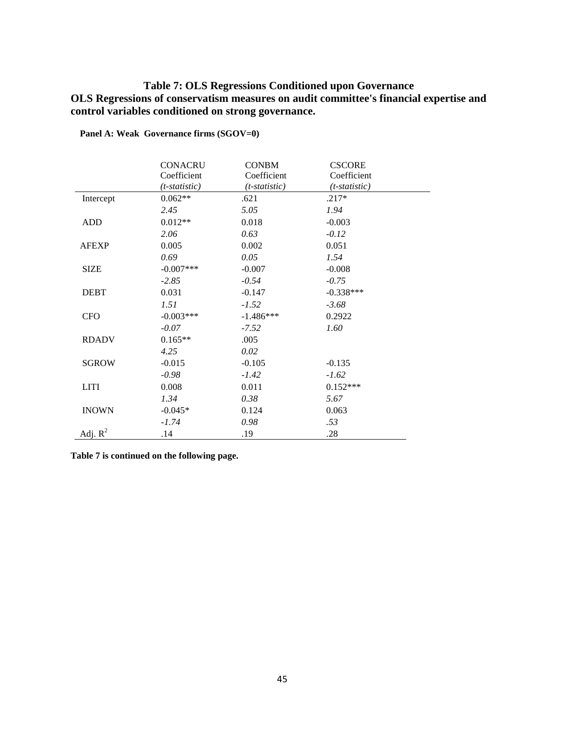## **Table 7: OLS Regressions Conditioned upon Governance OLS Regressions of conservatism measures on audit committee's financial expertise and control variables conditioned on strong governance.**

|              | <b>CONACRU</b>   | <b>CONBM</b>    | <b>CSCORE</b>   |  |
|--------------|------------------|-----------------|-----------------|--|
|              | Coefficient      | Coefficient     | Coefficient     |  |
|              | $(t$ -statistic) | $(t-statistic)$ | $(t-statistic)$ |  |
| Intercept    | $0.062**$        | .621            | $.217*$         |  |
|              | 2.45             | 5.05            | 1.94            |  |
| ADD          | $0.012**$        | 0.018           | $-0.003$        |  |
|              | 2.06             | 0.63            | $-0.12$         |  |
| <b>AFEXP</b> | 0.005            | 0.002           | 0.051           |  |
|              | 0.69             | 0.05            | 1.54            |  |
| <b>SIZE</b>  | $-0.007$ ***     | $-0.007$        | $-0.008$        |  |
|              | $-2.85$          | $-0.54$         | $-0.75$         |  |
| <b>DEBT</b>  | 0.031            | $-0.147$        | $-0.338***$     |  |
|              | 1.51             | $-1.52$         | $-3.68$         |  |
| <b>CFO</b>   | $-0.003***$      | $-1.486***$     | 0.2922          |  |
|              | $-0.07$          | $-7.52$         | 1.60            |  |
| <b>RDADV</b> | $0.165**$        | .005            |                 |  |
|              | 4.25             | 0.02            |                 |  |
| <b>SGROW</b> | $-0.015$         | $-0.105$        | $-0.135$        |  |
|              | $-0.98$          | $-1.42$         | $-1.62$         |  |
| <b>LITI</b>  | 0.008            | 0.011           | $0.152***$      |  |
|              | 1.34             | 0.38            | 5.67            |  |
| <b>INOWN</b> | $-0.045*$        | 0.124           | 0.063           |  |
|              | $-1.74$          | 0.98            | .53             |  |
| Adj. $R^2$   | .14              | .19             | .28             |  |

**Panel A: Weak Governance firms (SGOV=0)** 

**Table 7 is continued on the following page.**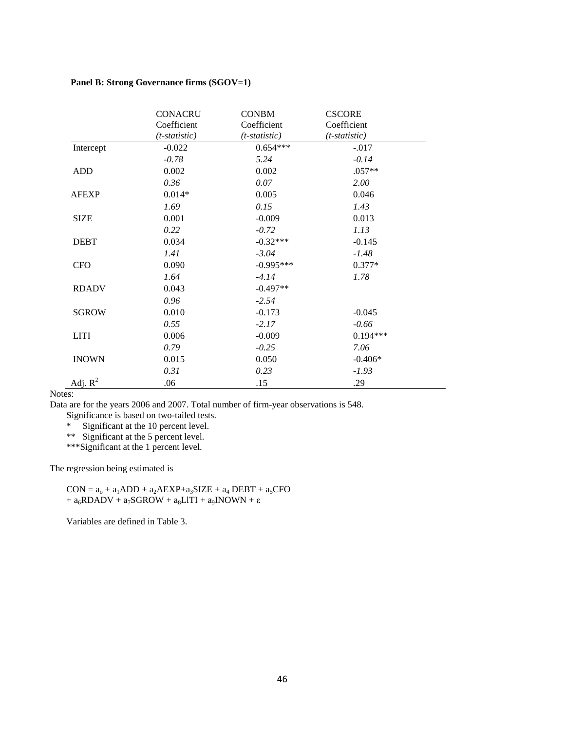#### **Panel B: Strong Governance firms (SGOV=1)**

|              | <b>CONACRU</b>  | <b>CONBM</b>    | <b>CSCORE</b>   |
|--------------|-----------------|-----------------|-----------------|
|              | Coefficient     | Coefficient     | Coefficient     |
|              | $(t-statistic)$ | $(t-statistic)$ | $(t-statistic)$ |
| Intercept    | $-0.022$        | $0.654***$      | $-.017$         |
|              | $-0.78$         | 5.24            | $-0.14$         |
| <b>ADD</b>   | 0.002           | 0.002           | $.057**$        |
|              | 0.36            | 0.07            | 2.00            |
| <b>AFEXP</b> | $0.014*$        | 0.005           | 0.046           |
|              | 1.69            | 0.15            | 1.43            |
| <b>SIZE</b>  | 0.001           | $-0.009$        | 0.013           |
|              | 0.22            | $-0.72$         | 1.13            |
| <b>DEBT</b>  | 0.034           | $-0.32***$      | $-0.145$        |
|              | 1.41            | $-3.04$         | $-1.48$         |
| <b>CFO</b>   | 0.090           | $-0.995***$     | $0.377*$        |
|              | 1.64            | $-4.14$         | 1.78            |
| <b>RDADV</b> | 0.043           | $-0.497**$      |                 |
|              | 0.96            | $-2.54$         |                 |
| <b>SGROW</b> | 0.010           | $-0.173$        | $-0.045$        |
|              | 0.55            | $-2.17$         | $-0.66$         |
| <b>LITI</b>  | 0.006           | $-0.009$        | $0.194***$      |
|              | 0.79            | $-0.25$         | 7.06            |
| <b>INOWN</b> | 0.015           | 0.050           | $-0.406*$       |
|              | 0.31            | 0.23            | $-1.93$         |
| Adj. $R^2$   | .06             | .15             | .29             |

Notes:

Data are for the years 2006 and 2007. Total number of firm-year observations is 548.

Significance is based on two-tailed tests.

\* Significant at the 10 percent level.

\*\* Significant at the 5 percent level.

\*\*\*Significant at the 1 percent level.

The regression being estimated is

 $CON = a<sub>o</sub> + a<sub>1</sub>ADD + a<sub>2</sub>AEXP + a<sub>3</sub>SIZE + a<sub>4</sub> DEBT + a<sub>5</sub>CFO$ +  $a_6$ RDADV +  $a_7$ SGROW +  $a_8$ LlTI +  $a_9$ INOWN + ε

Variables are defined in Table 3.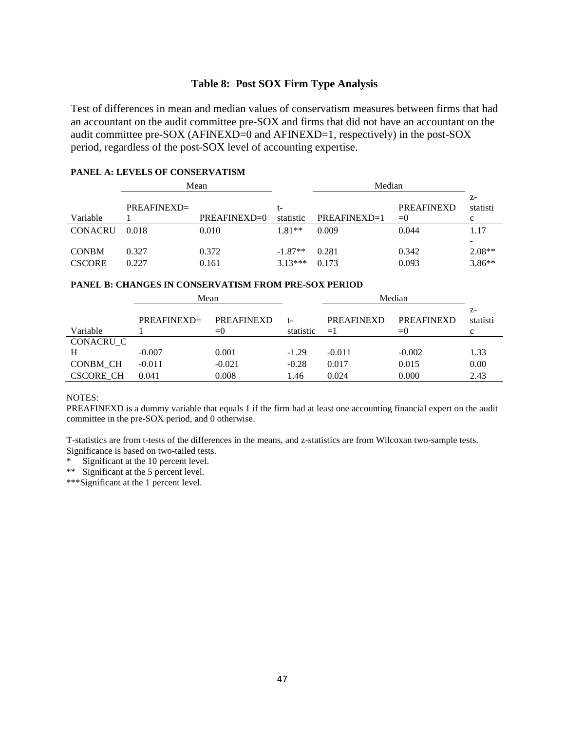## **Table 8: Post SOX Firm Type Analysis**

Test of differences in mean and median values of conservatism measures between firms that had an accountant on the audit committee pre-SOX and firms that did not have an accountant on the audit committee pre-SOX (AFINEXD=0 and AFINEXD=1, respectively) in the post-SOX period, regardless of the post-SOX level of accounting expertise.

#### **PANEL A: LEVELS OF CONSERVATISM**

|                               |                | Mean           |                        | Median         |                            |                       |
|-------------------------------|----------------|----------------|------------------------|----------------|----------------------------|-----------------------|
| Variable                      | $PREAFINEXD =$ | $PREAFINEXD=0$ | t-<br>statistic        | $PREAFINEXD=1$ | <b>PREAFINEXD</b><br>$= 0$ | $Z-$<br>statisti<br>c |
| <b>CONACRU</b>                | 0.018          | 0.010          | $1.81**$               | 0.009          | 0.044                      | 1.17                  |
| <b>CONBM</b><br><b>CSCORE</b> | 0.327<br>0.227 | 0.372<br>0.161 | $-1.87**$<br>$3.13***$ | 0.281<br>0.173 | 0.342<br>0.093             | $2.08**$<br>$3.86**$  |

#### **PANEL B: CHANGES IN CONSERVATISM FROM PRE-SOX PERIOD**

|                  | Mean           |                           |                 | Median                    |                            |                       |  |
|------------------|----------------|---------------------------|-----------------|---------------------------|----------------------------|-----------------------|--|
| Variable         | $PREAFINEXD =$ | <b>PREAFINEXD</b><br>$=0$ | t-<br>statistic | <b>PREAFINEXD</b><br>$=1$ | <b>PREAFINEXD</b><br>$= 0$ | $Z-$<br>statisti<br>с |  |
| CONACRU C        |                |                           |                 |                           |                            |                       |  |
| H                | $-0.007$       | 0.001                     | $-1.29$         | $-0.011$                  | $-0.002$                   | 1.33                  |  |
| CONBM CH         | $-0.011$       | $-0.021$                  | $-0.28$         | 0.017                     | 0.015                      | 0.00                  |  |
| <b>CSCORE CH</b> | 0.041          | 0.008                     | 1.46            | 0.024                     | 0.000                      | 2.43                  |  |

#### NOTES:

PREAFINEXD is a dummy variable that equals 1 if the firm had at least one accounting financial expert on the audit committee in the pre-SOX period, and 0 otherwise.

T-statistics are from t-tests of the differences in the means, and z-statistics are from Wilcoxan two-sample tests. Significance is based on two-tailed tests.

\* Significant at the 10 percent level.

\*\* Significant at the 5 percent level.

\*\*\*Significant at the 1 percent level.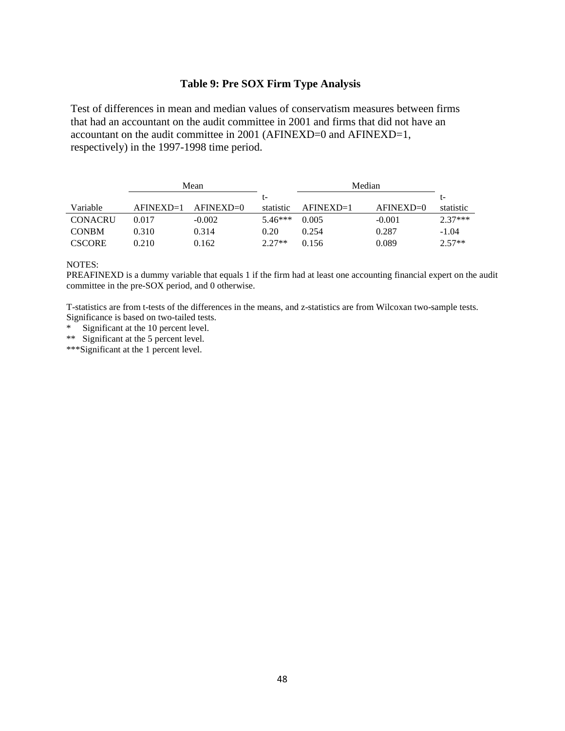## **Table 9: Pre SOX Firm Type Analysis**

Test of differences in mean and median values of conservatism measures between firms that had an accountant on the audit committee in 2001 and firms that did not have an accountant on the audit committee in 2001 (AFINEXD=0 and AFINEXD=1, respectively) in the 1997-1998 time period.

|                |             | Mean          |           | Median      |             |           |
|----------------|-------------|---------------|-----------|-------------|-------------|-----------|
|                |             |               | t-        |             |             | t-        |
| Variable       | $AFINEXD=1$ | $AFINEXD = 0$ | statistic | $AFINEXD=1$ | $AFINEXD=0$ | statistic |
| <b>CONACRU</b> | 0.017       | $-0.002$      | $5.46***$ | 0.005       | $-0.001$    | $2.37***$ |
| <b>CONBM</b>   | 0.310       | 0.314         | 0.20      | 0.254       | 0.287       | $-1.04$   |
| <b>CSCORE</b>  | 0.210       | 0.162         | $2.27**$  | 0.156       | 0.089       | $2.57**$  |

#### NOTES:

PREAFINEXD is a dummy variable that equals 1 if the firm had at least one accounting financial expert on the audit committee in the pre-SOX period, and 0 otherwise.

T-statistics are from t-tests of the differences in the means, and z-statistics are from Wilcoxan two-sample tests. Significance is based on two-tailed tests.

\* Significant at the 10 percent level.

\*\* Significant at the 5 percent level.

\*\*\*Significant at the 1 percent level.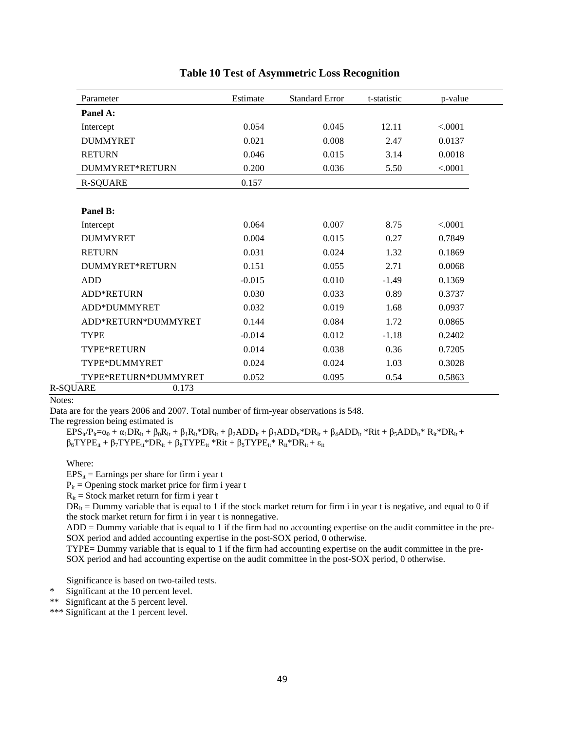| Parameter              | Estimate | <b>Standard Error</b> | t-statistic | p-value |
|------------------------|----------|-----------------------|-------------|---------|
| Panel A:               |          |                       |             |         |
| Intercept              | 0.054    | 0.045                 | 12.11       | < .0001 |
| <b>DUMMYRET</b>        | 0.021    | 0.008                 | 2.47        | 0.0137  |
| <b>RETURN</b>          | 0.046    | 0.015                 | 3.14        | 0.0018  |
| <b>DUMMYRET*RETURN</b> | 0.200    | 0.036                 | 5.50        | < .0001 |
| <b>R-SQUARE</b>        | 0.157    |                       |             |         |
|                        |          |                       |             |         |
| Panel B:               |          |                       |             |         |
| Intercept              | 0.064    | 0.007                 | 8.75        | < .0001 |
| <b>DUMMYRET</b>        | 0.004    | 0.015                 | 0.27        | 0.7849  |
| <b>RETURN</b>          | 0.031    | 0.024                 | 1.32        | 0.1869  |
| <b>DUMMYRET*RETURN</b> | 0.151    | 0.055                 | 2.71        | 0.0068  |
| <b>ADD</b>             | $-0.015$ | 0.010                 | $-1.49$     | 0.1369  |
| <b>ADD*RETURN</b>      | 0.030    | 0.033                 | 0.89        | 0.3737  |
| ADD*DUMMYRET           | 0.032    | 0.019                 | 1.68        | 0.0937  |
| ADD*RETURN*DUMMYRET    | 0.144    | 0.084                 | 1.72        | 0.0865  |
| <b>TYPE</b>            | $-0.014$ | 0.012                 | $-1.18$     | 0.2402  |
| TYPE*RETURN            | 0.014    | 0.038                 | 0.36        | 0.7205  |
| TYPE*DUMMYRET          | 0.024    | 0.024                 | 1.03        | 0.3028  |
| TYPE*RETURN*DUMMYRET   | 0.052    | 0.095                 | 0.54        | 0.5863  |

#### **Table 10 Test of Asymmetric Loss Recognition**

Notes:

Data are for the years 2006 and 2007. Total number of firm-year observations is 548.

The regression being estimated is

 $EPS_{ii}/P_{ii}=\alpha_0 + \alpha_1 DR_{it} + \beta_0R_{it} + \beta_1R_{it} * DR_{it} + \beta_2ADD_{it} + \beta_3ADD_{it} * DR_{it} + \beta_4ADD_{it} * Rit + \beta_5ADD_{it} * R_{it} * DR_{it}$  $\beta_6$ TYPE<sub>it</sub> + β<sub>7</sub>TYPE<sub>it</sub>\*DR<sub>it</sub> + β<sub>8</sub>TYPE<sub>it</sub>\*Rit + β<sub>5</sub>TYPE<sub>it</sub>\* R<sub>it</sub>\*DR<sub>it</sub> + ε<sub>it</sub>

Where:

 $EPS_{it}$  = Earnings per share for firm i year t

 $P_{it}$  = Opening stock market price for firm i year t

 $R_{it}$  = Stock market return for firm i year t

 $DR_{it}$  = Dummy variable that is equal to 1 if the stock market return for firm i in year t is negative, and equal to 0 if the stock market return for firm i in year t is nonnegative.

ADD = Dummy variable that is equal to 1 if the firm had no accounting expertise on the audit committee in the pre-SOX period and added accounting expertise in the post-SOX period, 0 otherwise.

TYPE= Dummy variable that is equal to 1 if the firm had accounting expertise on the audit committee in the pre-SOX period and had accounting expertise on the audit committee in the post-SOX period, 0 otherwise.

Significance is based on two-tailed tests.

\* Significant at the 10 percent level.

\*\* Significant at the 5 percent level.

\*\*\* Significant at the 1 percent level.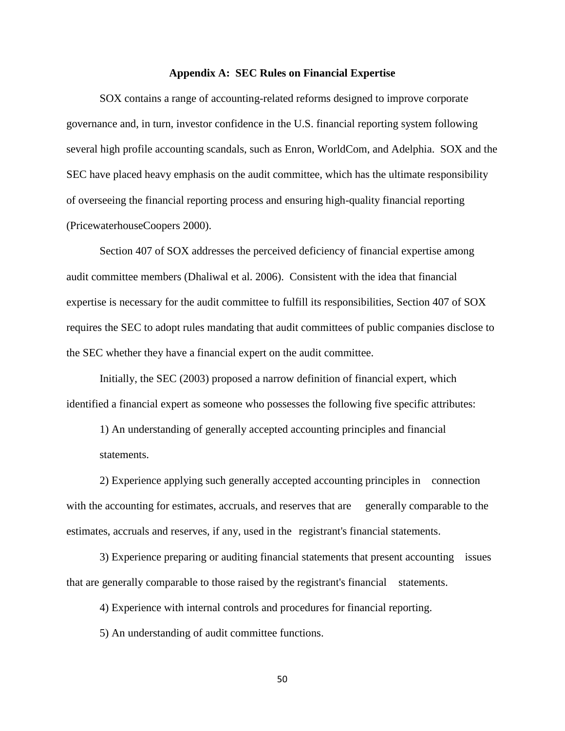#### **Appendix A: SEC Rules on Financial Expertise**

SOX contains a range of accounting-related reforms designed to improve corporate governance and, in turn, investor confidence in the U.S. financial reporting system following several high profile accounting scandals, such as Enron, WorldCom, and Adelphia. SOX and the SEC have placed heavy emphasis on the audit committee, which has the ultimate responsibility of overseeing the financial reporting process and ensuring high-quality financial reporting (PricewaterhouseCoopers 2000).

Section 407 of SOX addresses the perceived deficiency of financial expertise among audit committee members (Dhaliwal et al. 2006). Consistent with the idea that financial expertise is necessary for the audit committee to fulfill its responsibilities, Section 407 of SOX requires the SEC to adopt rules mandating that audit committees of public companies disclose to the SEC whether they have a financial expert on the audit committee.

 Initially, the SEC (2003) proposed a narrow definition of financial expert, which identified a financial expert as someone who possesses the following five specific attributes:

 1) An understanding of generally accepted accounting principles and financial statements.

 2) Experience applying such generally accepted accounting principles in connection with the accounting for estimates, accruals, and reserves that are generally comparable to the estimates, accruals and reserves, if any, used in the registrant's financial statements.

 3) Experience preparing or auditing financial statements that present accounting issues that are generally comparable to those raised by the registrant's financial statements.

4) Experience with internal controls and procedures for financial reporting.

5) An understanding of audit committee functions.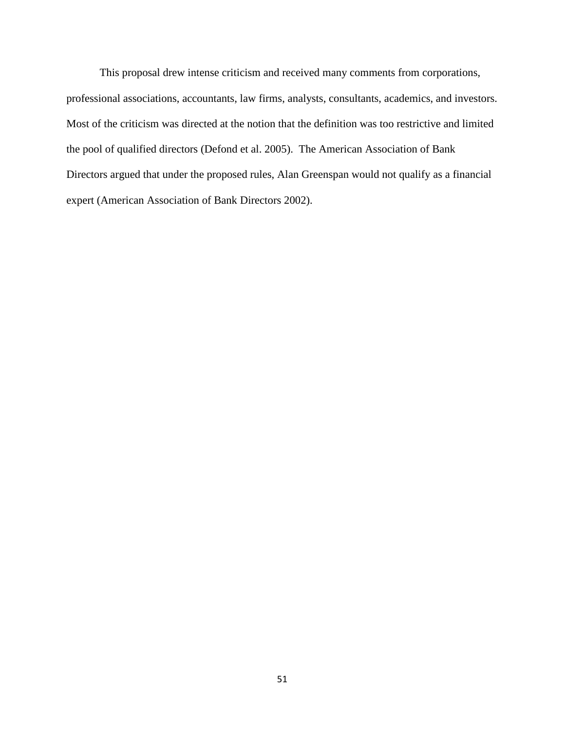This proposal drew intense criticism and received many comments from corporations, professional associations, accountants, law firms, analysts, consultants, academics, and investors. Most of the criticism was directed at the notion that the definition was too restrictive and limited the pool of qualified directors (Defond et al. 2005). The American Association of Bank Directors argued that under the proposed rules, Alan Greenspan would not qualify as a financial expert (American Association of Bank Directors 2002).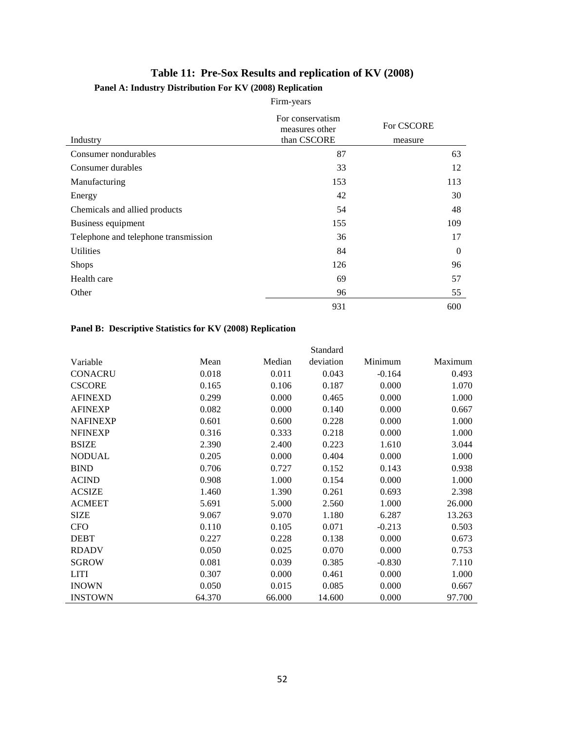## **Table 11: Pre-Sox Results and replication of KV (2008) Panel A: Industry Distribution For KV (2008) Replication**

# Firm-years

| Industry                             | For conservatism<br>measures other<br>than CSCORE | For CSCORE<br>measure |
|--------------------------------------|---------------------------------------------------|-----------------------|
| Consumer nondurables                 | 87                                                | 63                    |
| Consumer durables                    | 33                                                | 12                    |
| Manufacturing                        | 153                                               | 113                   |
| Energy                               | 42                                                | 30                    |
| Chemicals and allied products        | 54                                                | 48                    |
| Business equipment                   | 155                                               | 109                   |
| Telephone and telephone transmission | 36                                                | 17                    |
| <b>Utilities</b>                     | 84                                                | $\theta$              |
| <b>Shops</b>                         | 126                                               | 96                    |
| Health care                          | 69                                                | 57                    |
| Other                                | 96                                                | 55                    |
|                                      | 931                                               | 600                   |

## **Panel B: Descriptive Statistics for KV (2008) Replication**

|                 |        |        | Standard  |          |         |
|-----------------|--------|--------|-----------|----------|---------|
| Variable        | Mean   | Median | deviation | Minimum  | Maximum |
| <b>CONACRU</b>  | 0.018  | 0.011  | 0.043     | $-0.164$ | 0.493   |
| <b>CSCORE</b>   | 0.165  | 0.106  | 0.187     | 0.000    | 1.070   |
| <b>AFINEXD</b>  | 0.299  | 0.000  | 0.465     | 0.000    | 1.000   |
| <b>AFINEXP</b>  | 0.082  | 0.000  | 0.140     | 0.000    | 0.667   |
| <b>NAFINEXP</b> | 0.601  | 0.600  | 0.228     | 0.000    | 1.000   |
| <b>NFINEXP</b>  | 0.316  | 0.333  | 0.218     | 0.000    | 1.000   |
| <b>BSIZE</b>    | 2.390  | 2.400  | 0.223     | 1.610    | 3.044   |
| <b>NODUAL</b>   | 0.205  | 0.000  | 0.404     | 0.000    | 1.000   |
| <b>BIND</b>     | 0.706  | 0.727  | 0.152     | 0.143    | 0.938   |
| <b>ACIND</b>    | 0.908  | 1.000  | 0.154     | 0.000    | 1.000   |
| <b>ACSIZE</b>   | 1.460  | 1.390  | 0.261     | 0.693    | 2.398   |
| <b>ACMEET</b>   | 5.691  | 5.000  | 2.560     | 1.000    | 26.000  |
| <b>SIZE</b>     | 9.067  | 9.070  | 1.180     | 6.287    | 13.263  |
| <b>CFO</b>      | 0.110  | 0.105  | 0.071     | $-0.213$ | 0.503   |
| <b>DEBT</b>     | 0.227  | 0.228  | 0.138     | 0.000    | 0.673   |
| <b>RDADV</b>    | 0.050  | 0.025  | 0.070     | 0.000    | 0.753   |
| <b>SGROW</b>    | 0.081  | 0.039  | 0.385     | $-0.830$ | 7.110   |
| <b>LITI</b>     | 0.307  | 0.000  | 0.461     | 0.000    | 1.000   |
| <b>INOWN</b>    | 0.050  | 0.015  | 0.085     | 0.000    | 0.667   |
| <b>INSTOWN</b>  | 64.370 | 66.000 | 14.600    | 0.000    | 97.700  |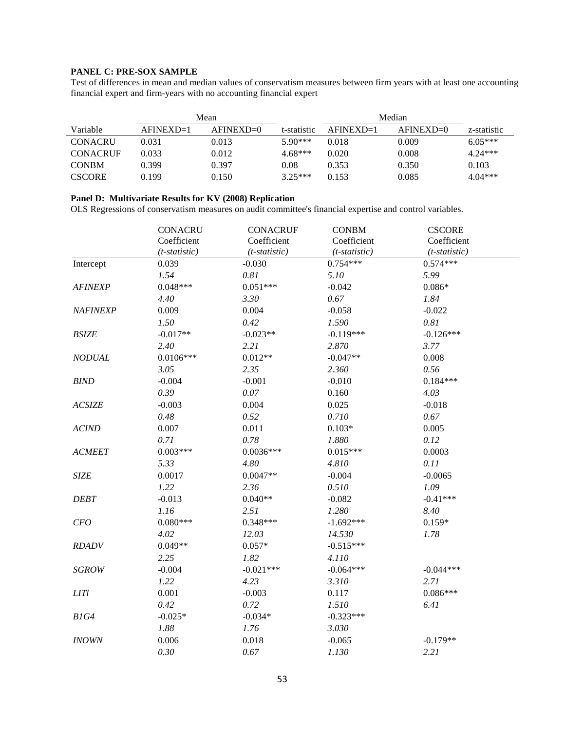### **PANEL C: PRE-SOX SAMPLE**

Test of differences in mean and median values of conservatism measures between firm years with at least one accounting financial expert and firm-years with no accounting financial expert

|                 |             | Mean        |             | Median      |             |             |
|-----------------|-------------|-------------|-------------|-------------|-------------|-------------|
| Variable        | $AFINEXP=1$ | $AFINEXD=0$ | t-statistic | $AFINEXD=1$ | $AFINEXD=0$ | z-statistic |
| <b>CONACRU</b>  | 0.031       | 0.013       | $5.90***$   | 0.018       | 0.009       | $6.05***$   |
| <b>CONACRUE</b> | 0.033       | 0.012       | $4.68***$   | 0.020       | 0.008       | $4.24***$   |
| <b>CONBM</b>    | 0.399       | 0.397       | 0.08        | 0.353       | 0.350       | 0.103       |
| <b>CSCORE</b>   | 0.199       | 0.150       | $3.25***$   | 0.153       | 0.085       | $4.04***$   |

#### **Panel D: Multivariate Results for KV (2008) Replication**

OLS Regressions of conservatism measures on audit committee's financial expertise and control variables.

|                | <b>CONACRU</b>  | <b>CONACRUF</b> | <b>CONBM</b>    | <b>CSCORE</b>   |  |
|----------------|-----------------|-----------------|-----------------|-----------------|--|
|                | Coefficient     | Coefficient     | Coefficient     | Coefficient     |  |
|                | $(t-statistic)$ | $(t-statistic)$ | $(t-statistic)$ | $(t-statistic)$ |  |
| Intercept      | 0.039           | $-0.030$        | $0.754***$      | $0.574***$      |  |
|                | 1.54            | 0.81            | 5.10            | 5.99            |  |
| <b>AFINEXP</b> | $0.048***$      | $0.051***$      | $-0.042$        | $0.086*$        |  |
|                | 4.40            | 3.30            | 0.67            | 1.84            |  |
| NAFINEXP       | 0.009           | 0.004           | $-0.058$        | $-0.022$        |  |
|                | 1.50            | 0.42            | 1.590           | 0.81            |  |
| <b>BSIZE</b>   | $-0.017**$      | $-0.023**$      | $-0.119***$     | $-0.126***$     |  |
|                | 2.40            | 2.21            | 2.870           | 3.77            |  |
| <b>NODUAL</b>  | $0.0106***$     | $0.012**$       | $-0.047**$      | 0.008           |  |
|                | 3.05            | 2.35            | 2.360           | 0.56            |  |
| <b>BIND</b>    | $-0.004$        | $-0.001$        | $-0.010$        | $0.184***$      |  |
|                | 0.39            | 0.07            | 0.160           | 4.03            |  |
| <b>ACSIZE</b>  | $-0.003$        | 0.004           | 0.025           | $-0.018$        |  |
|                | 0.48            | 0.52            | 0.710           | 0.67            |  |
| <b>ACIND</b>   | 0.007           | 0.011           | $0.103*$        | 0.005           |  |
|                | 0.71            | 0.78            | 1.880           | 0.12            |  |
| <b>ACMEET</b>  | $0.003***$      | $0.0036***$     | $0.015***$      | 0.0003          |  |
|                | 5.33            | 4.80            | 4.810           | 0.11            |  |
| <b>SIZE</b>    | 0.0017          | $0.0047**$      | $-0.004$        | $-0.0065$       |  |
|                | 1.22            | 2.36            | 0.510           | 1.09            |  |
| <b>DEBT</b>    | $-0.013$        | $0.040**$       | $-0.082$        | $-0.41***$      |  |
|                | 1.16            | 2.51            | 1.280           | 8.40            |  |
| CFO            | $0.080***$      | $0.348***$      | $-1.692***$     | $0.159*$        |  |
|                | 4.02            | 12.03           | 14.530          | 1.78            |  |
| <b>RDADV</b>   | $0.049**$       | $0.057*$        | $-0.515***$     |                 |  |
|                | 2.25            | 1.82            | 4.110           |                 |  |
| <b>SGROW</b>   | $-0.004$        | $-0.021***$     | $-0.064***$     | $-0.044***$     |  |
|                | 1.22            | 4.23            | 3.310           | 2.71            |  |
| LITl           | 0.001           | $-0.003$        | 0.117           | $0.086***$      |  |
|                | 0.42            | 0.72            | 1.510           | 6.41            |  |
| B1G4           | $-0.025*$       | $-0.034*$       | $-0.323***$     |                 |  |
|                | 1.88            | $1.76$          | 3.030           |                 |  |
| <b>INOWN</b>   | 0.006           | 0.018           | $-0.065$        | $-0.179**$      |  |
|                | 0.30            | 0.67            | 1.130           | 2.21            |  |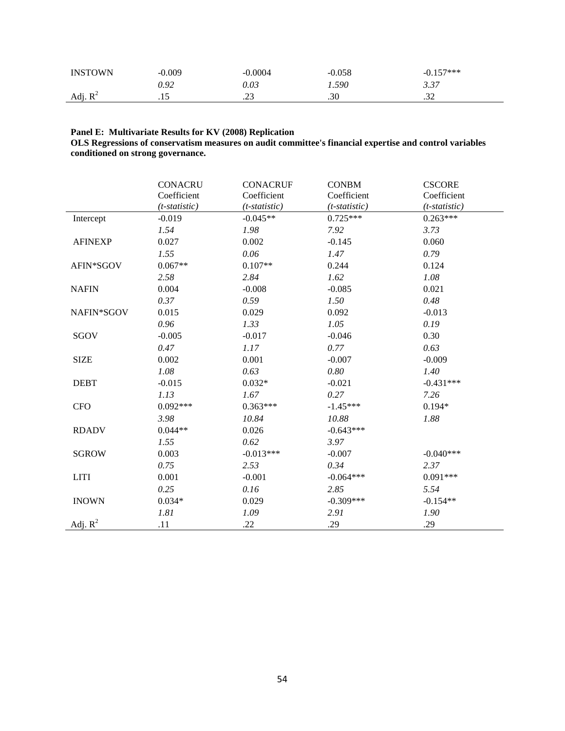| <b>INSTOWN</b> | $-0.009$ | .0004 | $-0.058$ | $-0.157***$    |
|----------------|----------|-------|----------|----------------|
|                | 9.92     | 0.03  | 1.590    | 3.37           |
| Adj. $R^2$     | ن ۲۰     | ت ڪو  | .30      | $\sim$<br>ے د. |

#### **Panel E: Multivariate Results for KV (2008) Replication**

**OLS Regressions of conservatism measures on audit committee's financial expertise and control variables conditioned on strong governance.** 

|                | <b>CONACRU</b>   | <b>CONACRUF</b> | <b>CONBM</b>    | <b>CSCORE</b>   |
|----------------|------------------|-----------------|-----------------|-----------------|
|                | Coefficient      | Coefficient     | Coefficient     | Coefficient     |
|                | $(t$ -statistic) | $(t-statistic)$ | $(t-statistic)$ | $(t-statistic)$ |
| Intercept      | $-0.019$         | $-0.045**$      | $0.725***$      | $0.263***$      |
|                | 1.54             | 1.98            | 7.92            | 3.73            |
| <b>AFINEXP</b> | 0.027            | 0.002           | $-0.145$        | 0.060           |
|                | 1.55             | 0.06            | 1.47            | 0.79            |
| AFIN*SGOV      | $0.067**$        | $0.107**$       | 0.244           | 0.124           |
|                | 2.58             | 2.84            | 1.62            | 1.08            |
| <b>NAFIN</b>   | 0.004            | $-0.008$        | $-0.085$        | 0.021           |
|                | 0.37             | 0.59            | 1.50            | 0.48            |
| NAFIN*SGOV     | 0.015            | 0.029           | 0.092           | $-0.013$        |
|                | 0.96             | 1.33            | 1.05            | 0.19            |
| SGOV           | $-0.005$         | $-0.017$        | $-0.046$        | 0.30            |
|                | 0.47             | 1.17            | 0.77            | 0.63            |
| <b>SIZE</b>    | 0.002            | 0.001           | $-0.007$        | $-0.009$        |
|                | 1.08             | 0.63            | 0.80            | 1.40            |
| <b>DEBT</b>    | $-0.015$         | $0.032*$        | $-0.021$        | $-0.431***$     |
|                | 1.13             | 1.67            | 0.27            | 7.26            |
| <b>CFO</b>     | $0.092***$       | $0.363***$      | $-1.45***$      | $0.194*$        |
|                | 3.98             | 10.84           | 10.88           | 1.88            |
| <b>RDADV</b>   | $0.044**$        | 0.026           | $-0.643***$     |                 |
|                | 1.55             | 0.62            | 3.97            |                 |
| <b>SGROW</b>   | 0.003            | $-0.013***$     | $-0.007$        | $-0.040***$     |
|                | 0.75             | 2.53            | 0.34            | 2.37            |
| <b>LITI</b>    | 0.001            | $-0.001$        | $-0.064***$     | $0.091***$      |
|                | 0.25             | 0.16            | 2.85            | 5.54            |
| <b>INOWN</b>   | $0.034*$         | 0.029           | $-0.309***$     | $-0.154**$      |
|                | 1.81             | 1.09            | 2.91            | 1.90            |
| Adj. $R^2$     | .11              | .22             | .29             | .29             |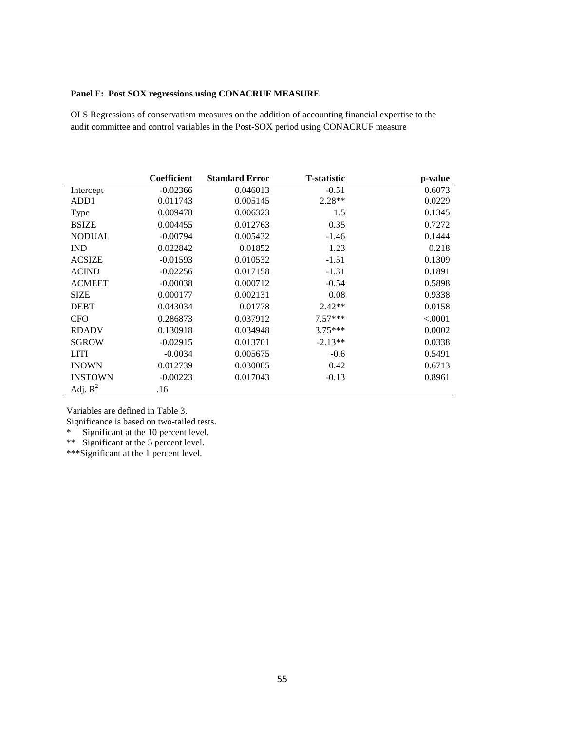#### **Panel F: Post SOX regressions using CONACRUF MEASURE**

OLS Regressions of conservatism measures on the addition of accounting financial expertise to the audit committee and control variables in the Post-SOX period using CONACRUF measure

|                | <b>Coefficient</b> | <b>Standard Error</b> | <b>T</b> -statistic | p-value |
|----------------|--------------------|-----------------------|---------------------|---------|
| Intercept      | $-0.02366$         | 0.046013              | $-0.51$             | 0.6073  |
| ADD1           | 0.011743           | 0.005145              | $2.28**$            | 0.0229  |
| Type           | 0.009478           | 0.006323              | 1.5                 | 0.1345  |
| <b>BSIZE</b>   | 0.004455           | 0.012763              | 0.35                | 0.7272  |
| <b>NODUAL</b>  | $-0.00794$         | 0.005432              | $-1.46$             | 0.1444  |
| <b>IND</b>     | 0.022842           | 0.01852               | 1.23                | 0.218   |
| <b>ACSIZE</b>  | $-0.01593$         | 0.010532              | $-1.51$             | 0.1309  |
| <b>ACIND</b>   | $-0.02256$         | 0.017158              | $-1.31$             | 0.1891  |
| <b>ACMEET</b>  | $-0.00038$         | 0.000712              | $-0.54$             | 0.5898  |
| <b>SIZE</b>    | 0.000177           | 0.002131              | 0.08                | 0.9338  |
| <b>DEBT</b>    | 0.043034           | 0.01778               | $2.42**$            | 0.0158  |
| <b>CFO</b>     | 0.286873           | 0.037912              | $7.57***$           | < .0001 |
| <b>RDADV</b>   | 0.130918           | 0.034948              | $3.75***$           | 0.0002  |
| <b>SGROW</b>   | $-0.02915$         | 0.013701              | $-2.13**$           | 0.0338  |
| <b>LITI</b>    | $-0.0034$          | 0.005675              | $-0.6$              | 0.5491  |
| <b>INOWN</b>   | 0.012739           | 0.030005              | 0.42                | 0.6713  |
| <b>INSTOWN</b> | $-0.00223$         | 0.017043              | $-0.13$             | 0.8961  |
| Adj. $R^2$     | .16                |                       |                     |         |

Variables are defined in Table 3.

Significance is based on two-tailed tests.

\* Significant at the 10 percent level.

\*\* Significant at the 5 percent level.

\*\*\*Significant at the 1 percent level.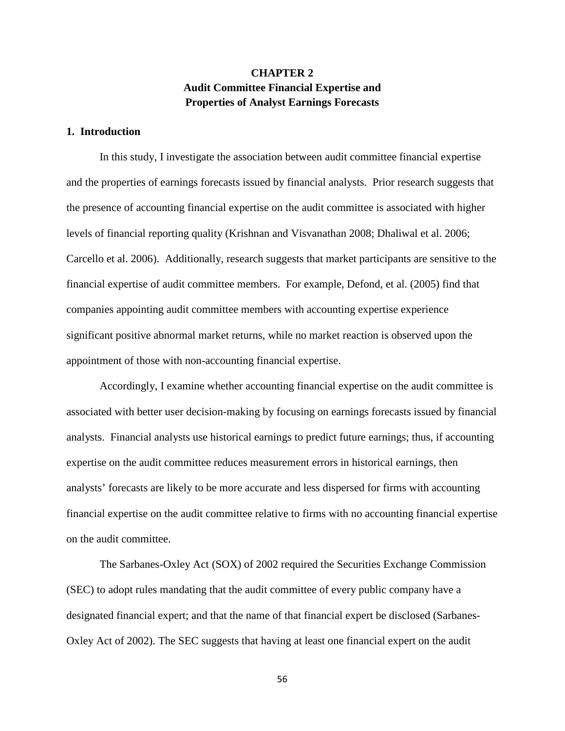## **CHAPTER 2 Audit Committee Financial Expertise and Properties of Analyst Earnings Forecasts**

#### **1. Introduction**

 In this study, I investigate the association between audit committee financial expertise and the properties of earnings forecasts issued by financial analysts. Prior research suggests that the presence of accounting financial expertise on the audit committee is associated with higher levels of financial reporting quality (Krishnan and Visvanathan 2008; Dhaliwal et al. 2006; Carcello et al. 2006). Additionally, research suggests that market participants are sensitive to the financial expertise of audit committee members. For example, Defond, et al. (2005) find that companies appointing audit committee members with accounting expertise experience significant positive abnormal market returns, while no market reaction is observed upon the appointment of those with non-accounting financial expertise.

Accordingly, I examine whether accounting financial expertise on the audit committee is associated with better user decision-making by focusing on earnings forecasts issued by financial analysts. Financial analysts use historical earnings to predict future earnings; thus, if accounting expertise on the audit committee reduces measurement errors in historical earnings, then analysts' forecasts are likely to be more accurate and less dispersed for firms with accounting financial expertise on the audit committee relative to firms with no accounting financial expertise on the audit committee.

The Sarbanes-Oxley Act (SOX) of 2002 required the Securities Exchange Commission (SEC) to adopt rules mandating that the audit committee of every public company have a designated financial expert; and that the name of that financial expert be disclosed (Sarbanes-Oxley Act of 2002). The SEC suggests that having at least one financial expert on the audit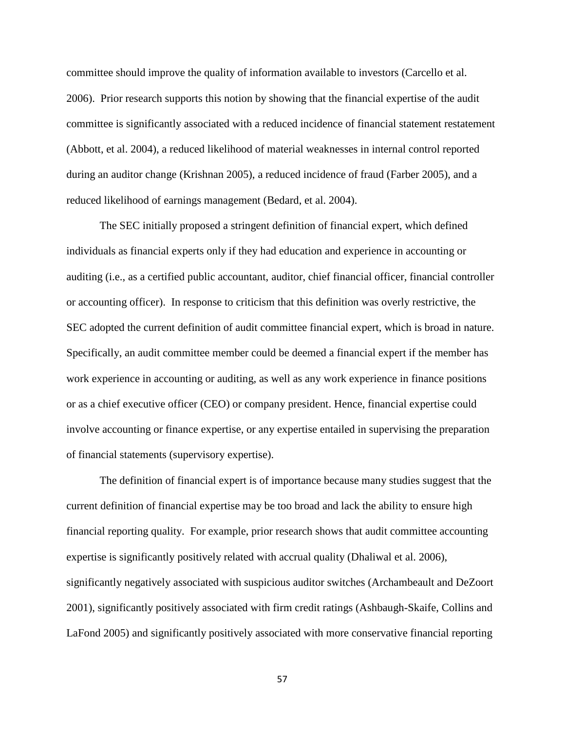committee should improve the quality of information available to investors (Carcello et al. 2006). Prior research supports this notion by showing that the financial expertise of the audit committee is significantly associated with a reduced incidence of financial statement restatement (Abbott, et al. 2004), a reduced likelihood of material weaknesses in internal control reported during an auditor change (Krishnan 2005), a reduced incidence of fraud (Farber 2005), and a reduced likelihood of earnings management (Bedard, et al. 2004).

The SEC initially proposed a stringent definition of financial expert, which defined individuals as financial experts only if they had education and experience in accounting or auditing (i.e., as a certified public accountant, auditor, chief financial officer, financial controller or accounting officer). In response to criticism that this definition was overly restrictive, the SEC adopted the current definition of audit committee financial expert, which is broad in nature. Specifically, an audit committee member could be deemed a financial expert if the member has work experience in accounting or auditing, as well as any work experience in finance positions or as a chief executive officer (CEO) or company president. Hence, financial expertise could involve accounting or finance expertise, or any expertise entailed in supervising the preparation of financial statements (supervisory expertise).

The definition of financial expert is of importance because many studies suggest that the current definition of financial expertise may be too broad and lack the ability to ensure high financial reporting quality. For example, prior research shows that audit committee accounting expertise is significantly positively related with accrual quality (Dhaliwal et al. 2006), significantly negatively associated with suspicious auditor switches (Archambeault and DeZoort 2001), significantly positively associated with firm credit ratings (Ashbaugh-Skaife, Collins and LaFond 2005) and significantly positively associated with more conservative financial reporting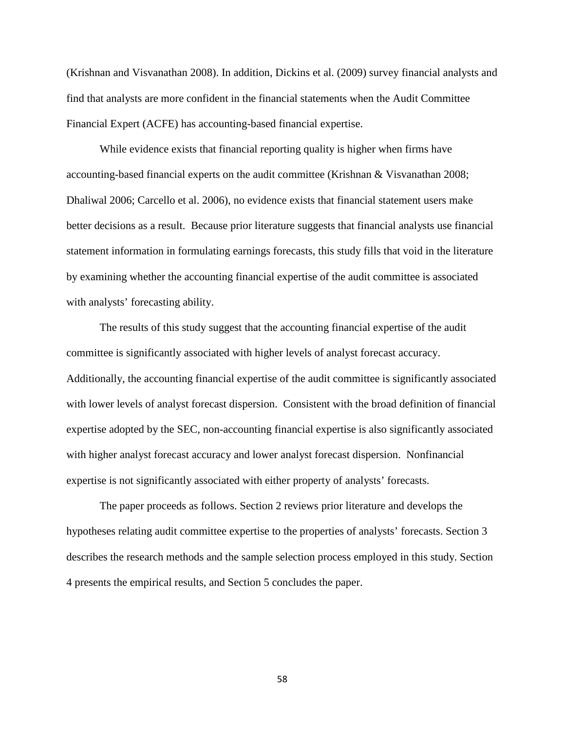(Krishnan and Visvanathan 2008). In addition, Dickins et al. (2009) survey financial analysts and find that analysts are more confident in the financial statements when the Audit Committee Financial Expert (ACFE) has accounting-based financial expertise.

While evidence exists that financial reporting quality is higher when firms have accounting-based financial experts on the audit committee (Krishnan & Visvanathan 2008; Dhaliwal 2006; Carcello et al. 2006), no evidence exists that financial statement users make better decisions as a result. Because prior literature suggests that financial analysts use financial statement information in formulating earnings forecasts, this study fills that void in the literature by examining whether the accounting financial expertise of the audit committee is associated with analysts' forecasting ability.

The results of this study suggest that the accounting financial expertise of the audit committee is significantly associated with higher levels of analyst forecast accuracy. Additionally, the accounting financial expertise of the audit committee is significantly associated with lower levels of analyst forecast dispersion. Consistent with the broad definition of financial expertise adopted by the SEC, non-accounting financial expertise is also significantly associated with higher analyst forecast accuracy and lower analyst forecast dispersion. Nonfinancial expertise is not significantly associated with either property of analysts' forecasts.

The paper proceeds as follows. Section 2 reviews prior literature and develops the hypotheses relating audit committee expertise to the properties of analysts' forecasts. Section 3 describes the research methods and the sample selection process employed in this study. Section 4 presents the empirical results, and Section 5 concludes the paper.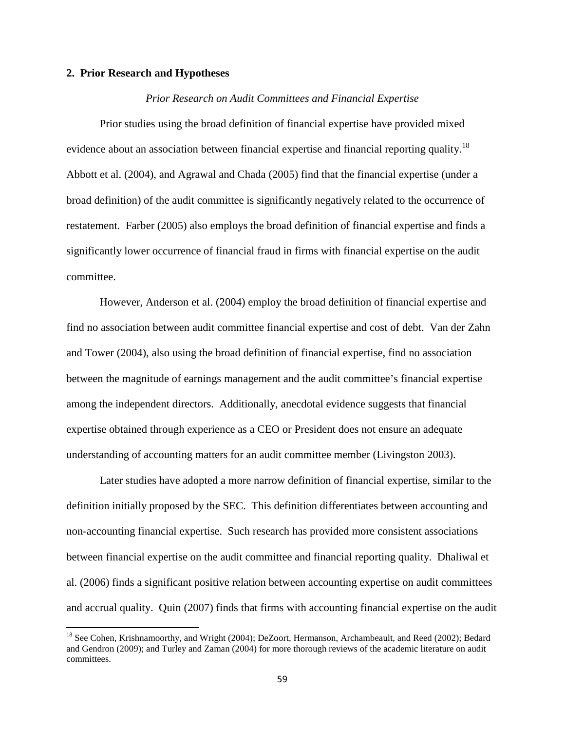#### **2. Prior Research and Hypotheses**

 $\overline{a}$ 

#### *Prior Research on Audit Committees and Financial Expertise*

 Prior studies using the broad definition of financial expertise have provided mixed evidence about an association between financial expertise and financial reporting quality.<sup>18</sup> Abbott et al. (2004), and Agrawal and Chada (2005) find that the financial expertise (under a broad definition) of the audit committee is significantly negatively related to the occurrence of restatement. Farber (2005) also employs the broad definition of financial expertise and finds a significantly lower occurrence of financial fraud in firms with financial expertise on the audit committee.

However, Anderson et al. (2004) employ the broad definition of financial expertise and find no association between audit committee financial expertise and cost of debt. Van der Zahn and Tower (2004), also using the broad definition of financial expertise, find no association between the magnitude of earnings management and the audit committee's financial expertise among the independent directors. Additionally, anecdotal evidence suggests that financial expertise obtained through experience as a CEO or President does not ensure an adequate understanding of accounting matters for an audit committee member (Livingston 2003).

 Later studies have adopted a more narrow definition of financial expertise, similar to the definition initially proposed by the SEC. This definition differentiates between accounting and non-accounting financial expertise. Such research has provided more consistent associations between financial expertise on the audit committee and financial reporting quality. Dhaliwal et al. (2006) finds a significant positive relation between accounting expertise on audit committees and accrual quality. Quin (2007) finds that firms with accounting financial expertise on the audit

<sup>&</sup>lt;sup>18</sup> See Cohen, Krishnamoorthy, and Wright (2004); DeZoort, Hermanson, Archambeault, and Reed (2002); Bedard and Gendron (2009); and Turley and Zaman (2004) for more thorough reviews of the academic literature on audit committees.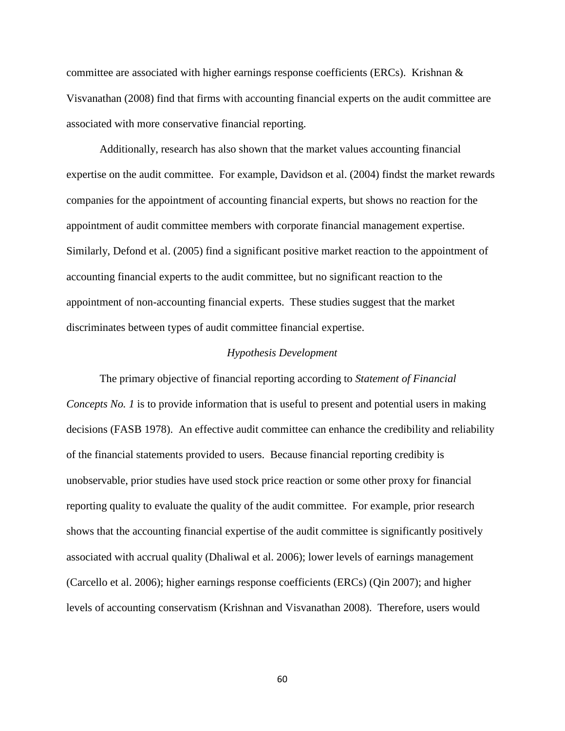committee are associated with higher earnings response coefficients (ERCs). Krishnan  $\&$ Visvanathan (2008) find that firms with accounting financial experts on the audit committee are associated with more conservative financial reporting.

 Additionally, research has also shown that the market values accounting financial expertise on the audit committee. For example, Davidson et al. (2004) findst the market rewards companies for the appointment of accounting financial experts, but shows no reaction for the appointment of audit committee members with corporate financial management expertise. Similarly, Defond et al. (2005) find a significant positive market reaction to the appointment of accounting financial experts to the audit committee, but no significant reaction to the appointment of non-accounting financial experts. These studies suggest that the market discriminates between types of audit committee financial expertise.

#### *Hypothesis Development*

The primary objective of financial reporting according to *Statement of Financial Concepts No. 1* is to provide information that is useful to present and potential users in making decisions (FASB 1978). An effective audit committee can enhance the credibility and reliability of the financial statements provided to users. Because financial reporting credibity is unobservable, prior studies have used stock price reaction or some other proxy for financial reporting quality to evaluate the quality of the audit committee. For example, prior research shows that the accounting financial expertise of the audit committee is significantly positively associated with accrual quality (Dhaliwal et al. 2006); lower levels of earnings management (Carcello et al. 2006); higher earnings response coefficients (ERCs) (Qin 2007); and higher levels of accounting conservatism (Krishnan and Visvanathan 2008). Therefore, users would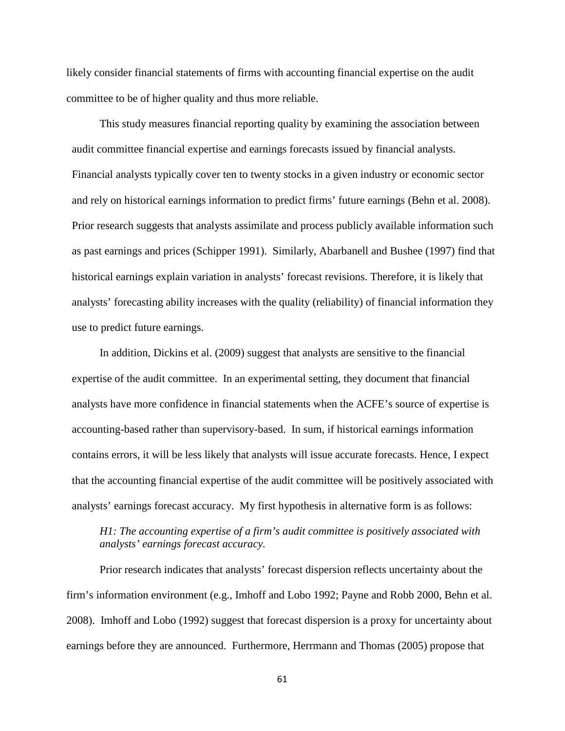likely consider financial statements of firms with accounting financial expertise on the audit committee to be of higher quality and thus more reliable.

This study measures financial reporting quality by examining the association between audit committee financial expertise and earnings forecasts issued by financial analysts. Financial analysts typically cover ten to twenty stocks in a given industry or economic sector and rely on historical earnings information to predict firms' future earnings (Behn et al. 2008). Prior research suggests that analysts assimilate and process publicly available information such as past earnings and prices (Schipper 1991). Similarly, Abarbanell and Bushee (1997) find that historical earnings explain variation in analysts' forecast revisions. Therefore, it is likely that analysts' forecasting ability increases with the quality (reliability) of financial information they use to predict future earnings.

In addition, Dickins et al. (2009) suggest that analysts are sensitive to the financial expertise of the audit committee. In an experimental setting, they document that financial analysts have more confidence in financial statements when the ACFE's source of expertise is accounting-based rather than supervisory-based. In sum, if historical earnings information contains errors, it will be less likely that analysts will issue accurate forecasts. Hence, I expect that the accounting financial expertise of the audit committee will be positively associated with analysts' earnings forecast accuracy. My first hypothesis in alternative form is as follows:

## *H1: The accounting expertise of a firm's audit committee is positively associated with analysts' earnings forecast accuracy.*

Prior research indicates that analysts' forecast dispersion reflects uncertainty about the firm's information environment (e.g., Imhoff and Lobo 1992; Payne and Robb 2000, Behn et al. 2008). Imhoff and Lobo (1992) suggest that forecast dispersion is a proxy for uncertainty about earnings before they are announced. Furthermore, Herrmann and Thomas (2005) propose that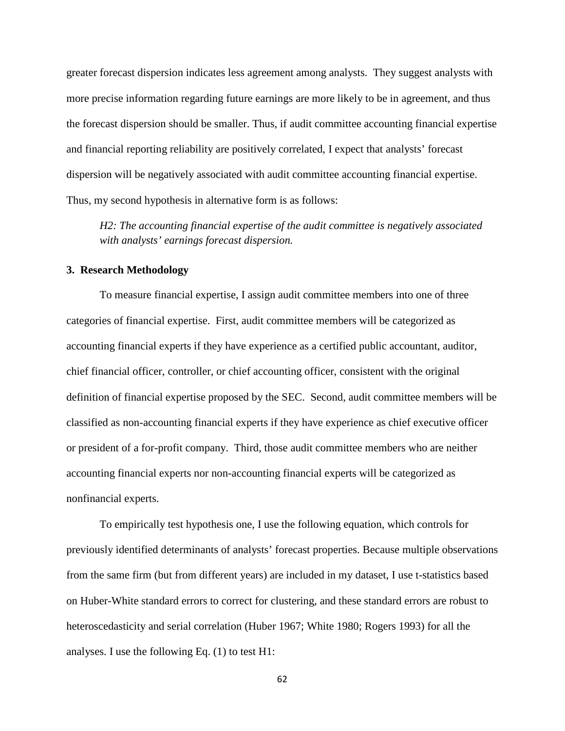greater forecast dispersion indicates less agreement among analysts. They suggest analysts with more precise information regarding future earnings are more likely to be in agreement, and thus the forecast dispersion should be smaller. Thus, if audit committee accounting financial expertise and financial reporting reliability are positively correlated, I expect that analysts' forecast dispersion will be negatively associated with audit committee accounting financial expertise. Thus, my second hypothesis in alternative form is as follows:

*H2: The accounting financial expertise of the audit committee is negatively associated with analysts' earnings forecast dispersion.* 

### **3. Research Methodology**

To measure financial expertise, I assign audit committee members into one of three categories of financial expertise. First, audit committee members will be categorized as accounting financial experts if they have experience as a certified public accountant, auditor, chief financial officer, controller, or chief accounting officer, consistent with the original definition of financial expertise proposed by the SEC. Second, audit committee members will be classified as non-accounting financial experts if they have experience as chief executive officer or president of a for-profit company. Third, those audit committee members who are neither accounting financial experts nor non-accounting financial experts will be categorized as nonfinancial experts.

To empirically test hypothesis one, I use the following equation, which controls for previously identified determinants of analysts' forecast properties. Because multiple observations from the same firm (but from different years) are included in my dataset, I use t-statistics based on Huber-White standard errors to correct for clustering, and these standard errors are robust to heteroscedasticity and serial correlation (Huber 1967; White 1980; Rogers 1993) for all the analyses. I use the following Eq. (1) to test H1: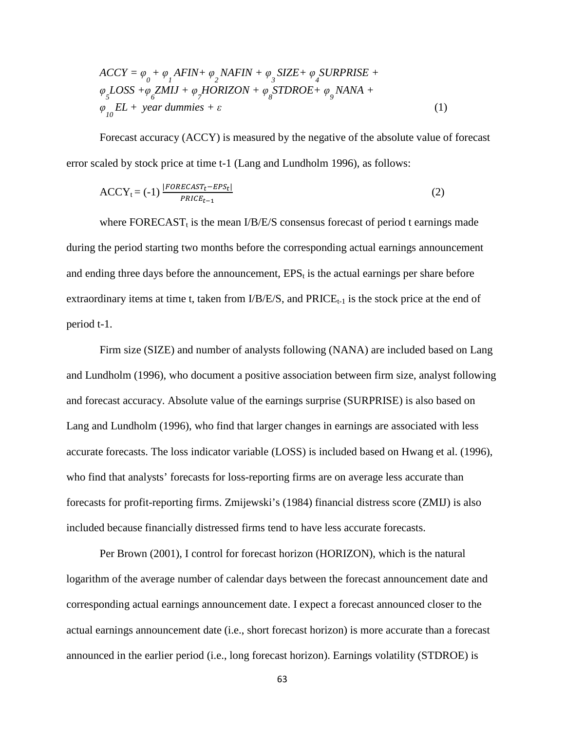$$
ACCY = \varphi_0 + \varphi_1 AFIN + \varphi_2 NAFIN + \varphi_3 SIZE + \varphi_4 SURPRISE +
$$
  
\n
$$
\varphi_5 LOSS + \varphi_6 ZMIJ + \varphi_7 HORIZON + \varphi_8 STDROE + \varphi_9 NANA +
$$
  
\n
$$
\varphi_{10} EL + year \, \text{dummies} + \varepsilon
$$
\n(1)

Forecast accuracy (ACCY) is measured by the negative of the absolute value of forecast error scaled by stock price at time t-1 (Lang and Lundholm 1996), as follows:

$$
ACCY_t = (-1) \frac{|FORECAST_t - EPS_t|}{PRICE_{t-1}}
$$
\n(2)

where  $\text{FORECAST}_t$  is the mean I/B/E/S consensus forecast of period t earnings made during the period starting two months before the corresponding actual earnings announcement and ending three days before the announcement,  $EPS_t$  is the actual earnings per share before extraordinary items at time t, taken from  $I/B/E/S$ , and  $PRICE_{t-1}$  is the stock price at the end of period t-1.

Firm size (SIZE) and number of analysts following (NANA) are included based on Lang and Lundholm (1996), who document a positive association between firm size, analyst following and forecast accuracy. Absolute value of the earnings surprise (SURPRISE) is also based on Lang and Lundholm (1996), who find that larger changes in earnings are associated with less accurate forecasts. The loss indicator variable (LOSS) is included based on Hwang et al. (1996), who find that analysts' forecasts for loss-reporting firms are on average less accurate than forecasts for profit-reporting firms. Zmijewski's (1984) financial distress score (ZMIJ) is also included because financially distressed firms tend to have less accurate forecasts.

Per Brown (2001), I control for forecast horizon (HORIZON), which is the natural logarithm of the average number of calendar days between the forecast announcement date and corresponding actual earnings announcement date. I expect a forecast announced closer to the actual earnings announcement date (i.e., short forecast horizon) is more accurate than a forecast announced in the earlier period (i.e., long forecast horizon). Earnings volatility (STDROE) is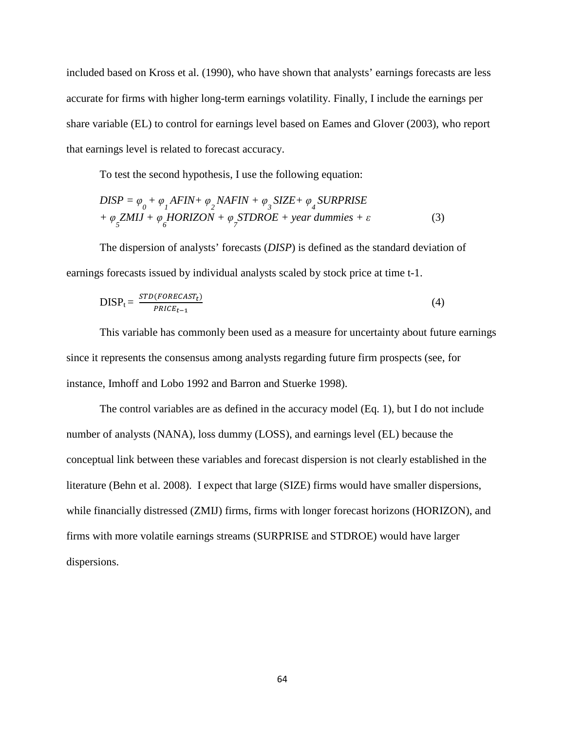included based on Kross et al. (1990), who have shown that analysts' earnings forecasts are less accurate for firms with higher long-term earnings volatility. Finally, I include the earnings per share variable (EL) to control for earnings level based on Eames and Glover (2003), who report that earnings level is related to forecast accuracy.

To test the second hypothesis, I use the following equation:

$$
DISP = \varphi_0 + \varphi_1 AFIN + \varphi_2 NAFIN + \varphi_3 SIZE + \varphi_4 SURPRISE
$$
  
+  $\varphi_5 ZMIJ + \varphi_6 HORIZON + \varphi_5 TDROE + year \, dummies + \varepsilon$  (3)

The dispersion of analysts' forecasts (*DISP*) is defined as the standard deviation of earnings forecasts issued by individual analysts scaled by stock price at time t-1.

$$
DISP_t = \frac{STD(FORECAST_t)}{PRICE_{t-1}} \tag{4}
$$

This variable has commonly been used as a measure for uncertainty about future earnings since it represents the consensus among analysts regarding future firm prospects (see, for instance, Imhoff and Lobo 1992 and Barron and Stuerke 1998).

The control variables are as defined in the accuracy model (Eq. 1), but I do not include number of analysts (NANA), loss dummy (LOSS), and earnings level (EL) because the conceptual link between these variables and forecast dispersion is not clearly established in the literature (Behn et al. 2008). I expect that large (SIZE) firms would have smaller dispersions, while financially distressed (ZMIJ) firms, firms with longer forecast horizons (HORIZON), and firms with more volatile earnings streams (SURPRISE and STDROE) would have larger dispersions.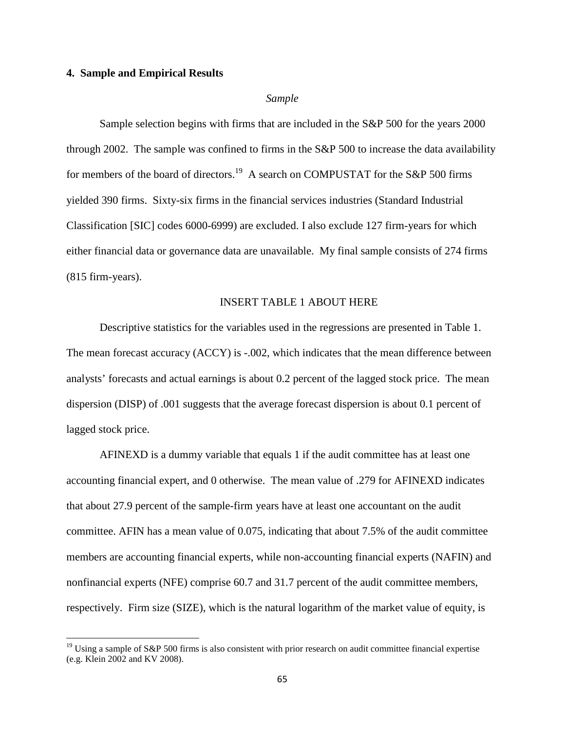### **4. Sample and Empirical Results**

 $\overline{a}$ 

### *Sample*

Sample selection begins with firms that are included in the S&P 500 for the years 2000 through 2002. The sample was confined to firms in the S&P 500 to increase the data availability for members of the board of directors.<sup>19</sup> A search on COMPUSTAT for the S&P 500 firms yielded 390 firms. Sixty-six firms in the financial services industries (Standard Industrial Classification [SIC] codes 6000-6999) are excluded. I also exclude 127 firm-years for which either financial data or governance data are unavailable. My final sample consists of 274 firms (815 firm-years).

### INSERT TABLE 1 ABOUT HERE

Descriptive statistics for the variables used in the regressions are presented in Table 1. The mean forecast accuracy (ACCY) is -.002, which indicates that the mean difference between analysts' forecasts and actual earnings is about 0.2 percent of the lagged stock price. The mean dispersion (DISP) of .001 suggests that the average forecast dispersion is about 0.1 percent of lagged stock price.

AFINEXD is a dummy variable that equals 1 if the audit committee has at least one accounting financial expert, and 0 otherwise. The mean value of .279 for AFINEXD indicates that about 27.9 percent of the sample-firm years have at least one accountant on the audit committee. AFIN has a mean value of 0.075, indicating that about 7.5% of the audit committee members are accounting financial experts, while non-accounting financial experts (NAFIN) and nonfinancial experts (NFE) comprise 60.7 and 31.7 percent of the audit committee members, respectively. Firm size (SIZE), which is the natural logarithm of the market value of equity, is

<sup>&</sup>lt;sup>19</sup> Using a sample of S&P 500 firms is also consistent with prior research on audit committee financial expertise (e.g. Klein 2002 and KV 2008).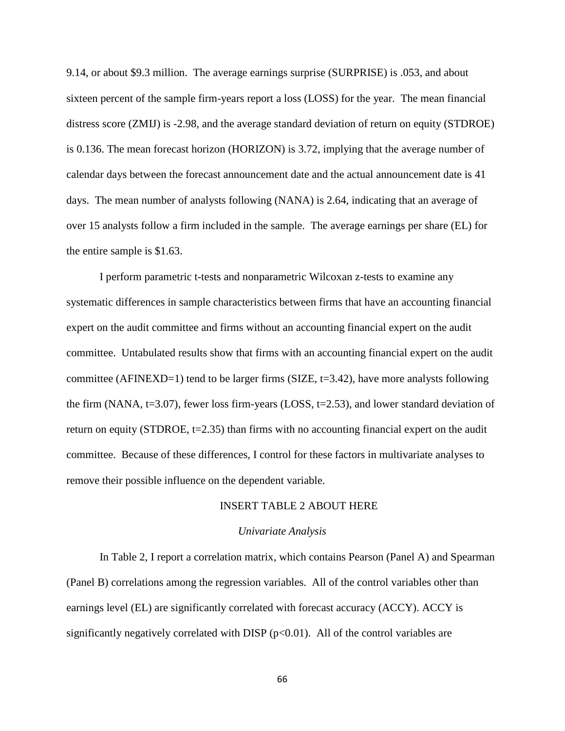9.14, or about \$9.3 million. The average earnings surprise (SURPRISE) is .053, and about sixteen percent of the sample firm-years report a loss (LOSS) for the year. The mean financial distress score (ZMIJ) is -2.98, and the average standard deviation of return on equity (STDROE) is 0.136. The mean forecast horizon (HORIZON) is 3.72, implying that the average number of calendar days between the forecast announcement date and the actual announcement date is 41 days. The mean number of analysts following (NANA) is 2.64, indicating that an average of over 15 analysts follow a firm included in the sample. The average earnings per share (EL) for the entire sample is \$1.63.

I perform parametric t-tests and nonparametric Wilcoxan z-tests to examine any systematic differences in sample characteristics between firms that have an accounting financial expert on the audit committee and firms without an accounting financial expert on the audit committee. Untabulated results show that firms with an accounting financial expert on the audit committee (AFINEXD=1) tend to be larger firms (SIZE,  $t=3.42$ ), have more analysts following the firm (NANA,  $t=3.07$ ), fewer loss firm-years (LOSS,  $t=2.53$ ), and lower standard deviation of return on equity (STDROE,  $t=2.35$ ) than firms with no accounting financial expert on the audit committee. Because of these differences, I control for these factors in multivariate analyses to remove their possible influence on the dependent variable.

### INSERT TABLE 2 ABOUT HERE

#### *Univariate Analysis*

 In Table 2, I report a correlation matrix, which contains Pearson (Panel A) and Spearman (Panel B) correlations among the regression variables. All of the control variables other than earnings level (EL) are significantly correlated with forecast accuracy (ACCY). ACCY is significantly negatively correlated with DISP  $(p<0.01)$ . All of the control variables are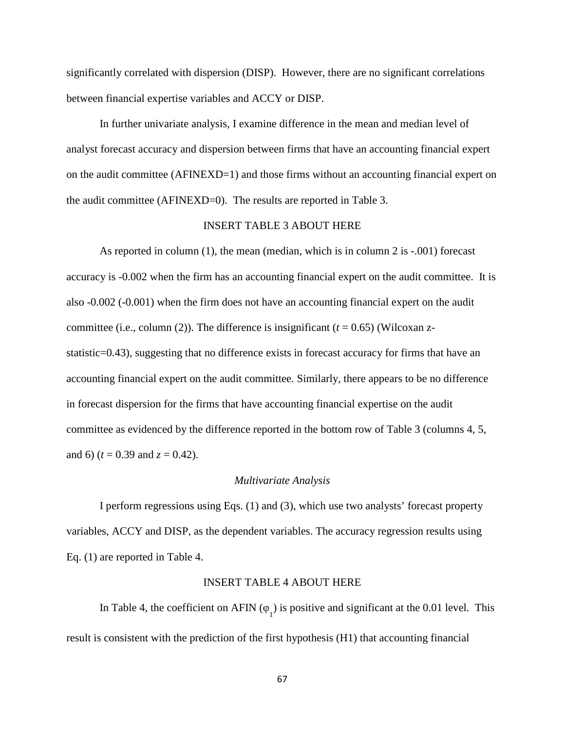significantly correlated with dispersion (DISP). However, there are no significant correlations between financial expertise variables and ACCY or DISP.

 In further univariate analysis, I examine difference in the mean and median level of analyst forecast accuracy and dispersion between firms that have an accounting financial expert on the audit committee (AFINEXD=1) and those firms without an accounting financial expert on the audit committee (AFINEXD=0). The results are reported in Table 3.

### INSERT TABLE 3 ABOUT HERE

As reported in column (1), the mean (median, which is in column 2 is -.001) forecast accuracy is -0.002 when the firm has an accounting financial expert on the audit committee. It is also -0.002 (-0.001) when the firm does not have an accounting financial expert on the audit committee (i.e., column (2)). The difference is insignificant  $(t = 0.65)$  (Wilcoxan zstatistic=0.43), suggesting that no difference exists in forecast accuracy for firms that have an accounting financial expert on the audit committee. Similarly, there appears to be no difference in forecast dispersion for the firms that have accounting financial expertise on the audit committee as evidenced by the difference reported in the bottom row of Table 3 (columns 4, 5, and 6) ( $t = 0.39$  and  $z = 0.42$ ).

#### *Multivariate Analysis*

I perform regressions using Eqs. (1) and (3), which use two analysts' forecast property variables, ACCY and DISP, as the dependent variables. The accuracy regression results using Eq. (1) are reported in Table 4.

### INSERT TABLE 4 ABOUT HERE

In Table 4, the coefficient on AFIN ( $\varphi$ <sub>1</sub>) is positive and significant at the 0.01 level. This result is consistent with the prediction of the first hypothesis (H1) that accounting financial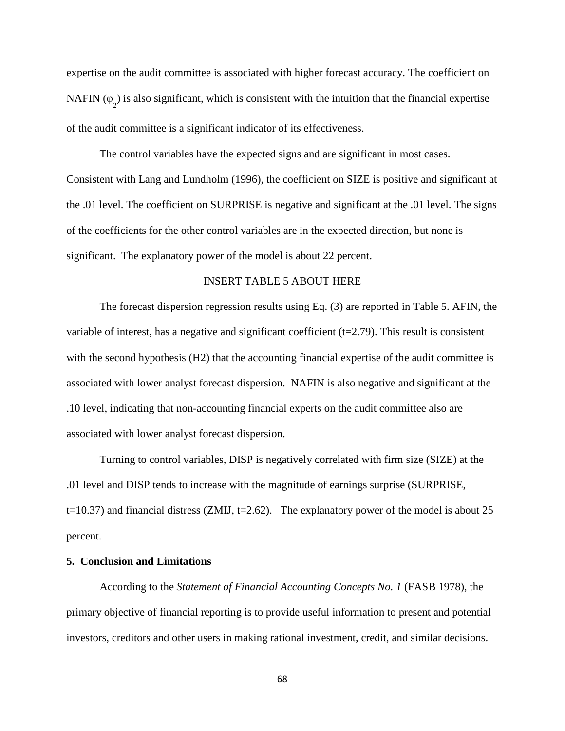expertise on the audit committee is associated with higher forecast accuracy. The coefficient on NAFIN ( $\varphi$ <sub>2</sub>) is also significant, which is consistent with the intuition that the financial expertise of the audit committee is a significant indicator of its effectiveness.

The control variables have the expected signs and are significant in most cases. Consistent with Lang and Lundholm (1996), the coefficient on SIZE is positive and significant at the .01 level. The coefficient on SURPRISE is negative and significant at the .01 level. The signs of the coefficients for the other control variables are in the expected direction, but none is significant. The explanatory power of the model is about 22 percent.

# INSERT TABLE 5 ABOUT HERE

The forecast dispersion regression results using Eq. (3) are reported in Table 5. AFIN, the variable of interest, has a negative and significant coefficient  $(t=2.79)$ . This result is consistent with the second hypothesis (H2) that the accounting financial expertise of the audit committee is associated with lower analyst forecast dispersion. NAFIN is also negative and significant at the .10 level, indicating that non-accounting financial experts on the audit committee also are associated with lower analyst forecast dispersion.

Turning to control variables, DISP is negatively correlated with firm size (SIZE) at the .01 level and DISP tends to increase with the magnitude of earnings surprise (SURPRISE,  $t=10.37$ ) and financial distress (ZMIJ,  $t=2.62$ ). The explanatory power of the model is about 25 percent.

### **5. Conclusion and Limitations**

According to the *Statement of Financial Accounting Concepts No. 1* (FASB 1978), the primary objective of financial reporting is to provide useful information to present and potential investors, creditors and other users in making rational investment, credit, and similar decisions.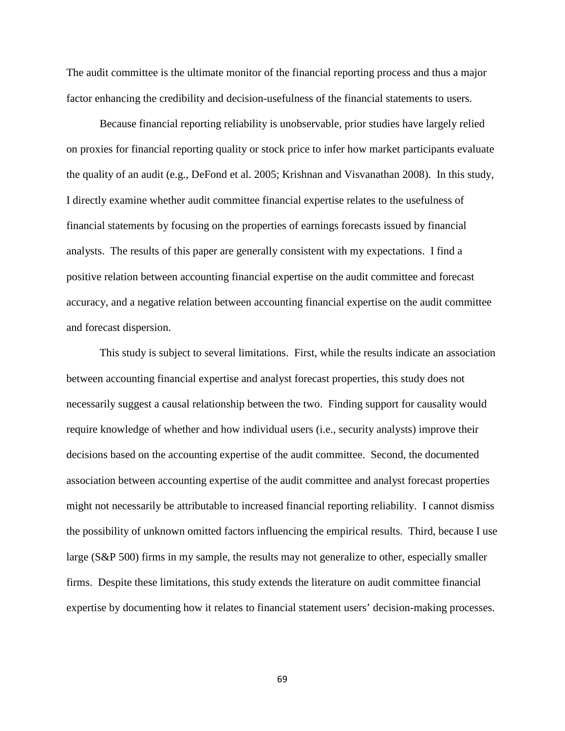The audit committee is the ultimate monitor of the financial reporting process and thus a major factor enhancing the credibility and decision-usefulness of the financial statements to users.

Because financial reporting reliability is unobservable, prior studies have largely relied on proxies for financial reporting quality or stock price to infer how market participants evaluate the quality of an audit (e.g., DeFond et al. 2005; Krishnan and Visvanathan 2008). In this study, I directly examine whether audit committee financial expertise relates to the usefulness of financial statements by focusing on the properties of earnings forecasts issued by financial analysts. The results of this paper are generally consistent with my expectations. I find a positive relation between accounting financial expertise on the audit committee and forecast accuracy, and a negative relation between accounting financial expertise on the audit committee and forecast dispersion.

This study is subject to several limitations. First, while the results indicate an association between accounting financial expertise and analyst forecast properties, this study does not necessarily suggest a causal relationship between the two. Finding support for causality would require knowledge of whether and how individual users (i.e., security analysts) improve their decisions based on the accounting expertise of the audit committee. Second, the documented association between accounting expertise of the audit committee and analyst forecast properties might not necessarily be attributable to increased financial reporting reliability. I cannot dismiss the possibility of unknown omitted factors influencing the empirical results. Third, because I use large (S&P 500) firms in my sample, the results may not generalize to other, especially smaller firms. Despite these limitations, this study extends the literature on audit committee financial expertise by documenting how it relates to financial statement users' decision-making processes.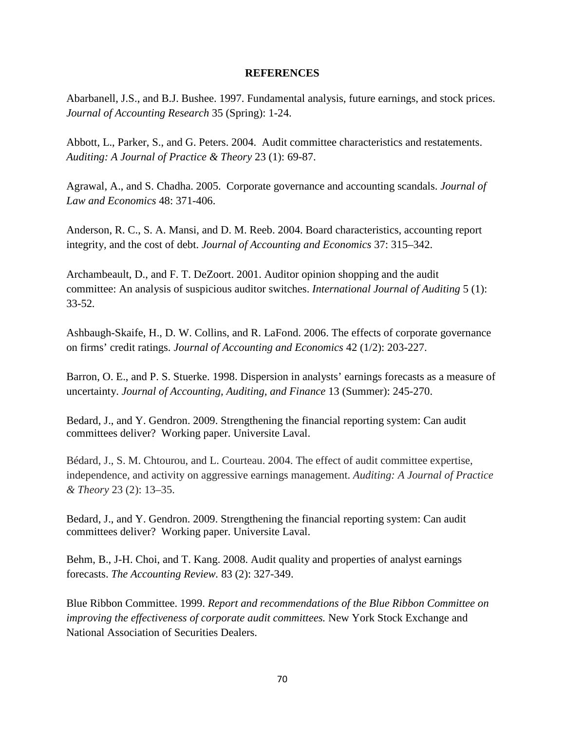# **REFERENCES**

Abarbanell, J.S., and B.J. Bushee. 1997. Fundamental analysis, future earnings, and stock prices. *Journal of Accounting Research* 35 (Spring): 1-24.

Abbott, L., Parker, S., and G. Peters. 2004. Audit committee characteristics and restatements. *Auditing: A Journal of Practice & Theory* 23 (1): 69-87.

Agrawal, A., and S. Chadha. 2005. Corporate governance and accounting scandals. *Journal of Law and Economics* 48: 371-406.

Anderson, R. C., S. A. Mansi, and D. M. Reeb. 2004. Board characteristics, accounting report integrity, and the cost of debt. *Journal of Accounting and Economics* 37: 315–342.

Archambeault, D., and F. T. DeZoort. 2001. Auditor opinion shopping and the audit committee: An analysis of suspicious auditor switches. *International Journal of Auditing* 5 (1): 33-52*.* 

Ashbaugh-Skaife, H., D. W. Collins, and R. LaFond. 2006. The effects of corporate governance on firms' credit ratings. *Journal of Accounting and Economics* 42 (1/2): 203-227.

Barron, O. E., and P. S. Stuerke. 1998. Dispersion in analysts' earnings forecasts as a measure of uncertainty. *Journal of Accounting, Auditing, and Finance* 13 (Summer): 245-270.

Bedard, J., and Y. Gendron. 2009. Strengthening the financial reporting system: Can audit committees deliver? Working paper. Universite Laval.

Bédard, J., S. M. Chtourou, and L. Courteau. 2004. The effect of audit committee expertise, independence, and activity on aggressive earnings management. *Auditing: A Journal of Practice & Theory* 23 (2): 13–35.

Bedard, J., and Y. Gendron. 2009. Strengthening the financial reporting system: Can audit committees deliver? Working paper. Universite Laval.

Behm, B., J-H. Choi, and T. Kang. 2008. Audit quality and properties of analyst earnings forecasts. *The Accounting Review.* 83 (2): 327-349.

Blue Ribbon Committee. 1999. *Report and recommendations of the Blue Ribbon Committee on improving the effectiveness of corporate audit committees.* New York Stock Exchange and National Association of Securities Dealers.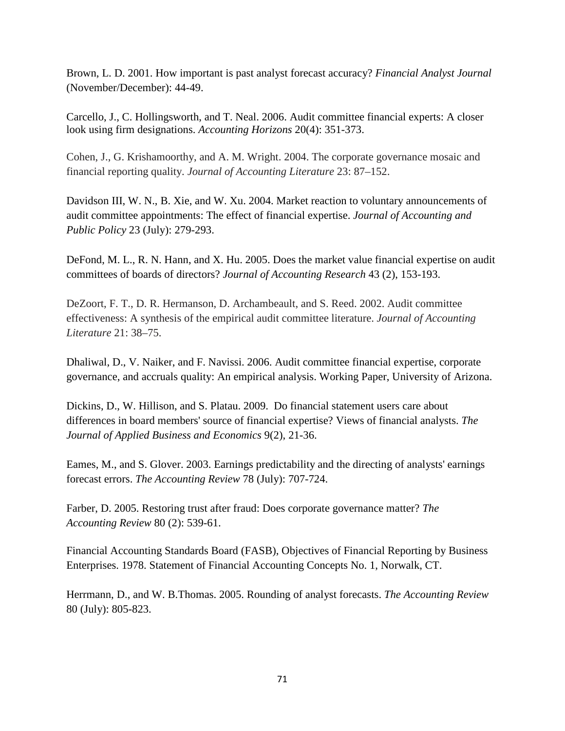Brown, L. D. 2001. How important is past analyst forecast accuracy? *Financial Analyst Journal*  (November/December): 44-49.

Carcello, J., C. Hollingsworth, and T. Neal. 2006. Audit committee financial experts: A closer look using firm designations. *Accounting Horizons* 20(4): 351-373.

Cohen, J., G. Krishamoorthy, and A. M. Wright. 2004. The corporate governance mosaic and financial reporting quality. *Journal of Accounting Literature* 23: 87–152.

Davidson III, W. N., B. Xie, and W. Xu. 2004. Market reaction to voluntary announcements of audit committee appointments: The effect of financial expertise. *Journal of Accounting and Public Policy* 23 (July): 279-293.

DeFond, M. L., R. N. Hann, and X. Hu. 2005. Does the market value financial expertise on audit committees of boards of directors? *Journal of Accounting Research* 43 (2), 153-193.

DeZoort, F. T., D. R. Hermanson, D. Archambeault, and S. Reed. 2002. Audit committee effectiveness: A synthesis of the empirical audit committee literature. *Journal of Accounting Literature* 21: 38–75.

Dhaliwal, D., V. Naiker, and F. Navissi. 2006. Audit committee financial expertise, corporate governance, and accruals quality: An empirical analysis. Working Paper, University of Arizona.

Dickins, D., W. Hillison, and S. Platau. 2009. Do financial statement users care about differences in board members' source of financial expertise? Views of financial analysts. *The Journal of Applied Business and Economics* 9(2), 21-36.

Eames, M., and S. Glover. 2003. Earnings predictability and the directing of analysts' earnings forecast errors. *The Accounting Review* 78 (July): 707-724.

Farber, D. 2005. Restoring trust after fraud: Does corporate governance matter? *The Accounting Review* 80 (2): 539-61.

Financial Accounting Standards Board (FASB), Objectives of Financial Reporting by Business Enterprises. 1978. Statement of Financial Accounting Concepts No. 1, Norwalk, CT.

Herrmann, D., and W. B.Thomas. 2005. Rounding of analyst forecasts. *The Accounting Review*  80 (July): 805-823.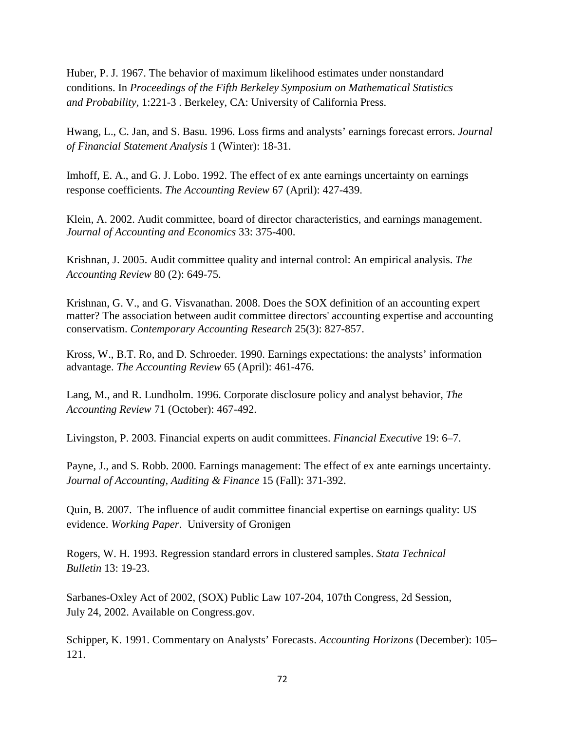Huber, P. J. 1967. The behavior of maximum likelihood estimates under nonstandard conditions. In *Proceedings of the Fifth Berkeley Symposium on Mathematical Statistics and Probability,* 1:221-3 . Berkeley, CA: University of California Press.

Hwang, L., C. Jan, and S. Basu. 1996. Loss firms and analysts' earnings forecast errors. *Journal of Financial Statement Analysis* 1 (Winter): 18-31.

Imhoff, E. A., and G. J. Lobo. 1992. The effect of ex ante earnings uncertainty on earnings response coefficients. *The Accounting Review* 67 (April): 427-439.

Klein, A. 2002. Audit committee, board of director characteristics, and earnings management. *Journal of Accounting and Economics* 33: 375-400.

Krishnan, J. 2005. Audit committee quality and internal control: An empirical analysis. *The Accounting Review* 80 (2): 649-75.

Krishnan, G. V., and G. Visvanathan. 2008. Does the SOX definition of an accounting expert matter? The association between audit committee directors' accounting expertise and accounting conservatism. *Contemporary Accounting Research* 25(3): 827-857.

Kross, W., B.T. Ro, and D. Schroeder. 1990. Earnings expectations: the analysts' information advantage. *The Accounting Review* 65 (April): 461-476.

Lang, M., and R. Lundholm. 1996. Corporate disclosure policy and analyst behavior, *The Accounting Review* 71 (October): 467-492.

Livingston, P. 2003. Financial experts on audit committees. *Financial Executive* 19: 6–7.

Payne, J., and S. Robb. 2000. Earnings management: The effect of ex ante earnings uncertainty. *Journal of Accounting, Auditing & Finance* 15 (Fall): 371-392.

Quin, B. 2007. The influence of audit committee financial expertise on earnings quality: US evidence. *Working Paper*. University of Gronigen

Rogers, W. H. 1993. Regression standard errors in clustered samples. *Stata Technical Bulletin* 13: 19-23.

Sarbanes-Oxley Act of 2002, (SOX) Public Law 107-204, 107th Congress, 2d Session, July 24, 2002. Available on Congress.gov.

Schipper, K. 1991. Commentary on Analysts' Forecasts. *Accounting Horizons* (December): 105– 121.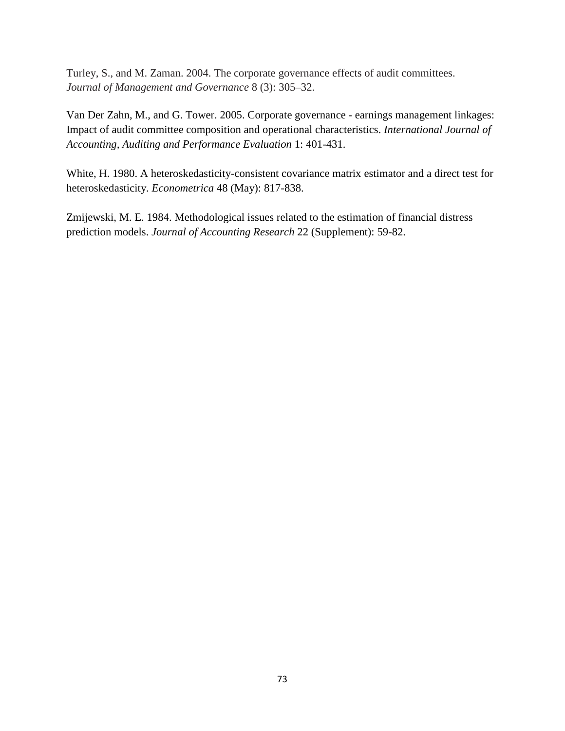Turley, S., and M. Zaman. 2004. The corporate governance effects of audit committees. *Journal of Management and Governance* 8 (3): 305–32.

Van Der Zahn, M., and G. Tower. 2005. Corporate governance - earnings management linkages: Impact of audit committee composition and operational characteristics. *International Journal of Accounting, Auditing and Performance Evaluation* 1: 401-431.

White, H. 1980. A heteroskedasticity-consistent covariance matrix estimator and a direct test for heteroskedasticity. *Econometrica* 48 (May): 817-838.

Zmijewski, M. E. 1984. Methodological issues related to the estimation of financial distress prediction models. *Journal of Accounting Research* 22 (Supplement): 59-82.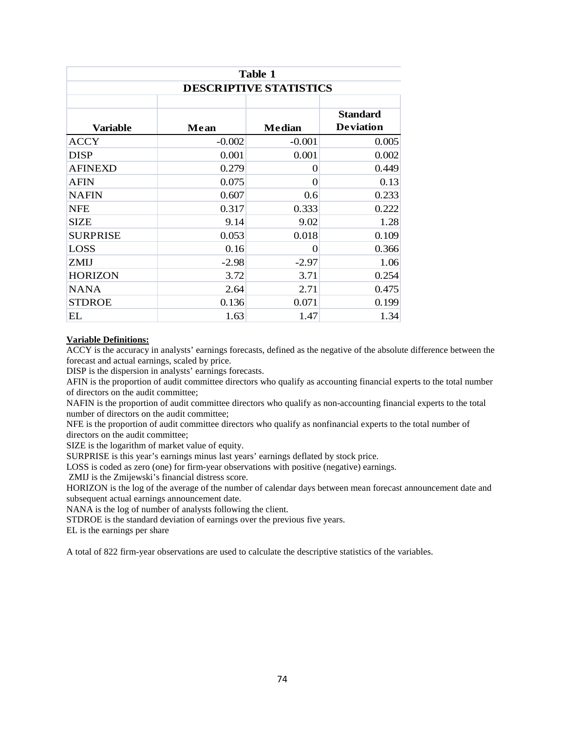| Table 1                       |          |               |                  |  |  |  |
|-------------------------------|----------|---------------|------------------|--|--|--|
| <b>DESCRIPTIVE STATISTICS</b> |          |               |                  |  |  |  |
|                               |          |               |                  |  |  |  |
|                               |          |               | <b>Standard</b>  |  |  |  |
| <b>Variable</b>               | Mean     | <b>Median</b> | <b>Deviation</b> |  |  |  |
| <b>ACCY</b>                   | $-0.002$ | $-0.001$      | 0.005            |  |  |  |
| <b>DISP</b>                   | 0.001    | 0.001         | 0.002            |  |  |  |
| <b>AFINEXD</b>                | 0.279    | 0             | 0.449            |  |  |  |
| <b>AFIN</b>                   | 0.075    | 0             | 0.13             |  |  |  |
| <b>NAFIN</b>                  | 0.607    | 0.6           | 0.233            |  |  |  |
| <b>NFE</b>                    | 0.317    | 0.333         | 0.222            |  |  |  |
| <b>SIZE</b>                   | 9.14     | 9.02          | 1.28             |  |  |  |
| <b>SURPRISE</b>               | 0.053    | 0.018         | 0.109            |  |  |  |
| <b>LOSS</b>                   | 0.16     | 0             | 0.366            |  |  |  |
| ZMIJ                          | $-2.98$  | $-2.97$       | 1.06             |  |  |  |
| <b>HORIZON</b>                | 3.72     | 3.71          | 0.254            |  |  |  |
| <b>NANA</b>                   | 2.64     | 2.71          | 0.475            |  |  |  |
| <b>STDROE</b>                 | 0.136    | 0.071         | 0.199            |  |  |  |
| EL                            | 1.63     | 1.47          | 1.34             |  |  |  |

#### **Variable Definitions:**

ACCY is the accuracy in analysts' earnings forecasts, defined as the negative of the absolute difference between the forecast and actual earnings, scaled by price.

DISP is the dispersion in analysts' earnings forecasts.

AFIN is the proportion of audit committee directors who qualify as accounting financial experts to the total number of directors on the audit committee;

NAFIN is the proportion of audit committee directors who qualify as non-accounting financial experts to the total number of directors on the audit committee;

NFE is the proportion of audit committee directors who qualify as nonfinancial experts to the total number of directors on the audit committee;

SIZE is the logarithm of market value of equity.

SURPRISE is this year's earnings minus last years' earnings deflated by stock price.

LOSS is coded as zero (one) for firm-year observations with positive (negative) earnings.

ZMIJ is the Zmijewski's financial distress score.

HORIZON is the log of the average of the number of calendar days between mean forecast announcement date and subsequent actual earnings announcement date.

NANA is the log of number of analysts following the client.

STDROE is the standard deviation of earnings over the previous five years.

EL is the earnings per share

A total of 822 firm-year observations are used to calculate the descriptive statistics of the variables.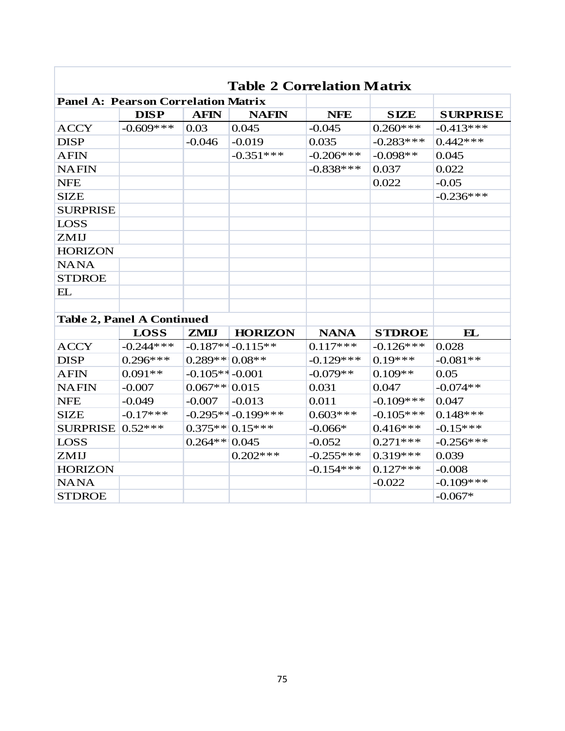| Table 2 Correlation Matrix                 |                                   |                   |                       |              |               |                 |  |  |
|--------------------------------------------|-----------------------------------|-------------------|-----------------------|--------------|---------------|-----------------|--|--|
| <b>Panel A: Pearson Correlation Matrix</b> |                                   |                   |                       |              |               |                 |  |  |
|                                            | <b>DISP</b>                       | <b>AFIN</b>       | <b>NAFIN</b>          | <b>NFE</b>   | <b>SIZE</b>   | <b>SURPRISE</b> |  |  |
| <b>ACCY</b>                                | $-0.609$ ***                      | 0.03              | 0.045                 | $-0.045$     | $0.260$ ***   | $-0.413***$     |  |  |
| <b>DISP</b>                                |                                   | $-0.046$          | $-0.019$              | 0.035        | $-0.283***$   | $0.442***$      |  |  |
| <b>AFIN</b>                                |                                   |                   | $-0.351***$           | $-0.206***$  | $-0.098**$    | 0.045           |  |  |
| <b>NAFIN</b>                               |                                   |                   |                       | $-0.838***$  | 0.037         | 0.022           |  |  |
| <b>NFE</b>                                 |                                   |                   |                       |              | 0.022         | $-0.05$         |  |  |
| <b>SIZE</b>                                |                                   |                   |                       |              |               | $-0.236***$     |  |  |
| <b>SURPRISE</b>                            |                                   |                   |                       |              |               |                 |  |  |
| <b>LOSS</b>                                |                                   |                   |                       |              |               |                 |  |  |
| ZMIJ                                       |                                   |                   |                       |              |               |                 |  |  |
| <b>HORIZON</b>                             |                                   |                   |                       |              |               |                 |  |  |
| <b>NANA</b>                                |                                   |                   |                       |              |               |                 |  |  |
| <b>STDROE</b>                              |                                   |                   |                       |              |               |                 |  |  |
| EL                                         |                                   |                   |                       |              |               |                 |  |  |
|                                            |                                   |                   |                       |              |               |                 |  |  |
|                                            | <b>Table 2, Panel A Continued</b> |                   |                       |              |               |                 |  |  |
|                                            | <b>LOSS</b>                       | <b>ZMIJ</b>       | <b>HORIZON</b>        | <b>NANA</b>  | <b>STDROE</b> | $\mathbf{E}$    |  |  |
| <b>ACCY</b>                                | $-0.244***$                       |                   | $-0.187**$ $-0.115**$ | $0.117***$   | $-0.126***$   | 0.028           |  |  |
| <b>DISP</b>                                | $0.296***$                        | $0.289** 0.08**$  |                       | $-0.129$ *** | $0.19***$     | $-0.081**$      |  |  |
| <b>AFIN</b>                                | $0.091**$                         | $-0.105**$ -0.001 |                       | $-0.079**$   | $0.109**$     | 0.05            |  |  |
| <b>NAFIN</b>                               | $-0.007$                          | $0.067** 0.015$   |                       | 0.031        | 0.047         | $-0.074**$      |  |  |
| <b>NFE</b>                                 | $-0.049$                          | $-0.007$          | $-0.013$              | 0.011        | $-0.109$ ***  | 0.047           |  |  |
| <b>SIZE</b>                                | $-0.17***$                        |                   | $-0.295**-0.199***$   | $0.603***$   | $-0.105***$   | $0.148***$      |  |  |
| <b>SURPRISE</b>                            | $0.52***$                         |                   | $0.375**$ 0.15***     | $-0.066*$    | $0.416***$    | $-0.15***$      |  |  |
| <b>LOSS</b>                                |                                   | $0.264** 0.045$   |                       | $-0.052$     | $0.271***$    | $-0.256***$     |  |  |
| ZMIJ                                       |                                   |                   | $0.202***$            | $-0.255***$  | $0.319***$    | 0.039           |  |  |
| <b>HORIZON</b>                             |                                   |                   |                       | $-0.154***$  | $0.127***$    | $-0.008$        |  |  |
| <b>NANA</b>                                |                                   |                   |                       |              | $-0.022$      | $-0.109$ ***    |  |  |
| <b>STDROE</b>                              |                                   |                   |                       |              |               | $-0.067*$       |  |  |

# **Table 2 Correlation Matrix**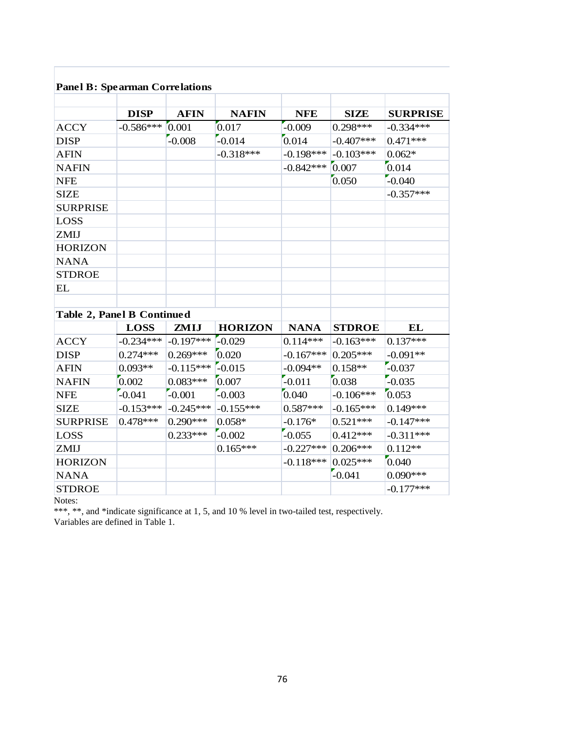# **Panel B: Spearman Correlations**

|                            | <b>DISP</b> | <b>AFIN</b> | <b>NAFIN</b>   | <b>NFE</b>  | <b>SIZE</b>   | <b>SURPRISE</b> |
|----------------------------|-------------|-------------|----------------|-------------|---------------|-----------------|
| <b>ACCY</b>                | $-0.586***$ | 0.001       | 0.017          | $-0.009$    | $0.298***$    | $-0.334***$     |
| <b>DISP</b>                |             | $-0.008$    | $-0.014$       | 0.014       | $-0.407***$   | $0.471***$      |
| <b>AFIN</b>                |             |             | $-0.318***$    | $-0.198***$ | $-0.103***$   | $0.062*$        |
| <b>NAFIN</b>               |             |             |                | $-0.842***$ | 0.007         | 0.014           |
| <b>NFE</b>                 |             |             |                |             | 0.050         | $-0.040$        |
| <b>SIZE</b>                |             |             |                |             |               | $-0.357***$     |
| <b>SURPRISE</b>            |             |             |                |             |               |                 |
| <b>LOSS</b>                |             |             |                |             |               |                 |
| ZMIJ                       |             |             |                |             |               |                 |
| <b>HORIZON</b>             |             |             |                |             |               |                 |
| <b>NANA</b>                |             |             |                |             |               |                 |
| <b>STDROE</b>              |             |             |                |             |               |                 |
| EL                         |             |             |                |             |               |                 |
|                            |             |             |                |             |               |                 |
| Table 2, Panel B Continued |             |             |                |             |               |                 |
|                            | <b>LOSS</b> | ZMIJ        | <b>HORIZON</b> | <b>NANA</b> | <b>STDROE</b> | EL              |
| <b>ACCY</b>                | $-0.234***$ | $-0.197***$ | $-0.029$       | $0.114***$  | $-0.163***$   | $0.137***$      |
| <b>DISP</b>                | $0.274***$  | $0.269***$  | 0.020          | $-0.167***$ | $0.205***$    | $-0.091**$      |
| <b>AFIN</b>                | $0.093**$   | $-0.115***$ | $-0.015$       | $-0.094**$  | $0.158**$     | $-0.037$        |
| <b>NAFIN</b>               | 0.002       | $0.083***$  | 0.007          | $-0.011$    | 0.038         | $-0.035$        |
| <b>NFE</b>                 | $-0.041$    | $-0.001$    | $-0.003$       | 0.040       | $-0.106***$   | [0.053]         |
| <b>SIZE</b>                | $-0.153***$ | $-0.245***$ | $-0.155***$    | $0.587***$  | $-0.165***$   | $0.149***$      |
| <b>SURPRISE</b>            | $0.478***$  | $0.290***$  | $0.058*$       | $-0.176*$   | $0.521***$    | $-0.147***$     |
| <b>LOSS</b>                |             | $0.233***$  | $-0.002$       | $-0.055$    | $0.412***$    | $-0.311***$     |
| ZMIJ                       |             |             | $0.165***$     | $-0.227***$ | $0.206***$    | $0.112**$       |
| <b>HORIZON</b>             |             |             |                | $-0.118***$ | $0.025***$    | 0.040           |
| <b>NANA</b>                |             |             |                |             | $-0.041$      | $0.090***$      |
| <b>STDROE</b>              |             |             |                |             |               | $-0.177***$     |

Notes:

\*\*\*, \*\*, and \*indicate significance at 1, 5, and 10 % level in two-tailed test, respectively.

Variables are defined in Table 1.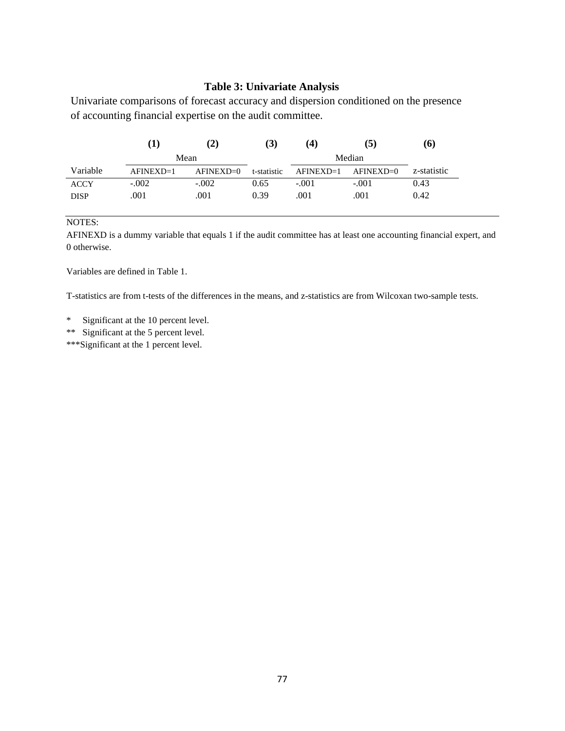# **Table 3: Univariate Analysis**

Univariate comparisons of forecast accuracy and dispersion conditioned on the presence of accounting financial expertise on the audit committee.

|             | (1)       | (2)           | (3)         | (4)         | (5)       | (6)         |
|-------------|-----------|---------------|-------------|-------------|-----------|-------------|
|             |           | Mean          |             |             | Median    |             |
| Variable    | AFINEXD=1 | $AFINEXD = 0$ | t-statistic | $AFINEXD=1$ | AFINEXD=0 | z-statistic |
| <b>ACCY</b> | $-.002$   | $-.002$       | 0.65        | $-.001$     | $-.001$   | 0.43        |
| <b>DISP</b> | .001      | .001          | 0.39        | .001        | .001      | 0.42        |

NOTES:

AFINEXD is a dummy variable that equals 1 if the audit committee has at least one accounting financial expert, and 0 otherwise.

Variables are defined in Table 1.

T-statistics are from t-tests of the differences in the means, and z-statistics are from Wilcoxan two-sample tests.

\* Significant at the 10 percent level.

\*\* Significant at the 5 percent level.

\*\*\*Significant at the 1 percent level.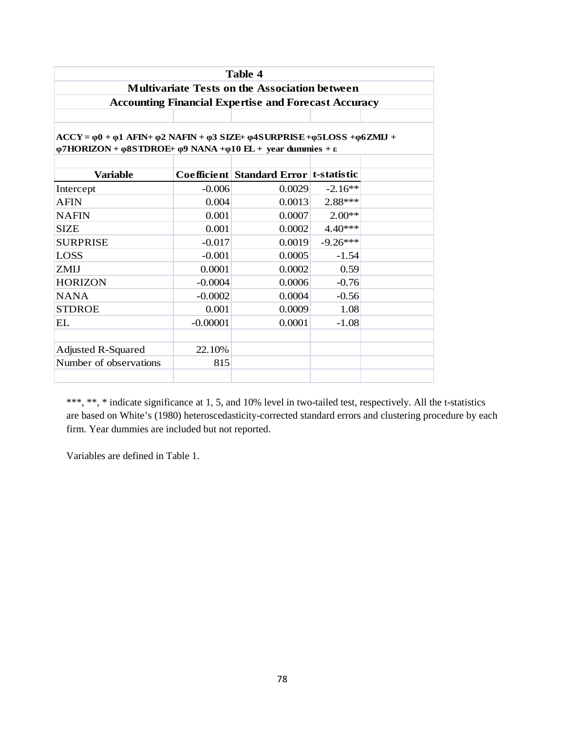|                                                                                                                                                                                                                                          |            | Table 4                                                     |            |  |  |  |  |
|------------------------------------------------------------------------------------------------------------------------------------------------------------------------------------------------------------------------------------------|------------|-------------------------------------------------------------|------------|--|--|--|--|
|                                                                                                                                                                                                                                          |            | <b>Multivariate Tests on the Association between</b>        |            |  |  |  |  |
|                                                                                                                                                                                                                                          |            | <b>Accounting Financial Expertise and Forecast Accuracy</b> |            |  |  |  |  |
|                                                                                                                                                                                                                                          |            |                                                             |            |  |  |  |  |
| $ACCY = \varphi 0 + \varphi 1$ AFIN+ $\varphi 2$ NAFIN + $\varphi 3$ SIZE+ $\varphi 4$ SURPRISE + $\varphi 5$ LOSS + $\varphi 6$ ZMLJ +<br>$\varphi$ 7HORIZON + $\varphi$ 8STDROE+ $\varphi$ 9 NANA + $\varphi$ 10 EL + year dummies + ε |            |                                                             |            |  |  |  |  |
| <b>Variable</b>                                                                                                                                                                                                                          |            | Coefficient Standard Error t-statistic                      |            |  |  |  |  |
| Intercept                                                                                                                                                                                                                                | $-0.006$   | 0.0029                                                      | $-2.16**$  |  |  |  |  |
| <b>AFIN</b>                                                                                                                                                                                                                              | 0.004      | 0.0013                                                      | $2.88***$  |  |  |  |  |
| <b>NAFIN</b>                                                                                                                                                                                                                             | 0.001      | 0.0007                                                      | $2.00**$   |  |  |  |  |
| <b>SIZE</b>                                                                                                                                                                                                                              | 0.001      | 0.0002                                                      | $4.40***$  |  |  |  |  |
| <b>SURPRISE</b>                                                                                                                                                                                                                          | $-0.017$   | 0.0019                                                      | $-9.26***$ |  |  |  |  |
| <b>LOSS</b>                                                                                                                                                                                                                              | $-0.001$   | 0.0005                                                      | $-1.54$    |  |  |  |  |
| ZMIJ                                                                                                                                                                                                                                     | 0.0001     | 0.0002                                                      | 0.59       |  |  |  |  |
| <b>HORIZON</b>                                                                                                                                                                                                                           | $-0.0004$  | 0.0006                                                      | $-0.76$    |  |  |  |  |
| <b>NANA</b>                                                                                                                                                                                                                              | $-0.0002$  | 0.0004                                                      | $-0.56$    |  |  |  |  |
| <b>STDROE</b>                                                                                                                                                                                                                            | 0.001      | 0.0009                                                      | 1.08       |  |  |  |  |
| EL.                                                                                                                                                                                                                                      | $-0.00001$ | 0.0001                                                      | $-1.08$    |  |  |  |  |
| <b>Adjusted R-Squared</b>                                                                                                                                                                                                                | 22.10%     |                                                             |            |  |  |  |  |
| Number of observations                                                                                                                                                                                                                   | 815        |                                                             |            |  |  |  |  |

\*\*\*, \*\*, \* indicate significance at 1, 5, and 10% level in two-tailed test, respectively. All the t-statistics are based on White's (1980) heteroscedasticity-corrected standard errors and clustering procedure by each firm. Year dummies are included but not reported.

Variables are defined in Table 1.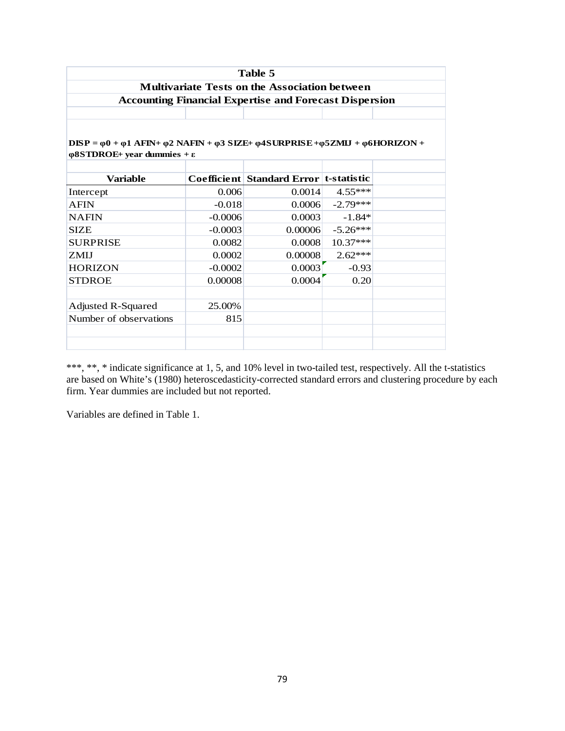|                                                                                                                                          |           | Table 5                                                       |            |  |  |  |  |  |  |
|------------------------------------------------------------------------------------------------------------------------------------------|-----------|---------------------------------------------------------------|------------|--|--|--|--|--|--|
|                                                                                                                                          |           | <b>Multivariate Tests on the Association between</b>          |            |  |  |  |  |  |  |
|                                                                                                                                          |           | <b>Accounting Financial Expertise and Forecast Dispersion</b> |            |  |  |  |  |  |  |
|                                                                                                                                          |           |                                                               |            |  |  |  |  |  |  |
|                                                                                                                                          |           |                                                               |            |  |  |  |  |  |  |
| $DISP = \varphi 0 + \varphi 1$ AFIN+ $\varphi 2$ NAFIN + $\varphi 3$ SIZE+ $\varphi 4$ SURPRISE + $\varphi 5ZMIJ$ + $\varphi 6HORIZON$ + |           |                                                               |            |  |  |  |  |  |  |
| $\phi$ 8STDROE+ vear dummies + ε                                                                                                         |           |                                                               |            |  |  |  |  |  |  |
|                                                                                                                                          |           |                                                               |            |  |  |  |  |  |  |
| <b>Variable</b>                                                                                                                          |           | Coefficient   Standard Error   t-statistic                    |            |  |  |  |  |  |  |
| Intercept                                                                                                                                | 0.006     | 0.0014                                                        | $4.55***$  |  |  |  |  |  |  |
| <b>AFIN</b>                                                                                                                              | $-0.018$  | 0.0006                                                        | $-2.79***$ |  |  |  |  |  |  |
| <b>NAFIN</b>                                                                                                                             | $-0.0006$ | 0.0003                                                        | $-1.84*$   |  |  |  |  |  |  |
| <b>SIZE</b>                                                                                                                              | $-0.0003$ | 0.00006                                                       | $-5.26***$ |  |  |  |  |  |  |
| <b>SURPRISE</b>                                                                                                                          | 0.0082    | 0.0008                                                        | $10.37***$ |  |  |  |  |  |  |
| <b>ZMII</b>                                                                                                                              | 0.0002    | 0.00008                                                       | $2.62***$  |  |  |  |  |  |  |
| <b>HORIZON</b>                                                                                                                           | $-0.0002$ | 0.0003                                                        | $-0.93$    |  |  |  |  |  |  |
| <b>STDROE</b>                                                                                                                            | 0.00008   | 0.0004                                                        | 0.20       |  |  |  |  |  |  |
|                                                                                                                                          |           |                                                               |            |  |  |  |  |  |  |
| <b>Adjusted R-Squared</b>                                                                                                                | 25.00%    |                                                               |            |  |  |  |  |  |  |
| Number of observations                                                                                                                   | 815       |                                                               |            |  |  |  |  |  |  |
|                                                                                                                                          |           |                                                               |            |  |  |  |  |  |  |
|                                                                                                                                          |           |                                                               |            |  |  |  |  |  |  |

\*\*\*, \*\*, \* indicate significance at 1, 5, and 10% level in two-tailed test, respectively. All the t-statistics are based on White's (1980) heteroscedasticity-corrected standard errors and clustering procedure by each firm. Year dummies are included but not reported.

Variables are defined in Table 1.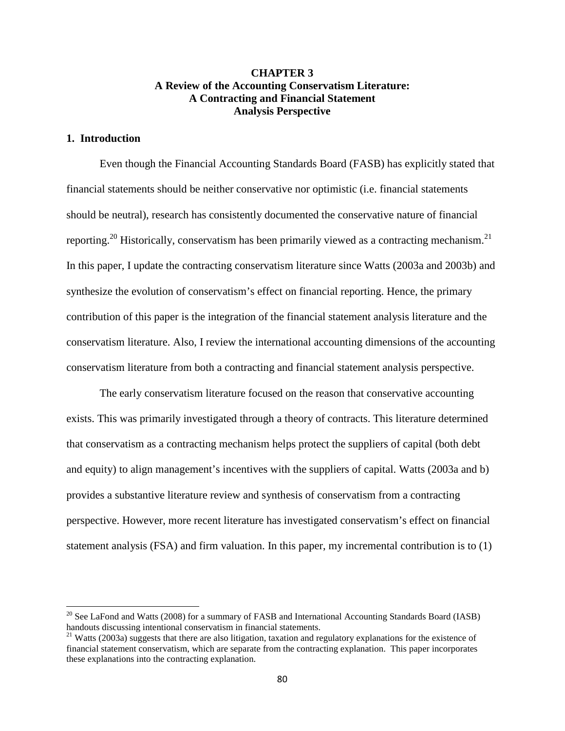# **CHAPTER 3 A Review of the Accounting Conservatism Literature: A Contracting and Financial Statement Analysis Perspective**

# **1. Introduction**

 $\overline{a}$ 

Even though the Financial Accounting Standards Board (FASB) has explicitly stated that financial statements should be neither conservative nor optimistic (i.e. financial statements should be neutral), research has consistently documented the conservative nature of financial reporting.<sup>20</sup> Historically, conservatism has been primarily viewed as a contracting mechanism.<sup>21</sup> In this paper, I update the contracting conservatism literature since Watts (2003a and 2003b) and synthesize the evolution of conservatism's effect on financial reporting. Hence, the primary contribution of this paper is the integration of the financial statement analysis literature and the conservatism literature. Also, I review the international accounting dimensions of the accounting conservatism literature from both a contracting and financial statement analysis perspective.

The early conservatism literature focused on the reason that conservative accounting exists. This was primarily investigated through a theory of contracts. This literature determined that conservatism as a contracting mechanism helps protect the suppliers of capital (both debt and equity) to align management's incentives with the suppliers of capital. Watts (2003a and b) provides a substantive literature review and synthesis of conservatism from a contracting perspective. However, more recent literature has investigated conservatism's effect on financial statement analysis (FSA) and firm valuation. In this paper, my incremental contribution is to (1)

 $^{20}$  See LaFond and Watts (2008) for a summary of FASB and International Accounting Standards Board (IASB) handouts discussing intentional conservatism in financial statements.

 $21$  Watts (2003a) suggests that there are also litigation, taxation and regulatory explanations for the existence of financial statement conservatism, which are separate from the contracting explanation. This paper incorporates these explanations into the contracting explanation.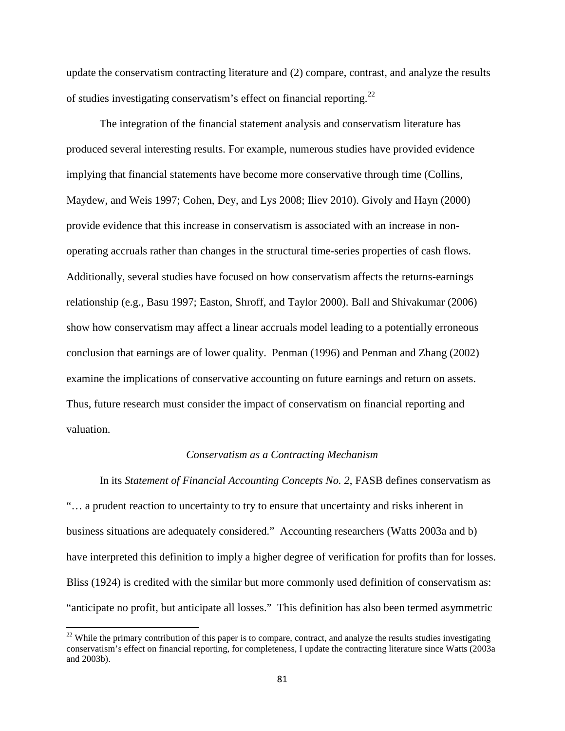update the conservatism contracting literature and (2) compare, contrast, and analyze the results of studies investigating conservatism's effect on financial reporting.<sup>22</sup>

The integration of the financial statement analysis and conservatism literature has produced several interesting results. For example, numerous studies have provided evidence implying that financial statements have become more conservative through time (Collins, Maydew, and Weis 1997; Cohen, Dey, and Lys 2008; Iliev 2010). Givoly and Hayn (2000) provide evidence that this increase in conservatism is associated with an increase in nonoperating accruals rather than changes in the structural time-series properties of cash flows. Additionally, several studies have focused on how conservatism affects the returns-earnings relationship (e.g., Basu 1997; Easton, Shroff, and Taylor 2000). Ball and Shivakumar (2006) show how conservatism may affect a linear accruals model leading to a potentially erroneous conclusion that earnings are of lower quality. Penman (1996) and Penman and Zhang (2002) examine the implications of conservative accounting on future earnings and return on assets. Thus, future research must consider the impact of conservatism on financial reporting and valuation.

# *Conservatism as a Contracting Mechanism*

In its *Statement of Financial Accounting Concepts No. 2*, FASB defines conservatism as "… a prudent reaction to uncertainty to try to ensure that uncertainty and risks inherent in business situations are adequately considered." Accounting researchers (Watts 2003a and b) have interpreted this definition to imply a higher degree of verification for profits than for losses. Bliss (1924) is credited with the similar but more commonly used definition of conservatism as: "anticipate no profit, but anticipate all losses." This definition has also been termed asymmetric

 $\overline{a}$ 

 $22$  While the primary contribution of this paper is to compare, contract, and analyze the results studies investigating conservatism's effect on financial reporting, for completeness, I update the contracting literature since Watts (2003a and 2003b).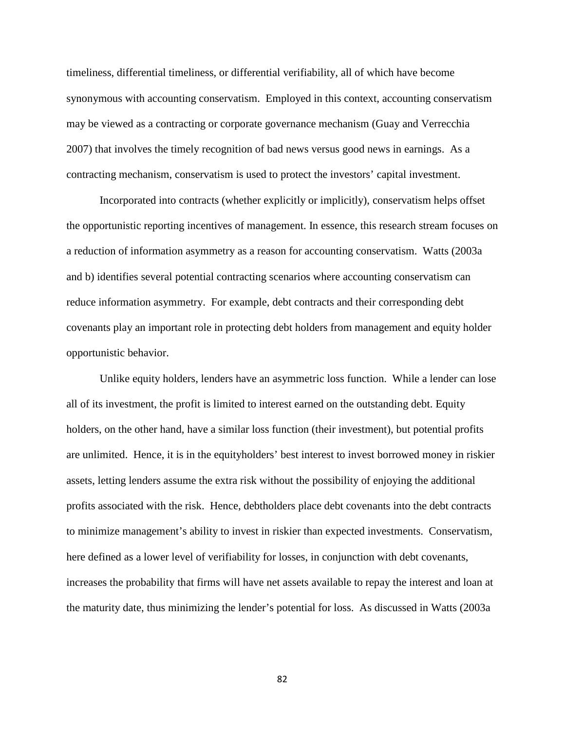timeliness, differential timeliness, or differential verifiability, all of which have become synonymous with accounting conservatism. Employed in this context, accounting conservatism may be viewed as a contracting or corporate governance mechanism (Guay and Verrecchia 2007) that involves the timely recognition of bad news versus good news in earnings. As a contracting mechanism, conservatism is used to protect the investors' capital investment.

Incorporated into contracts (whether explicitly or implicitly), conservatism helps offset the opportunistic reporting incentives of management. In essence, this research stream focuses on a reduction of information asymmetry as a reason for accounting conservatism. Watts (2003a and b) identifies several potential contracting scenarios where accounting conservatism can reduce information asymmetry. For example, debt contracts and their corresponding debt covenants play an important role in protecting debt holders from management and equity holder opportunistic behavior.

Unlike equity holders, lenders have an asymmetric loss function. While a lender can lose all of its investment, the profit is limited to interest earned on the outstanding debt. Equity holders, on the other hand, have a similar loss function (their investment), but potential profits are unlimited. Hence, it is in the equityholders' best interest to invest borrowed money in riskier assets, letting lenders assume the extra risk without the possibility of enjoying the additional profits associated with the risk. Hence, debtholders place debt covenants into the debt contracts to minimize management's ability to invest in riskier than expected investments. Conservatism, here defined as a lower level of verifiability for losses, in conjunction with debt covenants, increases the probability that firms will have net assets available to repay the interest and loan at the maturity date, thus minimizing the lender's potential for loss. As discussed in Watts (2003a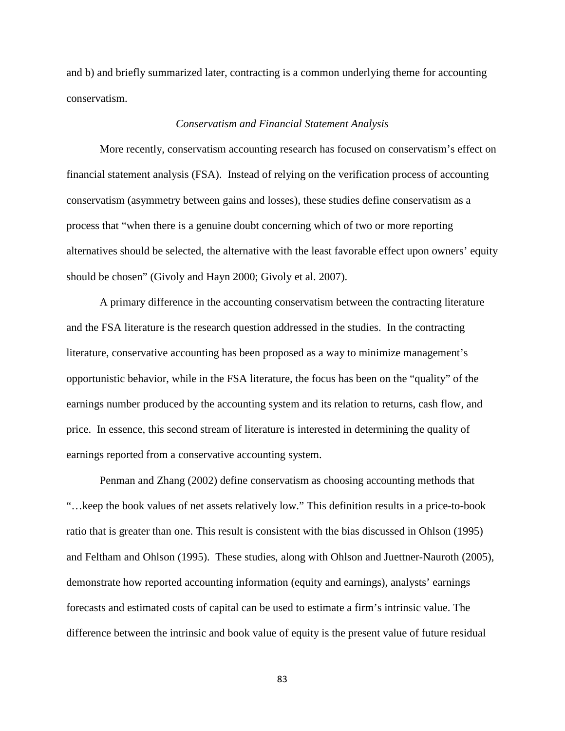and b) and briefly summarized later, contracting is a common underlying theme for accounting conservatism.

### *Conservatism and Financial Statement Analysis*

More recently, conservatism accounting research has focused on conservatism's effect on financial statement analysis (FSA). Instead of relying on the verification process of accounting conservatism (asymmetry between gains and losses), these studies define conservatism as a process that "when there is a genuine doubt concerning which of two or more reporting alternatives should be selected, the alternative with the least favorable effect upon owners' equity should be chosen" (Givoly and Hayn 2000; Givoly et al. 2007).

A primary difference in the accounting conservatism between the contracting literature and the FSA literature is the research question addressed in the studies. In the contracting literature, conservative accounting has been proposed as a way to minimize management's opportunistic behavior, while in the FSA literature, the focus has been on the "quality" of the earnings number produced by the accounting system and its relation to returns, cash flow, and price. In essence, this second stream of literature is interested in determining the quality of earnings reported from a conservative accounting system.

Penman and Zhang (2002) define conservatism as choosing accounting methods that "…keep the book values of net assets relatively low." This definition results in a price-to-book ratio that is greater than one. This result is consistent with the bias discussed in Ohlson (1995) and Feltham and Ohlson (1995). These studies, along with Ohlson and Juettner-Nauroth (2005), demonstrate how reported accounting information (equity and earnings), analysts' earnings forecasts and estimated costs of capital can be used to estimate a firm's intrinsic value. The difference between the intrinsic and book value of equity is the present value of future residual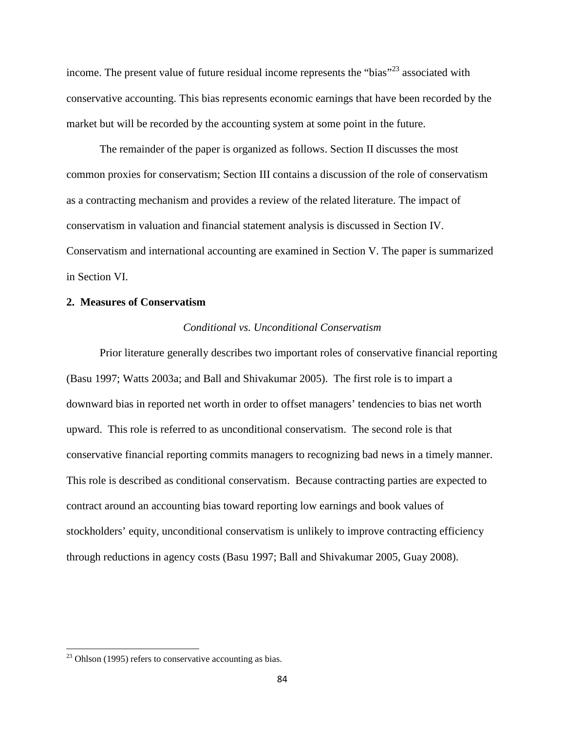income. The present value of future residual income represents the "bias"<sup>23</sup> associated with conservative accounting. This bias represents economic earnings that have been recorded by the market but will be recorded by the accounting system at some point in the future.

The remainder of the paper is organized as follows. Section II discusses the most common proxies for conservatism; Section III contains a discussion of the role of conservatism as a contracting mechanism and provides a review of the related literature. The impact of conservatism in valuation and financial statement analysis is discussed in Section IV. Conservatism and international accounting are examined in Section V. The paper is summarized in Section VI.

# **2. Measures of Conservatism**

### *Conditional vs. Unconditional Conservatism*

Prior literature generally describes two important roles of conservative financial reporting (Basu 1997; Watts 2003a; and Ball and Shivakumar 2005). The first role is to impart a downward bias in reported net worth in order to offset managers' tendencies to bias net worth upward. This role is referred to as unconditional conservatism. The second role is that conservative financial reporting commits managers to recognizing bad news in a timely manner. This role is described as conditional conservatism. Because contracting parties are expected to contract around an accounting bias toward reporting low earnings and book values of stockholders' equity, unconditional conservatism is unlikely to improve contracting efficiency through reductions in agency costs (Basu 1997; Ball and Shivakumar 2005, Guay 2008).

 $\overline{a}$ 

 $23$  Ohlson (1995) refers to conservative accounting as bias.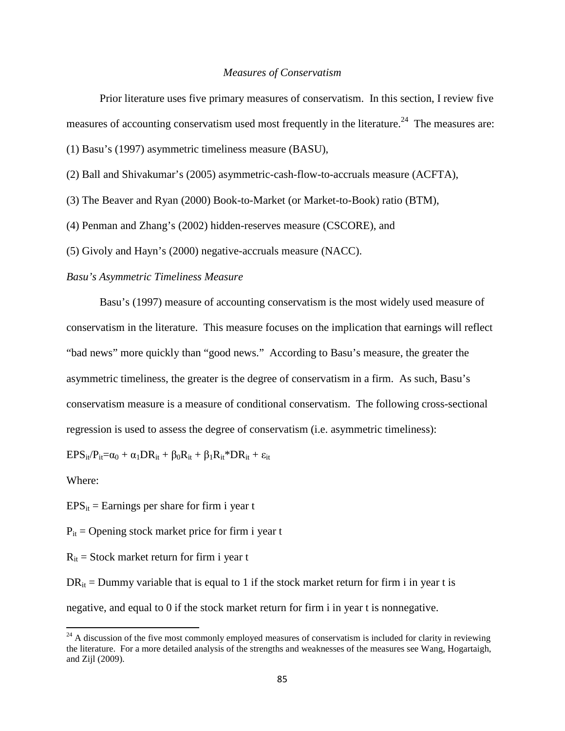#### *Measures of Conservatism*

Prior literature uses five primary measures of conservatism. In this section, I review five measures of accounting conservatism used most frequently in the literature.<sup>24</sup> The measures are:

(1) Basu's (1997) asymmetric timeliness measure (BASU),

(2) Ball and Shivakumar's (2005) asymmetric-cash-flow-to-accruals measure (ACFTA),

(3) The Beaver and Ryan (2000) Book-to-Market (or Market-to-Book) ratio (BTM),

(4) Penman and Zhang's (2002) hidden-reserves measure (CSCORE), and

(5) Givoly and Hayn's (2000) negative-accruals measure (NACC).

### *Basu's Asymmetric Timeliness Measure*

Basu's (1997) measure of accounting conservatism is the most widely used measure of conservatism in the literature. This measure focuses on the implication that earnings will reflect "bad news" more quickly than "good news." According to Basu's measure, the greater the asymmetric timeliness, the greater is the degree of conservatism in a firm. As such, Basu's conservatism measure is a measure of conditional conservatism. The following cross-sectional regression is used to assess the degree of conservatism (i.e. asymmetric timeliness):

 $EPS_{it}/P_{it}=\alpha_0 + \alpha_1 DR_{it} + \beta_0R_{it} + \beta_1R_{it} * DR_{it} + \epsilon_{it}$ 

Where:

 $\overline{a}$ 

 $EPS_{it}$  = Earnings per share for firm i year t

 $P_{it}$  = Opening stock market price for firm i year t

 $R_{it}$  = Stock market return for firm i year t

 $DR_{it}$  = Dummy variable that is equal to 1 if the stock market return for firm i in year t is negative, and equal to 0 if the stock market return for firm i in year t is nonnegative.

 $^{24}$  A discussion of the five most commonly employed measures of conservatism is included for clarity in reviewing the literature. For a more detailed analysis of the strengths and weaknesses of the measures see Wang, Hogartaigh, and Zijl (2009).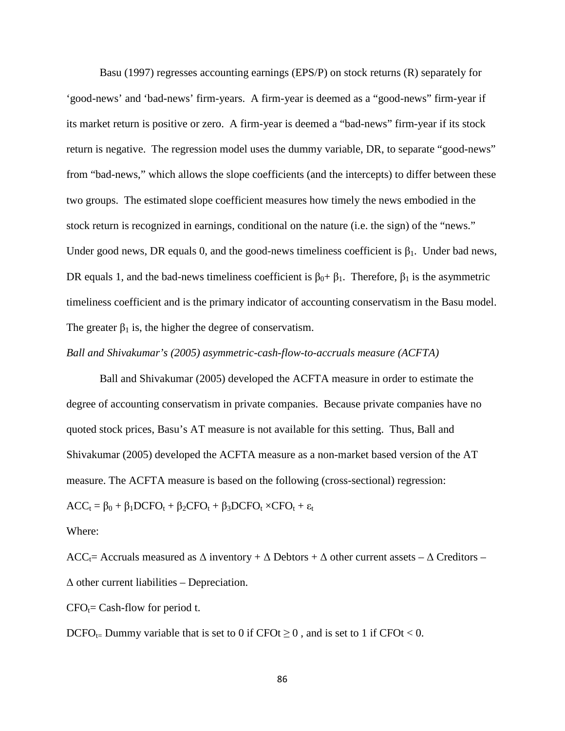Basu (1997) regresses accounting earnings (EPS/P) on stock returns (R) separately for 'good-news' and 'bad-news' firm-years. A firm-year is deemed as a "good-news" firm-year if its market return is positive or zero. A firm-year is deemed a "bad-news" firm-year if its stock return is negative. The regression model uses the dummy variable, DR, to separate "good-news" from "bad-news," which allows the slope coefficients (and the intercepts) to differ between these two groups. The estimated slope coefficient measures how timely the news embodied in the stock return is recognized in earnings, conditional on the nature (i.e. the sign) of the "news." Under good news, DR equals 0, and the good-news timeliness coefficient is  $\beta_1$ . Under bad news, DR equals 1, and the bad-news timeliness coefficient is  $\beta_0 + \beta_1$ . Therefore,  $\beta_1$  is the asymmetric timeliness coefficient and is the primary indicator of accounting conservatism in the Basu model. The greater  $\beta_1$  is, the higher the degree of conservatism.

*Ball and Shivakumar's (2005) asymmetric-cash-flow-to-accruals measure (ACFTA)* 

Ball and Shivakumar (2005) developed the ACFTA measure in order to estimate the degree of accounting conservatism in private companies. Because private companies have no quoted stock prices, Basu's AT measure is not available for this setting. Thus, Ball and Shivakumar (2005) developed the ACFTA measure as a non-market based version of the AT measure. The ACFTA measure is based on the following (cross-sectional) regression:

 $ACC_t = \beta_0 + \beta_1 DCFO_t + \beta_2 CFO_t + \beta_3 DCFO_t \times CFO_t + \epsilon_t$ 

Where:

ACC<sub>t</sub>= Accruals measured as  $\Delta$  inventory +  $\Delta$  Debtors +  $\Delta$  other current assets –  $\Delta$  Creditors –  $\Delta$  other current liabilities – Depreciation.

 $CFO<sub>t</sub>=$  Cash-flow for period t.

DCFO<sub>t=</sub> Dummy variable that is set to 0 if CFOt  $\geq$  0, and is set to 1 if CFOt < 0.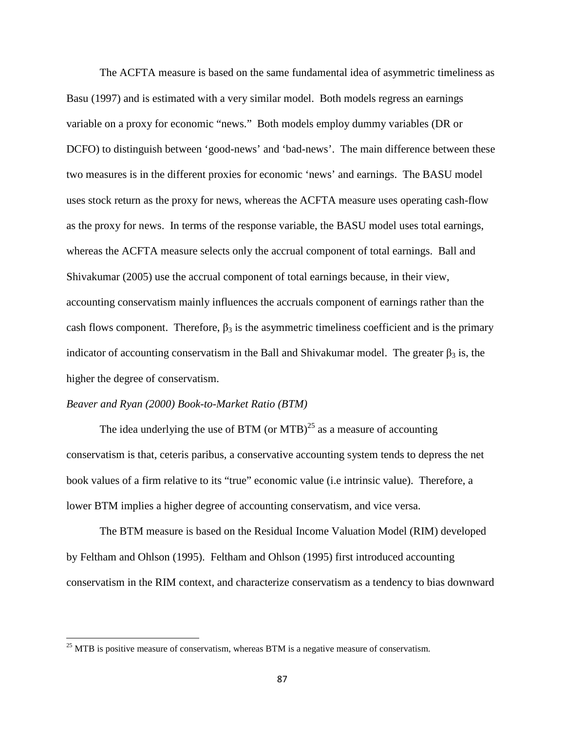The ACFTA measure is based on the same fundamental idea of asymmetric timeliness as Basu (1997) and is estimated with a very similar model. Both models regress an earnings variable on a proxy for economic "news." Both models employ dummy variables (DR or DCFO) to distinguish between 'good-news' and 'bad-news'. The main difference between these two measures is in the different proxies for economic 'news' and earnings. The BASU model uses stock return as the proxy for news, whereas the ACFTA measure uses operating cash-flow as the proxy for news. In terms of the response variable, the BASU model uses total earnings, whereas the ACFTA measure selects only the accrual component of total earnings. Ball and Shivakumar (2005) use the accrual component of total earnings because, in their view, accounting conservatism mainly influences the accruals component of earnings rather than the cash flows component. Therefore,  $\beta_3$  is the asymmetric timeliness coefficient and is the primary indicator of accounting conservatism in the Ball and Shivakumar model. The greater  $\beta_3$  is, the higher the degree of conservatism.

## *Beaver and Ryan (2000) Book-to-Market Ratio (BTM)*

 $\overline{a}$ 

The idea underlying the use of BTM (or MTB)<sup>25</sup> as a measure of accounting conservatism is that, ceteris paribus, a conservative accounting system tends to depress the net book values of a firm relative to its "true" economic value (i.e intrinsic value). Therefore, a lower BTM implies a higher degree of accounting conservatism, and vice versa.

The BTM measure is based on the Residual Income Valuation Model (RIM) developed by Feltham and Ohlson (1995). Feltham and Ohlson (1995) first introduced accounting conservatism in the RIM context, and characterize conservatism as a tendency to bias downward

 $25$  MTB is positive measure of conservatism, whereas BTM is a negative measure of conservatism.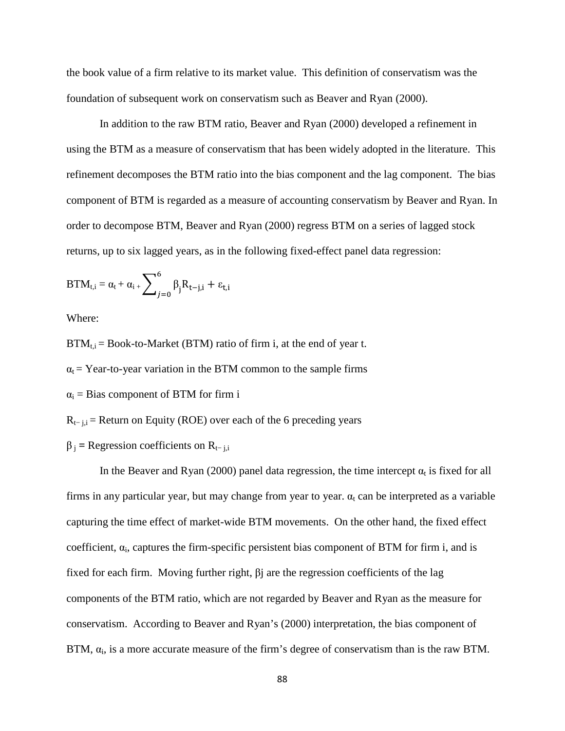the book value of a firm relative to its market value. This definition of conservatism was the foundation of subsequent work on conservatism such as Beaver and Ryan (2000).

In addition to the raw BTM ratio, Beaver and Ryan (2000) developed a refinement in using the BTM as a measure of conservatism that has been widely adopted in the literature. This refinement decomposes the BTM ratio into the bias component and the lag component. The bias component of BTM is regarded as a measure of accounting conservatism by Beaver and Ryan. In order to decompose BTM, Beaver and Ryan (2000) regress BTM on a series of lagged stock returns, up to six lagged years, as in the following fixed-effect panel data regression:

$$
BTM_{t,i}=\alpha_t+\alpha_i\mathbf{1}_+\sum\nolimits_{j=0}^6\beta_jR_{t-j,i}+\epsilon_{t,i}
$$

Where:

 $BTM_{t,i} = Book-to-Marker (BTM) ratio of firm i, at the end of year t.$ 

 $\alpha_t$  = Year-to-year variation in the BTM common to the sample firms

 $\alpha_i$  = Bias component of BTM for firm i

 $R_{t-1,i}$  = Return on Equity (ROE) over each of the 6 preceding years

 $\beta$ <sub>j</sub> = Regression coefficients on R<sub>t− j,i</sub>

In the Beaver and Ryan (2000) panel data regression, the time intercept  $\alpha_t$  is fixed for all firms in any particular year, but may change from year to year.  $\alpha_t$  can be interpreted as a variable capturing the time effect of market-wide BTM movements. On the other hand, the fixed effect coefficient,  $\alpha_i$ , captures the firm-specific persistent bias component of BTM for firm i, and is fixed for each firm. Moving further right, βj are the regression coefficients of the lag components of the BTM ratio, which are not regarded by Beaver and Ryan as the measure for conservatism. According to Beaver and Ryan's (2000) interpretation, the bias component of BTM,  $\alpha_i$ , is a more accurate measure of the firm's degree of conservatism than is the raw BTM.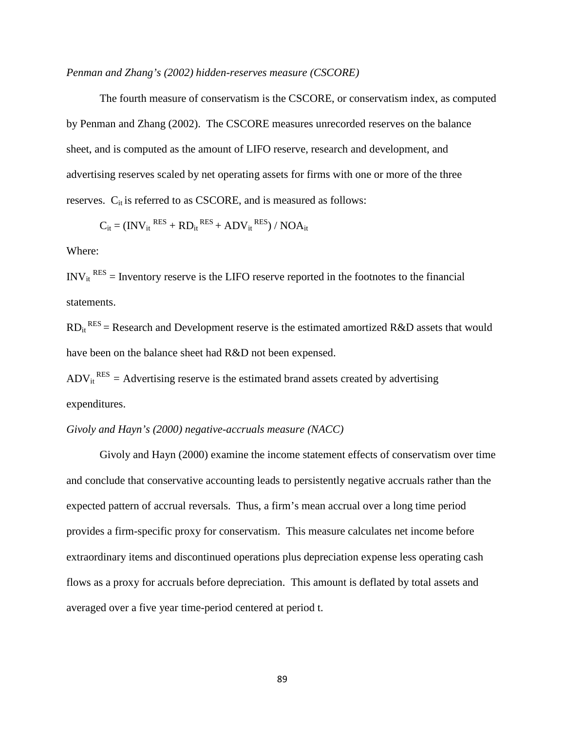### *Penman and Zhang's (2002) hidden-reserves measure (CSCORE)*

The fourth measure of conservatism is the CSCORE, or conservatism index, as computed by Penman and Zhang (2002). The CSCORE measures unrecorded reserves on the balance sheet, and is computed as the amount of LIFO reserve, research and development, and advertising reserves scaled by net operating assets for firms with one or more of the three reserves.  $C_{it}$  is referred to as CSCORE, and is measured as follows:

$$
C_{it} = (INV_{it}^{RES} + RD_{it}^{RES} + ADV_{it}^{RES}) / NOA_{it}
$$

### Where:

 $INV_{it}^{RES}$  = Inventory reserve is the LIFO reserve reported in the footnotes to the financial statements.

 $RD_{it}^{RES}$  = Research and Development reserve is the estimated amortized R&D assets that would have been on the balance sheet had R&D not been expensed.

 $ADV_{it}^{RES} = Advertising$  reserve is the estimated brand assets created by advertising expenditures.

# *Givoly and Hayn's (2000) negative-accruals measure (NACC)*

Givoly and Hayn (2000) examine the income statement effects of conservatism over time and conclude that conservative accounting leads to persistently negative accruals rather than the expected pattern of accrual reversals. Thus, a firm's mean accrual over a long time period provides a firm-specific proxy for conservatism. This measure calculates net income before extraordinary items and discontinued operations plus depreciation expense less operating cash flows as a proxy for accruals before depreciation. This amount is deflated by total assets and averaged over a five year time-period centered at period t.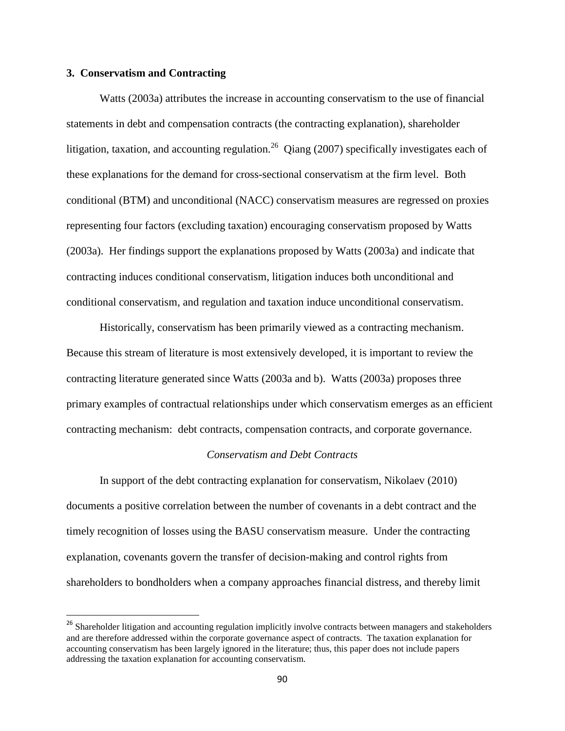### **3. Conservatism and Contracting**

 $\overline{a}$ 

Watts (2003a) attributes the increase in accounting conservatism to the use of financial statements in debt and compensation contracts (the contracting explanation), shareholder litigation, taxation, and accounting regulation.<sup>26</sup> Qiang (2007) specifically investigates each of these explanations for the demand for cross-sectional conservatism at the firm level. Both conditional (BTM) and unconditional (NACC) conservatism measures are regressed on proxies representing four factors (excluding taxation) encouraging conservatism proposed by Watts (2003a). Her findings support the explanations proposed by Watts (2003a) and indicate that contracting induces conditional conservatism, litigation induces both unconditional and conditional conservatism, and regulation and taxation induce unconditional conservatism.

Historically, conservatism has been primarily viewed as a contracting mechanism. Because this stream of literature is most extensively developed, it is important to review the contracting literature generated since Watts (2003a and b). Watts (2003a) proposes three primary examples of contractual relationships under which conservatism emerges as an efficient contracting mechanism: debt contracts, compensation contracts, and corporate governance.

### *Conservatism and Debt Contracts*

In support of the debt contracting explanation for conservatism, Nikolaev (2010) documents a positive correlation between the number of covenants in a debt contract and the timely recognition of losses using the BASU conservatism measure. Under the contracting explanation, covenants govern the transfer of decision-making and control rights from shareholders to bondholders when a company approaches financial distress, and thereby limit

<sup>&</sup>lt;sup>26</sup> Shareholder litigation and accounting regulation implicitly involve contracts between managers and stakeholders and are therefore addressed within the corporate governance aspect of contracts. The taxation explanation for accounting conservatism has been largely ignored in the literature; thus, this paper does not include papers addressing the taxation explanation for accounting conservatism.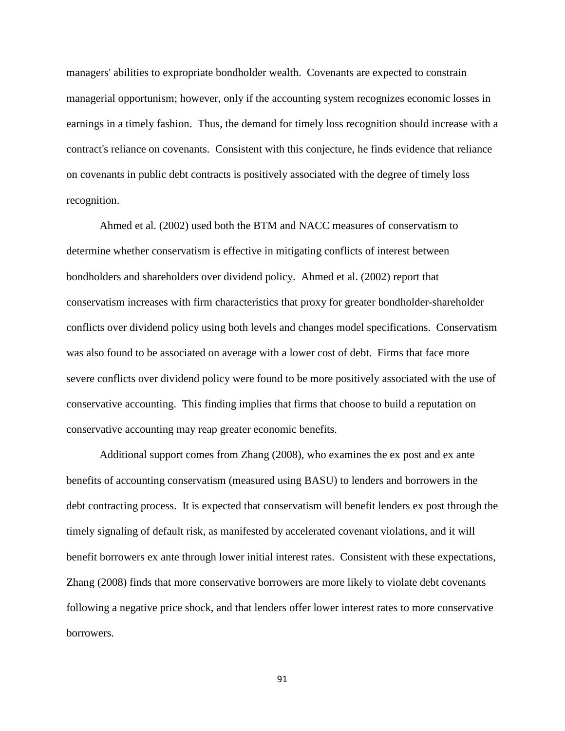managers' abilities to expropriate bondholder wealth. Covenants are expected to constrain managerial opportunism; however, only if the accounting system recognizes economic losses in earnings in a timely fashion. Thus, the demand for timely loss recognition should increase with a contract's reliance on covenants. Consistent with this conjecture, he finds evidence that reliance on covenants in public debt contracts is positively associated with the degree of timely loss recognition.

Ahmed et al. (2002) used both the BTM and NACC measures of conservatism to determine whether conservatism is effective in mitigating conflicts of interest between bondholders and shareholders over dividend policy. Ahmed et al. (2002) report that conservatism increases with firm characteristics that proxy for greater bondholder-shareholder conflicts over dividend policy using both levels and changes model specifications. Conservatism was also found to be associated on average with a lower cost of debt. Firms that face more severe conflicts over dividend policy were found to be more positively associated with the use of conservative accounting. This finding implies that firms that choose to build a reputation on conservative accounting may reap greater economic benefits.

Additional support comes from Zhang (2008), who examines the ex post and ex ante benefits of accounting conservatism (measured using BASU) to lenders and borrowers in the debt contracting process. It is expected that conservatism will benefit lenders ex post through the timely signaling of default risk, as manifested by accelerated covenant violations, and it will benefit borrowers ex ante through lower initial interest rates. Consistent with these expectations, Zhang (2008) finds that more conservative borrowers are more likely to violate debt covenants following a negative price shock, and that lenders offer lower interest rates to more conservative borrowers.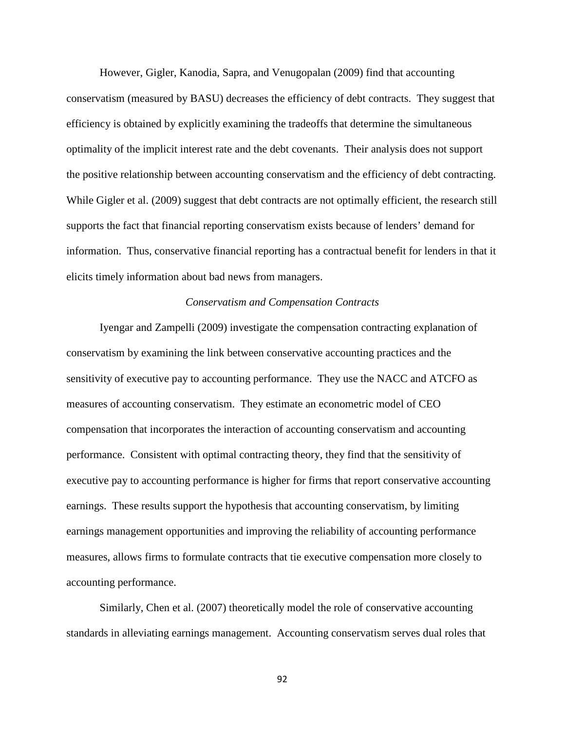However, Gigler, Kanodia, Sapra, and Venugopalan (2009) find that accounting conservatism (measured by BASU) decreases the efficiency of debt contracts. They suggest that efficiency is obtained by explicitly examining the tradeoffs that determine the simultaneous optimality of the implicit interest rate and the debt covenants. Their analysis does not support the positive relationship between accounting conservatism and the efficiency of debt contracting. While Gigler et al. (2009) suggest that debt contracts are not optimally efficient, the research still supports the fact that financial reporting conservatism exists because of lenders' demand for information. Thus, conservative financial reporting has a contractual benefit for lenders in that it elicits timely information about bad news from managers.

# *Conservatism and Compensation Contracts*

Iyengar and Zampelli (2009) investigate the compensation contracting explanation of conservatism by examining the link between conservative accounting practices and the sensitivity of executive pay to accounting performance. They use the NACC and ATCFO as measures of accounting conservatism. They estimate an econometric model of CEO compensation that incorporates the interaction of accounting conservatism and accounting performance. Consistent with optimal contracting theory, they find that the sensitivity of executive pay to accounting performance is higher for firms that report conservative accounting earnings. These results support the hypothesis that accounting conservatism, by limiting earnings management opportunities and improving the reliability of accounting performance measures, allows firms to formulate contracts that tie executive compensation more closely to accounting performance.

Similarly, Chen et al. (2007) theoretically model the role of conservative accounting standards in alleviating earnings management. Accounting conservatism serves dual roles that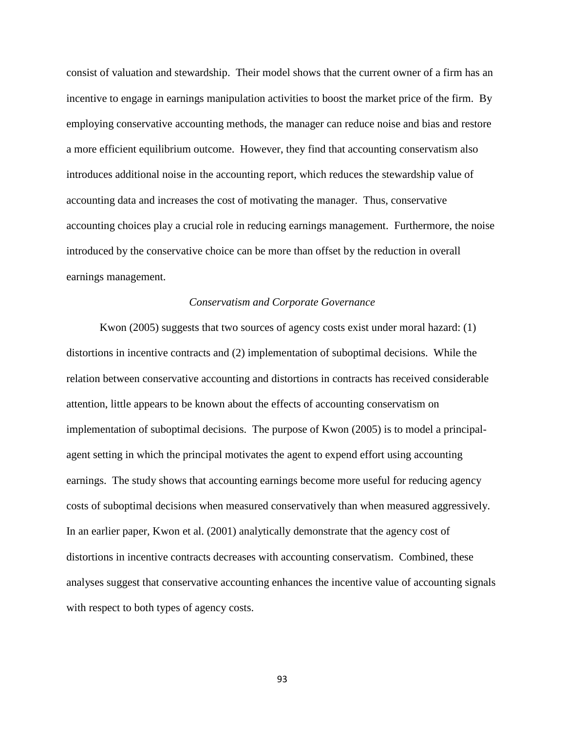consist of valuation and stewardship. Their model shows that the current owner of a firm has an incentive to engage in earnings manipulation activities to boost the market price of the firm. By employing conservative accounting methods, the manager can reduce noise and bias and restore a more efficient equilibrium outcome. However, they find that accounting conservatism also introduces additional noise in the accounting report, which reduces the stewardship value of accounting data and increases the cost of motivating the manager. Thus, conservative accounting choices play a crucial role in reducing earnings management. Furthermore, the noise introduced by the conservative choice can be more than offset by the reduction in overall earnings management.

### *Conservatism and Corporate Governance*

Kwon (2005) suggests that two sources of agency costs exist under moral hazard: (1) distortions in incentive contracts and (2) implementation of suboptimal decisions. While the relation between conservative accounting and distortions in contracts has received considerable attention, little appears to be known about the effects of accounting conservatism on implementation of suboptimal decisions. The purpose of Kwon (2005) is to model a principalagent setting in which the principal motivates the agent to expend effort using accounting earnings. The study shows that accounting earnings become more useful for reducing agency costs of suboptimal decisions when measured conservatively than when measured aggressively. In an earlier paper, Kwon et al. (2001) analytically demonstrate that the agency cost of distortions in incentive contracts decreases with accounting conservatism. Combined, these analyses suggest that conservative accounting enhances the incentive value of accounting signals with respect to both types of agency costs.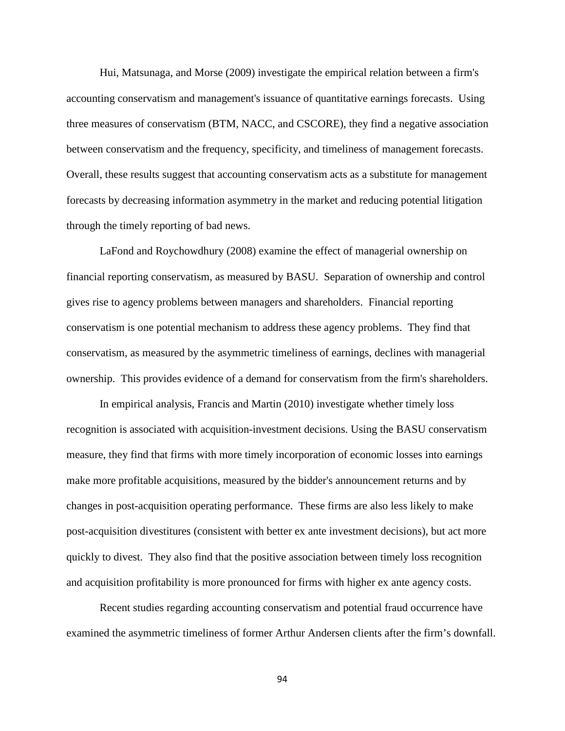Hui, Matsunaga, and Morse (2009) investigate the empirical relation between a firm's accounting conservatism and management's issuance of quantitative earnings forecasts. Using three measures of conservatism (BTM, NACC, and CSCORE), they find a negative association between conservatism and the frequency, specificity, and timeliness of management forecasts. Overall, these results suggest that accounting conservatism acts as a substitute for management forecasts by decreasing information asymmetry in the market and reducing potential litigation through the timely reporting of bad news.

LaFond and Roychowdhury (2008) examine the effect of managerial ownership on financial reporting conservatism, as measured by BASU. Separation of ownership and control gives rise to agency problems between managers and shareholders. Financial reporting conservatism is one potential mechanism to address these agency problems. They find that conservatism, as measured by the asymmetric timeliness of earnings, declines with managerial ownership. This provides evidence of a demand for conservatism from the firm's shareholders.

In empirical analysis, Francis and Martin (2010) investigate whether timely loss recognition is associated with acquisition-investment decisions. Using the BASU conservatism measure, they find that firms with more timely incorporation of economic losses into earnings make more profitable acquisitions, measured by the bidder's announcement returns and by changes in post-acquisition operating performance. These firms are also less likely to make post-acquisition divestitures (consistent with better ex ante investment decisions), but act more quickly to divest. They also find that the positive association between timely loss recognition and acquisition profitability is more pronounced for firms with higher ex ante agency costs.

Recent studies regarding accounting conservatism and potential fraud occurrence have examined the asymmetric timeliness of former Arthur Andersen clients after the firm's downfall.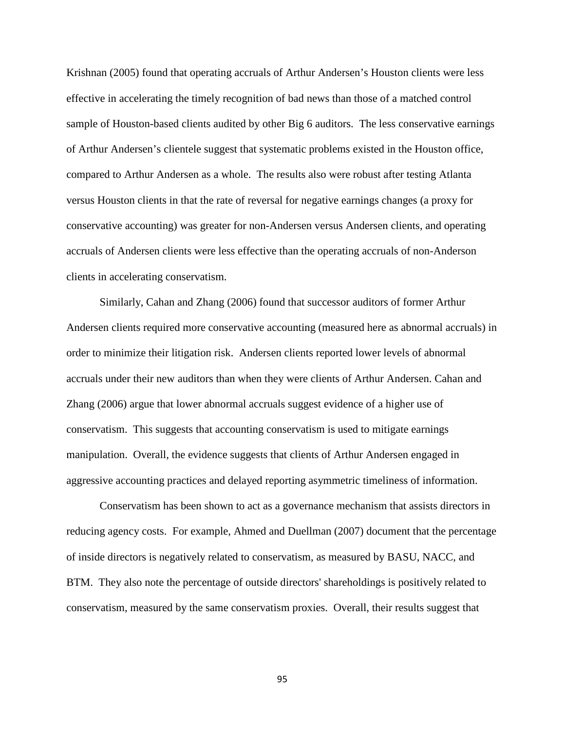Krishnan (2005) found that operating accruals of Arthur Andersen's Houston clients were less effective in accelerating the timely recognition of bad news than those of a matched control sample of Houston-based clients audited by other Big 6 auditors. The less conservative earnings of Arthur Andersen's clientele suggest that systematic problems existed in the Houston office, compared to Arthur Andersen as a whole. The results also were robust after testing Atlanta versus Houston clients in that the rate of reversal for negative earnings changes (a proxy for conservative accounting) was greater for non-Andersen versus Andersen clients, and operating accruals of Andersen clients were less effective than the operating accruals of non-Anderson clients in accelerating conservatism.

Similarly, Cahan and Zhang (2006) found that successor auditors of former Arthur Andersen clients required more conservative accounting (measured here as abnormal accruals) in order to minimize their litigation risk. Andersen clients reported lower levels of abnormal accruals under their new auditors than when they were clients of Arthur Andersen. Cahan and Zhang (2006) argue that lower abnormal accruals suggest evidence of a higher use of conservatism. This suggests that accounting conservatism is used to mitigate earnings manipulation. Overall, the evidence suggests that clients of Arthur Andersen engaged in aggressive accounting practices and delayed reporting asymmetric timeliness of information.

Conservatism has been shown to act as a governance mechanism that assists directors in reducing agency costs. For example, Ahmed and Duellman (2007) document that the percentage of inside directors is negatively related to conservatism, as measured by BASU, NACC, and BTM. They also note the percentage of outside directors' shareholdings is positively related to conservatism, measured by the same conservatism proxies. Overall, their results suggest that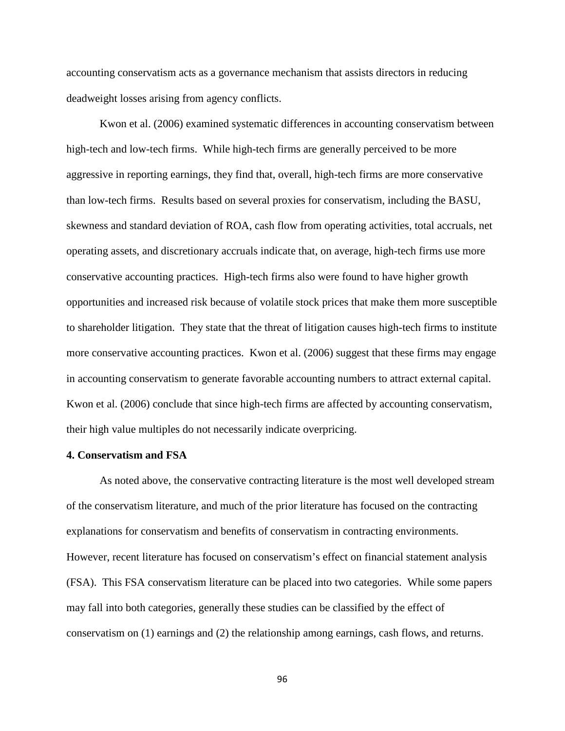accounting conservatism acts as a governance mechanism that assists directors in reducing deadweight losses arising from agency conflicts.

Kwon et al. (2006) examined systematic differences in accounting conservatism between high-tech and low-tech firms. While high-tech firms are generally perceived to be more aggressive in reporting earnings, they find that, overall, high-tech firms are more conservative than low-tech firms. Results based on several proxies for conservatism, including the BASU, skewness and standard deviation of ROA, cash flow from operating activities, total accruals, net operating assets, and discretionary accruals indicate that, on average, high-tech firms use more conservative accounting practices. High-tech firms also were found to have higher growth opportunities and increased risk because of volatile stock prices that make them more susceptible to shareholder litigation. They state that the threat of litigation causes high-tech firms to institute more conservative accounting practices. Kwon et al. (2006) suggest that these firms may engage in accounting conservatism to generate favorable accounting numbers to attract external capital. Kwon et al. (2006) conclude that since high-tech firms are affected by accounting conservatism, their high value multiples do not necessarily indicate overpricing.

### **4. Conservatism and FSA**

 As noted above, the conservative contracting literature is the most well developed stream of the conservatism literature, and much of the prior literature has focused on the contracting explanations for conservatism and benefits of conservatism in contracting environments. However, recent literature has focused on conservatism's effect on financial statement analysis (FSA). This FSA conservatism literature can be placed into two categories. While some papers may fall into both categories, generally these studies can be classified by the effect of conservatism on (1) earnings and (2) the relationship among earnings, cash flows, and returns.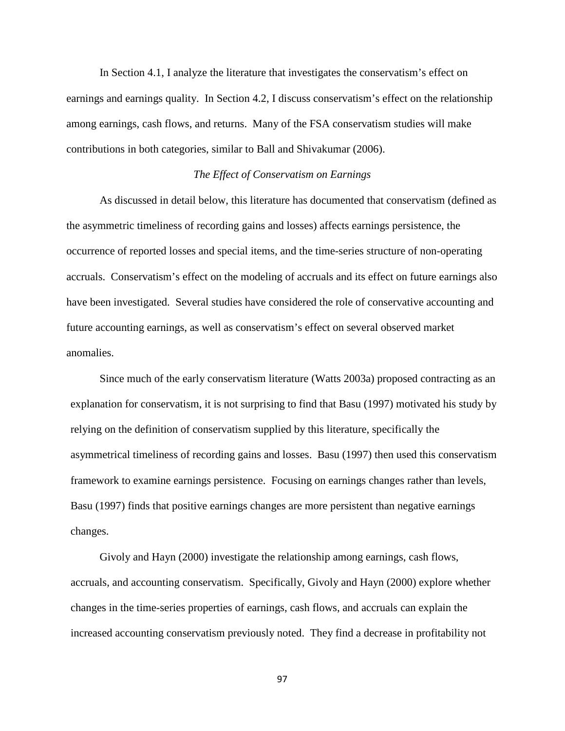In Section 4.1, I analyze the literature that investigates the conservatism's effect on earnings and earnings quality. In Section 4.2, I discuss conservatism's effect on the relationship among earnings, cash flows, and returns. Many of the FSA conservatism studies will make contributions in both categories, similar to Ball and Shivakumar (2006).

# *The Effect of Conservatism on Earnings*

As discussed in detail below, this literature has documented that conservatism (defined as the asymmetric timeliness of recording gains and losses) affects earnings persistence, the occurrence of reported losses and special items, and the time-series structure of non-operating accruals. Conservatism's effect on the modeling of accruals and its effect on future earnings also have been investigated. Several studies have considered the role of conservative accounting and future accounting earnings, as well as conservatism's effect on several observed market anomalies.

Since much of the early conservatism literature (Watts 2003a) proposed contracting as an explanation for conservatism, it is not surprising to find that Basu (1997) motivated his study by relying on the definition of conservatism supplied by this literature, specifically the asymmetrical timeliness of recording gains and losses. Basu (1997) then used this conservatism framework to examine earnings persistence. Focusing on earnings changes rather than levels, Basu (1997) finds that positive earnings changes are more persistent than negative earnings changes.

Givoly and Hayn (2000) investigate the relationship among earnings, cash flows, accruals, and accounting conservatism. Specifically, Givoly and Hayn (2000) explore whether changes in the time-series properties of earnings, cash flows, and accruals can explain the increased accounting conservatism previously noted. They find a decrease in profitability not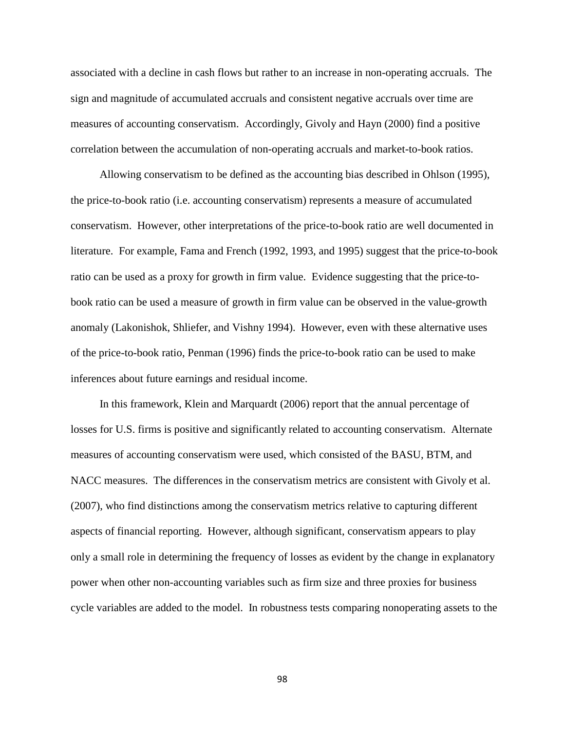associated with a decline in cash flows but rather to an increase in non-operating accruals. The sign and magnitude of accumulated accruals and consistent negative accruals over time are measures of accounting conservatism. Accordingly, Givoly and Hayn (2000) find a positive correlation between the accumulation of non-operating accruals and market-to-book ratios.

Allowing conservatism to be defined as the accounting bias described in Ohlson (1995), the price-to-book ratio (i.e. accounting conservatism) represents a measure of accumulated conservatism. However, other interpretations of the price-to-book ratio are well documented in literature. For example, Fama and French (1992, 1993, and 1995) suggest that the price-to-book ratio can be used as a proxy for growth in firm value. Evidence suggesting that the price-tobook ratio can be used a measure of growth in firm value can be observed in the value-growth anomaly (Lakonishok, Shliefer, and Vishny 1994). However, even with these alternative uses of the price-to-book ratio, Penman (1996) finds the price-to-book ratio can be used to make inferences about future earnings and residual income.

 In this framework, Klein and Marquardt (2006) report that the annual percentage of losses for U.S. firms is positive and significantly related to accounting conservatism. Alternate measures of accounting conservatism were used, which consisted of the BASU, BTM, and NACC measures. The differences in the conservatism metrics are consistent with Givoly et al. (2007), who find distinctions among the conservatism metrics relative to capturing different aspects of financial reporting. However, although significant, conservatism appears to play only a small role in determining the frequency of losses as evident by the change in explanatory power when other non-accounting variables such as firm size and three proxies for business cycle variables are added to the model. In robustness tests comparing nonoperating assets to the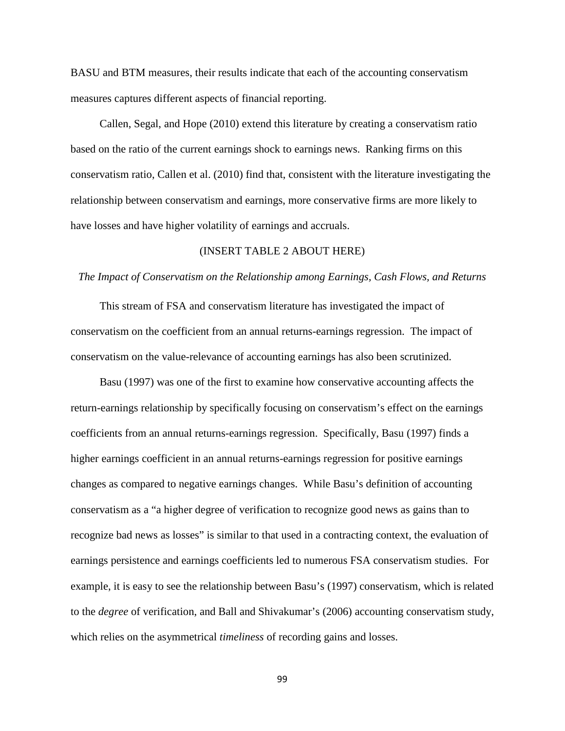BASU and BTM measures, their results indicate that each of the accounting conservatism measures captures different aspects of financial reporting.

Callen, Segal, and Hope (2010) extend this literature by creating a conservatism ratio based on the ratio of the current earnings shock to earnings news. Ranking firms on this conservatism ratio, Callen et al. (2010) find that, consistent with the literature investigating the relationship between conservatism and earnings, more conservative firms are more likely to have losses and have higher volatility of earnings and accruals.

### (INSERT TABLE 2 ABOUT HERE)

#### *The Impact of Conservatism on the Relationship among Earnings, Cash Flows, and Returns*

This stream of FSA and conservatism literature has investigated the impact of conservatism on the coefficient from an annual returns-earnings regression. The impact of conservatism on the value-relevance of accounting earnings has also been scrutinized.

Basu (1997) was one of the first to examine how conservative accounting affects the return-earnings relationship by specifically focusing on conservatism's effect on the earnings coefficients from an annual returns-earnings regression. Specifically, Basu (1997) finds a higher earnings coefficient in an annual returns-earnings regression for positive earnings changes as compared to negative earnings changes. While Basu's definition of accounting conservatism as a "a higher degree of verification to recognize good news as gains than to recognize bad news as losses" is similar to that used in a contracting context, the evaluation of earnings persistence and earnings coefficients led to numerous FSA conservatism studies. For example, it is easy to see the relationship between Basu's (1997) conservatism, which is related to the *degree* of verification, and Ball and Shivakumar's (2006) accounting conservatism study, which relies on the asymmetrical *timeliness* of recording gains and losses.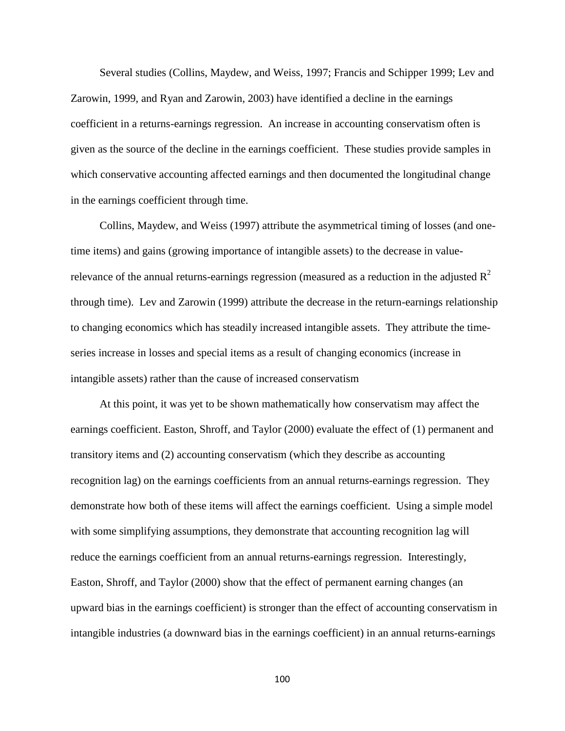Several studies (Collins, Maydew, and Weiss, 1997; Francis and Schipper 1999; Lev and Zarowin, 1999, and Ryan and Zarowin, 2003) have identified a decline in the earnings coefficient in a returns-earnings regression. An increase in accounting conservatism often is given as the source of the decline in the earnings coefficient. These studies provide samples in which conservative accounting affected earnings and then documented the longitudinal change in the earnings coefficient through time.

Collins, Maydew, and Weiss (1997) attribute the asymmetrical timing of losses (and onetime items) and gains (growing importance of intangible assets) to the decrease in valuerelevance of the annual returns-earnings regression (measured as a reduction in the adjusted  $R^2$ through time). Lev and Zarowin (1999) attribute the decrease in the return-earnings relationship to changing economics which has steadily increased intangible assets. They attribute the timeseries increase in losses and special items as a result of changing economics (increase in intangible assets) rather than the cause of increased conservatism

 At this point, it was yet to be shown mathematically how conservatism may affect the earnings coefficient. Easton, Shroff, and Taylor (2000) evaluate the effect of (1) permanent and transitory items and (2) accounting conservatism (which they describe as accounting recognition lag) on the earnings coefficients from an annual returns-earnings regression. They demonstrate how both of these items will affect the earnings coefficient. Using a simple model with some simplifying assumptions, they demonstrate that accounting recognition lag will reduce the earnings coefficient from an annual returns-earnings regression. Interestingly, Easton, Shroff, and Taylor (2000) show that the effect of permanent earning changes (an upward bias in the earnings coefficient) is stronger than the effect of accounting conservatism in intangible industries (a downward bias in the earnings coefficient) in an annual returns-earnings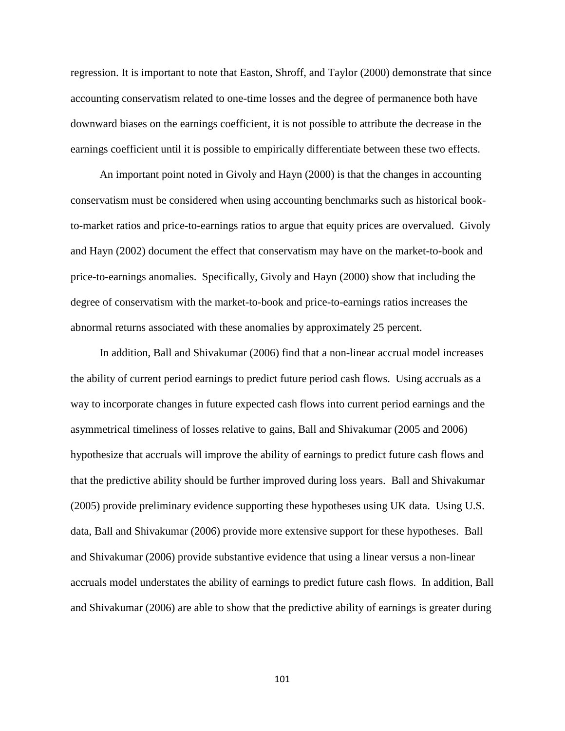regression. It is important to note that Easton, Shroff, and Taylor (2000) demonstrate that since accounting conservatism related to one-time losses and the degree of permanence both have downward biases on the earnings coefficient, it is not possible to attribute the decrease in the earnings coefficient until it is possible to empirically differentiate between these two effects.

An important point noted in Givoly and Hayn (2000) is that the changes in accounting conservatism must be considered when using accounting benchmarks such as historical bookto-market ratios and price-to-earnings ratios to argue that equity prices are overvalued. Givoly and Hayn (2002) document the effect that conservatism may have on the market-to-book and price-to-earnings anomalies. Specifically, Givoly and Hayn (2000) show that including the degree of conservatism with the market-to-book and price-to-earnings ratios increases the abnormal returns associated with these anomalies by approximately 25 percent.

In addition, Ball and Shivakumar (2006) find that a non-linear accrual model increases the ability of current period earnings to predict future period cash flows. Using accruals as a way to incorporate changes in future expected cash flows into current period earnings and the asymmetrical timeliness of losses relative to gains, Ball and Shivakumar (2005 and 2006) hypothesize that accruals will improve the ability of earnings to predict future cash flows and that the predictive ability should be further improved during loss years. Ball and Shivakumar (2005) provide preliminary evidence supporting these hypotheses using UK data. Using U.S. data, Ball and Shivakumar (2006) provide more extensive support for these hypotheses. Ball and Shivakumar (2006) provide substantive evidence that using a linear versus a non-linear accruals model understates the ability of earnings to predict future cash flows. In addition, Ball and Shivakumar (2006) are able to show that the predictive ability of earnings is greater during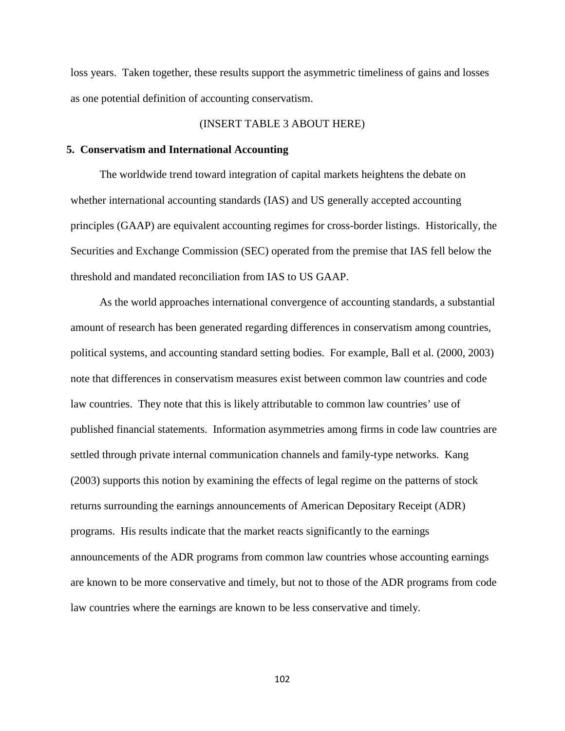loss years. Taken together, these results support the asymmetric timeliness of gains and losses as one potential definition of accounting conservatism.

### (INSERT TABLE 3 ABOUT HERE)

#### **5. Conservatism and International Accounting**

The worldwide trend toward integration of capital markets heightens the debate on whether international accounting standards (IAS) and US generally accepted accounting principles (GAAP) are equivalent accounting regimes for cross-border listings. Historically, the Securities and Exchange Commission (SEC) operated from the premise that IAS fell below the threshold and mandated reconciliation from IAS to US GAAP.

As the world approaches international convergence of accounting standards, a substantial amount of research has been generated regarding differences in conservatism among countries, political systems, and accounting standard setting bodies. For example, Ball et al. (2000, 2003) note that differences in conservatism measures exist between common law countries and code law countries. They note that this is likely attributable to common law countries' use of published financial statements. Information asymmetries among firms in code law countries are settled through private internal communication channels and family-type networks. Kang (2003) supports this notion by examining the effects of legal regime on the patterns of stock returns surrounding the earnings announcements of American Depositary Receipt (ADR) programs. His results indicate that the market reacts significantly to the earnings announcements of the ADR programs from common law countries whose accounting earnings are known to be more conservative and timely, but not to those of the ADR programs from code law countries where the earnings are known to be less conservative and timely.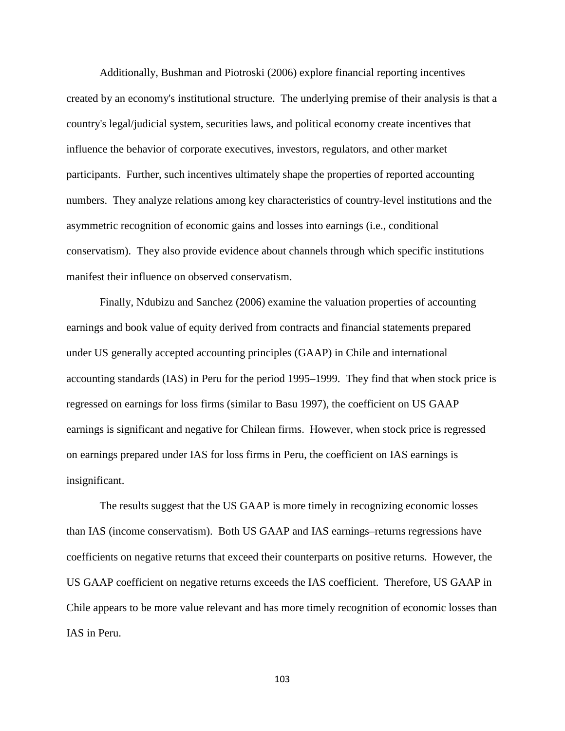Additionally, Bushman and Piotroski (2006) explore financial reporting incentives created by an economy's institutional structure. The underlying premise of their analysis is that a country's legal/judicial system, securities laws, and political economy create incentives that influence the behavior of corporate executives, investors, regulators, and other market participants. Further, such incentives ultimately shape the properties of reported accounting numbers. They analyze relations among key characteristics of country-level institutions and the asymmetric recognition of economic gains and losses into earnings (i.e., conditional conservatism). They also provide evidence about channels through which specific institutions manifest their influence on observed conservatism.

Finally, Ndubizu and Sanchez (2006) examine the valuation properties of accounting earnings and book value of equity derived from contracts and financial statements prepared under US generally accepted accounting principles (GAAP) in Chile and international accounting standards (IAS) in Peru for the period 1995–1999. They find that when stock price is regressed on earnings for loss firms (similar to Basu 1997), the coefficient on US GAAP earnings is significant and negative for Chilean firms. However, when stock price is regressed on earnings prepared under IAS for loss firms in Peru, the coefficient on IAS earnings is insignificant.

The results suggest that the US GAAP is more timely in recognizing economic losses than IAS (income conservatism). Both US GAAP and IAS earnings–returns regressions have coefficients on negative returns that exceed their counterparts on positive returns. However, the US GAAP coefficient on negative returns exceeds the IAS coefficient. Therefore, US GAAP in Chile appears to be more value relevant and has more timely recognition of economic losses than IAS in Peru.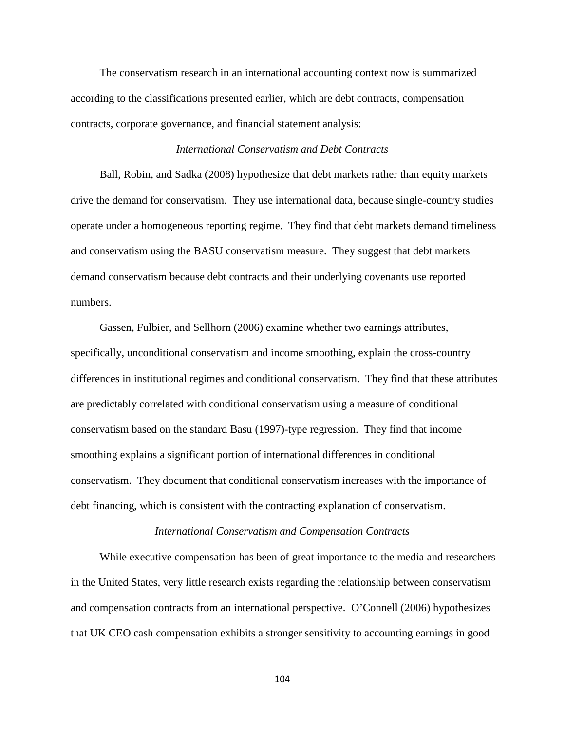The conservatism research in an international accounting context now is summarized according to the classifications presented earlier, which are debt contracts, compensation contracts, corporate governance, and financial statement analysis:

### *International Conservatism and Debt Contracts*

Ball, Robin, and Sadka (2008) hypothesize that debt markets rather than equity markets drive the demand for conservatism. They use international data, because single-country studies operate under a homogeneous reporting regime. They find that debt markets demand timeliness and conservatism using the BASU conservatism measure. They suggest that debt markets demand conservatism because debt contracts and their underlying covenants use reported numbers.

Gassen, Fulbier, and Sellhorn (2006) examine whether two earnings attributes, specifically, unconditional conservatism and income smoothing, explain the cross-country differences in institutional regimes and conditional conservatism. They find that these attributes are predictably correlated with conditional conservatism using a measure of conditional conservatism based on the standard Basu (1997)-type regression. They find that income smoothing explains a significant portion of international differences in conditional conservatism. They document that conditional conservatism increases with the importance of debt financing, which is consistent with the contracting explanation of conservatism.

#### *International Conservatism and Compensation Contracts*

While executive compensation has been of great importance to the media and researchers in the United States, very little research exists regarding the relationship between conservatism and compensation contracts from an international perspective. O'Connell (2006) hypothesizes that UK CEO cash compensation exhibits a stronger sensitivity to accounting earnings in good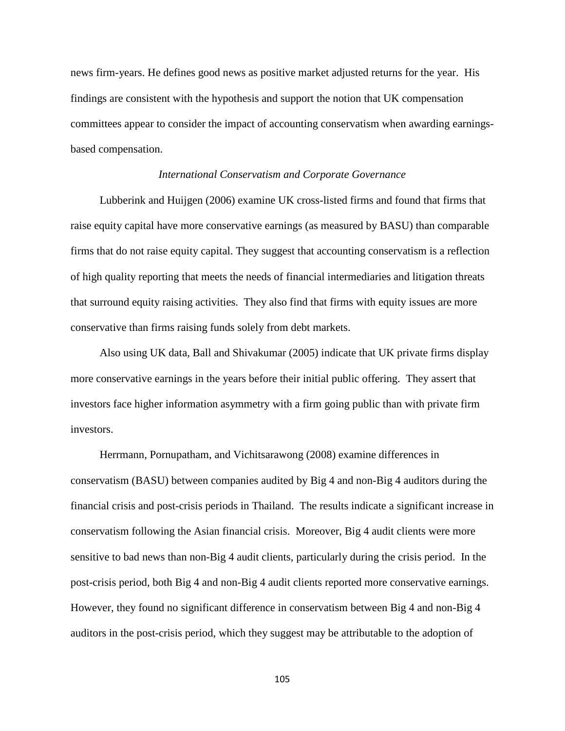news firm-years. He defines good news as positive market adjusted returns for the year. His findings are consistent with the hypothesis and support the notion that UK compensation committees appear to consider the impact of accounting conservatism when awarding earningsbased compensation.

### *International Conservatism and Corporate Governance*

Lubberink and Huijgen (2006) examine UK cross-listed firms and found that firms that raise equity capital have more conservative earnings (as measured by BASU) than comparable firms that do not raise equity capital. They suggest that accounting conservatism is a reflection of high quality reporting that meets the needs of financial intermediaries and litigation threats that surround equity raising activities. They also find that firms with equity issues are more conservative than firms raising funds solely from debt markets.

Also using UK data, Ball and Shivakumar (2005) indicate that UK private firms display more conservative earnings in the years before their initial public offering. They assert that investors face higher information asymmetry with a firm going public than with private firm investors.

Herrmann, Pornupatham, and Vichitsarawong (2008) examine differences in conservatism (BASU) between companies audited by Big 4 and non-Big 4 auditors during the financial crisis and post-crisis periods in Thailand. The results indicate a significant increase in conservatism following the Asian financial crisis. Moreover, Big 4 audit clients were more sensitive to bad news than non-Big 4 audit clients, particularly during the crisis period. In the post-crisis period, both Big 4 and non-Big 4 audit clients reported more conservative earnings. However, they found no significant difference in conservatism between Big 4 and non-Big 4 auditors in the post-crisis period, which they suggest may be attributable to the adoption of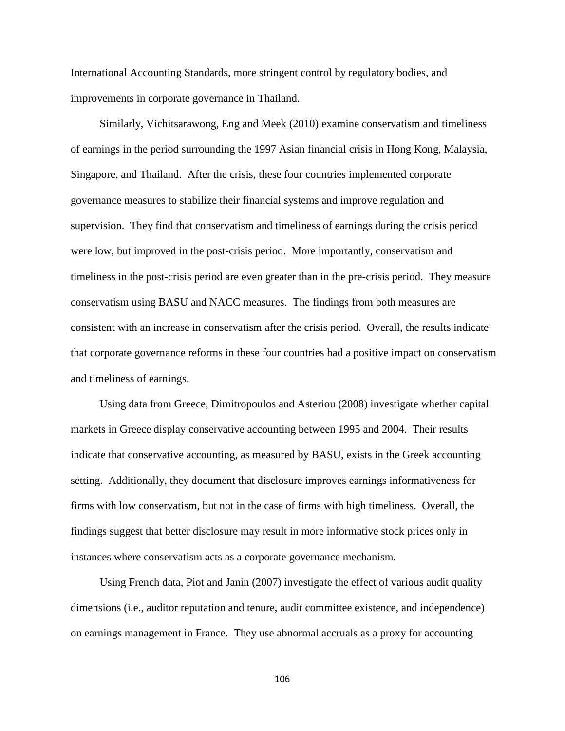International Accounting Standards, more stringent control by regulatory bodies, and improvements in corporate governance in Thailand.

Similarly, Vichitsarawong, Eng and Meek (2010) examine conservatism and timeliness of earnings in the period surrounding the 1997 Asian financial crisis in Hong Kong, Malaysia, Singapore, and Thailand. After the crisis, these four countries implemented corporate governance measures to stabilize their financial systems and improve regulation and supervision. They find that conservatism and timeliness of earnings during the crisis period were low, but improved in the post-crisis period. More importantly, conservatism and timeliness in the post-crisis period are even greater than in the pre-crisis period. They measure conservatism using BASU and NACC measures. The findings from both measures are consistent with an increase in conservatism after the crisis period. Overall, the results indicate that corporate governance reforms in these four countries had a positive impact on conservatism and timeliness of earnings.

Using data from Greece, Dimitropoulos and Asteriou (2008) investigate whether capital markets in Greece display conservative accounting between 1995 and 2004. Their results indicate that conservative accounting, as measured by BASU, exists in the Greek accounting setting. Additionally, they document that disclosure improves earnings informativeness for firms with low conservatism, but not in the case of firms with high timeliness. Overall, the findings suggest that better disclosure may result in more informative stock prices only in instances where conservatism acts as a corporate governance mechanism.

Using French data, Piot and Janin (2007) investigate the effect of various audit quality dimensions (i.e., auditor reputation and tenure, audit committee existence, and independence) on earnings management in France. They use abnormal accruals as a proxy for accounting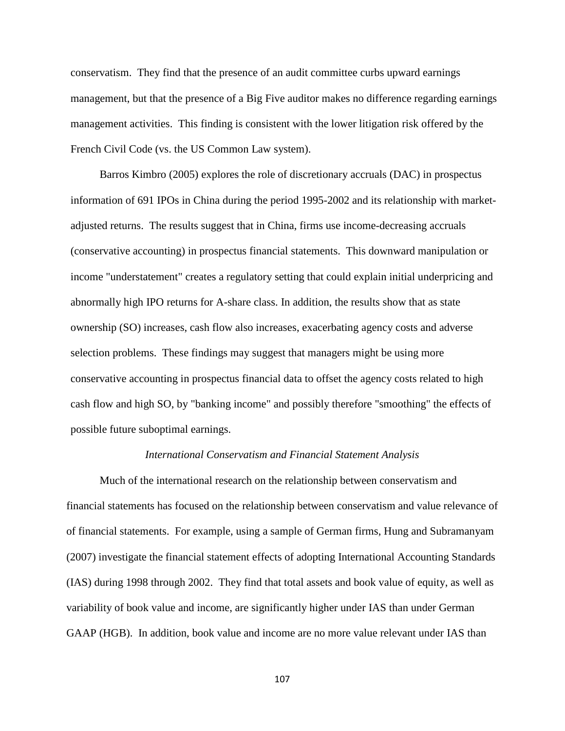conservatism. They find that the presence of an audit committee curbs upward earnings management, but that the presence of a Big Five auditor makes no difference regarding earnings management activities. This finding is consistent with the lower litigation risk offered by the French Civil Code (vs. the US Common Law system).

Barros Kimbro (2005) explores the role of discretionary accruals (DAC) in prospectus information of 691 IPOs in China during the period 1995-2002 and its relationship with marketadjusted returns. The results suggest that in China, firms use income-decreasing accruals (conservative accounting) in prospectus financial statements. This downward manipulation or income "understatement" creates a regulatory setting that could explain initial underpricing and abnormally high IPO returns for A-share class. In addition, the results show that as state ownership (SO) increases, cash flow also increases, exacerbating agency costs and adverse selection problems. These findings may suggest that managers might be using more conservative accounting in prospectus financial data to offset the agency costs related to high cash flow and high SO, by "banking income" and possibly therefore "smoothing" the effects of possible future suboptimal earnings.

#### *International Conservatism and Financial Statement Analysis*

Much of the international research on the relationship between conservatism and financial statements has focused on the relationship between conservatism and value relevance of of financial statements. For example, using a sample of German firms, Hung and Subramanyam (2007) investigate the financial statement effects of adopting International Accounting Standards (IAS) during 1998 through 2002. They find that total assets and book value of equity, as well as variability of book value and income, are significantly higher under IAS than under German GAAP (HGB). In addition, book value and income are no more value relevant under IAS than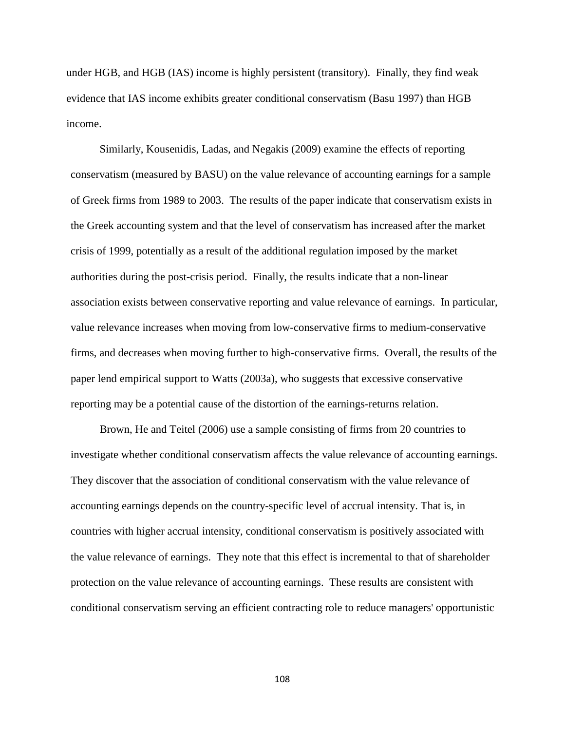under HGB, and HGB (IAS) income is highly persistent (transitory). Finally, they find weak evidence that IAS income exhibits greater conditional conservatism (Basu 1997) than HGB income.

Similarly, Kousenidis, Ladas, and Negakis (2009) examine the effects of reporting conservatism (measured by BASU) on the value relevance of accounting earnings for a sample of Greek firms from 1989 to 2003. The results of the paper indicate that conservatism exists in the Greek accounting system and that the level of conservatism has increased after the market crisis of 1999, potentially as a result of the additional regulation imposed by the market authorities during the post-crisis period. Finally, the results indicate that a non-linear association exists between conservative reporting and value relevance of earnings. In particular, value relevance increases when moving from low-conservative firms to medium-conservative firms, and decreases when moving further to high-conservative firms. Overall, the results of the paper lend empirical support to Watts (2003a), who suggests that excessive conservative reporting may be a potential cause of the distortion of the earnings-returns relation.

Brown, He and Teitel (2006) use a sample consisting of firms from 20 countries to investigate whether conditional conservatism affects the value relevance of accounting earnings. They discover that the association of conditional conservatism with the value relevance of accounting earnings depends on the country-specific level of accrual intensity. That is, in countries with higher accrual intensity, conditional conservatism is positively associated with the value relevance of earnings. They note that this effect is incremental to that of shareholder protection on the value relevance of accounting earnings. These results are consistent with conditional conservatism serving an efficient contracting role to reduce managers' opportunistic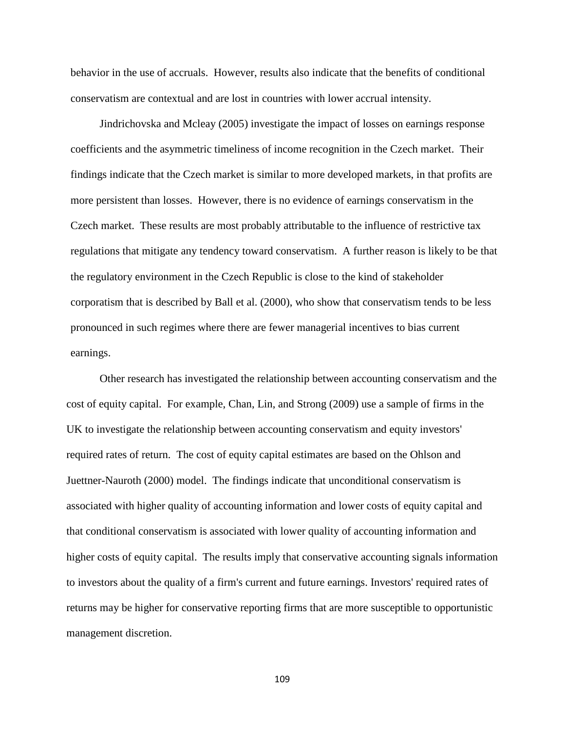behavior in the use of accruals. However, results also indicate that the benefits of conditional conservatism are contextual and are lost in countries with lower accrual intensity.

Jindrichovska and Mcleay (2005) investigate the impact of losses on earnings response coefficients and the asymmetric timeliness of income recognition in the Czech market. Their findings indicate that the Czech market is similar to more developed markets, in that profits are more persistent than losses. However, there is no evidence of earnings conservatism in the Czech market. These results are most probably attributable to the influence of restrictive tax regulations that mitigate any tendency toward conservatism. A further reason is likely to be that the regulatory environment in the Czech Republic is close to the kind of stakeholder corporatism that is described by Ball et al. (2000), who show that conservatism tends to be less pronounced in such regimes where there are fewer managerial incentives to bias current earnings.

Other research has investigated the relationship between accounting conservatism and the cost of equity capital. For example, Chan, Lin, and Strong (2009) use a sample of firms in the UK to investigate the relationship between accounting conservatism and equity investors' required rates of return. The cost of equity capital estimates are based on the Ohlson and Juettner-Nauroth (2000) model. The findings indicate that unconditional conservatism is associated with higher quality of accounting information and lower costs of equity capital and that conditional conservatism is associated with lower quality of accounting information and higher costs of equity capital. The results imply that conservative accounting signals information to investors about the quality of a firm's current and future earnings. Investors' required rates of returns may be higher for conservative reporting firms that are more susceptible to opportunistic management discretion.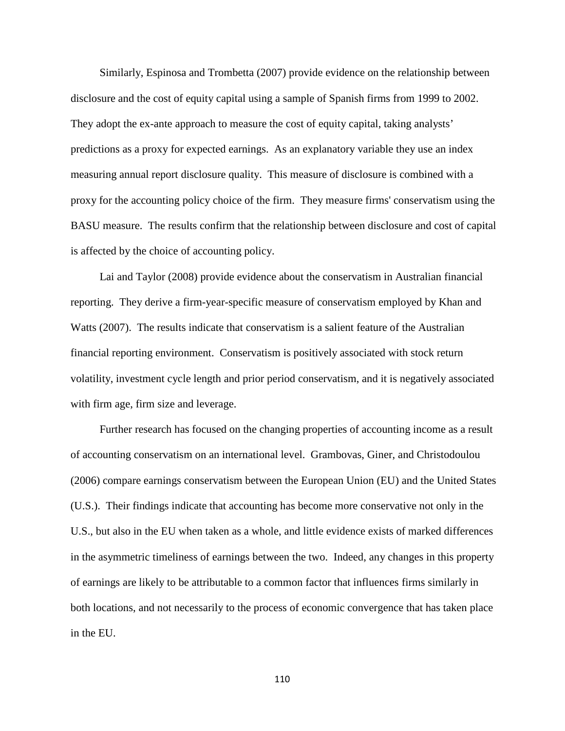Similarly, Espinosa and Trombetta (2007) provide evidence on the relationship between disclosure and the cost of equity capital using a sample of Spanish firms from 1999 to 2002. They adopt the ex-ante approach to measure the cost of equity capital, taking analysts' predictions as a proxy for expected earnings. As an explanatory variable they use an index measuring annual report disclosure quality. This measure of disclosure is combined with a proxy for the accounting policy choice of the firm. They measure firms' conservatism using the BASU measure. The results confirm that the relationship between disclosure and cost of capital is affected by the choice of accounting policy.

Lai and Taylor (2008) provide evidence about the conservatism in Australian financial reporting. They derive a firm-year-specific measure of conservatism employed by Khan and Watts (2007). The results indicate that conservatism is a salient feature of the Australian financial reporting environment. Conservatism is positively associated with stock return volatility, investment cycle length and prior period conservatism, and it is negatively associated with firm age, firm size and leverage.

Further research has focused on the changing properties of accounting income as a result of accounting conservatism on an international level. Grambovas, Giner, and Christodoulou (2006) compare earnings conservatism between the European Union (EU) and the United States (U.S.). Their findings indicate that accounting has become more conservative not only in the U.S., but also in the EU when taken as a whole, and little evidence exists of marked differences in the asymmetric timeliness of earnings between the two. Indeed, any changes in this property of earnings are likely to be attributable to a common factor that influences firms similarly in both locations, and not necessarily to the process of economic convergence that has taken place in the EU.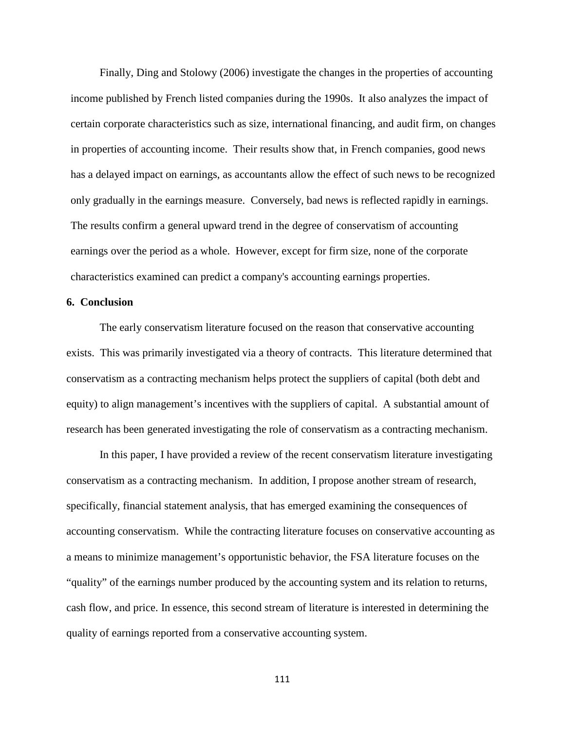Finally, Ding and Stolowy (2006) investigate the changes in the properties of accounting income published by French listed companies during the 1990s. It also analyzes the impact of certain corporate characteristics such as size, international financing, and audit firm, on changes in properties of accounting income. Their results show that, in French companies, good news has a delayed impact on earnings, as accountants allow the effect of such news to be recognized only gradually in the earnings measure. Conversely, bad news is reflected rapidly in earnings. The results confirm a general upward trend in the degree of conservatism of accounting earnings over the period as a whole. However, except for firm size, none of the corporate characteristics examined can predict a company's accounting earnings properties.

### **6. Conclusion**

The early conservatism literature focused on the reason that conservative accounting exists. This was primarily investigated via a theory of contracts. This literature determined that conservatism as a contracting mechanism helps protect the suppliers of capital (both debt and equity) to align management's incentives with the suppliers of capital. A substantial amount of research has been generated investigating the role of conservatism as a contracting mechanism.

In this paper, I have provided a review of the recent conservatism literature investigating conservatism as a contracting mechanism. In addition, I propose another stream of research, specifically, financial statement analysis, that has emerged examining the consequences of accounting conservatism. While the contracting literature focuses on conservative accounting as a means to minimize management's opportunistic behavior, the FSA literature focuses on the "quality" of the earnings number produced by the accounting system and its relation to returns, cash flow, and price. In essence, this second stream of literature is interested in determining the quality of earnings reported from a conservative accounting system.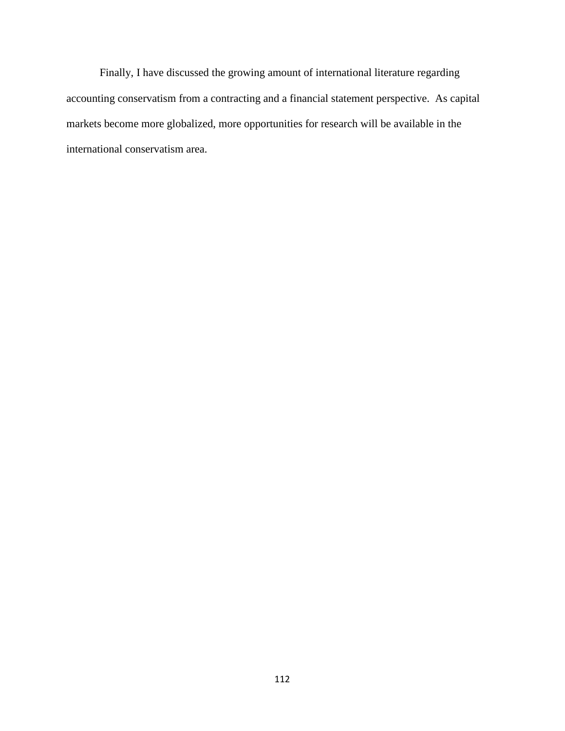Finally, I have discussed the growing amount of international literature regarding accounting conservatism from a contracting and a financial statement perspective. As capital markets become more globalized, more opportunities for research will be available in the international conservatism area.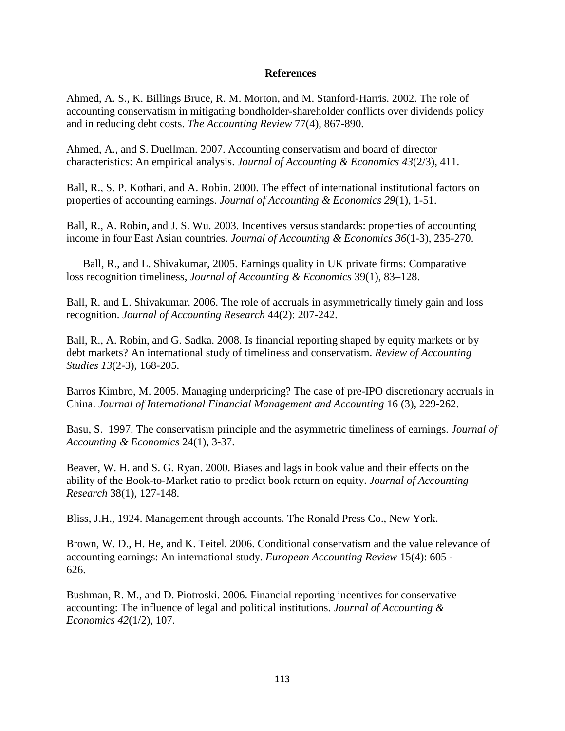### **References**

Ahmed, A. S., K. Billings Bruce, R. M. Morton, and M. Stanford-Harris. 2002. The role of accounting conservatism in mitigating bondholder-shareholder conflicts over dividends policy and in reducing debt costs. *The Accounting Review* 77(4), 867-890.

Ahmed, A., and S. Duellman. 2007. Accounting conservatism and board of director characteristics: An empirical analysis. *Journal of Accounting & Economics 43*(2/3), 411.

Ball, R., S. P. Kothari, and A. Robin. 2000. The effect of international institutional factors on properties of accounting earnings. *Journal of Accounting & Economics 29*(1), 1-51.

Ball, R., A. Robin, and J. S. Wu. 2003. Incentives versus standards: properties of accounting income in four East Asian countries. *Journal of Accounting & Economics 36*(1-3), 235-270.

Ball, R., and L. Shivakumar, 2005. Earnings quality in UK private firms: Comparative loss recognition timeliness, *Journal of Accounting & Economics* 39(1), 83–128.

Ball, R. and L. Shivakumar. 2006. The role of accruals in asymmetrically timely gain and loss recognition. *Journal of Accounting Research* 44(2): 207-242.

Ball, R., A. Robin, and G. Sadka. 2008. Is financial reporting shaped by equity markets or by debt markets? An international study of timeliness and conservatism. *Review of Accounting Studies 13*(2-3), 168-205.

Barros Kimbro, M. 2005. Managing underpricing? The case of pre-IPO discretionary accruals in China. *Journal of International Financial Management and Accounting* 16 (3), 229-262.

Basu, S. 1997. The conservatism principle and the asymmetric timeliness of earnings. *Journal of Accounting & Economics* 24(1), 3-37.

Beaver, W. H. and S. G. Ryan. 2000. Biases and lags in book value and their effects on the ability of the Book-to-Market ratio to predict book return on equity. *Journal of Accounting Research* 38(1), 127-148.

Bliss, J.H., 1924. Management through accounts. The Ronald Press Co., New York.

Brown, W. D., H. He, and K. Teitel. 2006. Conditional conservatism and the value relevance of accounting earnings: An international study. *European Accounting Review* 15(4): 605 - 626.

Bushman, R. M., and D. Piotroski. 2006. Financial reporting incentives for conservative accounting: The influence of legal and political institutions. *Journal of Accounting & Economics 42*(1/2), 107.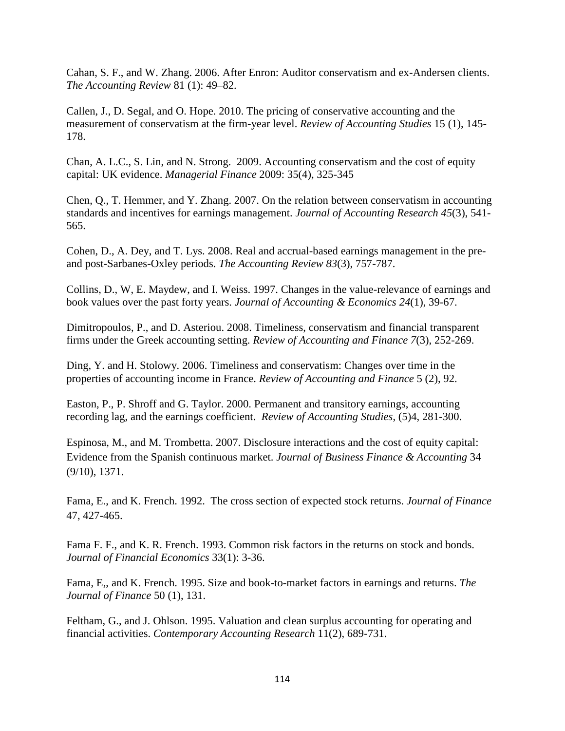Cahan, S. F., and W. Zhang. 2006. After Enron: Auditor conservatism and ex-Andersen clients. *The Accounting Review* 81 (1): 49–82.

Callen, J., D. Segal, and O. Hope. 2010. The pricing of conservative accounting and the measurement of conservatism at the firm-year level. *Review of Accounting Studies* 15 (1), 145- 178.

Chan, A. L.C., S. Lin, and N. Strong. 2009. Accounting conservatism and the cost of equity capital: UK evidence. *Managerial Finance* 2009: 35(4), 325-345

Chen, Q., T. Hemmer, and Y. Zhang. 2007. On the relation between conservatism in accounting standards and incentives for earnings management. *Journal of Accounting Research 45*(3), 541- 565.

Cohen, D., A. Dey, and T. Lys. 2008. Real and accrual-based earnings management in the preand post-Sarbanes-Oxley periods. *The Accounting Review 83*(3), 757-787.

Collins, D., W, E. Maydew, and I. Weiss. 1997. Changes in the value-relevance of earnings and book values over the past forty years. *Journal of Accounting & Economics 24*(1), 39-67.

Dimitropoulos, P., and D. Asteriou. 2008. Timeliness, conservatism and financial transparent firms under the Greek accounting setting. *Review of Accounting and Finance 7*(3), 252-269.

Ding, Y. and H. Stolowy. 2006. Timeliness and conservatism: Changes over time in the properties of accounting income in France. *Review of Accounting and Finance* 5 (2), 92.

Easton, P., P. Shroff and G. Taylor. 2000. Permanent and transitory earnings, accounting recording lag, and the earnings coefficient. *Review of Accounting Studies*, (5)4, 281-300.

Espinosa, M., and M. Trombetta. 2007. Disclosure interactions and the cost of equity capital: Evidence from the Spanish continuous market. *Journal of Business Finance & Accounting* 34 (9/10), 1371.

Fama, E., and K. French. 1992. The cross section of expected stock returns. *Journal of Finance*  47, 427-465.

Fama F. F., and K. R. French. 1993. Common risk factors in the returns on stock and bonds. *Journal of Financial Economics* 33(1): 3-36.

Fama, E,, and K. French. 1995. Size and book-to-market factors in earnings and returns. *The Journal of Finance* 50 (1), 131.

Feltham, G., and J. Ohlson. 1995. Valuation and clean surplus accounting for operating and financial activities. *Contemporary Accounting Research* 11(2), 689-731.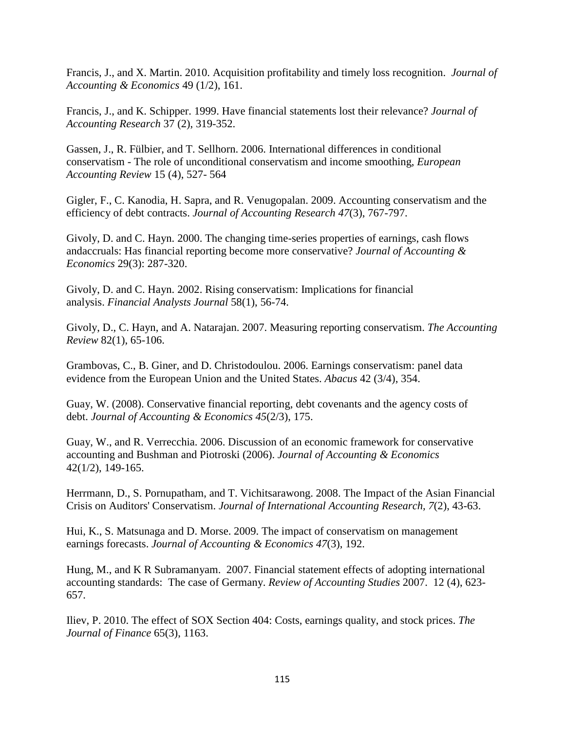Francis, J., and X. Martin. 2010. Acquisition profitability and timely loss recognition. *Journal of Accounting & Economics* 49 (1/2), 161.

Francis, J., and K. Schipper. 1999. Have financial statements lost their relevance? *Journal of Accounting Research* 37 (2), 319-352.

Gassen, J., R. Fülbier, and T. Sellhorn. 2006. International differences in conditional conservatism - The role of unconditional conservatism and income smoothing, *European Accounting Review* 15 (4), 527- 564

Gigler, F., C. Kanodia, H. Sapra, and R. Venugopalan. 2009. Accounting conservatism and the efficiency of debt contracts. *Journal of Accounting Research 47*(3), 767-797.

Givoly, D. and C. Hayn. 2000. The changing time-series properties of earnings, cash flows andaccruals: Has financial reporting become more conservative? *Journal of Accounting & Economics* 29(3): 287-320.

Givoly, D. and C. Hayn. 2002. Rising conservatism: Implications for financial analysis. *Financial Analysts Journal* 58(1), 56-74.

Givoly, D., C. Hayn, and A. Natarajan. 2007. Measuring reporting conservatism. *The Accounting Review* 82(1), 65-106.

Grambovas, C., B. Giner, and D. Christodoulou. 2006. Earnings conservatism: panel data evidence from the European Union and the United States. *Abacus* 42 (3/4), 354.

Guay, W. (2008). Conservative financial reporting, debt covenants and the agency costs of debt. *Journal of Accounting & Economics 45*(2/3), 175.

Guay, W., and R. Verrecchia. 2006. Discussion of an economic framework for conservative accounting and Bushman and Piotroski (2006). *Journal of Accounting & Economics* 42(1/2), 149-165.

Herrmann, D., S. Pornupatham, and T. Vichitsarawong. 2008. The Impact of the Asian Financial Crisis on Auditors' Conservatism. *Journal of International Accounting Research, 7*(2), 43-63.

Hui, K., S. Matsunaga and D. Morse. 2009. The impact of conservatism on management earnings forecasts. *Journal of Accounting & Economics 47*(3), 192.

Hung, M., and K R Subramanyam. 2007. Financial statement effects of adopting international accounting standards: The case of Germany. *Review of Accounting Studies* 2007. 12 (4), 623- 657.

Iliev, P. 2010. The effect of SOX Section 404: Costs, earnings quality, and stock prices. *The Journal of Finance* 65(3), 1163.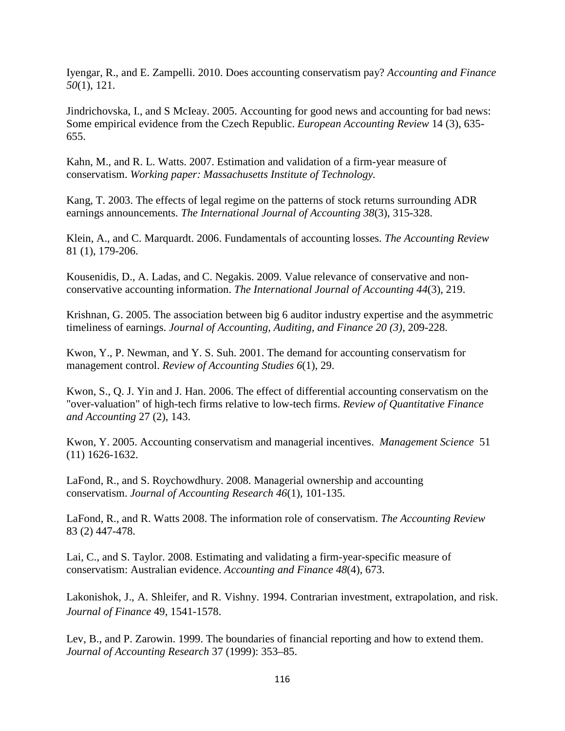Iyengar, R., and E. Zampelli. 2010. Does accounting conservatism pay? *Accounting and Finance 50*(1), 121.

Jindrichovska, I., and S McIeay. 2005. Accounting for good news and accounting for bad news: Some empirical evidence from the Czech Republic. *European Accounting Review* 14 (3), 635- 655.

Kahn, M., and R. L. Watts. 2007. Estimation and validation of a firm-year measure of conservatism. *Working paper: Massachusetts Institute of Technology.*

Kang, T. 2003. The effects of legal regime on the patterns of stock returns surrounding ADR earnings announcements. *The International Journal of Accounting 38*(3), 315-328.

Klein, A., and C. Marquardt. 2006. Fundamentals of accounting losses. *The Accounting Review* 81 (1), 179-206.

Kousenidis, D., A. Ladas, and C. Negakis. 2009. Value relevance of conservative and nonconservative accounting information. *The International Journal of Accounting 44*(3), 219.

Krishnan, G. 2005. The association between big 6 auditor industry expertise and the asymmetric timeliness of earnings. *Journal of Accounting, Auditing, and Finance 20 (3)*, 209-228.

Kwon, Y., P. Newman, and Y. S. Suh. 2001. The demand for accounting conservatism for management control. *Review of Accounting Studies 6*(1), 29.

Kwon, S., Q. J. Yin and J. Han. 2006. The effect of differential accounting conservatism on the "over-valuation" of high-tech firms relative to low-tech firms. *Review of Quantitative Finance and Accounting* 27 (2), 143.

Kwon, Y. 2005. Accounting conservatism and managerial incentives. *Management Science* 51 (11) 1626-1632.

LaFond, R., and S. Roychowdhury. 2008. Managerial ownership and accounting conservatism. *Journal of Accounting Research 46*(1), 101-135.

LaFond, R., and R. Watts 2008. The information role of conservatism. *The Accounting Review* 83 (2) 447-478.

Lai, C., and S. Taylor. 2008. Estimating and validating a firm-year-specific measure of conservatism: Australian evidence. *Accounting and Finance 48*(4), 673.

Lakonishok, J., A. Shleifer, and R. Vishny. 1994. Contrarian investment, extrapolation, and risk. *Journal of Finance* 49, 1541-1578.

Lev, B., and P. Zarowin. 1999. The boundaries of financial reporting and how to extend them. *Journal of Accounting Research* 37 (1999): 353–85.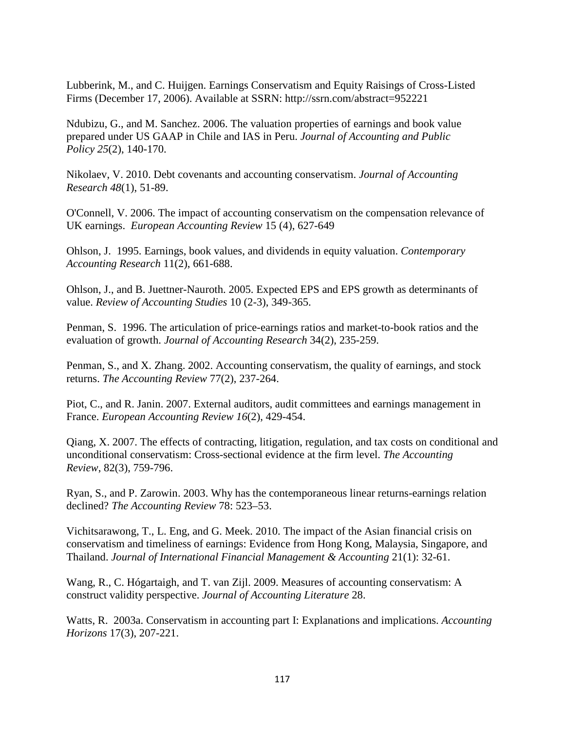Lubberink, M., and C. Huijgen. Earnings Conservatism and Equity Raisings of Cross-Listed Firms (December 17, 2006). Available at SSRN: http://ssrn.com/abstract=952221

Ndubizu, G., and M. Sanchez. 2006. The valuation properties of earnings and book value prepared under US GAAP in Chile and IAS in Peru. *Journal of Accounting and Public Policy 25*(2), 140-170.

Nikolaev, V. 2010. Debt covenants and accounting conservatism. *Journal of Accounting Research 48*(1), 51-89.

O'Connell, V. 2006. The impact of accounting conservatism on the compensation relevance of UK earnings. *European Accounting Review* 15 (4), 627-649

Ohlson, J. 1995. Earnings, book values, and dividends in equity valuation. *Contemporary Accounting Research* 11(2), 661-688.

Ohlson, J., and B. Juettner-Nauroth. 2005. Expected EPS and EPS growth as determinants of value. *Review of Accounting Studies* 10 (2-3), 349-365.

Penman, S. 1996. The articulation of price-earnings ratios and market-to-book ratios and the evaluation of growth. *Journal of Accounting Research* 34(2), 235-259.

Penman, S., and X. Zhang. 2002. Accounting conservatism, the quality of earnings, and stock returns. *The Accounting Review* 77(2), 237-264.

Piot, C., and R. Janin. 2007. External auditors, audit committees and earnings management in France. *European Accounting Review 16*(2), 429-454.

Qiang, X. 2007. The effects of contracting, litigation, regulation, and tax costs on conditional and unconditional conservatism: Cross-sectional evidence at the firm level. *The Accounting Review*, 82(3), 759-796.

Ryan, S., and P. Zarowin. 2003. Why has the contemporaneous linear returns-earnings relation declined? *The Accounting Review* 78: 523–53.

Vichitsarawong, T., L. Eng, and G. Meek. 2010. The impact of the Asian financial crisis on conservatism and timeliness of earnings: Evidence from Hong Kong, Malaysia, Singapore, and Thailand. *Journal of International Financial Management & Accounting* 21(1): 32-61.

Wang, R., C. Hógartaigh, and T. van Zijl. 2009. Measures of accounting conservatism: A construct validity perspective. *Journal of Accounting Literature* 28.

Watts, R. 2003a. Conservatism in accounting part I: Explanations and implications. *Accounting Horizons* 17(3), 207-221.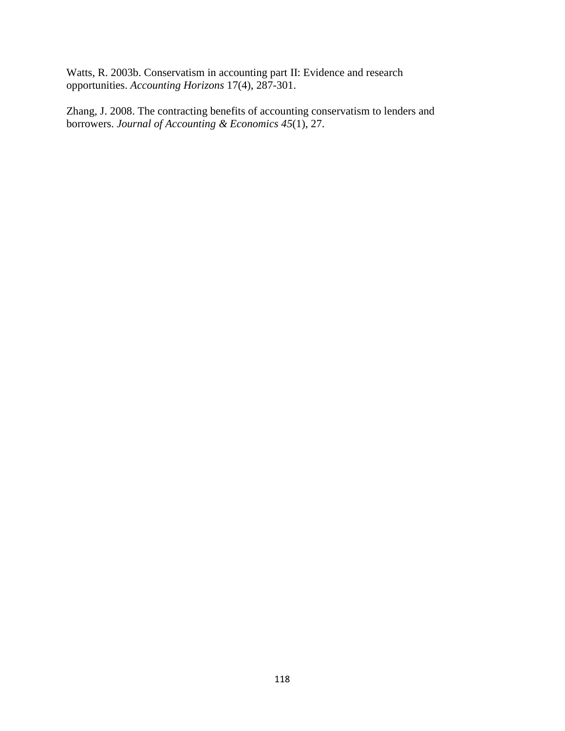Watts, R. 2003b. Conservatism in accounting part II: Evidence and research opportunities. *Accounting Horizons* 17(4), 287-301.

Zhang, J. 2008. The contracting benefits of accounting conservatism to lenders and borrowers. *Journal of Accounting & Economics 45*(1), 27.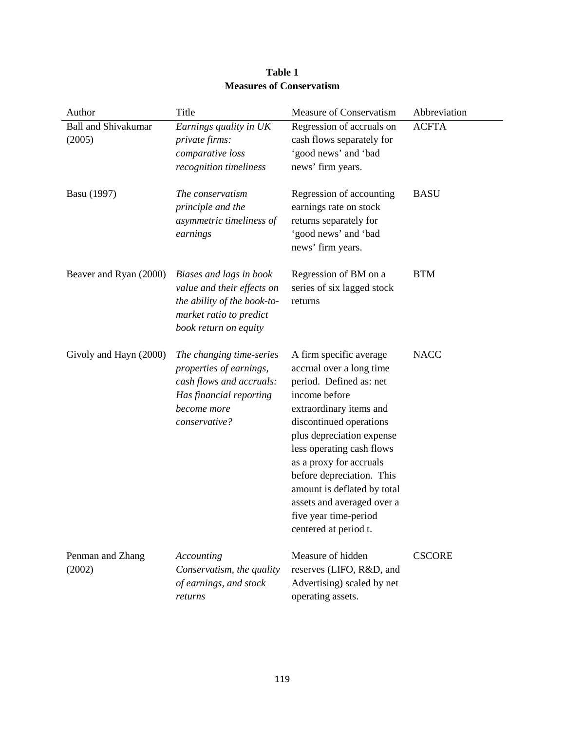| Author                               | Title                                                                                                                                      | Measure of Conservatism                                                                                                                                                                                                                                                                                                                                                                | Abbreviation  |
|--------------------------------------|--------------------------------------------------------------------------------------------------------------------------------------------|----------------------------------------------------------------------------------------------------------------------------------------------------------------------------------------------------------------------------------------------------------------------------------------------------------------------------------------------------------------------------------------|---------------|
| <b>Ball and Shivakumar</b><br>(2005) | Earnings quality in UK<br>private firms:<br>comparative loss<br>recognition timeliness                                                     | Regression of accruals on<br>cash flows separately for<br>'good news' and 'bad<br>news' firm years.                                                                                                                                                                                                                                                                                    | <b>ACFTA</b>  |
| Basu (1997)                          | The conservatism<br>principle and the<br>asymmetric timeliness of<br>earnings                                                              | Regression of accounting<br>earnings rate on stock<br>returns separately for<br>'good news' and 'bad<br>news' firm years.                                                                                                                                                                                                                                                              | <b>BASU</b>   |
| Beaver and Ryan (2000)               | Biases and lags in book<br>value and their effects on<br>the ability of the book-to-<br>market ratio to predict<br>book return on equity   | Regression of BM on a<br>series of six lagged stock<br>returns                                                                                                                                                                                                                                                                                                                         | <b>BTM</b>    |
| Givoly and Hayn (2000)               | The changing time-series<br>properties of earnings,<br>cash flows and accruals:<br>Has financial reporting<br>become more<br>conservative? | A firm specific average<br>accrual over a long time<br>period. Defined as: net<br>income before<br>extraordinary items and<br>discontinued operations<br>plus depreciation expense<br>less operating cash flows<br>as a proxy for accruals<br>before depreciation. This<br>amount is deflated by total<br>assets and averaged over a<br>five year time-period<br>centered at period t. | <b>NACC</b>   |
| Penman and Zhang<br>(2002)           | Accounting<br>Conservatism, the quality<br>of earnings, and stock<br>returns                                                               | Measure of hidden<br>reserves (LIFO, R&D, and<br>Advertising) scaled by net<br>operating assets.                                                                                                                                                                                                                                                                                       | <b>CSCORE</b> |

# **Table 1 Measures of Conservatism**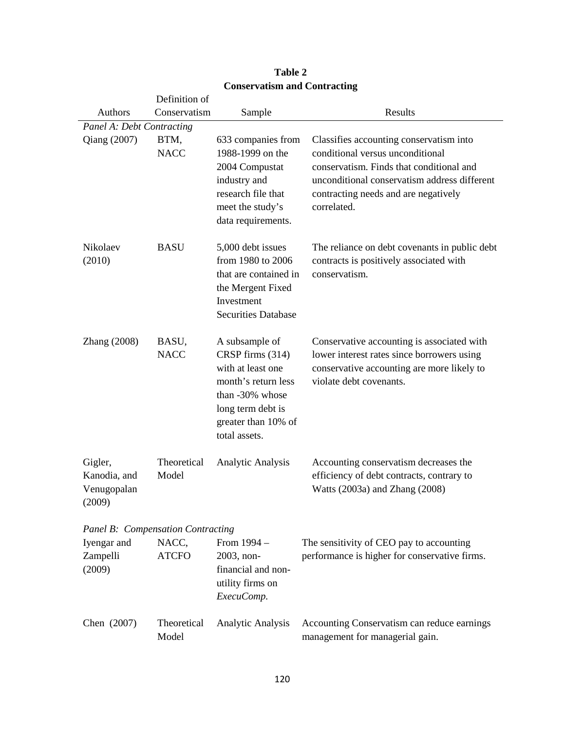|                                                  | Definition of                     |                                                                                                                                                                |                                                                                                                                                                                                                                |
|--------------------------------------------------|-----------------------------------|----------------------------------------------------------------------------------------------------------------------------------------------------------------|--------------------------------------------------------------------------------------------------------------------------------------------------------------------------------------------------------------------------------|
| Authors                                          | Conservatism                      | Sample                                                                                                                                                         | Results                                                                                                                                                                                                                        |
| Panel A: Debt Contracting                        |                                   |                                                                                                                                                                |                                                                                                                                                                                                                                |
| Qiang (2007)                                     | BTM,<br><b>NACC</b>               | 633 companies from<br>1988-1999 on the<br>2004 Compustat<br>industry and<br>research file that<br>meet the study's<br>data requirements.                       | Classifies accounting conservatism into<br>conditional versus unconditional<br>conservatism. Finds that conditional and<br>unconditional conservatism address different<br>contracting needs and are negatively<br>correlated. |
| Nikolaev<br>(2010)                               | <b>BASU</b>                       | 5,000 debt issues<br>from 1980 to 2006<br>that are contained in<br>the Mergent Fixed<br>Investment<br><b>Securities Database</b>                               | The reliance on debt covenants in public debt<br>contracts is positively associated with<br>conservatism.                                                                                                                      |
| Zhang (2008)                                     | BASU,<br><b>NACC</b>              | A subsample of<br>CRSP firms (314)<br>with at least one<br>month's return less<br>than -30% whose<br>long term debt is<br>greater than 10% of<br>total assets. | Conservative accounting is associated with<br>lower interest rates since borrowers using<br>conservative accounting are more likely to<br>violate debt covenants.                                                              |
| Gigler,<br>Kanodia, and<br>Venugopalan<br>(2009) | Theoretical<br>Model              | Analytic Analysis                                                                                                                                              | Accounting conservatism decreases the<br>efficiency of debt contracts, contrary to<br>Watts (2003a) and Zhang (2008)                                                                                                           |
|                                                  | Panel B: Compensation Contracting |                                                                                                                                                                |                                                                                                                                                                                                                                |
| Iyengar and<br>Zampelli<br>(2009)                | NACC,<br><b>ATCFO</b>             | From $1994 -$<br>2003, non-<br>financial and non-<br>utility firms on<br>ExecuComp.                                                                            | The sensitivity of CEO pay to accounting<br>performance is higher for conservative firms.                                                                                                                                      |
| Chen (2007)                                      | Theoretical<br>Model              | Analytic Analysis                                                                                                                                              | Accounting Conservatism can reduce earnings<br>management for managerial gain.                                                                                                                                                 |

## **Table 2 Conservatism and Contracting**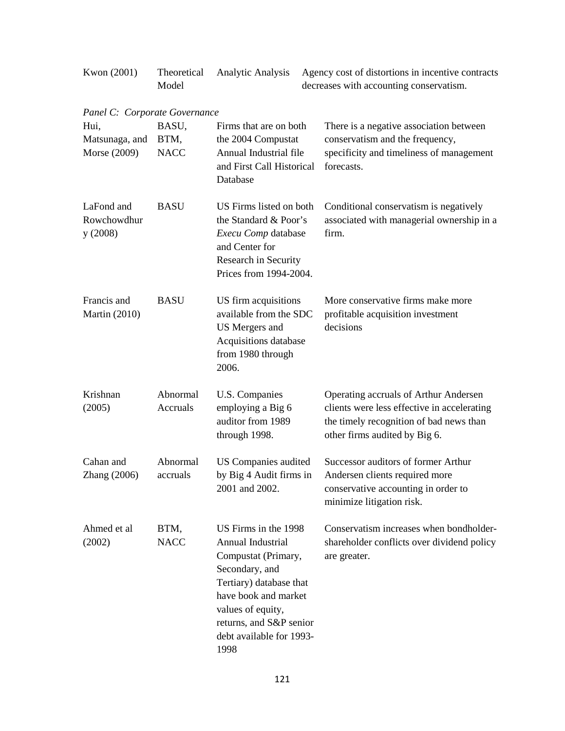| Kwon (2001)                                                             | Theoretical<br>Model         | Analytic Analysis                                                                                                                                                                                                         | Agency cost of distortions in incentive contracts<br>decreases with accounting conservatism.                                                                     |
|-------------------------------------------------------------------------|------------------------------|---------------------------------------------------------------------------------------------------------------------------------------------------------------------------------------------------------------------------|------------------------------------------------------------------------------------------------------------------------------------------------------------------|
| Panel C: Corporate Governance<br>Hui.<br>Matsunaga, and<br>Morse (2009) | BASU,<br>BTM,<br><b>NACC</b> | Firms that are on both<br>the 2004 Compustat<br>Annual Industrial file<br>and First Call Historical<br>Database                                                                                                           | There is a negative association between<br>conservatism and the frequency,<br>specificity and timeliness of management<br>forecasts.                             |
| LaFond and<br>Rowchowdhur<br>y(2008)                                    | <b>BASU</b>                  | US Firms listed on both<br>the Standard & Poor's<br>Execu Comp database<br>and Center for<br>Research in Security<br>Prices from 1994-2004.                                                                               | Conditional conservatism is negatively<br>associated with managerial ownership in a<br>firm.                                                                     |
| Francis and<br><b>Martin (2010)</b>                                     | <b>BASU</b>                  | US firm acquisitions<br>available from the SDC<br>US Mergers and<br>Acquisitions database<br>from 1980 through<br>2006.                                                                                                   | More conservative firms make more<br>profitable acquisition investment<br>decisions                                                                              |
| Krishnan<br>(2005)                                                      | Abnormal<br>Accruals         | U.S. Companies<br>employing a Big 6<br>auditor from 1989<br>through 1998.                                                                                                                                                 | Operating accruals of Arthur Andersen<br>clients were less effective in accelerating<br>the timely recognition of bad news than<br>other firms audited by Big 6. |
| Cahan and<br>Zhang (2006)                                               | Abnormal<br>accruals         | US Companies audited<br>by Big 4 Audit firms in<br>2001 and 2002.                                                                                                                                                         | Successor auditors of former Arthur<br>Andersen clients required more<br>conservative accounting in order to<br>minimize litigation risk.                        |
| Ahmed et al<br>(2002)                                                   | BTM,<br><b>NACC</b>          | US Firms in the 1998<br>Annual Industrial<br>Compustat (Primary,<br>Secondary, and<br>Tertiary) database that<br>have book and market<br>values of equity,<br>returns, and S&P senior<br>debt available for 1993-<br>1998 | Conservatism increases when bondholder-<br>shareholder conflicts over dividend policy<br>are greater.                                                            |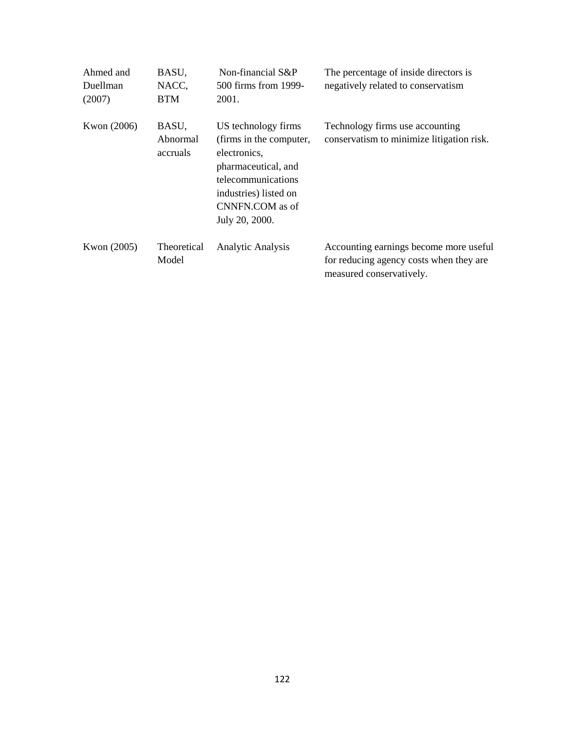| Ahmed and<br>Duellman<br>(2007) | BASU,<br>NACC,<br>BTM         | Non-financial S&P<br>500 firms from 1999-<br>2001.                                                                                                                        | The percentage of inside directors is<br>negatively related to conservatism                                   |
|---------------------------------|-------------------------------|---------------------------------------------------------------------------------------------------------------------------------------------------------------------------|---------------------------------------------------------------------------------------------------------------|
| Kwon (2006)                     | BASU,<br>Abnormal<br>accruals | US technology firms<br>(firms in the computer,<br>electronics,<br>pharmaceutical, and<br>telecommunications<br>industries) listed on<br>CNNFN.COM as of<br>July 20, 2000. | Technology firms use accounting<br>conservatism to minimize litigation risk.                                  |
| Kwon (2005)                     | <b>Theoretical</b><br>Model   | <b>Analytic Analysis</b>                                                                                                                                                  | Accounting earnings become more useful<br>for reducing agency costs when they are<br>measured conservatively. |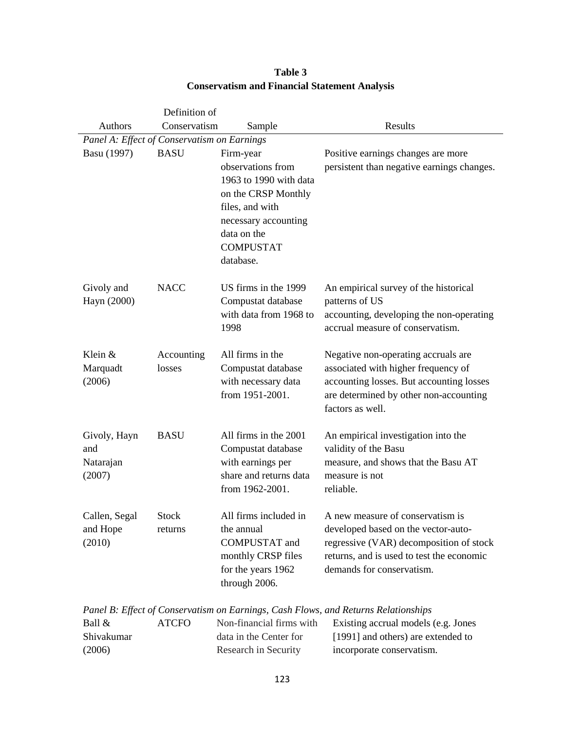|                                             | Definition of           |                                                                                                                                                                            |                                                                                                                                                                                              |
|---------------------------------------------|-------------------------|----------------------------------------------------------------------------------------------------------------------------------------------------------------------------|----------------------------------------------------------------------------------------------------------------------------------------------------------------------------------------------|
| <b>Authors</b>                              | Conservatism            | Sample                                                                                                                                                                     | Results                                                                                                                                                                                      |
| Panel A: Effect of Conservatism on Earnings |                         |                                                                                                                                                                            |                                                                                                                                                                                              |
| Basu (1997)                                 | <b>BASU</b>             | Firm-year<br>observations from<br>1963 to 1990 with data<br>on the CRSP Monthly<br>files, and with<br>necessary accounting<br>data on the<br><b>COMPUSTAT</b><br>database. | Positive earnings changes are more<br>persistent than negative earnings changes.                                                                                                             |
| Givoly and<br>Hayn (2000)                   | <b>NACC</b>             | US firms in the 1999<br>Compustat database<br>with data from 1968 to<br>1998                                                                                               | An empirical survey of the historical<br>patterns of US<br>accounting, developing the non-operating<br>accrual measure of conservatism.                                                      |
| Klein &<br>Marquadt<br>(2006)               | Accounting<br>losses    | All firms in the<br>Compustat database<br>with necessary data<br>from 1951-2001.                                                                                           | Negative non-operating accruals are<br>associated with higher frequency of<br>accounting losses. But accounting losses<br>are determined by other non-accounting<br>factors as well.         |
| Givoly, Hayn<br>and<br>Natarajan<br>(2007)  | <b>BASU</b>             | All firms in the 2001<br>Compustat database<br>with earnings per<br>share and returns data<br>from 1962-2001.                                                              | An empirical investigation into the<br>validity of the Basu<br>measure, and shows that the Basu AT<br>measure is not<br>reliable.                                                            |
| Callen, Segal<br>and Hope<br>(2010)         | <b>Stock</b><br>returns | All firms included in<br>the annual<br><b>COMPUSTAT</b> and<br>monthly CRSP files<br>for the years 1962<br>through 2006.                                                   | A new measure of conservatism is<br>developed based on the vector-auto-<br>regressive (VAR) decomposition of stock<br>returns, and is used to test the economic<br>demands for conservatism. |

# **Table 3 Conservatism and Financial Statement Analysis**

*Panel B: Effect of Conservatism on Earnings, Cash Flows, and Returns Relationships* 

| Ball $\&$  | <b>ATCFO</b> | Non-financial firms with | Existing accrual models (e.g. Jones |
|------------|--------------|--------------------------|-------------------------------------|
| Shivakumar |              | data in the Center for   | [1991] and others) are extended to  |
| (2006)     |              | Research in Security     | incorporate conservatism.           |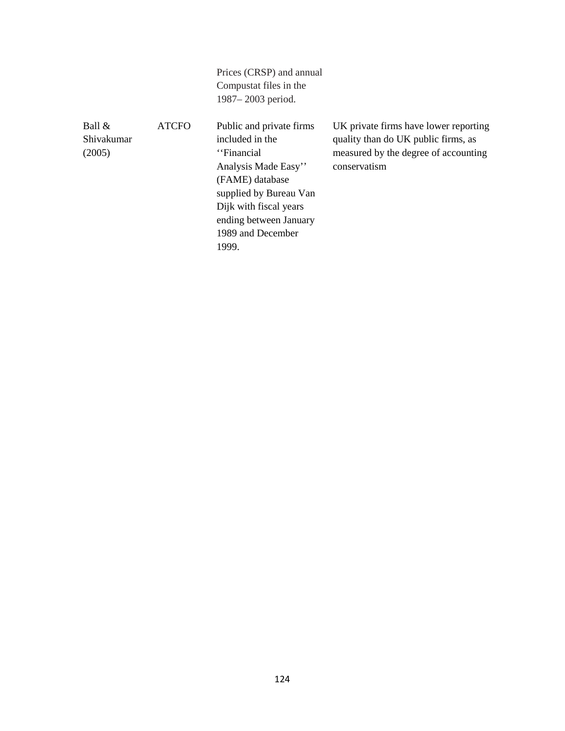|                                   |              | Prices (CRSP) and annual<br>Compustat files in the<br>1987–2003 period.                                                                                                                                          |                                                                                                                                      |
|-----------------------------------|--------------|------------------------------------------------------------------------------------------------------------------------------------------------------------------------------------------------------------------|--------------------------------------------------------------------------------------------------------------------------------------|
| Ball $\&$<br>Shivakumar<br>(2005) | <b>ATCFO</b> | Public and private firms<br>included in the<br>"Financial"<br>Analysis Made Easy"<br>(FAME) database<br>supplied by Bureau Van<br>Dijk with fiscal years<br>ending between January<br>1989 and December<br>1999. | UK private firms have lower reporting<br>quality than do UK public firms, as<br>measured by the degree of accounting<br>conservatism |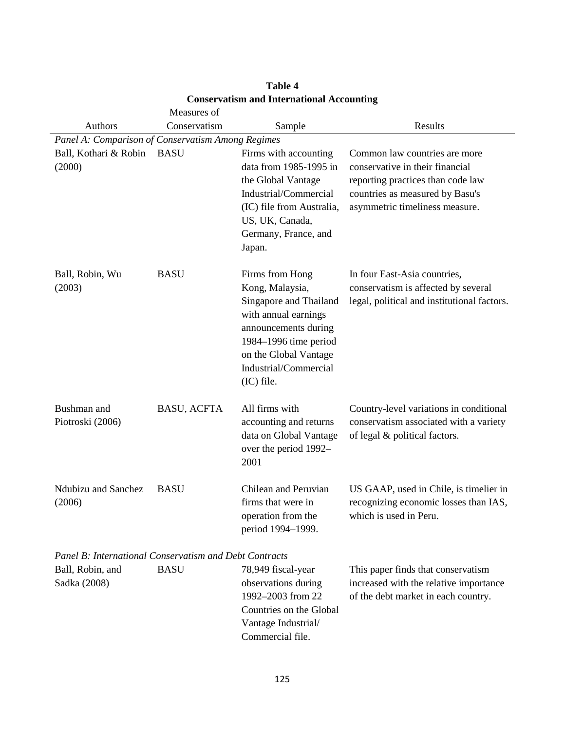|                                                        | Measures of                                       |                                                                                                                                                                                                       |                                                                                                                                                                            |  |  |  |  |
|--------------------------------------------------------|---------------------------------------------------|-------------------------------------------------------------------------------------------------------------------------------------------------------------------------------------------------------|----------------------------------------------------------------------------------------------------------------------------------------------------------------------------|--|--|--|--|
| Authors                                                | Conservatism                                      | Sample                                                                                                                                                                                                | Results                                                                                                                                                                    |  |  |  |  |
|                                                        | Panel A: Comparison of Conservatism Among Regimes |                                                                                                                                                                                                       |                                                                                                                                                                            |  |  |  |  |
| Ball, Kothari & Robin<br>(2000)                        | <b>BASU</b>                                       | Firms with accounting<br>data from 1985-1995 in<br>the Global Vantage<br>Industrial/Commercial<br>(IC) file from Australia,<br>US, UK, Canada,<br>Germany, France, and<br>Japan.                      | Common law countries are more<br>conservative in their financial<br>reporting practices than code law<br>countries as measured by Basu's<br>asymmetric timeliness measure. |  |  |  |  |
| Ball, Robin, Wu<br>(2003)                              | <b>BASU</b>                                       | Firms from Hong<br>Kong, Malaysia,<br>Singapore and Thailand<br>with annual earnings<br>announcements during<br>1984–1996 time period<br>on the Global Vantage<br>Industrial/Commercial<br>(IC) file. | In four East-Asia countries,<br>conservatism is affected by several<br>legal, political and institutional factors.                                                         |  |  |  |  |
| Bushman and<br>Piotroski (2006)                        | <b>BASU, ACFTA</b>                                | All firms with<br>accounting and returns<br>data on Global Vantage<br>over the period 1992-<br>2001                                                                                                   | Country-level variations in conditional<br>conservatism associated with a variety<br>of legal & political factors.                                                         |  |  |  |  |
| Ndubizu and Sanchez<br>(2006)                          | <b>BASU</b>                                       | Chilean and Peruvian<br>firms that were in<br>operation from the<br>period 1994-1999.                                                                                                                 | US GAAP, used in Chile, is timelier in<br>recognizing economic losses than IAS,<br>which is used in Peru.                                                                  |  |  |  |  |
| Panel B: International Conservatism and Debt Contracts |                                                   |                                                                                                                                                                                                       |                                                                                                                                                                            |  |  |  |  |
| Ball, Robin, and<br>Sadka (2008)                       | <b>BASU</b>                                       | 78,949 fiscal-year<br>observations during<br>1992-2003 from 22<br>Countries on the Global<br>Vantage Industrial/<br>Commercial file.                                                                  | This paper finds that conservatism<br>increased with the relative importance<br>of the debt market in each country.                                                        |  |  |  |  |

# **Table 4 Conservatism and International Accounting**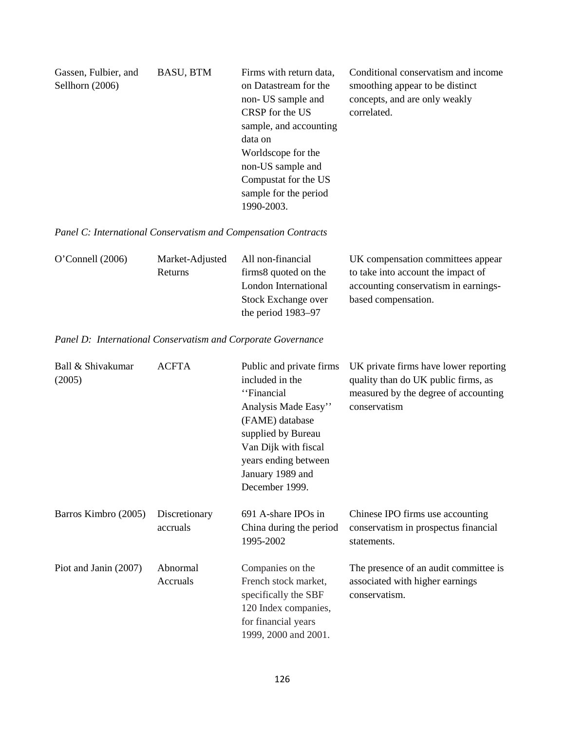| Gassen, Fulbier, and | <b>BASU, BTM</b> | Firms with return data, | Conditional conservatism and income |
|----------------------|------------------|-------------------------|-------------------------------------|
| Sellhorn $(2006)$    |                  | on Datastream for the   | smoothing appear to be distinct     |
|                      |                  | non- US sample and      | concepts, and are only weakly       |
|                      |                  | CRSP for the US         | correlated.                         |
|                      |                  | sample, and accounting  |                                     |
|                      |                  | data on                 |                                     |
|                      |                  | Worldscope for the      |                                     |
|                      |                  | non-US sample and       |                                     |
|                      |                  | Compustat for the US    |                                     |
|                      |                  | sample for the period   |                                     |
|                      |                  | 1990-2003.              |                                     |

*Panel C: International Conservatism and Compensation Contracts* 

| $O'$ Connell (2006) | Market-Adjusted | All non-financial     | UK compensation committees appear    |
|---------------------|-----------------|-----------------------|--------------------------------------|
|                     | Returns         | firms 8 quoted on the | to take into account the impact of   |
|                     |                 | London International  | accounting conservatism in earnings- |
|                     |                 | Stock Exchange over   | based compensation.                  |
|                     |                 | the period 1983–97    |                                      |

*Panel D: International Conservatism and Corporate Governance* 

| Ball & Shivakumar<br>(2005) | <b>ACFTA</b>              | Public and private firms<br>included in the<br>"Financial<br>Analysis Made Easy"<br>(FAME) database<br>supplied by Bureau<br>Van Dijk with fiscal<br>years ending between<br>January 1989 and<br>December 1999. | UK private firms have lower reporting<br>quality than do UK public firms, as<br>measured by the degree of accounting<br>conservatism |
|-----------------------------|---------------------------|-----------------------------------------------------------------------------------------------------------------------------------------------------------------------------------------------------------------|--------------------------------------------------------------------------------------------------------------------------------------|
| Barros Kimbro (2005)        | Discretionary<br>accruals | 691 A-share IPOs in<br>China during the period<br>1995-2002                                                                                                                                                     | Chinese IPO firms use accounting<br>conservatism in prospectus financial<br>statements.                                              |
| Piot and Janin (2007)       | Abnormal<br>Accruals      | Companies on the<br>French stock market,<br>specifically the SBF<br>120 Index companies,<br>for financial years<br>1999, 2000 and 2001.                                                                         | The presence of an audit committee is<br>associated with higher earnings<br>conservatism.                                            |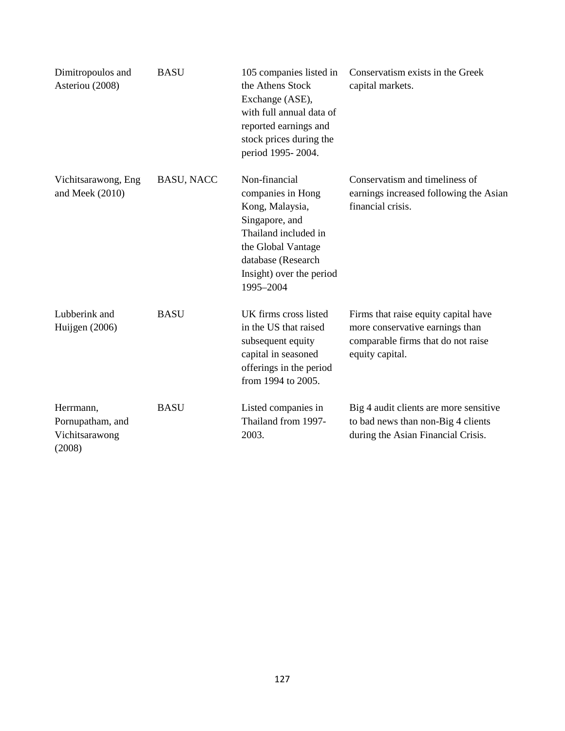| Dimitropoulos and<br>Asteriou (2008)                      | <b>BASU</b>       | 105 companies listed in<br>the Athens Stock<br>Exchange (ASE),<br>with full annual data of<br>reported earnings and<br>stock prices during the<br>period 1995-2004.                  | Conservatism exists in the Greek<br>capital markets.                                                                             |
|-----------------------------------------------------------|-------------------|--------------------------------------------------------------------------------------------------------------------------------------------------------------------------------------|----------------------------------------------------------------------------------------------------------------------------------|
| Vichitsarawong, Eng<br>and Meek (2010)                    | <b>BASU, NACC</b> | Non-financial<br>companies in Hong<br>Kong, Malaysia,<br>Singapore, and<br>Thailand included in<br>the Global Vantage<br>database (Research<br>Insight) over the period<br>1995-2004 | Conservatism and timeliness of<br>earnings increased following the Asian<br>financial crisis.                                    |
| Lubberink and<br>Huijgen (2006)                           | <b>BASU</b>       | UK firms cross listed<br>in the US that raised<br>subsequent equity<br>capital in seasoned<br>offerings in the period<br>from 1994 to 2005.                                          | Firms that raise equity capital have<br>more conservative earnings than<br>comparable firms that do not raise<br>equity capital. |
| Herrmann,<br>Pornupatham, and<br>Vichitsarawong<br>(2008) | <b>BASU</b>       | Listed companies in<br>Thailand from 1997-<br>2003.                                                                                                                                  | Big 4 audit clients are more sensitive<br>to bad news than non-Big 4 clients<br>during the Asian Financial Crisis.               |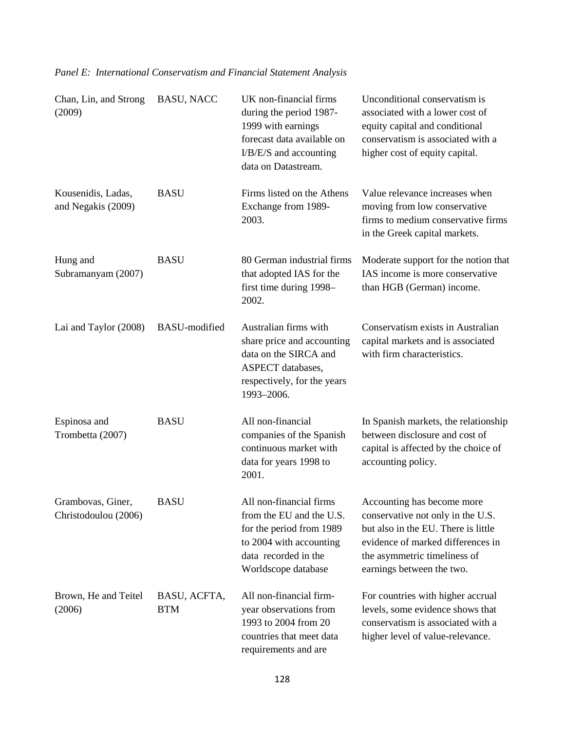| Chan, Lin, and Strong<br>(2009)           | <b>BASU, NACC</b>          | UK non-financial firms<br>during the period 1987-<br>1999 with earnings<br>forecast data available on<br>I/B/E/S and accounting<br>data on Datastream.    | Unconditional conservatism is<br>associated with a lower cost of<br>equity capital and conditional<br>conservatism is associated with a<br>higher cost of equity capital.                                |
|-------------------------------------------|----------------------------|-----------------------------------------------------------------------------------------------------------------------------------------------------------|----------------------------------------------------------------------------------------------------------------------------------------------------------------------------------------------------------|
| Kousenidis, Ladas,<br>and Negakis (2009)  | <b>BASU</b>                | Firms listed on the Athens<br>Exchange from 1989-<br>2003.                                                                                                | Value relevance increases when<br>moving from low conservative<br>firms to medium conservative firms<br>in the Greek capital markets.                                                                    |
| Hung and<br>Subramanyam (2007)            | <b>BASU</b>                | 80 German industrial firms<br>that adopted IAS for the<br>first time during 1998-<br>2002.                                                                | Moderate support for the notion that<br>IAS income is more conservative<br>than HGB (German) income.                                                                                                     |
| Lai and Taylor (2008)                     | <b>BASU-modified</b>       | Australian firms with<br>share price and accounting<br>data on the SIRCA and<br>ASPECT databases,<br>respectively, for the years<br>1993-2006.            | Conservatism exists in Australian<br>capital markets and is associated<br>with firm characteristics.                                                                                                     |
| Espinosa and<br>Trombetta (2007)          | <b>BASU</b>                | All non-financial<br>companies of the Spanish<br>continuous market with<br>data for years 1998 to<br>2001.                                                | In Spanish markets, the relationship<br>between disclosure and cost of<br>capital is affected by the choice of<br>accounting policy.                                                                     |
| Grambovas, Giner,<br>Christodoulou (2006) | <b>BASU</b>                | All non-financial firms<br>from the EU and the U.S.<br>for the period from 1989<br>to 2004 with accounting<br>data recorded in the<br>Worldscope database | Accounting has become more<br>conservative not only in the U.S.<br>but also in the EU. There is little<br>evidence of marked differences in<br>the asymmetric timeliness of<br>earnings between the two. |
| Brown, He and Teitel<br>(2006)            | BASU, ACFTA,<br><b>BTM</b> | All non-financial firm-<br>year observations from<br>1993 to 2004 from 20<br>countries that meet data<br>requirements and are                             | For countries with higher accrual<br>levels, some evidence shows that<br>conservatism is associated with a<br>higher level of value-relevance.                                                           |

# *Panel E: International Conservatism and Financial Statement Analysis*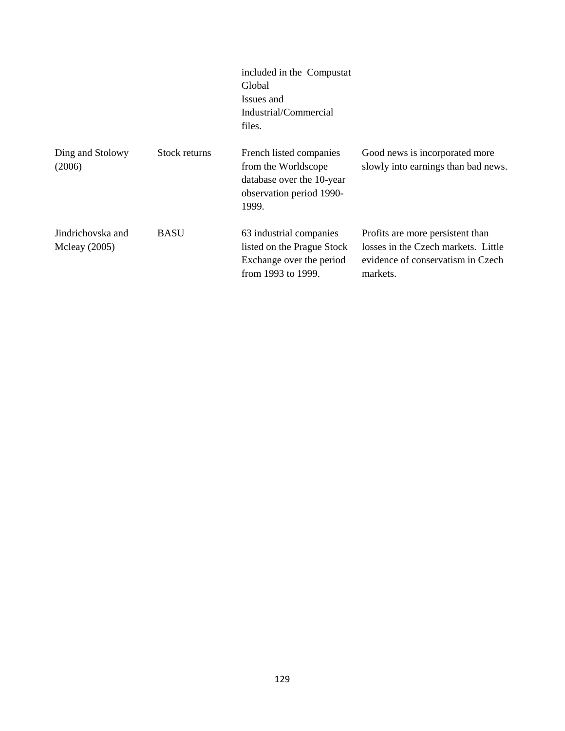|                                      |               | included in the Compustat<br>Global<br>Issues and<br>Industrial/Commercial<br>files.                             |                                                                                                                          |
|--------------------------------------|---------------|------------------------------------------------------------------------------------------------------------------|--------------------------------------------------------------------------------------------------------------------------|
| Ding and Stolowy<br>(2006)           | Stock returns | French listed companies<br>from the Worldscope<br>database over the 10-year<br>observation period 1990-<br>1999. | Good news is incorporated more<br>slowly into earnings than bad news.                                                    |
| Jindrichovska and<br>Mcleay $(2005)$ | <b>BASU</b>   | 63 industrial companies<br>listed on the Prague Stock<br>Exchange over the period<br>from 1993 to 1999.          | Profits are more persistent than<br>losses in the Czech markets. Little<br>evidence of conservatism in Czech<br>markets. |